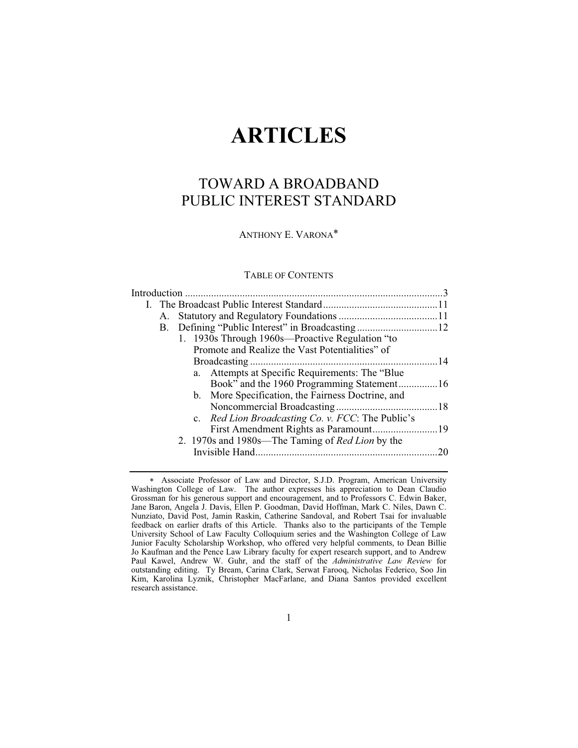# **ARTICLES**

# TOWARD A BROADBAND PUBLIC INTEREST STANDARD

ANTHONY E. VARONA

# TABLE OF CONTENTS

| Introduction |    |                                                   |    |
|--------------|----|---------------------------------------------------|----|
|              |    |                                                   |    |
|              | A. |                                                   |    |
|              |    |                                                   |    |
|              |    | 1. 1930s Through 1960s—Proactive Regulation "to   |    |
|              |    | Promote and Realize the Vast Potentialities" of   |    |
|              |    |                                                   |    |
|              |    | a. Attempts at Specific Requirements: The "Blue"  |    |
|              |    | Book" and the 1960 Programming Statement16        |    |
|              |    | b. More Specification, the Fairness Doctrine, and |    |
|              |    |                                                   |    |
|              |    | c. Red Lion Broadcasting Co. v. FCC: The Public's |    |
|              |    | First Amendment Rights as Paramount19             |    |
|              |    | 2. 1970s and 1980s—The Taming of Red Lion by the  |    |
|              |    |                                                   | 20 |
|              |    |                                                   |    |

 Associate Professor of Law and Director, S.J.D. Program, American University Washington College of Law. The author expresses his appreciation to Dean Claudio Grossman for his generous support and encouragement, and to Professors C. Edwin Baker, Jane Baron, Angela J. Davis, Ellen P. Goodman, David Hoffman, Mark C. Niles, Dawn C. Nunziato, David Post, Jamin Raskin, Catherine Sandoval, and Robert Tsai for invaluable feedback on earlier drafts of this Article. Thanks also to the participants of the Temple University School of Law Faculty Colloquium series and the Washington College of Law Junior Faculty Scholarship Workshop, who offered very helpful comments, to Dean Billie Jo Kaufman and the Pence Law Library faculty for expert research support, and to Andrew Paul Kawel, Andrew W. Guhr, and the staff of the *Administrative Law Review* for outstanding editing. Ty Bream, Carina Clark, Serwat Farooq, Nicholas Federico, Soo Jin Kim, Karolina Lyznik, Christopher MacFarlane, and Diana Santos provided excellent research assistance.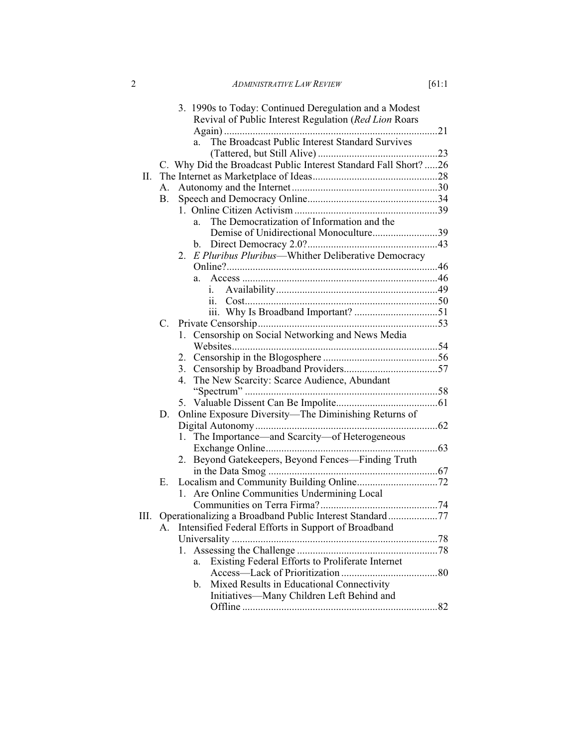|  | <i>ADMINISTRATIVE LAW REVIEW</i> |  |
|--|----------------------------------|--|
|--|----------------------------------|--|

|      |    | 3. 1990s to Today: Continued Deregulation and a Modest           |  |
|------|----|------------------------------------------------------------------|--|
|      |    | Revival of Public Interest Regulation (Red Lion Roars            |  |
|      |    |                                                                  |  |
|      |    | The Broadcast Public Interest Standard Survives<br>a.            |  |
|      |    |                                                                  |  |
|      |    | C. Why Did the Broadcast Public Interest Standard Fall Short? 26 |  |
| П.   |    |                                                                  |  |
|      | А. |                                                                  |  |
|      | B. |                                                                  |  |
|      |    |                                                                  |  |
|      |    | The Democratization of Information and the<br>a.                 |  |
|      |    | Demise of Unidirectional Monoculture39                           |  |
|      |    | $b_{1}$                                                          |  |
|      |    | 2. E Pluribus Pluribus—Whither Deliberative Democracy            |  |
|      |    |                                                                  |  |
|      |    |                                                                  |  |
|      |    | i.                                                               |  |
|      |    |                                                                  |  |
|      |    |                                                                  |  |
|      |    |                                                                  |  |
|      |    | Censorship on Social Networking and News Media<br>1.             |  |
|      |    |                                                                  |  |
|      |    |                                                                  |  |
|      |    |                                                                  |  |
|      |    | 4. The New Scarcity: Scarce Audience, Abundant                   |  |
|      |    |                                                                  |  |
|      |    |                                                                  |  |
|      | D. | Online Exposure Diversity-The Diminishing Returns of             |  |
|      |    |                                                                  |  |
|      |    | 1. The Importance—and Scarcity—of Heterogeneous                  |  |
|      |    |                                                                  |  |
|      |    | 2. Beyond Gatekeepers, Beyond Fences-Finding Truth               |  |
|      |    |                                                                  |  |
|      | Е. |                                                                  |  |
|      |    | 1. Are Online Communities Undermining Local                      |  |
|      |    |                                                                  |  |
| III. |    | Operationalizing a Broadband Public Interest Standard77          |  |
|      | A. | Intensified Federal Efforts in Support of Broadband              |  |
|      |    |                                                                  |  |
|      |    |                                                                  |  |
|      |    | Existing Federal Efforts to Proliferate Internet<br>a.           |  |
|      |    |                                                                  |  |
|      |    | Mixed Results in Educational Connectivity<br>b.                  |  |
|      |    | Initiatives-Many Children Left Behind and                        |  |
|      |    |                                                                  |  |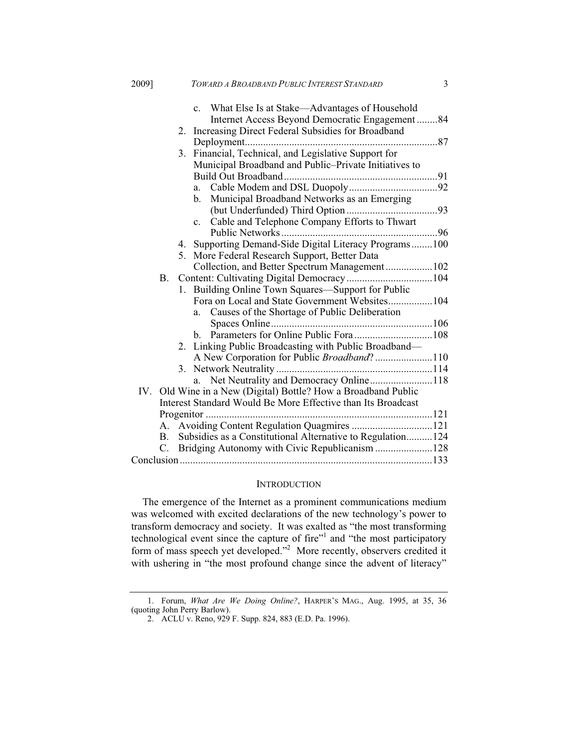|    | c. What Else Is at Stake—Advantages of Household               |  |
|----|----------------------------------------------------------------|--|
|    | Internet Access Beyond Democratic Engagement84                 |  |
|    | Increasing Direct Federal Subsidies for Broadband<br>2.        |  |
|    |                                                                |  |
|    | 3. Financial, Technical, and Legislative Support for           |  |
|    | Municipal Broadband and Public-Private Initiatives to          |  |
|    |                                                                |  |
|    | a.                                                             |  |
|    | Municipal Broadband Networks as an Emerging<br>$b_{-}$         |  |
|    |                                                                |  |
|    | c. Cable and Telephone Company Efforts to Thwart               |  |
|    |                                                                |  |
|    | 4. Supporting Demand-Side Digital Literacy Programs100         |  |
|    | 5. More Federal Research Support, Better Data                  |  |
|    |                                                                |  |
| B. |                                                                |  |
|    | 1. Building Online Town Squares-Support for Public             |  |
|    | Fora on Local and State Government Websites 104                |  |
|    | Causes of the Shortage of Public Deliberation<br>a.            |  |
|    |                                                                |  |
|    | $\mathbf{b}$ .                                                 |  |
|    | 2. Linking Public Broadcasting with Public Broadband-          |  |
|    | A New Corporation for Public Broadband?110                     |  |
|    |                                                                |  |
|    | a.                                                             |  |
|    | IV. Old Wine in a New (Digital) Bottle? How a Broadband Public |  |
|    | Interest Standard Would Be More Effective than Its Broadcast   |  |
|    |                                                                |  |
|    | A. Avoiding Content Regulation Quagmires 121                   |  |
| B. | Subsidies as a Constitutional Alternative to Regulation124     |  |
| C. | Bridging Autonomy with Civic Republicanism 128                 |  |
|    |                                                                |  |
|    |                                                                |  |

#### **INTRODUCTION**

The emergence of the Internet as a prominent communications medium was welcomed with excited declarations of the new technology's power to transform democracy and society. It was exalted as "the most transforming technological event since the capture of fire"<sup>1</sup> and "the most participatory form of mass speech yet developed."<sup>2</sup> More recently, observers credited it with ushering in "the most profound change since the advent of literacy"

 <sup>1.</sup> Forum, *What Are We Doing Online?*, HARPER'S MAG., Aug. 1995, at 35, 36 (quoting John Perry Barlow).

 <sup>2.</sup> ACLU v. Reno, 929 F. Supp. 824, 883 (E.D. Pa. 1996).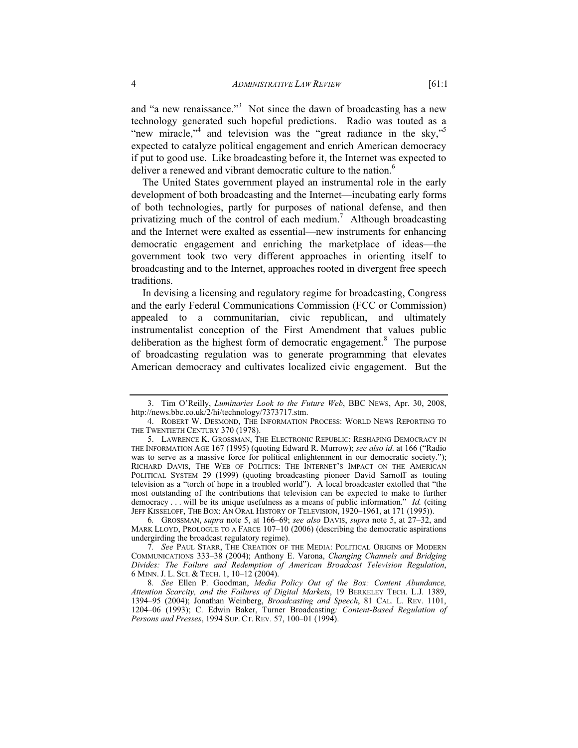and "a new renaissance."<sup>3</sup> Not since the dawn of broadcasting has a new technology generated such hopeful predictions. Radio was touted as a "new miracle,"<sup>4</sup> and television was the "great radiance in the sky,"<sup>5</sup> expected to catalyze political engagement and enrich American democracy if put to good use. Like broadcasting before it, the Internet was expected to deliver a renewed and vibrant democratic culture to the nation.<sup>6</sup>

The United States government played an instrumental role in the early development of both broadcasting and the Internet—incubating early forms of both technologies, partly for purposes of national defense, and then privatizing much of the control of each medium.<sup>7</sup> Although broadcasting and the Internet were exalted as essential—new instruments for enhancing democratic engagement and enriching the marketplace of ideas—the government took two very different approaches in orienting itself to broadcasting and to the Internet, approaches rooted in divergent free speech traditions.

In devising a licensing and regulatory regime for broadcasting, Congress and the early Federal Communications Commission (FCC or Commission) appealed to a communitarian, civic republican, and ultimately instrumentalist conception of the First Amendment that values public deliberation as the highest form of democratic engagement.<sup>8</sup> The purpose of broadcasting regulation was to generate programming that elevates American democracy and cultivates localized civic engagement. But the

6*.* GROSSMAN, *supra* note 5, at 166–69; *see also* DAVIS, *supra* note 5, at 27–32, and MARK LLOYD, PROLOGUE TO A FARCE 107–10 (2006) (describing the democratic aspirations undergirding the broadcast regulatory regime).

 <sup>3.</sup> Tim O'Reilly, *Luminaries Look to the Future Web*, BBC NEWS, Apr. 30, 2008, http://news.bbc.co.uk/2/hi/technology/7373717.stm.

 <sup>4.</sup> ROBERT W. DESMOND, THE INFORMATION PROCESS: WORLD NEWS REPORTING TO THE TWENTIETH CENTURY 370 (1978).

 <sup>5.</sup> LAWRENCE K. GROSSMAN, THE ELECTRONIC REPUBLIC: RESHAPING DEMOCRACY IN THE INFORMATION AGE 167 (1995) (quoting Edward R. Murrow); *see also id*. at 166 ("Radio was to serve as a massive force for political enlightenment in our democratic society."); RICHARD DAVIS, THE WEB OF POLITICS: THE INTERNET'S IMPACT ON THE AMERICAN POLITICAL SYSTEM 29 (1999) (quoting broadcasting pioneer David Sarnoff as touting television as a "torch of hope in a troubled world"). A local broadcaster extolled that "the most outstanding of the contributions that television can be expected to make to further democracy . . . will be its unique usefulness as a means of public information." *Id.* (citing JEFF KISSELOFF, THE BOX: AN ORAL HISTORY OF TELEVISION, 1920–1961, at 171 (1995)).

<sup>7</sup>*. See* PAUL STARR, THE CREATION OF THE MEDIA: POLITICAL ORIGINS OF MODERN COMMUNICATIONS 333–38 (2004); Anthony E. Varona, *Changing Channels and Bridging Divides: The Failure and Redemption of American Broadcast Television Regulation*, 6 MINN. J. L. SCI.&TECH. 1, 10–12 (2004).

<sup>8</sup>*. See* Ellen P. Goodman, *Media Policy Out of the Box: Content Abundance, Attention Scarcity, and the Failures of Digital Markets*, 19 BERKELEY TECH. L.J. 1389, 1394–95 (2004); Jonathan Weinberg, *Broadcasting and Speech*, 81 CAL. L. REV. 1101, 1204–06 (1993); C. Edwin Baker, Turner Broadcasting*: Content-Based Regulation of Persons and Presses*, 1994 SUP. CT. REV. 57, 100–01 (1994).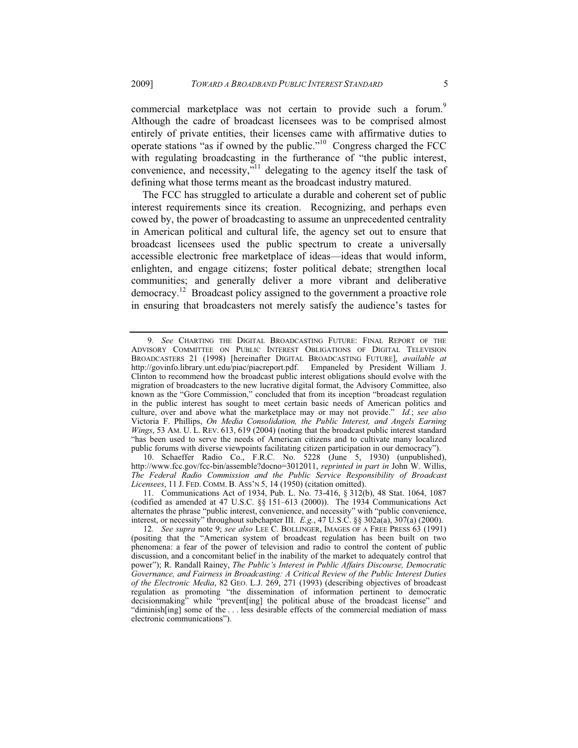commercial marketplace was not certain to provide such a forum.<sup>9</sup> Although the cadre of broadcast licensees was to be comprised almost entirely of private entities, their licenses came with affirmative duties to operate stations "as if owned by the public."10 Congress charged the FCC with regulating broadcasting in the furtherance of "the public interest, convenience, and necessity,"<sup>11</sup> delegating to the agency itself the task of defining what those terms meant as the broadcast industry matured.

The FCC has struggled to articulate a durable and coherent set of public interest requirements since its creation. Recognizing, and perhaps even cowed by, the power of broadcasting to assume an unprecedented centrality in American political and cultural life, the agency set out to ensure that broadcast licensees used the public spectrum to create a universally accessible electronic free marketplace of ideas—ideas that would inform, enlighten, and engage citizens; foster political debate; strengthen local communities; and generally deliver a more vibrant and deliberative democracy.12 Broadcast policy assigned to the government a proactive role in ensuring that broadcasters not merely satisfy the audience's tastes for

<sup>9</sup>*. See* CHARTING THE DIGITAL BROADCASTING FUTURE: FINAL REPORT OF THE ADVISORY COMMITTEE ON PUBLIC INTEREST OBLIGATIONS OF DIGITAL TELEVISION BROADCASTERS 21 (1998) [hereinafter DIGITAL BROADCASTING FUTURE], *available at* http://govinfo.library.unt.edu/piac/piacreport.pdf. Empaneled by President William J. Clinton to recommend how the broadcast public interest obligations should evolve with the migration of broadcasters to the new lucrative digital format, the Advisory Committee, also known as the "Gore Commission," concluded that from its inception "broadcast regulation in the public interest has sought to meet certain basic needs of American politics and culture, over and above what the marketplace may or may not provide." *Id.*; *see also*  Victoria F. Phillips, *On Media Consolidation, the Public Interest, and Angels Earning Wings*, 53 AM. U. L. REV. 613, 619 (2004) (noting that the broadcast public interest standard "has been used to serve the needs of American citizens and to cultivate many localized public forums with diverse viewpoints facilitating citizen participation in our democracy").

 <sup>10.</sup> Schaeffer Radio Co., F.R.C. No. 5228 (June 5, 1930) (unpublished), http://www.fcc.gov/fcc-bin/assemble?docno=3012011, *reprinted in part in* John W. Willis, *The Federal Radio Commission and the Public Service Responsibility of Broadcast Licensees*, 11 J. FED. COMM. B. ASS'N 5, 14 (1950) (citation omitted).

 <sup>11.</sup> Communications Act of 1934, Pub. L. No. 73-416, § 312(b), 48 Stat. 1064, 1087 (codified as amended at 47 U.S.C. §§ 151–613 (2000)). The 1934 Communications Act alternates the phrase "public interest, convenience, and necessity" with "public convenience, interest, or necessity" throughout subchapter III. *E.g.*, 47 U.S.C. §§ 302a(a), 307(a) (2000).

<sup>12</sup>*. See supra* note 9; *see also* LEE C. BOLLINGER, IMAGES OF A FREE PRESS 63 (1991) (positing that the "American system of broadcast regulation has been built on two phenomena: a fear of the power of television and radio to control the content of public discussion, and a concomitant belief in the inability of the market to adequately control that power"); R. Randall Rainey, *The Public's Interest in Public Affairs Discourse, Democratic Governance, and Fairness in Broadcasting: A Critical Review of the Public Interest Duties of the Electronic Media*, 82 GEO. L.J. 269, 271 (1993) (describing objectives of broadcast regulation as promoting "the dissemination of information pertinent to democratic decisionmaking" while "prevent[ing] the political abuse of the broadcast license" and "diminish[ing] some of the . . . less desirable effects of the commercial mediation of mass electronic communications").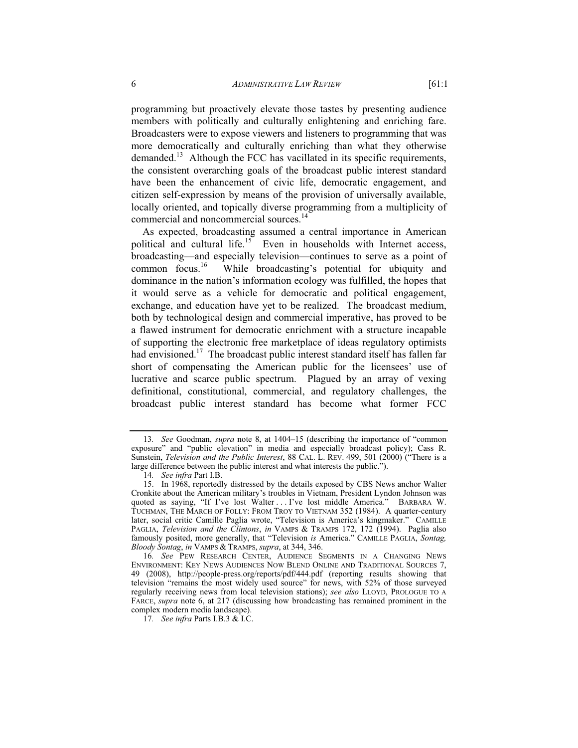programming but proactively elevate those tastes by presenting audience members with politically and culturally enlightening and enriching fare. Broadcasters were to expose viewers and listeners to programming that was more democratically and culturally enriching than what they otherwise demanded.<sup>13</sup> Although the FCC has vacillated in its specific requirements, the consistent overarching goals of the broadcast public interest standard have been the enhancement of civic life, democratic engagement, and citizen self-expression by means of the provision of universally available, locally oriented, and topically diverse programming from a multiplicity of commercial and noncommercial sources.<sup>14</sup>

As expected, broadcasting assumed a central importance in American political and cultural life.<sup>15</sup> Even in households with Internet access, broadcasting—and especially television—continues to serve as a point of common focus.<sup>16</sup> While broadcasting's potential for ubiquity and dominance in the nation's information ecology was fulfilled, the hopes that it would serve as a vehicle for democratic and political engagement, exchange, and education have yet to be realized. The broadcast medium, both by technological design and commercial imperative, has proved to be a flawed instrument for democratic enrichment with a structure incapable of supporting the electronic free marketplace of ideas regulatory optimists had envisioned.<sup>17</sup> The broadcast public interest standard itself has fallen far short of compensating the American public for the licensees' use of lucrative and scarce public spectrum. Plagued by an array of vexing definitional, constitutional, commercial, and regulatory challenges, the broadcast public interest standard has become what former FCC

<sup>13</sup>*. See* Goodman, *supra* note 8, at 1404–15 (describing the importance of "common exposure" and "public elevation" in media and especially broadcast policy); Cass R. Sunstein, *Television and the Public Interest*, 88 CAL. L. REV. 499, 501 (2000) ("There is a large difference between the public interest and what interests the public.").

<sup>14</sup>*. See infra* Part I.B.

 <sup>15.</sup> In 1968, reportedly distressed by the details exposed by CBS News anchor Walter Cronkite about the American military's troubles in Vietnam, President Lyndon Johnson was quoted as saying, "If I've lost Walter . . . I've lost middle America." BARBARA W. TUCHMAN, THE MARCH OF FOLLY: FROM TROY TO VIETNAM 352 (1984). A quarter-century later, social critic Camille Paglia wrote, "Television is America's kingmaker." CAMILLE PAGLIA, *Television and the Clintons*, *in* VAMPS & TRAMPS 172, 172 (1994). Paglia also famously posited, more generally, that "Television *is* America." CAMILLE PAGLIA, *Sontag, Bloody Sontag*, *in* VAMPS & TRAMPS, *supra*, at 344, 346.

<sup>16</sup>*. See* PEW RESEARCH CENTER, AUDIENCE SEGMENTS IN A CHANGING NEWS ENVIRONMENT: KEY NEWS AUDIENCES NOW BLEND ONLINE AND TRADITIONAL SOURCES 7, 49 (2008), http://people-press.org/reports/pdf/444.pdf (reporting results showing that television "remains the most widely used source" for news, with 52% of those surveyed regularly receiving news from local television stations); *see also* LLOYD, PROLOGUE TO A FARCE, *supra* note 6, at 217 (discussing how broadcasting has remained prominent in the complex modern media landscape).

<sup>17</sup>*. See infra* Parts I.B.3 & I.C.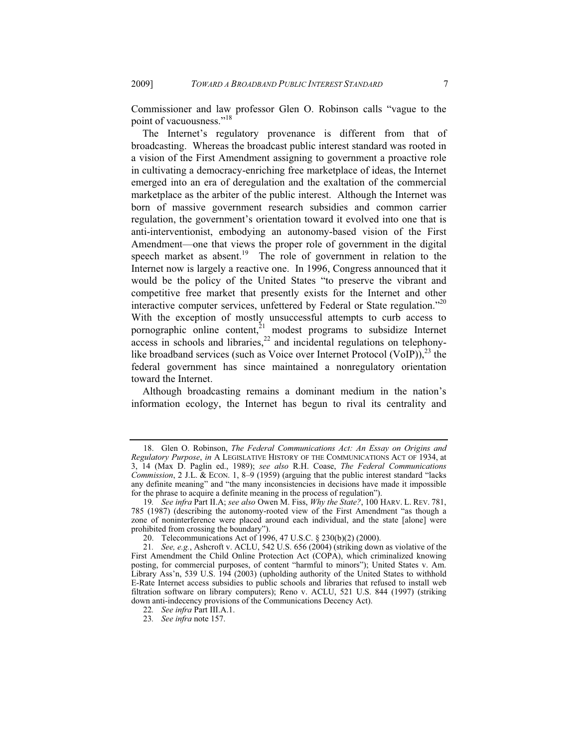Commissioner and law professor Glen O. Robinson calls "vague to the point of vacuousness."<sup>18</sup>

The Internet's regulatory provenance is different from that of broadcasting. Whereas the broadcast public interest standard was rooted in a vision of the First Amendment assigning to government a proactive role in cultivating a democracy-enriching free marketplace of ideas, the Internet emerged into an era of deregulation and the exaltation of the commercial marketplace as the arbiter of the public interest. Although the Internet was born of massive government research subsidies and common carrier regulation, the government's orientation toward it evolved into one that is anti-interventionist, embodying an autonomy-based vision of the First Amendment—one that views the proper role of government in the digital speech market as absent.<sup>19</sup> The role of government in relation to the Internet now is largely a reactive one. In 1996, Congress announced that it would be the policy of the United States "to preserve the vibrant and competitive free market that presently exists for the Internet and other interactive computer services, unfettered by Federal or State regulation."<sup>20</sup> With the exception of mostly unsuccessful attempts to curb access to pornographic online content,<sup>21</sup> modest programs to subsidize Internet access in schools and libraries, $2<sup>2</sup>$  and incidental regulations on telephonylike broadband services (such as Voice over Internet Protocol (VoIP)), $^{23}$  the federal government has since maintained a nonregulatory orientation toward the Internet.

Although broadcasting remains a dominant medium in the nation's information ecology, the Internet has begun to rival its centrality and

 <sup>18.</sup> Glen O. Robinson, *The Federal Communications Act: An Essay on Origins and Regulatory Purpose*, *in* ALEGISLATIVE HISTORY OF THE COMMUNICATIONS ACT OF 1934, at 3, 14 (Max D. Paglin ed., 1989); *see also* R.H. Coase, *The Federal Communications Commission*, 2 J.L. & ECON. 1, 8–9 (1959) (arguing that the public interest standard "lacks any definite meaning" and "the many inconsistencies in decisions have made it impossible for the phrase to acquire a definite meaning in the process of regulation").

<sup>19</sup>*. See infra* Part II.A; *see also* Owen M. Fiss, *Why the State?*, 100 HARV. L. REV. 781, 785 (1987) (describing the autonomy-rooted view of the First Amendment "as though a zone of noninterference were placed around each individual, and the state [alone] were prohibited from crossing the boundary").

 <sup>20.</sup> Telecommunications Act of 1996, 47 U.S.C. § 230(b)(2) (2000).

<sup>21</sup>*. See, e.g.*, Ashcroft v. ACLU, 542 U.S. 656 (2004) (striking down as violative of the First Amendment the Child Online Protection Act (COPA), which criminalized knowing posting, for commercial purposes, of content "harmful to minors"); United States v. Am. Library Ass'n, 539 U.S. 194 (2003) (upholding authority of the United States to withhold E-Rate Internet access subsidies to public schools and libraries that refused to install web filtration software on library computers); Reno v. ACLU, 521 U.S. 844 (1997) (striking down anti-indecency provisions of the Communications Decency Act).

<sup>22</sup>*. See infra* Part III.A.1.

<sup>23</sup>*. See infra* note 157.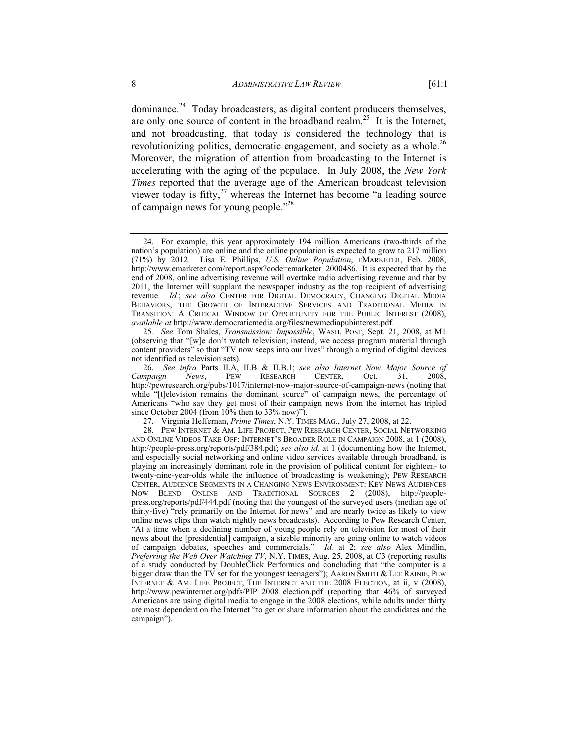dominance. $^{24}$  Today broadcasters, as digital content producers themselves, are only one source of content in the broadband realm.<sup>25</sup> It is the Internet, and not broadcasting, that today is considered the technology that is revolutionizing politics, democratic engagement, and society as a whole.<sup>26</sup> Moreover, the migration of attention from broadcasting to the Internet is accelerating with the aging of the populace. In July 2008, the *New York Times* reported that the average age of the American broadcast television viewer today is fifty, $27$  whereas the Internet has become "a leading source of campaign news for young people."28

25*. See* Tom Shales, *Transmission: Impossible*, WASH. POST, Sept. 21, 2008, at M1 (observing that "[w]e don't watch television; instead, we access program material through content providers" so that "TV now seeps into our lives" through a myriad of digital devices not identified as television sets).

 <sup>24.</sup> For example, this year approximately 194 million Americans (two-thirds of the nation's population) are online and the online population is expected to grow to 217 million (71%) by 2012. Lisa E. Phillips, *U.S. Online Population*, EMARKETER, Feb. 2008, http://www.emarketer.com/report.aspx?code=emarketer\_2000486. It is expected that by the end of 2008, online advertising revenue will overtake radio advertising revenue and that by 2011, the Internet will supplant the newspaper industry as the top recipient of advertising revenue. *Id.*; *see also* CENTER FOR DIGITAL DEMOCRACY, CHANGING DIGITAL MEDIA BEHAVIORS, THE GROWTH OF INTERACTIVE SERVICES AND TRADITIONAL MEDIA IN TRANSITION: A CRITICAL WINDOW OF OPPORTUNITY FOR THE PUBLIC INTEREST (2008), *available at* http://www.democraticmedia.org/files/newmediapubinterest.pdf.

 <sup>26.</sup> *See infra* Parts II.A, II.B & II.B.1; *see also Internet Now Major Source of Campaign News*, PEW RESEARCH CENTER, Oct. 31, 2008, http://pewresearch.org/pubs/1017/internet-now-major-source-of-campaign-news (noting that while "[t]elevision remains the dominant source" of campaign news, the percentage of Americans "who say they get most of their campaign news from the internet has tripled since October 2004 (from 10% then to 33% now)").

 <sup>27.</sup> Virginia Heffernan, *Prime Times*, N.Y. TIMES MAG., July 27, 2008, at 22.

 <sup>28.</sup> PEW INTERNET & AM. LIFE PROJECT, PEW RESEARCH CENTER, SOCIAL NETWORKING AND ONLINE VIDEOS TAKE OFF: INTERNET'S BROADER ROLE IN CAMPAIGN 2008, at 1 (2008), http://people-press.org/reports/pdf/384.pdf; *see also id.* at 1 (documenting how the Internet, and especially social networking and online video services available through broadband, is playing an increasingly dominant role in the provision of political content for eighteen- to twenty-nine-year-olds while the influence of broadcasting is weakening); PEW RESEARCH CENTER, AUDIENCE SEGMENTS IN A CHANGING NEWS ENVIRONMENT: KEY NEWS AUDIENCES NOW BLEND ONLINE AND TRADITIONAL SOURCES 2 (2008), http://peoplepress.org/reports/pdf/444.pdf (noting that the youngest of the surveyed users (median age of thirty-five) "rely primarily on the Internet for news" and are nearly twice as likely to view online news clips than watch nightly news broadcasts). According to Pew Research Center, "At a time when a declining number of young people rely on television for most of their news about the [presidential] campaign, a sizable minority are going online to watch videos of campaign debates, speeches and commercials." *Id.* at 2; *see also* Alex Mindlin, *Preferring the Web Over Watching TV*, N.Y. TIMES, Aug. 25, 2008, at C3 (reporting results of a study conducted by DoubleClick Performics and concluding that "the computer is a bigger draw than the TV set for the youngest teenagers"); AARON SMITH & LEE RAINIE, PEW INTERNET & AM. LIFE PROJECT, THE INTERNET AND THE 2008 ELECTION, at ii, v (2008), http://www.pewinternet.org/pdfs/PIP\_2008\_election.pdf (reporting that 46% of surveyed Americans are using digital media to engage in the 2008 elections, while adults under thirty are most dependent on the Internet "to get or share information about the candidates and the campaign").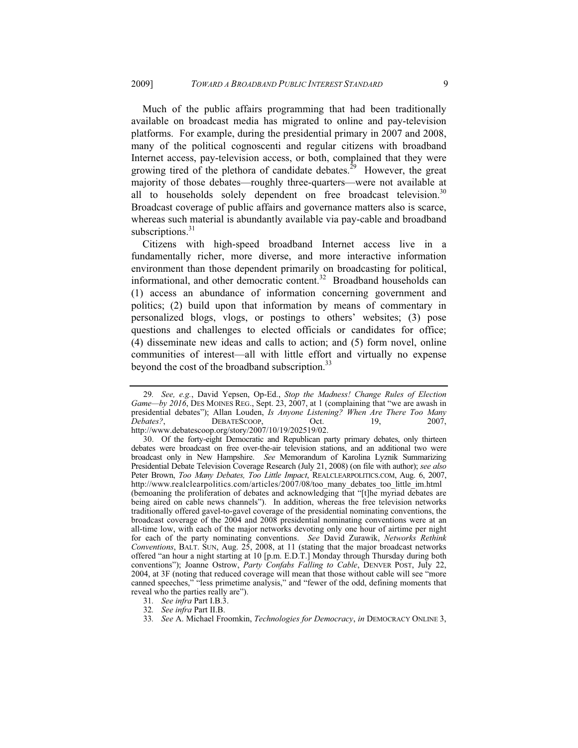Much of the public affairs programming that had been traditionally available on broadcast media has migrated to online and pay-television platforms. For example, during the presidential primary in 2007 and 2008, many of the political cognoscenti and regular citizens with broadband Internet access, pay-television access, or both, complained that they were growing tired of the plethora of candidate debates.<sup>29</sup> However, the great majority of those debates—roughly three-quarters—were not available at all to households solely dependent on free broadcast television.<sup>30</sup> Broadcast coverage of public affairs and governance matters also is scarce, whereas such material is abundantly available via pay-cable and broadband subscriptions. $31$ 

Citizens with high-speed broadband Internet access live in a fundamentally richer, more diverse, and more interactive information environment than those dependent primarily on broadcasting for political, informational, and other democratic content.<sup>32</sup> Broadband households can (1) access an abundance of information concerning government and politics; (2) build upon that information by means of commentary in personalized blogs, vlogs, or postings to others' websites; (3) pose questions and challenges to elected officials or candidates for office; (4) disseminate new ideas and calls to action; and (5) form novel, online communities of interest—all with little effort and virtually no expense beyond the cost of the broadband subscription.<sup>33</sup>

<sup>29</sup>*. See, e.g.*, David Yepsen, Op-Ed., *Stop the Madness! Change Rules of Election Game—by 2016*, DES MOINES REG., Sept. 23, 2007, at 1 (complaining that "we are awash in presidential debates"); Allan Louden, *Is Anyone Listening? When Are There Too Many Debates?*, **DEBATESCOOP, Oct.** 19, 2007, http://www.debatescoop.org/story/2007/10/19/202519/02.

 <sup>30.</sup> Of the forty-eight Democratic and Republican party primary debates, only thirteen debates were broadcast on free over-the-air television stations, and an additional two were broadcast only in New Hampshire. *See* Memorandum of Karolina Lyznik Summarizing Presidential Debate Television Coverage Research (July 21, 2008) (on file with author); *see also*  Peter Brown, *Too Many Debates, Too Little Impact*, REALCLEARPOLITICS.COM, Aug. 6, 2007, http://www.realclearpolitics.com/articles/2007/08/too\_many\_debates\_too\_little\_im.html (bemoaning the proliferation of debates and acknowledging that "[t]he myriad debates are being aired on cable news channels"). In addition, whereas the free television networks traditionally offered gavel-to-gavel coverage of the presidential nominating conventions, the broadcast coverage of the 2004 and 2008 presidential nominating conventions were at an all-time low, with each of the major networks devoting only one hour of airtime per night for each of the party nominating conventions. *See* David Zurawik, *Networks Rethink Conventions*, BALT. SUN, Aug. 25, 2008, at 11 (stating that the major broadcast networks offered "an hour a night starting at 10 [p.m. E.D.T.] Monday through Thursday during both conventions"); Joanne Ostrow, *Party Confabs Falling to Cable*, DENVER POST, July 22, 2004, at 3F (noting that reduced coverage will mean that those without cable will see "more canned speeches," "less primetime analysis," and "fewer of the odd, defining moments that reveal who the parties really are").

<sup>31</sup>*. See infra* Part I.B.3.

<sup>32</sup>*. See infra* Part II.B.

<sup>33</sup>*. See* A. Michael Froomkin, *Technologies for Democracy*, *in* DEMOCRACY ONLINE 3,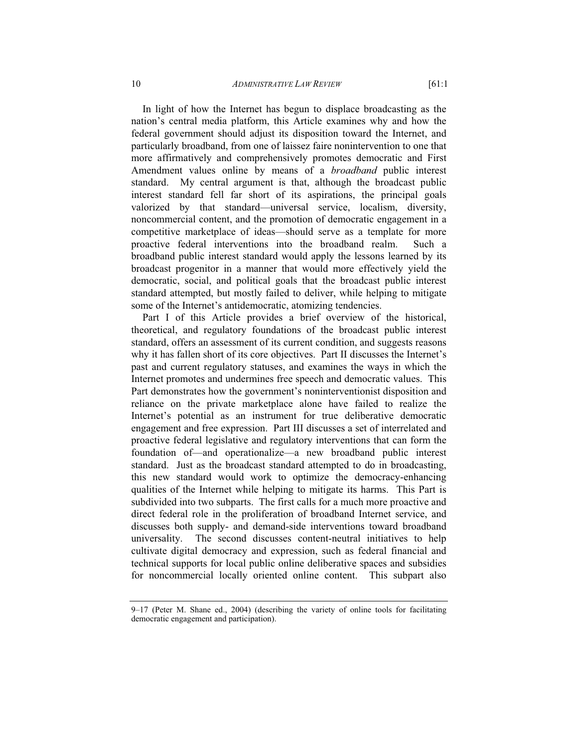In light of how the Internet has begun to displace broadcasting as the nation's central media platform, this Article examines why and how the federal government should adjust its disposition toward the Internet, and particularly broadband, from one of laissez faire nonintervention to one that more affirmatively and comprehensively promotes democratic and First Amendment values online by means of a *broadband* public interest standard. My central argument is that, although the broadcast public interest standard fell far short of its aspirations, the principal goals valorized by that standard—universal service, localism, diversity, noncommercial content, and the promotion of democratic engagement in a competitive marketplace of ideas—should serve as a template for more proactive federal interventions into the broadband realm. Such a broadband public interest standard would apply the lessons learned by its broadcast progenitor in a manner that would more effectively yield the democratic, social, and political goals that the broadcast public interest standard attempted, but mostly failed to deliver, while helping to mitigate some of the Internet's antidemocratic, atomizing tendencies.

Part I of this Article provides a brief overview of the historical, theoretical, and regulatory foundations of the broadcast public interest standard, offers an assessment of its current condition, and suggests reasons why it has fallen short of its core objectives. Part II discusses the Internet's past and current regulatory statuses, and examines the ways in which the Internet promotes and undermines free speech and democratic values. This Part demonstrates how the government's noninterventionist disposition and reliance on the private marketplace alone have failed to realize the Internet's potential as an instrument for true deliberative democratic engagement and free expression. Part III discusses a set of interrelated and proactive federal legislative and regulatory interventions that can form the foundation of—and operationalize—a new broadband public interest standard. Just as the broadcast standard attempted to do in broadcasting, this new standard would work to optimize the democracy-enhancing qualities of the Internet while helping to mitigate its harms. This Part is subdivided into two subparts. The first calls for a much more proactive and direct federal role in the proliferation of broadband Internet service, and discusses both supply- and demand-side interventions toward broadband universality. The second discusses content-neutral initiatives to help cultivate digital democracy and expression, such as federal financial and technical supports for local public online deliberative spaces and subsidies for noncommercial locally oriented online content. This subpart also

<sup>9–17 (</sup>Peter M. Shane ed., 2004) (describing the variety of online tools for facilitating democratic engagement and participation).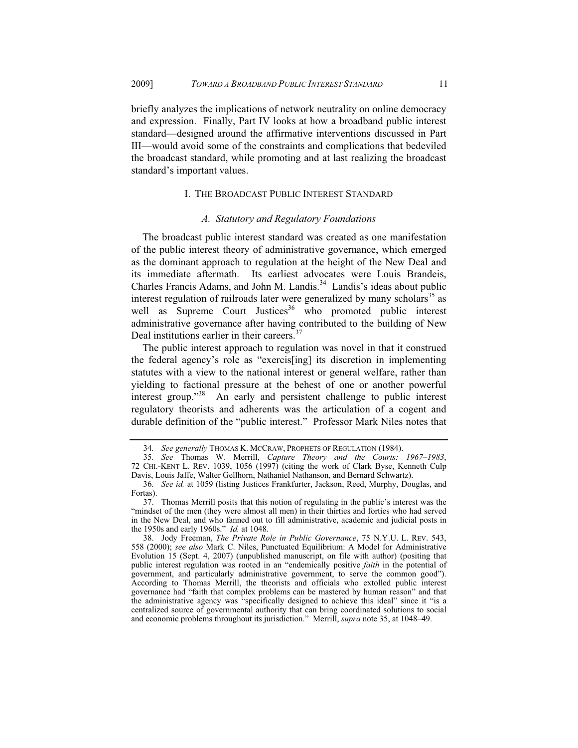briefly analyzes the implications of network neutrality on online democracy and expression. Finally, Part IV looks at how a broadband public interest standard—designed around the affirmative interventions discussed in Part III—would avoid some of the constraints and complications that bedeviled the broadcast standard, while promoting and at last realizing the broadcast standard's important values.

#### I. THE BROADCAST PUBLIC INTEREST STANDARD

#### *A. Statutory and Regulatory Foundations*

The broadcast public interest standard was created as one manifestation of the public interest theory of administrative governance, which emerged as the dominant approach to regulation at the height of the New Deal and its immediate aftermath. Its earliest advocates were Louis Brandeis, Charles Francis Adams, and John M. Landis.<sup>34</sup> Landis's ideas about public interest regulation of railroads later were generalized by many scholars<sup>35</sup> as well as Supreme Court Justices<sup>36</sup> who promoted public interest administrative governance after having contributed to the building of New Deal institutions earlier in their careers.<sup>37</sup>

The public interest approach to regulation was novel in that it construed the federal agency's role as "exercis[ing] its discretion in implementing statutes with a view to the national interest or general welfare, rather than yielding to factional pressure at the behest of one or another powerful interest group."<sup>38</sup> An early and persistent challenge to public interest regulatory theorists and adherents was the articulation of a cogent and durable definition of the "public interest." Professor Mark Niles notes that

<sup>34</sup>*. See generally* THOMAS K. MCCRAW, PROPHETS OF REGULATION (1984).

<sup>35</sup>*. See* Thomas W. Merrill, *Capture Theory and the Courts: 1967–1983*, 72 CHI.-KENT L. REV. 1039, 1056 (1997) (citing the work of Clark Byse, Kenneth Culp Davis, Louis Jaffe, Walter Gellhorn, Nathaniel Nathanson, and Bernard Schwartz).

<sup>36</sup>*. See id.* at 1059 (listing Justices Frankfurter, Jackson, Reed, Murphy, Douglas, and Fortas).

 <sup>37.</sup> Thomas Merrill posits that this notion of regulating in the public's interest was the "mindset of the men (they were almost all men) in their thirties and forties who had served in the New Deal, and who fanned out to fill administrative, academic and judicial posts in the 1950s and early 1960s." *Id.* at 1048.

 <sup>38.</sup> Jody Freeman, *The Private Role in Public Governance*, 75 N.Y.U. L. REV. 543, 558 (2000); *see also* Mark C. Niles, Punctuated Equilibrium: A Model for Administrative Evolution 15 (Sept. 4, 2007) (unpublished manuscript, on file with author) (positing that public interest regulation was rooted in an "endemically positive *faith* in the potential of government, and particularly administrative government, to serve the common good"). According to Thomas Merrill, the theorists and officials who extolled public interest governance had "faith that complex problems can be mastered by human reason" and that the administrative agency was "specifically designed to achieve this ideal" since it "is a centralized source of governmental authority that can bring coordinated solutions to social and economic problems throughout its jurisdiction." Merrill, *supra* note 35, at 1048–49.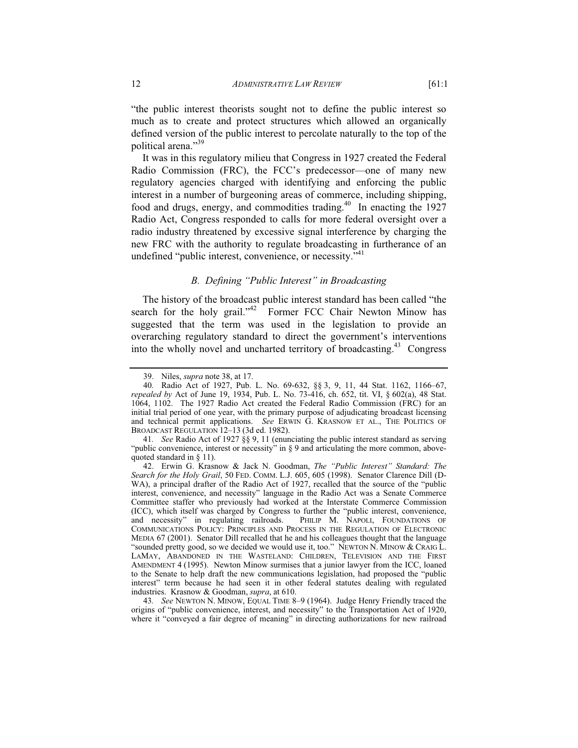"the public interest theorists sought not to define the public interest so much as to create and protect structures which allowed an organically defined version of the public interest to percolate naturally to the top of the political arena."<sup>39</sup>

It was in this regulatory milieu that Congress in 1927 created the Federal Radio Commission (FRC), the FCC's predecessor—one of many new regulatory agencies charged with identifying and enforcing the public interest in a number of burgeoning areas of commerce, including shipping, food and drugs, energy, and commodities trading.<sup>40</sup> In enacting the 1927 Radio Act, Congress responded to calls for more federal oversight over a radio industry threatened by excessive signal interference by charging the new FRC with the authority to regulate broadcasting in furtherance of an undefined "public interest, convenience, or necessity."<sup>41</sup>

### *B. Defining "Public Interest" in Broadcasting*

The history of the broadcast public interest standard has been called "the search for the holy grail."<sup>42</sup> Former FCC Chair Newton Minow has suggested that the term was used in the legislation to provide an overarching regulatory standard to direct the government's interventions into the wholly novel and uncharted territory of broadcasting.<sup>43</sup> Congress

41*. See* Radio Act of 1927 §§ 9, 11 (enunciating the public interest standard as serving "public convenience, interest or necessity" in  $\S$  9 and articulating the more common, abovequoted standard in § 11).

43*. See* NEWTON N. MINOW, EQUAL TIME 8–9 (1964). Judge Henry Friendly traced the origins of "public convenience, interest, and necessity" to the Transportation Act of 1920, where it "conveyed a fair degree of meaning" in directing authorizations for new railroad

 <sup>39.</sup> Niles, *supra* note 38, at 17.

<sup>40</sup>*.* Radio Act of 1927, Pub. L. No. 69-632, §§ 3, 9, 11, 44 Stat. 1162, 1166–67, *repealed by* Act of June 19, 1934, Pub. L. No. 73-416, ch. 652, tit. VI, § 602(a), 48 Stat. 1064, 1102. The 1927 Radio Act created the Federal Radio Commission (FRC) for an initial trial period of one year, with the primary purpose of adjudicating broadcast licensing and technical permit applications. *See* ERWIN G. KRASNOW ET AL., THE POLITICS OF BROADCAST REGULATION 12–13 (3d ed. 1982).

 <sup>42.</sup> Erwin G. Krasnow & Jack N. Goodman, *The "Public Interest" Standard: The Search for the Holy Grail*, 50 FED. COMM. L.J. 605, 605 (1998). Senator Clarence Dill (D-WA), a principal drafter of the Radio Act of 1927, recalled that the source of the "public interest, convenience, and necessity" language in the Radio Act was a Senate Commerce Committee staffer who previously had worked at the Interstate Commerce Commission (ICC), which itself was charged by Congress to further the "public interest, convenience, and necessity" in regulating railroads. PHILIP M. NAPOLI, FOUNDATIONS OF COMMUNICATIONS POLICY: PRINCIPLES AND PROCESS IN THE REGULATION OF ELECTRONIC MEDIA 67 (2001). Senator Dill recalled that he and his colleagues thought that the language "sounded pretty good, so we decided we would use it, too." NEWTON N. MINOW & CRAIG L. LAMAY, ABANDONED IN THE WASTELAND: CHILDREN, TELEVISION AND THE FIRST AMENDMENT 4 (1995). Newton Minow surmises that a junior lawyer from the ICC, loaned to the Senate to help draft the new communications legislation, had proposed the "public interest" term because he had seen it in other federal statutes dealing with regulated industries. Krasnow & Goodman, *supra*, at 610.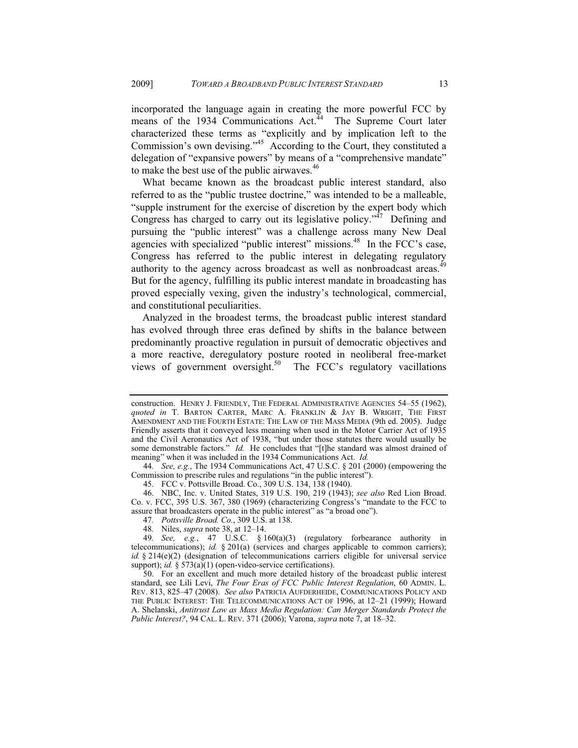incorporated the language again in creating the more powerful FCC by means of the 1934 Communications Act. $44$  The Supreme Court later characterized these terms as "explicitly and by implication left to the Commission's own devising." $45$  According to the Court, they constituted a delegation of "expansive powers" by means of a "comprehensive mandate" to make the best use of the public airwaves.<sup>46</sup>

What became known as the broadcast public interest standard, also referred to as the "public trustee doctrine," was intended to be a malleable, "supple instrument for the exercise of discretion by the expert body which Congress has charged to carry out its legislative policy.<sup> $\frac{4}{7}$ </sup> Defining and pursuing the "public interest" was a challenge across many New Deal agencies with specialized "public interest" missions.<sup>48</sup> In the FCC's case, Congress has referred to the public interest in delegating regulatory authority to the agency across broadcast as well as nonbroadcast areas.<sup>4</sup> But for the agency, fulfilling its public interest mandate in broadcasting has proved especially vexing, given the industry's technological, commercial, and constitutional peculiarities.

Analyzed in the broadest terms, the broadcast public interest standard has evolved through three eras defined by shifts in the balance between predominantly proactive regulation in pursuit of democratic objectives and a more reactive, deregulatory posture rooted in neoliberal free-market views of government oversight.<sup>50</sup> The FCC's regulatory vacillations

45. FCC v. Pottsville Broad. Co., 309 U.S. 134, 138 (1940).

 46. NBC, Inc. v. United States, 319 U.S. 190, 219 (1943); *see also* Red Lion Broad. Co. v. FCC, 395 U.S. 367, 380 (1969) (characterizing Congress's "mandate to the FCC to assure that broadcasters operate in the public interest" as "a broad one").

47*. Pottsville Broad. Co.*, 309 U.S. at 138.

48*.* Niles, *supra* note 38, at 12–14.

49*. See, e.g.*, 47 U.S.C. § 160(a)(3) (regulatory forbearance authority in telecommunications); *id.* § 201(a) (services and charges applicable to common carriers); *id.* § 214(e)(2) (designation of telecommunications carriers eligible for universal service support); *id.* § 573(a)(1) (open-video-service certifications).

 50. For an excellent and much more detailed history of the broadcast public interest standard, see Lili Levi, *The Four Eras of FCC Public Interest Regulation*, 60 ADMIN. L. REV. 813, 825–47 (2008). *See also* PATRICIA AUFDERHEIDE, COMMUNICATIONS POLICY AND THE PUBLIC INTEREST: THE TELECOMMUNICATIONS ACT OF 1996, at 12–21 (1999); Howard A. Shelanski, *Antitrust Law as Mass Media Regulation: Can Merger Standards Protect the Public Interest?*, 94 CAL. L. REV. 371 (2006); Varona, *supra* note 7, at 18–32.

construction. HENRY J. FRIENDLY, THE FEDERAL ADMINISTRATIVE AGENCIES 54–55 (1962), *quoted in* T. BARTON CARTER, MARC A. FRANKLIN & JAY B. WRIGHT, THE FIRST AMENDMENT AND THE FOURTH ESTATE: THE LAW OF THE MASS MEDIA (9th ed. 2005). Judge Friendly asserts that it conveyed less meaning when used in the Motor Carrier Act of 1935 and the Civil Aeronautics Act of 1938, "but under those statutes there would usually be some demonstrable factors." *Id.* He concludes that "[t]he standard was almost drained of meaning" when it was included in the 1934 Communications Act. *Id.*

<sup>44</sup>*. See, e.g.*, The 1934 Communications Act, 47 U.S.C. § 201 (2000) (empowering the Commission to prescribe rules and regulations "in the public interest").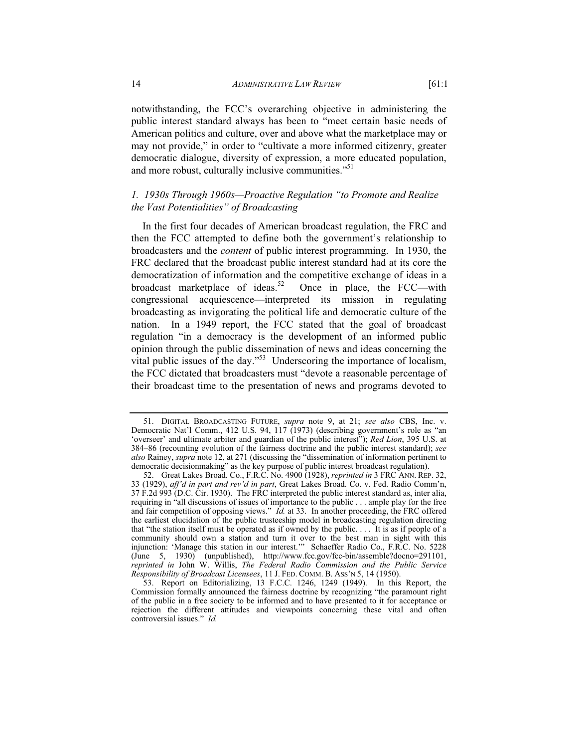14 *ADMINISTRATIVE LAW REVIEW* [61:1

notwithstanding, the FCC's overarching objective in administering the public interest standard always has been to "meet certain basic needs of American politics and culture, over and above what the marketplace may or may not provide," in order to "cultivate a more informed citizenry, greater democratic dialogue, diversity of expression, a more educated population, and more robust, culturally inclusive communities."<sup>51</sup>

#### *1. 1930s Through 1960s—Proactive Regulation "to Promote and Realize the Vast Potentialities" of Broadcasting*

In the first four decades of American broadcast regulation, the FRC and then the FCC attempted to define both the government's relationship to broadcasters and the *content* of public interest programming. In 1930, the FRC declared that the broadcast public interest standard had at its core the democratization of information and the competitive exchange of ideas in a broadcast marketplace of ideas.<sup>52</sup> Once in place, the FCC—with congressional acquiescence—interpreted its mission in regulating broadcasting as invigorating the political life and democratic culture of the nation. In a 1949 report, the FCC stated that the goal of broadcast regulation "in a democracy is the development of an informed public opinion through the public dissemination of news and ideas concerning the vital public issues of the day."53 Underscoring the importance of localism, the FCC dictated that broadcasters must "devote a reasonable percentage of their broadcast time to the presentation of news and programs devoted to

 <sup>51.</sup> DIGITAL BROADCASTING FUTURE, *supra* note 9, at 21; *see also* CBS, Inc. v. Democratic Nat'l Comm., 412 U.S. 94, 117 (1973) (describing government's role as "an 'overseer' and ultimate arbiter and guardian of the public interest"); *Red Lion*, 395 U.S. at 384–86 (recounting evolution of the fairness doctrine and the public interest standard); *see also* Rainey, *supra* note 12, at 271 (discussing the "dissemination of information pertinent to democratic decisionmaking" as the key purpose of public interest broadcast regulation).

 <sup>52.</sup> Great Lakes Broad. Co., F.R.C. No. 4900 (1928), *reprinted in* 3 FRC ANN. REP. 32, 33 (1929), *aff'd in part and rev'd in part*, Great Lakes Broad. Co. v. Fed. Radio Comm'n, 37 F.2d 993 (D.C. Cir. 1930). The FRC interpreted the public interest standard as, inter alia, requiring in "all discussions of issues of importance to the public . . . ample play for the free and fair competition of opposing views." *Id.* at 33. In another proceeding, the FRC offered the earliest elucidation of the public trusteeship model in broadcasting regulation directing that "the station itself must be operated as if owned by the public. . . . It is as if people of a community should own a station and turn it over to the best man in sight with this injunction: 'Manage this station in our interest.'" Schaeffer Radio Co., F.R.C. No. 5228 (June 5, 1930) (unpublished), http://www.fcc.gov/fcc-bin/assemble?docno=291101, *reprinted in* John W. Willis, *The Federal Radio Commission and the Public Service Responsibility of Broadcast Licensees*, 11 J. FED. COMM. B. ASS'N 5, 14 (1950).

 <sup>53.</sup> Report on Editorializing, 13 F.C.C. 1246, 1249 (1949). In this Report, the Commission formally announced the fairness doctrine by recognizing "the paramount right of the public in a free society to be informed and to have presented to it for acceptance or rejection the different attitudes and viewpoints concerning these vital and often controversial issues." *Id.*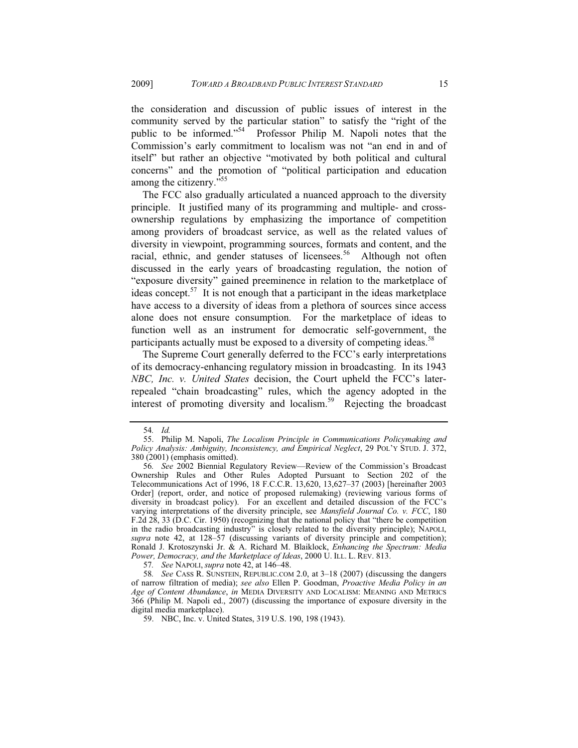the consideration and discussion of public issues of interest in the community served by the particular station" to satisfy the "right of the public to be informed."54 Professor Philip M. Napoli notes that the Commission's early commitment to localism was not "an end in and of itself" but rather an objective "motivated by both political and cultural concerns" and the promotion of "political participation and education among the citizenry."55

The FCC also gradually articulated a nuanced approach to the diversity principle. It justified many of its programming and multiple- and crossownership regulations by emphasizing the importance of competition among providers of broadcast service, as well as the related values of diversity in viewpoint, programming sources, formats and content, and the racial, ethnic, and gender statuses of licensees.<sup>56</sup> Although not often discussed in the early years of broadcasting regulation, the notion of "exposure diversity" gained preeminence in relation to the marketplace of ideas concept.<sup>57</sup> It is not enough that a participant in the ideas marketplace have access to a diversity of ideas from a plethora of sources since access alone does not ensure consumption. For the marketplace of ideas to function well as an instrument for democratic self-government, the participants actually must be exposed to a diversity of competing ideas.<sup>58</sup>

The Supreme Court generally deferred to the FCC's early interpretations of its democracy-enhancing regulatory mission in broadcasting. In its 1943 *NBC, Inc. v. United States* decision, the Court upheld the FCC's laterrepealed "chain broadcasting" rules, which the agency adopted in the interest of promoting diversity and localism.59 Rejecting the broadcast

57*. See* NAPOLI, *supra* note 42, at 146–48.

<sup>54</sup>*. Id.*

 <sup>55.</sup> Philip M. Napoli, *The Localism Principle in Communications Policymaking and Policy Analysis: Ambiguity, Inconsistency, and Empirical Neglect*, 29 POL'Y STUD. J. 372, 380 (2001) (emphasis omitted).

<sup>56</sup>*. See* 2002 Biennial Regulatory Review—Review of the Commission's Broadcast Ownership Rules and Other Rules Adopted Pursuant to Section 202 of the Telecommunications Act of 1996, 18 F.C.C.R. 13,620, 13,627–37 (2003) [hereinafter 2003 Order] (report, order, and notice of proposed rulemaking) (reviewing various forms of diversity in broadcast policy). For an excellent and detailed discussion of the FCC's varying interpretations of the diversity principle, see *Mansfield Journal Co. v. FCC*, 180 F.2d 28, 33 (D.C. Cir. 1950) (recognizing that the national policy that "there be competition in the radio broadcasting industry" is closely related to the diversity principle); NAPOLI, *supra* note 42, at 128–57 (discussing variants of diversity principle and competition); Ronald J. Krotoszynski Jr. & A. Richard M. Blaiklock, *Enhancing the Spectrum: Media Power, Democracy, and the Marketplace of Ideas*, 2000 U. ILL. L. REV. 813.

<sup>58</sup>*. See* CASS R. SUNSTEIN, REPUBLIC.COM 2.0, at 3–18 (2007) (discussing the dangers of narrow filtration of media); *see also* Ellen P. Goodman, *Proactive Media Policy in an Age of Content Abundance*, *in* MEDIA DIVERSITY AND LOCALISM: MEANING AND METRICS 366 (Philip M. Napoli ed., 2007) (discussing the importance of exposure diversity in the digital media marketplace).

 <sup>59.</sup> NBC, Inc. v. United States, 319 U.S. 190, 198 (1943).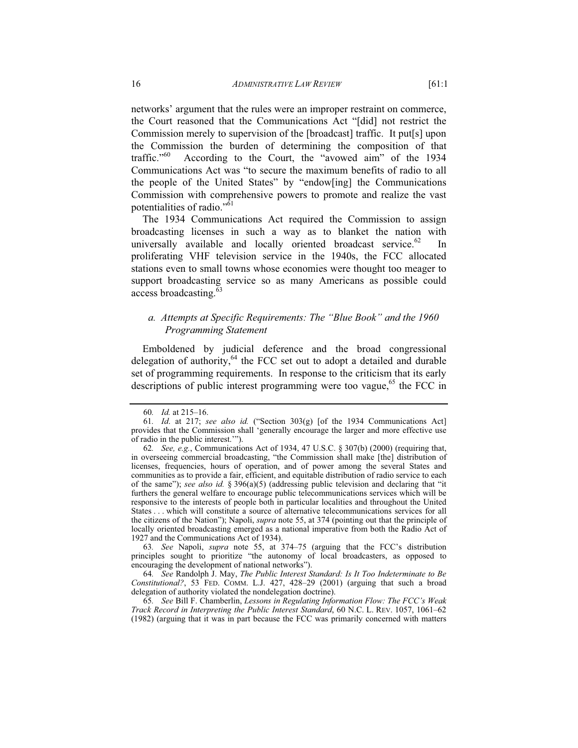networks' argument that the rules were an improper restraint on commerce, the Court reasoned that the Communications Act "[did] not restrict the Commission merely to supervision of the [broadcast] traffic. It put[s] upon the Commission the burden of determining the composition of that traffic."<sup>60</sup> According to the Court, the "avowed aim" of the  $1934$ According to the Court, the "avowed aim" of the 1934 Communications Act was "to secure the maximum benefits of radio to all the people of the United States" by "endow[ing] the Communications Commission with comprehensive powers to promote and realize the vast potentialities of radio." $\delta$ <sup>1</sup>

The 1934 Communications Act required the Commission to assign broadcasting licenses in such a way as to blanket the nation with universally available and locally oriented broadcast service. $62$  In proliferating VHF television service in the 1940s, the FCC allocated stations even to small towns whose economies were thought too meager to support broadcasting service so as many Americans as possible could access broadcasting.<sup>63</sup>

### *a. Attempts at Specific Requirements: The "Blue Book" and the 1960 Programming Statement*

Emboldened by judicial deference and the broad congressional delegation of authority,<sup>64</sup> the FCC set out to adopt a detailed and durable set of programming requirements. In response to the criticism that its early descriptions of public interest programming were too vague,<sup>65</sup> the FCC in

63*. See* Napoli, *supra* note 55, at 374–75 (arguing that the FCC's distribution principles sought to prioritize "the autonomy of local broadcasters, as opposed to encouraging the development of national networks").

64*. See* Randolph J. May, *The Public Interest Standard: Is It Too Indeterminate to Be Constitutional?*, 53 FED. COMM. L.J. 427, 428–29 (2001) (arguing that such a broad delegation of authority violated the nondelegation doctrine).

65*. See* Bill F. Chamberlin, *Lessons in Regulating Information Flow: The FCC's Weak Track Record in Interpreting the Public Interest Standard*, 60 N.C. L. REV. 1057, 1061–62 (1982) (arguing that it was in part because the FCC was primarily concerned with matters

<sup>60</sup>*. Id.* at 215–16.

<sup>61</sup>*. Id*. at 217; *see also id.* ("Section 303(g) [of the 1934 Communications Act] provides that the Commission shall 'generally encourage the larger and more effective use of radio in the public interest.'").

<sup>62</sup>*. See, e.g.*, Communications Act of 1934, 47 U.S.C. § 307(b) (2000) (requiring that, in overseeing commercial broadcasting, "the Commission shall make [the] distribution of licenses, frequencies, hours of operation, and of power among the several States and communities as to provide a fair, efficient, and equitable distribution of radio service to each of the same"); *see also id.* § 396(a)(5) (addressing public television and declaring that "it furthers the general welfare to encourage public telecommunications services which will be responsive to the interests of people both in particular localities and throughout the United States . . . which will constitute a source of alternative telecommunications services for all the citizens of the Nation"); Napoli, *supra* note 55, at 374 (pointing out that the principle of locally oriented broadcasting emerged as a national imperative from both the Radio Act of 1927 and the Communications Act of 1934).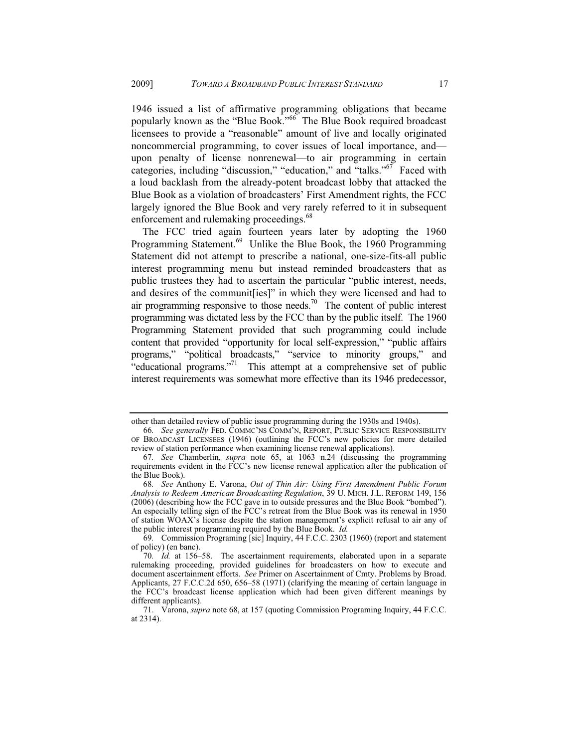1946 issued a list of affirmative programming obligations that became popularly known as the "Blue Book."66 The Blue Book required broadcast licensees to provide a "reasonable" amount of live and locally originated noncommercial programming, to cover issues of local importance, and upon penalty of license nonrenewal—to air programming in certain categories, including "discussion," "education," and "talks."67 Faced with a loud backlash from the already-potent broadcast lobby that attacked the Blue Book as a violation of broadcasters' First Amendment rights, the FCC largely ignored the Blue Book and very rarely referred to it in subsequent enforcement and rulemaking proceedings.<sup>68</sup>

The FCC tried again fourteen years later by adopting the 1960 Programming Statement.<sup>69</sup> Unlike the Blue Book, the 1960 Programming Statement did not attempt to prescribe a national, one-size-fits-all public interest programming menu but instead reminded broadcasters that as public trustees they had to ascertain the particular "public interest, needs, and desires of the communit[ies]" in which they were licensed and had to air programming responsive to those needs.<sup>70</sup> The content of public interest programming was dictated less by the FCC than by the public itself. The 1960 Programming Statement provided that such programming could include content that provided "opportunity for local self-expression," "public affairs programs," "political broadcasts," "service to minority groups," and "educational programs."<sup>71</sup> This attempt at a comprehensive set of public interest requirements was somewhat more effective than its 1946 predecessor,

other than detailed review of public issue programming during the 1930s and 1940s).

<sup>66</sup>*. See generally* FED. COMMC'NS COMM'N, REPORT, PUBLIC SERVICE RESPONSIBILITY OF BROADCAST LICENSEES (1946) (outlining the FCC's new policies for more detailed review of station performance when examining license renewal applications).

<sup>67</sup>*. See* Chamberlin, *supra* note 65, at 1063 n.24 (discussing the programming requirements evident in the FCC's new license renewal application after the publication of the Blue Book).

<sup>68</sup>*. See* Anthony E. Varona, *Out of Thin Air: Using First Amendment Public Forum Analysis to Redeem American Broadcasting Regulation*, 39 U. MICH. J.L. REFORM 149, 156 (2006) (describing how the FCC gave in to outside pressures and the Blue Book "bombed"). An especially telling sign of the FCC's retreat from the Blue Book was its renewal in 1950 of station WOAX's license despite the station management's explicit refusal to air any of the public interest programming required by the Blue Book. *Id.*

<sup>69</sup>*.* Commission Programing [sic] Inquiry, 44 F.C.C. 2303 (1960) (report and statement of policy) (en banc).

<sup>70</sup>*. Id.* at 156–58. The ascertainment requirements, elaborated upon in a separate rulemaking proceeding, provided guidelines for broadcasters on how to execute and document ascertainment efforts. *See* Primer on Ascertainment of Cmty. Problems by Broad. Applicants, 27 F.C.C.2d 650, 656–58 (1971) (clarifying the meaning of certain language in the FCC's broadcast license application which had been given different meanings by different applicants).

 <sup>71.</sup> Varona, *supra* note 68, at 157 (quoting Commission Programing Inquiry, 44 F.C.C. at 2314).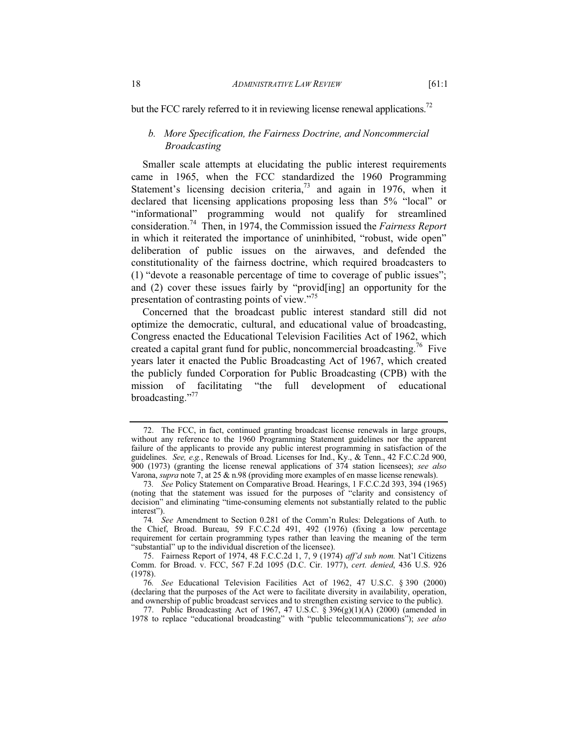but the FCC rarely referred to it in reviewing license renewal applications.<sup>72</sup>

#### *b. More Specification, the Fairness Doctrine, and Noncommercial Broadcasting*

Smaller scale attempts at elucidating the public interest requirements came in 1965, when the FCC standardized the 1960 Programming Statement's licensing decision criteria,<sup>73</sup> and again in 1976, when it declared that licensing applications proposing less than 5% "local" or "informational" programming would not qualify for streamlined consideration.74 Then, in 1974, the Commission issued the *Fairness Report*  in which it reiterated the importance of uninhibited, "robust, wide open" deliberation of public issues on the airwaves, and defended the constitutionality of the fairness doctrine, which required broadcasters to (1) "devote a reasonable percentage of time to coverage of public issues"; and (2) cover these issues fairly by "provid[ing] an opportunity for the presentation of contrasting points of view."<sup>75</sup>

Concerned that the broadcast public interest standard still did not optimize the democratic, cultural, and educational value of broadcasting, Congress enacted the Educational Television Facilities Act of 1962, which created a capital grant fund for public, noncommercial broadcasting.<sup>76</sup> Five years later it enacted the Public Broadcasting Act of 1967, which created the publicly funded Corporation for Public Broadcasting (CPB) with the mission of facilitating "the full development of educational broadcasting." $^{77}$ 

 <sup>72.</sup> The FCC, in fact, continued granting broadcast license renewals in large groups, without any reference to the 1960 Programming Statement guidelines nor the apparent failure of the applicants to provide any public interest programming in satisfaction of the guidelines. *See, e.g.*, Renewals of Broad. Licenses for Ind., Ky., & Tenn., 42 F.C.C.2d 900, 900 (1973) (granting the license renewal applications of 374 station licensees); *see also*  Varona, *supra* note 7, at 25 & n.98 (providing more examples of en masse license renewals).

<sup>73</sup>*. See* Policy Statement on Comparative Broad. Hearings, 1 F.C.C.2d 393, 394 (1965) (noting that the statement was issued for the purposes of "clarity and consistency of decision" and eliminating "time-consuming elements not substantially related to the public interest").

<sup>74</sup>*. See* Amendment to Section 0.281 of the Comm'n Rules: Delegations of Auth. to the Chief, Broad. Bureau, 59 F.C.C.2d 491, 492 (1976) (fixing a low percentage requirement for certain programming types rather than leaving the meaning of the term "substantial" up to the individual discretion of the licensee).

 <sup>75.</sup> Fairness Report of 1974, 48 F.C.C.2d 1, 7, 9 (1974) *aff'd sub nom.* Nat'l Citizens Comm. for Broad. v. FCC, 567 F.2d 1095 (D.C. Cir. 1977), *cert. denied*, 436 U.S. 926 (1978).

<sup>76</sup>*. See* Educational Television Facilities Act of 1962, 47 U.S.C. § 390 (2000) (declaring that the purposes of the Act were to facilitate diversity in availability, operation, and ownership of public broadcast services and to strengthen existing service to the public).

<sup>77.</sup> Public Broadcasting Act of 1967, 47 U.S.C.  $\S 396(g)(1)(A)$  (2000) (amended in 1978 to replace "educational broadcasting" with "public telecommunications"); *see also*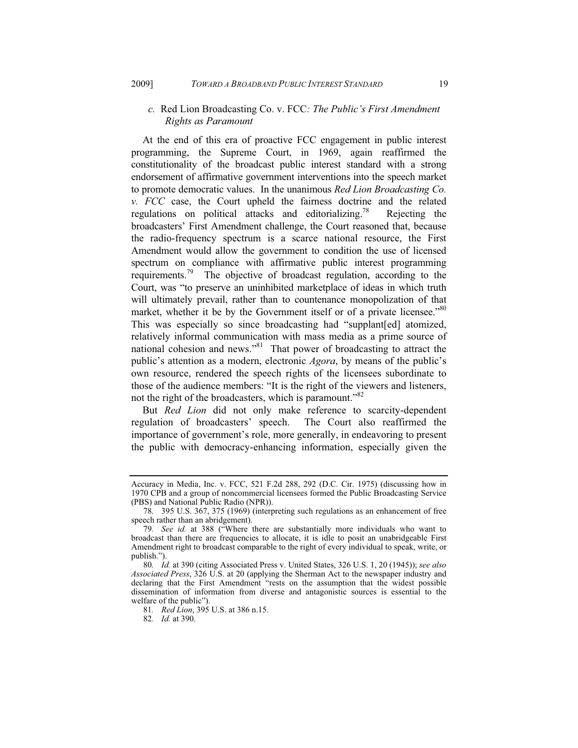#### *c.* Red Lion Broadcasting Co. v. FCC*: The Public's First Amendment Rights as Paramount*

At the end of this era of proactive FCC engagement in public interest programming, the Supreme Court, in 1969, again reaffirmed the constitutionality of the broadcast public interest standard with a strong endorsement of affirmative government interventions into the speech market to promote democratic values. In the unanimous *Red Lion Broadcasting Co. v. FCC* case, the Court upheld the fairness doctrine and the related regulations on political attacks and editorializing.<sup>78</sup> Rejecting the broadcasters' First Amendment challenge, the Court reasoned that, because the radio-frequency spectrum is a scarce national resource, the First Amendment would allow the government to condition the use of licensed spectrum on compliance with affirmative public interest programming requirements.<sup>79</sup> The objective of broadcast regulation, according to the Court, was "to preserve an uninhibited marketplace of ideas in which truth will ultimately prevail, rather than to countenance monopolization of that market, whether it be by the Government itself or of a private licensee."<sup>80</sup> This was especially so since broadcasting had "supplant[ed] atomized, relatively informal communication with mass media as a prime source of national cohesion and news."<sup>81</sup> That power of broadcasting to attract the public's attention as a modern, electronic *Agora*, by means of the public's own resource, rendered the speech rights of the licensees subordinate to those of the audience members: "It is the right of the viewers and listeners, not the right of the broadcasters, which is paramount.<sup>82</sup>

But *Red Lion* did not only make reference to scarcity-dependent regulation of broadcasters' speech. The Court also reaffirmed the importance of government's role, more generally, in endeavoring to present the public with democracy-enhancing information, especially given the

Accuracy in Media, Inc. v. FCC, 521 F.2d 288, 292 (D.C. Cir. 1975) (discussing how in 1970 CPB and a group of noncommercial licensees formed the Public Broadcasting Service (PBS) and National Public Radio (NPR)).

 <sup>78. 395</sup> U.S. 367, 375 (1969) (interpreting such regulations as an enhancement of free speech rather than an abridgement).

<sup>79</sup>*. See id.* at 388 ("Where there are substantially more individuals who want to broadcast than there are frequencies to allocate, it is idle to posit an unabridgeable First Amendment right to broadcast comparable to the right of every individual to speak, write, or publish.").

<sup>80</sup>*. Id.* at 390 (citing Associated Press v. United States, 326 U.S. 1, 20 (1945)); *see also Associated Press*, 326 U.S. at 20 (applying the Sherman Act to the newspaper industry and declaring that the First Amendment "rests on the assumption that the widest possible dissemination of information from diverse and antagonistic sources is essential to the welfare of the public").

<sup>81</sup>*. Red Lion*, 395 U.S. at 386 n.15.

<sup>82</sup>*. Id.* at 390.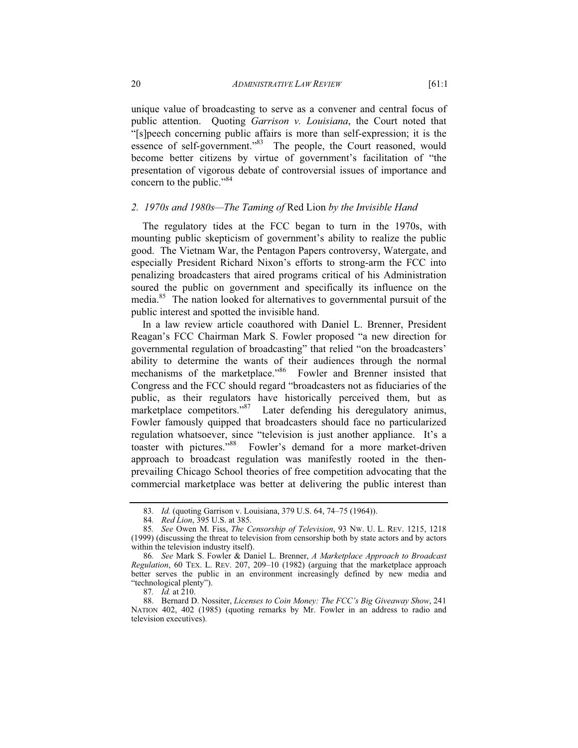unique value of broadcasting to serve as a convener and central focus of public attention. Quoting *Garrison v. Louisiana*, the Court noted that "[s]peech concerning public affairs is more than self-expression; it is the essence of self-government."<sup>83</sup> The people, the Court reasoned, would become better citizens by virtue of government's facilitation of "the presentation of vigorous debate of controversial issues of importance and concern to the public."<sup>84</sup>

#### *2. 1970s and 1980s—The Taming of* Red Lion *by the Invisible Hand*

The regulatory tides at the FCC began to turn in the 1970s, with mounting public skepticism of government's ability to realize the public good. The Vietnam War, the Pentagon Papers controversy, Watergate, and especially President Richard Nixon's efforts to strong-arm the FCC into penalizing broadcasters that aired programs critical of his Administration soured the public on government and specifically its influence on the media.<sup>85</sup> The nation looked for alternatives to governmental pursuit of the public interest and spotted the invisible hand.

In a law review article coauthored with Daniel L. Brenner, President Reagan's FCC Chairman Mark S. Fowler proposed "a new direction for governmental regulation of broadcasting" that relied "on the broadcasters' ability to determine the wants of their audiences through the normal mechanisms of the marketplace."<sup>86</sup> Fowler and Brenner insisted that Congress and the FCC should regard "broadcasters not as fiduciaries of the public, as their regulators have historically perceived them, but as marketplace competitors."<sup>87</sup> Later defending his deregulatory animus, Fowler famously quipped that broadcasters should face no particularized regulation whatsoever, since "television is just another appliance. It's a toaster with pictures."<sup>88</sup> Fowler's demand for a more market-driven approach to broadcast regulation was manifestly rooted in the thenprevailing Chicago School theories of free competition advocating that the commercial marketplace was better at delivering the public interest than

87*. Id.* at 210.

<sup>83</sup>*. Id.* (quoting Garrison v. Louisiana, 379 U.S. 64, 74–75 (1964)).

<sup>84</sup>*. Red Lion*, 395 U.S. at 385.

<sup>85</sup>*. See* Owen M. Fiss, *The Censorship of Television*, 93 NW. U. L. REV. 1215, 1218 (1999) (discussing the threat to television from censorship both by state actors and by actors within the television industry itself).

<sup>86</sup>*. See* Mark S. Fowler & Daniel L. Brenner, *A Marketplace Approach to Broadcast Regulation*, 60 TEX. L. REV. 207, 209–10 (1982) (arguing that the marketplace approach better serves the public in an environment increasingly defined by new media and "technological plenty").

 <sup>88.</sup> Bernard D. Nossiter, *Licenses to Coin Money: The FCC's Big Giveaway Show*, 241 NATION 402, 402 (1985) (quoting remarks by Mr. Fowler in an address to radio and television executives).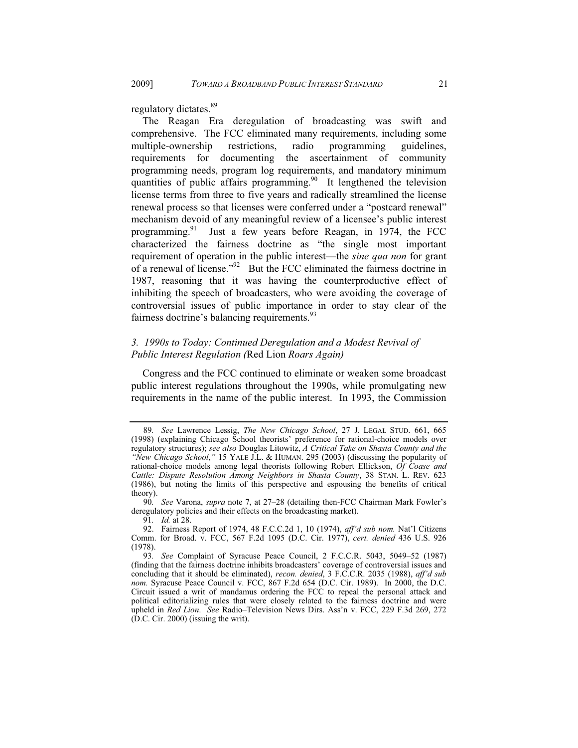regulatory dictates.<sup>89</sup>

The Reagan Era deregulation of broadcasting was swift and comprehensive. The FCC eliminated many requirements, including some multiple-ownership restrictions, radio programming guidelines, requirements for documenting the ascertainment of community programming needs, program log requirements, and mandatory minimum quantities of public affairs programming.<sup>90</sup> It lengthened the television license terms from three to five years and radically streamlined the license renewal process so that licenses were conferred under a "postcard renewal" mechanism devoid of any meaningful review of a licensee's public interest programming.<sup>91</sup> Just a few years before Reagan, in 1974, the FCC characterized the fairness doctrine as "the single most important requirement of operation in the public interest—the *sine qua non* for grant of a renewal of license."<sup>92</sup> But the FCC eliminated the fairness doctrine in 1987, reasoning that it was having the counterproductive effect of inhibiting the speech of broadcasters, who were avoiding the coverage of controversial issues of public importance in order to stay clear of the fairness doctrine's balancing requirements.<sup>93</sup>

# *3. 1990s to Today: Continued Deregulation and a Modest Revival of Public Interest Regulation (*Red Lion *Roars Again)*

Congress and the FCC continued to eliminate or weaken some broadcast public interest regulations throughout the 1990s, while promulgating new requirements in the name of the public interest. In 1993, the Commission

<sup>89</sup>*. See* Lawrence Lessig, *The New Chicago School*, 27 J. LEGAL STUD. 661, 665 (1998) (explaining Chicago School theorists' preference for rational-choice models over regulatory structures); *see also* Douglas Litowitz, *A Critical Take on Shasta County and the "New Chicago School*,*"* 15 YALE J.L. & HUMAN. 295 (2003) (discussing the popularity of rational-choice models among legal theorists following Robert Ellickson, *Of Coase and Cattle: Dispute Resolution Among Neighbors in Shasta County*, 38 STAN. L. REV. 623 (1986), but noting the limits of this perspective and espousing the benefits of critical theory).

<sup>90</sup>*. See* Varona, *supra* note 7, at 27–28 (detailing then-FCC Chairman Mark Fowler's deregulatory policies and their effects on the broadcasting market).

<sup>91</sup>*. Id.* at 28.

 <sup>92.</sup> Fairness Report of 1974, 48 F.C.C.2d 1, 10 (1974), *aff'd sub nom.* Nat'l Citizens Comm. for Broad. v. FCC, 567 F.2d 1095 (D.C. Cir. 1977), *cert. denied* 436 U.S. 926 (1978).

<sup>93</sup>*. See* Complaint of Syracuse Peace Council, 2 F.C.C.R. 5043, 5049–52 (1987) (finding that the fairness doctrine inhibits broadcasters' coverage of controversial issues and concluding that it should be eliminated), *recon. denied*, 3 F.C.C.R. 2035 (1988), *aff'd sub nom.* Syracuse Peace Council v. FCC, 867 F.2d 654 (D.C. Cir. 1989). In 2000, the D.C. Circuit issued a writ of mandamus ordering the FCC to repeal the personal attack and political editorializing rules that were closely related to the fairness doctrine and were upheld in *Red Lion*. *See* Radio–Television News Dirs. Ass'n v. FCC, 229 F.3d 269, 272 (D.C. Cir. 2000) (issuing the writ).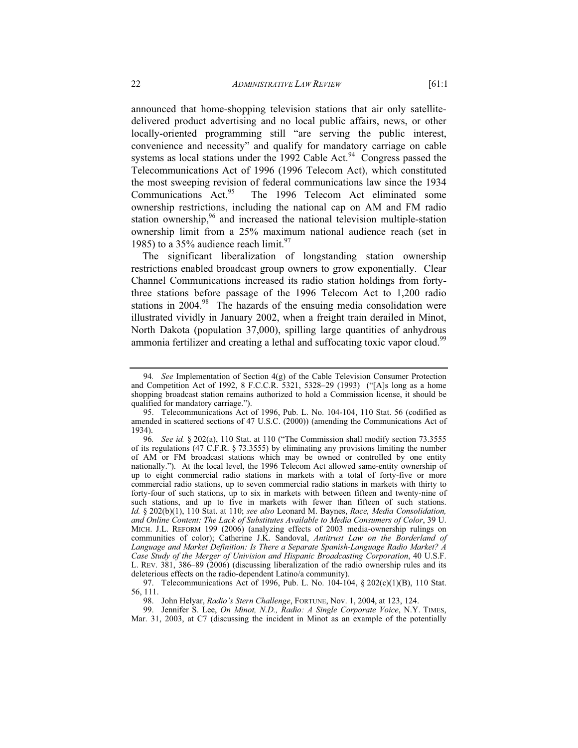announced that home-shopping television stations that air only satellitedelivered product advertising and no local public affairs, news, or other locally-oriented programming still "are serving the public interest, convenience and necessity" and qualify for mandatory carriage on cable systems as local stations under the 1992 Cable Act.<sup>94</sup> Congress passed the Telecommunications Act of 1996 (1996 Telecom Act), which constituted the most sweeping revision of federal communications law since the 1934<br>Communications Act.<sup>95</sup> The 1996 Telecom Act eliminated some The 1996 Telecom Act eliminated some ownership restrictions, including the national cap on AM and FM radio station ownership, $96$  and increased the national television multiple-station ownership limit from a 25% maximum national audience reach (set in 1985) to a 35% audience reach limit.<sup>97</sup>

The significant liberalization of longstanding station ownership restrictions enabled broadcast group owners to grow exponentially. Clear Channel Communications increased its radio station holdings from fortythree stations before passage of the 1996 Telecom Act to 1,200 radio stations in  $2004<sup>98</sup>$  The hazards of the ensuing media consolidation were illustrated vividly in January 2002, when a freight train derailed in Minot, North Dakota (population 37,000), spilling large quantities of anhydrous ammonia fertilizer and creating a lethal and suffocating toxic vapor cloud.<sup>99</sup>

<sup>94</sup>*. See* Implementation of Section 4(g) of the Cable Television Consumer Protection and Competition Act of 1992, 8 F.C.C.R. 5321, 5328–29 (1993) ("[A]s long as a home shopping broadcast station remains authorized to hold a Commission license, it should be qualified for mandatory carriage.").

 <sup>95.</sup> Telecommunications Act of 1996, Pub. L. No. 104-104, 110 Stat. 56 (codified as amended in scattered sections of 47 U.S.C. (2000)) (amending the Communications Act of 1934).

<sup>96</sup>*. See id.* § 202(a), 110 Stat. at 110 ("The Commission shall modify section 73.3555 of its regulations (47 C.F.R. § 73.3555) by eliminating any provisions limiting the number of AM or FM broadcast stations which may be owned or controlled by one entity nationally."). At the local level, the 1996 Telecom Act allowed same-entity ownership of up to eight commercial radio stations in markets with a total of forty-five or more commercial radio stations, up to seven commercial radio stations in markets with thirty to forty-four of such stations, up to six in markets with between fifteen and twenty-nine of such stations, and up to five in markets with fewer than fifteen of such stations. *Id.* § 202(b)(1), 110 Stat. at 110; *see also* Leonard M. Baynes, *Race, Media Consolidation, and Online Content: The Lack of Substitutes Available to Media Consumers of Color*, 39 U. MICH. J.L. REFORM 199 (2006) (analyzing effects of 2003 media-ownership rulings on communities of color); Catherine J.K. Sandoval, *Antitrust Law on the Borderland of Language and Market Definition: Is There a Separate Spanish-Language Radio Market? A Case Study of the Merger of Univision and Hispanic Broadcasting Corporation*, 40 U.S.F. L. REV. 381, 386–89 (2006) (discussing liberalization of the radio ownership rules and its deleterious effects on the radio-dependent Latino/a community).

<sup>97.</sup> Telecommunications Act of 1996, Pub. L. No. 104-104, § 202(c)(1)(B), 110 Stat. 56, 111.

 <sup>98.</sup> John Helyar, *Radio's Stern Challenge*, FORTUNE, Nov. 1, 2004, at 123, 124.

 <sup>99.</sup> Jennifer S. Lee, *On Minot, N.D., Radio: A Single Corporate Voice*, N.Y. TIMES, Mar. 31, 2003, at C7 (discussing the incident in Minot as an example of the potentially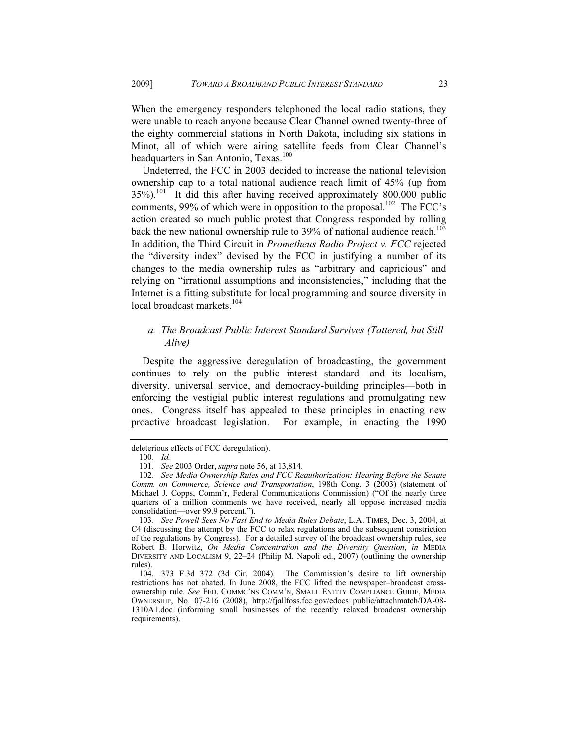When the emergency responders telephoned the local radio stations, they were unable to reach anyone because Clear Channel owned twenty-three of the eighty commercial stations in North Dakota, including six stations in Minot, all of which were airing satellite feeds from Clear Channel's headquarters in San Antonio, Texas.<sup>100</sup>

Undeterred, the FCC in 2003 decided to increase the national television ownership cap to a total national audience reach limit of 45% (up from 35%).<sup>101</sup> It did this after having received approximately 800,000 public comments, 99% of which were in opposition to the proposal.<sup>102</sup> The FCC's action created so much public protest that Congress responded by rolling back the new national ownership rule to  $39\%$  of national audience reach.<sup>103</sup> In addition, the Third Circuit in *Prometheus Radio Project v. FCC* rejected the "diversity index" devised by the FCC in justifying a number of its changes to the media ownership rules as "arbitrary and capricious" and relying on "irrational assumptions and inconsistencies," including that the Internet is a fitting substitute for local programming and source diversity in local broadcast markets.<sup>104</sup>

### *a. The Broadcast Public Interest Standard Survives (Tattered, but Still Alive)*

Despite the aggressive deregulation of broadcasting, the government continues to rely on the public interest standard—and its localism, diversity, universal service, and democracy-building principles—both in enforcing the vestigial public interest regulations and promulgating new ones. Congress itself has appealed to these principles in enacting new proactive broadcast legislation. For example, in enacting the 1990

deleterious effects of FCC deregulation).

<sup>100</sup>*. Id.*

<sup>101</sup>*. See* 2003 Order, *supra* note 56, at 13,814.

<sup>102</sup>*. See Media Ownership Rules and FCC Reauthorization: Hearing Before the Senate Comm. on Commerce, Science and Transportation*, 198th Cong. 3 (2003) (statement of Michael J. Copps, Comm'r, Federal Communications Commission) ("Of the nearly three quarters of a million comments we have received, nearly all oppose increased media consolidation—over 99.9 percent.").

<sup>103</sup>*. See Powell Sees No Fast End to Media Rules Debate*, L.A. TIMES, Dec. 3, 2004, at C4 (discussing the attempt by the FCC to relax regulations and the subsequent constriction of the regulations by Congress). For a detailed survey of the broadcast ownership rules, see Robert B. Horwitz, *On Media Concentration and the Diversity Question*, *in* MEDIA DIVERSITY AND LOCALISM 9, 22–24 (Philip M. Napoli ed., 2007) (outlining the ownership rules).

 <sup>104. 373</sup> F.3d 372 (3d Cir. 2004). The Commission's desire to lift ownership restrictions has not abated. In June 2008, the FCC lifted the newspaper–broadcast crossownership rule. *See* FED. COMMC'NS COMM'N, SMALL ENTITY COMPLIANCE GUIDE, MEDIA OWNERSHIP, No. 07-216 (2008), http://fjallfoss.fcc.gov/edocs\_public/attachmatch/DA-08- 1310A1.doc (informing small businesses of the recently relaxed broadcast ownership requirements).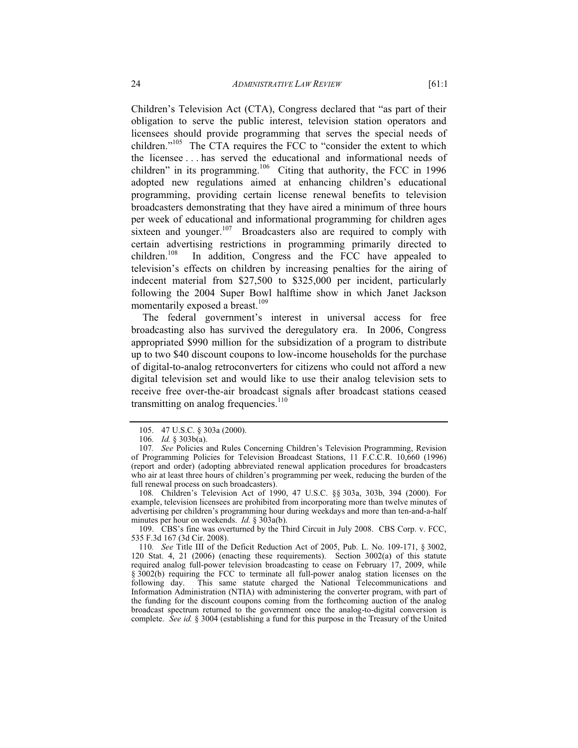Children's Television Act (CTA), Congress declared that "as part of their obligation to serve the public interest, television station operators and licensees should provide programming that serves the special needs of children."<sup>105</sup> The CTA requires the FCC to "consider the extent to which the licensee . . . has served the educational and informational needs of children" in its programming. $106$  Citing that authority, the FCC in 1996 adopted new regulations aimed at enhancing children's educational programming, providing certain license renewal benefits to television broadcasters demonstrating that they have aired a minimum of three hours per week of educational and informational programming for children ages sixteen and younger.<sup>107</sup> Broadcasters also are required to comply with certain advertising restrictions in programming primarily directed to children.<sup>108</sup> In addition, Congress and the FCC have appealed to television's effects on children by increasing penalties for the airing of indecent material from \$27,500 to \$325,000 per incident, particularly following the 2004 Super Bowl halftime show in which Janet Jackson

The federal government's interest in universal access for free broadcasting also has survived the deregulatory era. In 2006, Congress appropriated \$990 million for the subsidization of a program to distribute up to two \$40 discount coupons to low-income households for the purchase of digital-to-analog retroconverters for citizens who could not afford a new digital television set and would like to use their analog television sets to receive free over-the-air broadcast signals after broadcast stations ceased transmitting on analog frequencies. $110$ 

momentarily exposed a breast.<sup>109</sup>

108*.* Children's Television Act of 1990, 47 U.S.C. §§ 303a, 303b, 394 (2000). For example, television licensees are prohibited from incorporating more than twelve minutes of advertising per children's programming hour during weekdays and more than ten-and-a-half minutes per hour on weekends. *Id.* § 303a(b).

 109. CBS's fine was overturned by the Third Circuit in July 2008. CBS Corp. v. FCC, 535 F.3d 167 (3d Cir. 2008).

110*. See* Title III of the Deficit Reduction Act of 2005, Pub. L. No. 109-171, § 3002, 120 Stat. 4, 21 (2006) (enacting these requirements). Section 3002(a) of this statute required analog full-power television broadcasting to cease on February 17, 2009, while § 3002(b) requiring the FCC to terminate all full-power analog station licenses on the following day. This same statute charged the National Telecommunications and Information Administration (NTIA) with administering the converter program, with part of the funding for the discount coupons coming from the forthcoming auction of the analog broadcast spectrum returned to the government once the analog-to-digital conversion is complete. *See id.* § 3004 (establishing a fund for this purpose in the Treasury of the United

 <sup>105. 47</sup> U.S.C. § 303a (2000).

<sup>106</sup>*. Id.* § 303b(a).

<sup>107</sup>*. See* Policies and Rules Concerning Children's Television Programming, Revision of Programming Policies for Television Broadcast Stations, 11 F.C.C.R. 10,660 (1996) (report and order) (adopting abbreviated renewal application procedures for broadcasters who air at least three hours of children's programming per week, reducing the burden of the full renewal process on such broadcasters).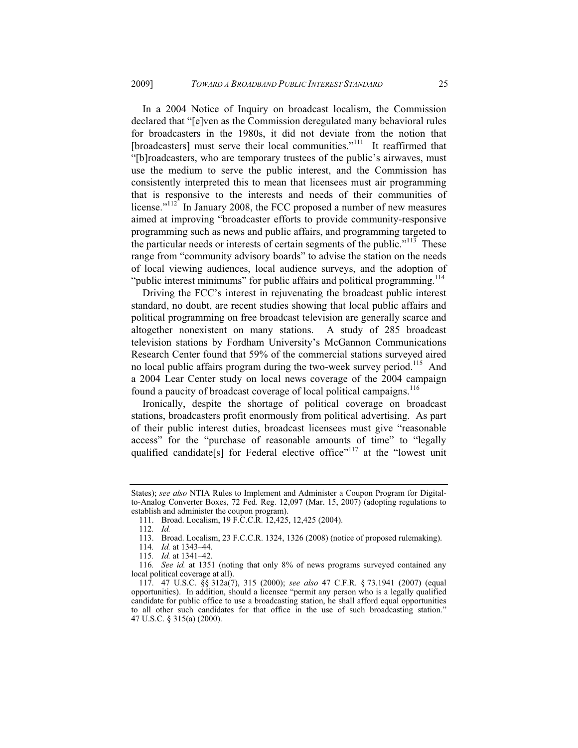In a 2004 Notice of Inquiry on broadcast localism, the Commission declared that "[e]ven as the Commission deregulated many behavioral rules for broadcasters in the 1980s, it did not deviate from the notion that [broadcasters] must serve their local communities."<sup>111</sup> It reaffirmed that "[b]roadcasters, who are temporary trustees of the public's airwaves, must use the medium to serve the public interest, and the Commission has consistently interpreted this to mean that licensees must air programming that is responsive to the interests and needs of their communities of license."<sup>112</sup> In January 2008, the FCC proposed a number of new measures aimed at improving "broadcaster efforts to provide community-responsive programming such as news and public affairs, and programming targeted to the particular needs or interests of certain segments of the public."<sup>113</sup> These range from "community advisory boards" to advise the station on the needs of local viewing audiences, local audience surveys, and the adoption of "public interest minimums" for public affairs and political programming.<sup>114</sup>

Driving the FCC's interest in rejuvenating the broadcast public interest standard, no doubt, are recent studies showing that local public affairs and political programming on free broadcast television are generally scarce and altogether nonexistent on many stations. A study of 285 broadcast television stations by Fordham University's McGannon Communications Research Center found that 59% of the commercial stations surveyed aired no local public affairs program during the two-week survey period.<sup>115</sup> And a 2004 Lear Center study on local news coverage of the 2004 campaign found a paucity of broadcast coverage of local political campaigns.<sup>116</sup>

Ironically, despite the shortage of political coverage on broadcast stations, broadcasters profit enormously from political advertising. As part of their public interest duties, broadcast licensees must give "reasonable access" for the "purchase of reasonable amounts of time" to "legally qualified candidate[s] for Federal elective office"<sup>117</sup> at the "lowest unit

States); *see also* NTIA Rules to Implement and Administer a Coupon Program for Digitalto-Analog Converter Boxes, 72 Fed. Reg. 12,097 (Mar. 15, 2007) (adopting regulations to establish and administer the coupon program).

 <sup>111.</sup> Broad. Localism, 19 F.C.C.R. 12,425, 12,425 (2004).

<sup>112</sup>*. Id.*

 <sup>113.</sup> Broad. Localism, 23 F.C.C.R. 1324, 1326 (2008) (notice of proposed rulemaking).

<sup>114</sup>*. Id.* at 1343–44.

<sup>115</sup>*. Id.* at 1341–42.

<sup>116</sup>*. See id.* at 1351 (noting that only 8% of news programs surveyed contained any local political coverage at all).

 <sup>117. 47</sup> U.S.C. §§ 312a(7), 315 (2000); *see also* 47 C.F.R. § 73.1941 (2007) (equal opportunities). In addition, should a licensee "permit any person who is a legally qualified candidate for public office to use a broadcasting station, he shall afford equal opportunities to all other such candidates for that office in the use of such broadcasting station." 47 U.S.C. § 315(a) (2000).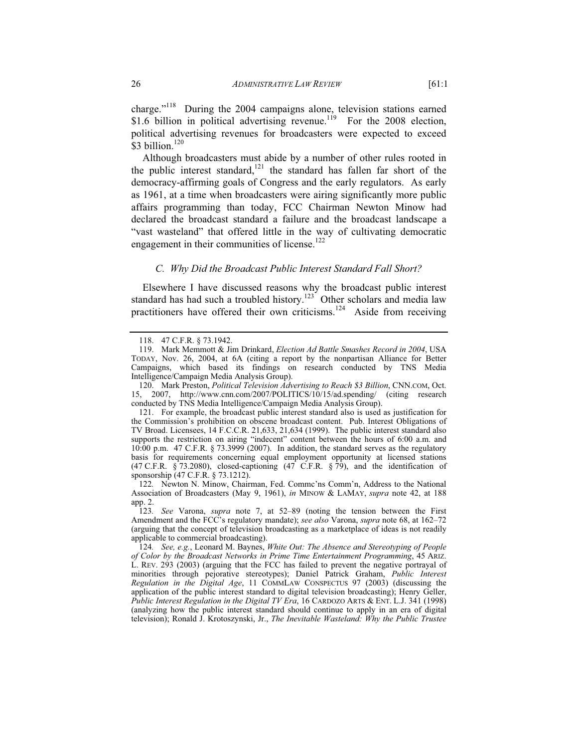charge."<sup>118</sup> During the 2004 campaigns alone, television stations earned \$1.6 billion in political advertising revenue.<sup>119</sup> For the 2008 election, political advertising revenues for broadcasters were expected to exceed \$3 billion.<sup>120</sup>

Although broadcasters must abide by a number of other rules rooted in the public interest standard,<sup>121</sup> the standard has fallen far short of the democracy-affirming goals of Congress and the early regulators. As early as 1961, at a time when broadcasters were airing significantly more public affairs programming than today, FCC Chairman Newton Minow had declared the broadcast standard a failure and the broadcast landscape a "vast wasteland" that offered little in the way of cultivating democratic engagement in their communities of license.<sup>122</sup>

#### *C. Why Did the Broadcast Public Interest Standard Fall Short?*

Elsewhere I have discussed reasons why the broadcast public interest standard has had such a troubled history.<sup>123</sup> Other scholars and media law practitioners have offered their own criticisms.<sup>124</sup> Aside from receiving

 <sup>118. 47</sup> C.F.R. § 73.1942.

 <sup>119.</sup> Mark Memmott & Jim Drinkard, *Election Ad Battle Smashes Record in 2004*, USA TODAY, Nov. 26, 2004, at 6A (citing a report by the nonpartisan Alliance for Better Campaigns, which based its findings on research conducted by TNS Media Intelligence/Campaign Media Analysis Group).

 <sup>120.</sup> Mark Preston, *Political Television Advertising to Reach \$3 Billion*, CNN.COM, Oct. 15, 2007, http://www.cnn.com/2007/POLITICS/10/15/ad.spending/ (citing research conducted by TNS Media Intelligence/Campaign Media Analysis Group).

 <sup>121.</sup> For example, the broadcast public interest standard also is used as justification for the Commission's prohibition on obscene broadcast content. Pub. Interest Obligations of TV Broad. Licensees, 14 F.C.C.R. 21,633, 21,634 (1999). The public interest standard also supports the restriction on airing "indecent" content between the hours of 6:00 a.m. and 10:00 p.m. 47 C.F.R. § 73.3999 (2007). In addition, the standard serves as the regulatory basis for requirements concerning equal employment opportunity at licensed stations (47 C.F.R.  $\hat{\S}$  73.2080), closed-captioning (47 C.F.R.  $\hat{\S}$  79), and the identification of sponsorship (47 C.F.R. § 73.1212).

<sup>122</sup>*.* Newton N. Minow, Chairman, Fed. Commc'ns Comm'n, Address to the National Association of Broadcasters (May 9, 1961), *in* MINOW & LAMAY, *supra* note 42, at 188 app. 2.

<sup>123</sup>*. See* Varona, *supra* note 7, at 52–89 (noting the tension between the First Amendment and the FCC's regulatory mandate); *see also* Varona, *supra* note 68, at 162–72 (arguing that the concept of television broadcasting as a marketplace of ideas is not readily applicable to commercial broadcasting).

<sup>124</sup>*. See, e.g.*, Leonard M. Baynes, *White Out: The Absence and Stereotyping of People of Color by the Broadcast Networks in Prime Time Entertainment Programming*, 45 ARIZ. L. REV. 293 (2003) (arguing that the FCC has failed to prevent the negative portrayal of minorities through pejorative stereotypes); Daniel Patrick Graham, *Public Interest Regulation in the Digital Age*, 11 COMMLAW CONSPECTUS 97 (2003) (discussing the application of the public interest standard to digital television broadcasting); Henry Geller, *Public Interest Regulation in the Digital TV Era*, 16 CARDOZO ARTS & ENT. L.J. 341 (1998) (analyzing how the public interest standard should continue to apply in an era of digital television); Ronald J. Krotoszynski, Jr., *The Inevitable Wasteland: Why the Public Trustee*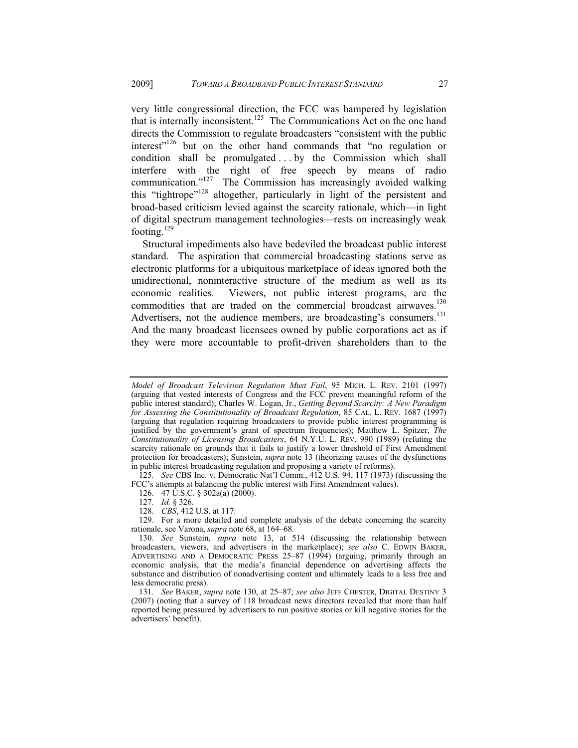very little congressional direction, the FCC was hampered by legislation that is internally inconsistent.<sup>125</sup> The Communications Act on the one hand directs the Commission to regulate broadcasters "consistent with the public interest"<sup>126</sup> but on the other hand commands that "no regulation or condition shall be promulgated . . by the Commission which shall interfere with the right of free speech by means of radio communication."127 The Commission has increasingly avoided walking this "tightrope"128 altogether, particularly in light of the persistent and broad-based criticism levied against the scarcity rationale, which—in light of digital spectrum management technologies—rests on increasingly weak footing.129

Structural impediments also have bedeviled the broadcast public interest standard. The aspiration that commercial broadcasting stations serve as electronic platforms for a ubiquitous marketplace of ideas ignored both the unidirectional, noninteractive structure of the medium as well as its economic realities. Viewers, not public interest programs, are the commodities that are traded on the commercial broadcast airwaves.<sup>130</sup> Advertisers, not the audience members, are broadcasting's consumers.<sup>131</sup> And the many broadcast licensees owned by public corporations act as if they were more accountable to profit-driven shareholders than to the

125*. See* CBS Inc. v. Democratic Nat'l Comm., 412 U.S. 94, 117 (1973) (discussing the FCC's attempts at balancing the public interest with First Amendment values).

126. 47 U.S.C. § 302a(a) (2000).

127*. Id.* § 326.

128*. CBS*, 412 U.S. at 117.

 129. For a more detailed and complete analysis of the debate concerning the scarcity rationale, see Varona, *supra* note 68, at 164–68.

*Model of Broadcast Television Regulation Must Fail*, 95 MICH. L. REV. 2101 (1997) (arguing that vested interests of Congress and the FCC prevent meaningful reform of the public interest standard); Charles W. Logan, Jr., *Getting Beyond Scarcity: A New Paradigm for Assessing the Constitutionality of Broadcast Regulation*, 85 CAL. L. REV. 1687 (1997) (arguing that regulation requiring broadcasters to provide public interest programming is justified by the government's grant of spectrum frequencies); Matthew L. Spitzer, *The Constitutionality of Licensing Broadcasters*, 64 N.Y.U. L. REV. 990 (1989) (refuting the scarcity rationale on grounds that it fails to justify a lower threshold of First Amendment protection for broadcasters); Sunstein, *supra* note 13 (theorizing causes of the dysfunctions in public interest broadcasting regulation and proposing a variety of reforms).

<sup>130</sup>*. See* Sunstein, *supra* note 13, at 514 (discussing the relationship between broadcasters, viewers, and advertisers in the marketplace); *see also* C. EDWIN BAKER, ADVERTISING AND A DEMOCRATIC PRESS 25–87 (1994) (arguing, primarily through an economic analysis, that the media's financial dependence on advertising affects the substance and distribution of nonadvertising content and ultimately leads to a less free and less democratic press).

<sup>131</sup>*. See* BAKER, *supra* note 130, at 25–87; *see also* JEFF CHESTER, DIGITAL DESTINY 3 (2007) (noting that a survey of 118 broadcast news directors revealed that more than half reported being pressured by advertisers to run positive stories or kill negative stories for the advertisers' benefit).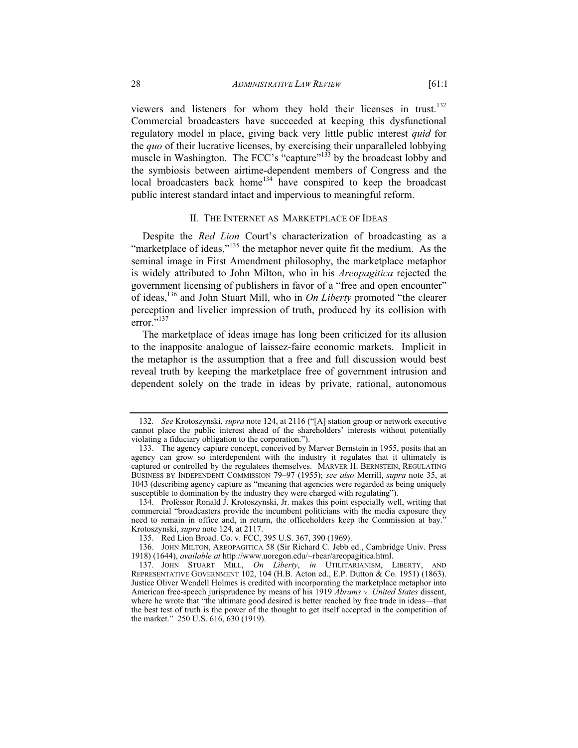viewers and listeners for whom they hold their licenses in trust.<sup>132</sup> Commercial broadcasters have succeeded at keeping this dysfunctional regulatory model in place, giving back very little public interest *quid* for the *quo* of their lucrative licenses, by exercising their unparalleled lobbying muscle in Washington. The FCC's "capture"<sup>133</sup> by the broadcast lobby and the symbiosis between airtime-dependent members of Congress and the local broadcasters back home<sup>134</sup> have conspired to keep the broadcast

#### II. THE INTERNET AS MARKETPLACE OF IDEAS

public interest standard intact and impervious to meaningful reform.

Despite the *Red Lion* Court's characterization of broadcasting as a "marketplace of ideas,"<sup>135</sup> the metaphor never quite fit the medium. As the seminal image in First Amendment philosophy, the marketplace metaphor is widely attributed to John Milton, who in his *Areopagitica* rejected the government licensing of publishers in favor of a "free and open encounter" of ideas,136 and John Stuart Mill, who in *On Liberty* promoted "the clearer perception and livelier impression of truth, produced by its collision with error."<sup>137</sup>

The marketplace of ideas image has long been criticized for its allusion to the inapposite analogue of laissez-faire economic markets. Implicit in the metaphor is the assumption that a free and full discussion would best reveal truth by keeping the marketplace free of government intrusion and dependent solely on the trade in ideas by private, rational, autonomous

<sup>132</sup>*. See* Krotoszynski, *supra* note 124, at 2116 ("[A] station group or network executive cannot place the public interest ahead of the shareholders' interests without potentially violating a fiduciary obligation to the corporation.").

 <sup>133.</sup> The agency capture concept, conceived by Marver Bernstein in 1955, posits that an agency can grow so interdependent with the industry it regulates that it ultimately is captured or controlled by the regulatees themselves. MARVER H. BERNSTEIN, REGULATING BUSINESS BY INDEPENDENT COMMISSION 79–97 (1955); *see also* Merrill, *supra* note 35, at 1043 (describing agency capture as "meaning that agencies were regarded as being uniquely susceptible to domination by the industry they were charged with regulating").

 <sup>134.</sup> Professor Ronald J. Krotoszynski, Jr. makes this point especially well, writing that commercial "broadcasters provide the incumbent politicians with the media exposure they need to remain in office and, in return, the officeholders keep the Commission at bay." Krotoszynski, *supra* note 124, at 2117.

 <sup>135.</sup> Red Lion Broad. Co. v. FCC, 395 U.S. 367, 390 (1969).

 <sup>136.</sup> JOHN MILTON, AREOPAGITICA 58 (Sir Richard C. Jebb ed., Cambridge Univ. Press 1918) (1644), *available at* http://www.uoregon.edu/~rbear/areopagitica.html.

 <sup>137.</sup> JOHN STUART MILL, *On Liberty*, *in* UTILITARIANISM, LIBERTY, AND REPRESENTATIVE GOVERNMENT 102, 104 (H.B. Acton ed., E.P. Dutton & Co. 1951) (1863). Justice Oliver Wendell Holmes is credited with incorporating the marketplace metaphor into American free-speech jurisprudence by means of his 1919 *Abrams v. United States* dissent, where he wrote that "the ultimate good desired is better reached by free trade in ideas—that the best test of truth is the power of the thought to get itself accepted in the competition of the market." 250 U.S. 616, 630 (1919).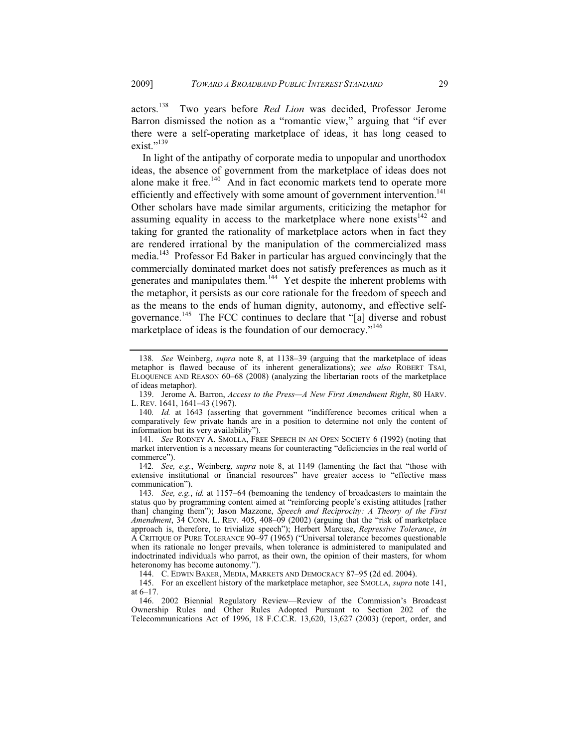actors.138 Two years before *Red Lion* was decided, Professor Jerome Barron dismissed the notion as a "romantic view," arguing that "if ever there were a self-operating marketplace of ideas, it has long ceased to exist."<sup>139</sup>

In light of the antipathy of corporate media to unpopular and unorthodox ideas, the absence of government from the marketplace of ideas does not alone make it free.<sup>140</sup> And in fact economic markets tend to operate more efficiently and effectively with some amount of government intervention.<sup>141</sup> Other scholars have made similar arguments, criticizing the metaphor for assuming equality in access to the marketplace where none exists  $142$  and taking for granted the rationality of marketplace actors when in fact they are rendered irrational by the manipulation of the commercialized mass media.<sup>143</sup> Professor Ed Baker in particular has argued convincingly that the commercially dominated market does not satisfy preferences as much as it generates and manipulates them.<sup>144</sup> Yet despite the inherent problems with the metaphor, it persists as our core rationale for the freedom of speech and as the means to the ends of human dignity, autonomy, and effective selfgovernance.<sup>145</sup> The FCC continues to declare that "[a] diverse and robust marketplace of ideas is the foundation of our democracy."<sup>146</sup>

144. C. EDWIN BAKER, MEDIA, MARKETS AND DEMOCRACY 87–95 (2d ed. 2004).

<sup>138</sup>*. See* Weinberg, *supra* note 8, at 1138–39 (arguing that the marketplace of ideas metaphor is flawed because of its inherent generalizations); *see also* ROBERT TSAI, ELOQUENCE AND REASON 60–68 (2008) (analyzing the libertarian roots of the marketplace of ideas metaphor).

 <sup>139.</sup> Jerome A. Barron, *Access to the Press—A New First Amendment Right*, 80 HARV. L. REV. 1641, 1641–43 (1967).

<sup>140.</sup> Id. at 1643 (asserting that government "indifference becomes critical when a comparatively few private hands are in a position to determine not only the content of information but its very availability").

<sup>141</sup>*. See* RODNEY A. SMOLLA, FREE SPEECH IN AN OPEN SOCIETY 6 (1992) (noting that market intervention is a necessary means for counteracting "deficiencies in the real world of commerce").

<sup>142</sup>*. See, e.g.*, Weinberg, *supra* note 8, at 1149 (lamenting the fact that "those with extensive institutional or financial resources" have greater access to "effective mass communication").

<sup>143</sup>*. See, e.g.*, *id.* at 1157–64 (bemoaning the tendency of broadcasters to maintain the status quo by programming content aimed at "reinforcing people's existing attitudes [rather than] changing them"); Jason Mazzone, *Speech and Reciprocity: A Theory of the First Amendment*, 34 CONN. L. REV. 405, 408–09 (2002) (arguing that the "risk of marketplace approach is, therefore, to trivialize speech"); Herbert Marcuse, *Repressive Tolerance*, *in* A CRITIQUE OF PURE TOLERANCE 90–97 (1965) ("Universal tolerance becomes questionable when its rationale no longer prevails, when tolerance is administered to manipulated and indoctrinated individuals who parrot, as their own, the opinion of their masters, for whom heteronomy has become autonomy.").

 <sup>145.</sup> For an excellent history of the marketplace metaphor, see SMOLLA, *supra* note 141, at 6–17.

 <sup>146. 2002</sup> Biennial Regulatory Review—Review of the Commission's Broadcast Ownership Rules and Other Rules Adopted Pursuant to Section 202 of the Telecommunications Act of 1996, 18 F.C.C.R. 13,620, 13,627 (2003) (report, order, and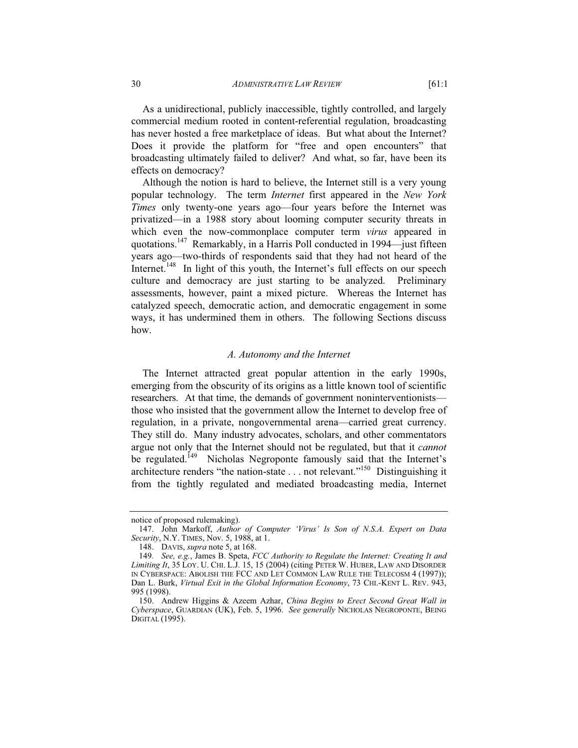As a unidirectional, publicly inaccessible, tightly controlled, and largely commercial medium rooted in content-referential regulation, broadcasting has never hosted a free marketplace of ideas. But what about the Internet? Does it provide the platform for "free and open encounters" that broadcasting ultimately failed to deliver? And what, so far, have been its effects on democracy?

Although the notion is hard to believe, the Internet still is a very young popular technology. The term *Internet* first appeared in the *New York Times* only twenty-one years ago—four years before the Internet was privatized—in a 1988 story about looming computer security threats in which even the now-commonplace computer term *virus* appeared in quotations.<sup>147</sup> Remarkably, in a Harris Poll conducted in 1994—just fifteen years ago—two-thirds of respondents said that they had not heard of the Internet.<sup>148</sup> In light of this youth, the Internet's full effects on our speech culture and democracy are just starting to be analyzed. Preliminary assessments, however, paint a mixed picture. Whereas the Internet has catalyzed speech, democratic action, and democratic engagement in some ways, it has undermined them in others. The following Sections discuss how.

#### *A. Autonomy and the Internet*

The Internet attracted great popular attention in the early 1990s, emerging from the obscurity of its origins as a little known tool of scientific researchers. At that time, the demands of government noninterventionists those who insisted that the government allow the Internet to develop free of regulation, in a private, nongovernmental arena—carried great currency. They still do. Many industry advocates, scholars, and other commentators argue not only that the Internet should not be regulated, but that it *cannot*  be regulated.<sup>149</sup> Nicholas Negroponte famously said that the Internet's architecture renders "the nation-state . . . not relevant."150 Distinguishing it from the tightly regulated and mediated broadcasting media, Internet

notice of proposed rulemaking).

 <sup>147.</sup> John Markoff, *Author of Computer 'Virus' Is Son of N.S.A. Expert on Data Security*, N.Y. TIMES, Nov. 5, 1988, at 1.

 <sup>148.</sup> DAVIS, *supra* note 5, at 168.

<sup>149</sup>*. See, e.g.*, James B. Speta, *FCC Authority to Regulate the Internet: Creating It and Limiting It*, 35 LOY. U. CHI. L.J. 15, 15 (2004) (citing PETER W. HUBER, LAW AND DISORDER IN CYBERSPACE: ABOLISH THE FCC AND LET COMMON LAW RULE THE TELECOSM 4 (1997)); Dan L. Burk, *Virtual Exit in the Global Information Economy*, 73 CHI.-KENT L. REV. 943, 995 (1998).

 <sup>150.</sup> Andrew Higgins & Azeem Azhar, *China Begins to Erect Second Great Wall in Cyberspace*, GUARDIAN (UK), Feb. 5, 1996. *See generally* NICHOLAS NEGROPONTE, BEING DIGITAL (1995).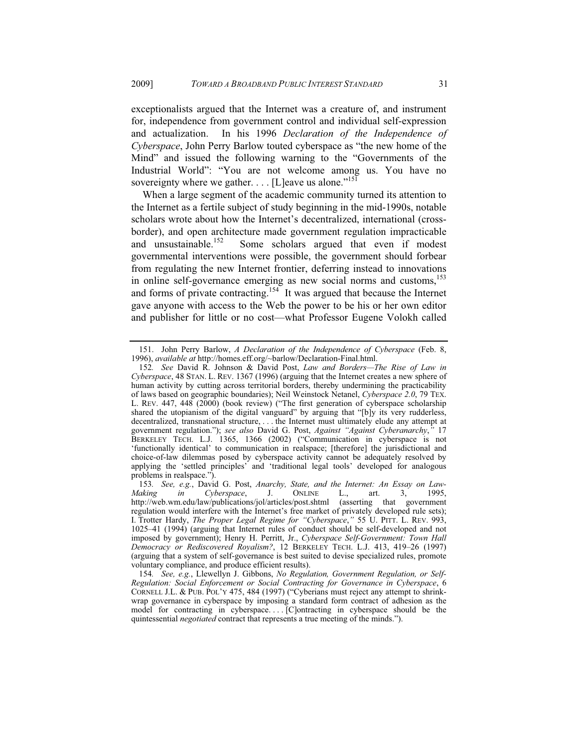exceptionalists argued that the Internet was a creature of, and instrument for, independence from government control and individual self-expression and actualization. In his 1996 *Declaration of the Independence of Cyberspace*, John Perry Barlow touted cyberspace as "the new home of the Mind" and issued the following warning to the "Governments of the Industrial World": "You are not welcome among us. You have no sovereignty where we gather. . . . [L]eave us alone."<sup>151</sup>

When a large segment of the academic community turned its attention to the Internet as a fertile subject of study beginning in the mid-1990s, notable scholars wrote about how the Internet's decentralized, international (crossborder), and open architecture made government regulation impracticable and unsustainable.<sup>152</sup> Some scholars argued that even if modest governmental interventions were possible, the government should forbear from regulating the new Internet frontier, deferring instead to innovations in online self-governance emerging as new social norms and customs, $153$ and forms of private contracting.<sup>154</sup> It was argued that because the Internet gave anyone with access to the Web the power to be his or her own editor and publisher for little or no cost—what Professor Eugene Volokh called

 <sup>151.</sup> John Perry Barlow, *A Declaration of the Independence of Cyberspace* (Feb. 8, 1996), *available at* http://homes.eff.org/~barlow/Declaration-Final.html.

<sup>152</sup>*. See* David R. Johnson & David Post, *Law and Borders—The Rise of Law in Cyberspace*, 48 STAN. L. REV. 1367 (1996) (arguing that the Internet creates a new sphere of human activity by cutting across territorial borders, thereby undermining the practicability of laws based on geographic boundaries); Neil Weinstock Netanel, *Cyberspace 2.0*, 79 TEX. L. REV. 447, 448 (2000) (book review) ("The first generation of cyberspace scholarship shared the utopianism of the digital vanguard" by arguing that "[b]y its very rudderless, decentralized, transnational structure, . . . the Internet must ultimately elude any attempt at government regulation."); *see also* David G. Post, *Against "Against Cyberanarchy*,*"* 17 BERKELEY TECH. L.J. 1365, 1366 (2002) ("Communication in cyberspace is not 'functionally identical' to communication in realspace; [therefore] the jurisdictional and choice-of-law dilemmas posed by cyberspace activity cannot be adequately resolved by applying the 'settled principles' and 'traditional legal tools' developed for analogous problems in realspace.").

<sup>153</sup>*. See, e.g.*, David G. Post, *Anarchy, State, and the Internet: An Essay on Law-Making in Cyberspace*, J. ONLINE L., art. 3, 1995, http://web.wm.edu/law/publications/jol/articles/post.shtml (asserting that government regulation would interfere with the Internet's free market of privately developed rule sets); I. Trotter Hardy, *The Proper Legal Regime for "Cyberspace*,*"* 55 U. PITT. L. REV. 993, 1025–41 (1994) (arguing that Internet rules of conduct should be self-developed and not imposed by government); Henry H. Perritt, Jr., *Cyberspace Self-Government: Town Hall Democracy or Rediscovered Royalism?*, 12 BERKELEY TECH. L.J. 413, 419–26 (1997) (arguing that a system of self-governance is best suited to devise specialized rules, promote voluntary compliance, and produce efficient results).

<sup>154</sup>*. See, e.g.*, Llewellyn J. Gibbons, *No Regulation, Government Regulation, or Self-Regulation: Social Enforcement or Social Contracting for Governance in Cyberspace*, 6 CORNELL J.L. & PUB. POL'Y 475, 484 (1997) ("Cyberians must reject any attempt to shrinkwrap governance in cyberspace by imposing a standard form contract of adhesion as the model for contracting in cyberspace. . . . [C]ontracting in cyberspace should be the quintessential *negotiated* contract that represents a true meeting of the minds.").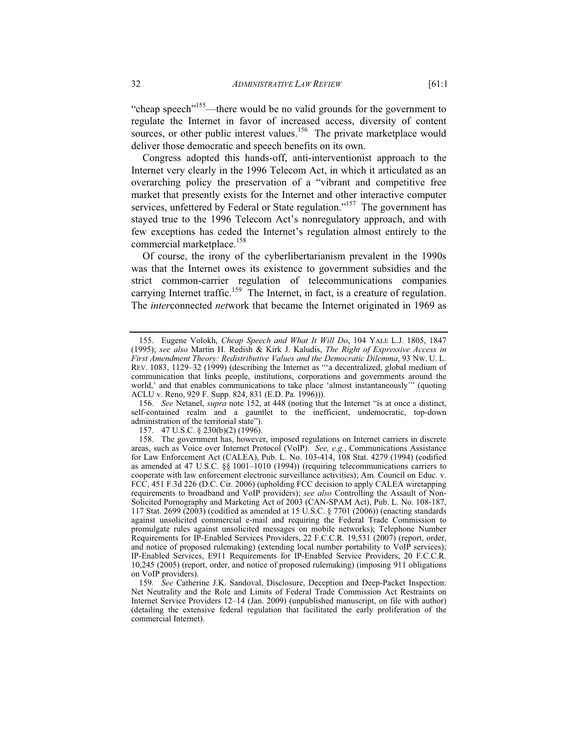"cheap speech"<sup>155</sup>—there would be no valid grounds for the government to regulate the Internet in favor of increased access, diversity of content sources, or other public interest values.<sup>156</sup> The private marketplace would deliver those democratic and speech benefits on its own.

Congress adopted this hands-off, anti-interventionist approach to the Internet very clearly in the 1996 Telecom Act, in which it articulated as an overarching policy the preservation of a "vibrant and competitive free market that presently exists for the Internet and other interactive computer services, unfettered by Federal or State regulation."<sup>157</sup> The government has stayed true to the 1996 Telecom Act's nonregulatory approach, and with few exceptions has ceded the Internet's regulation almost entirely to the commercial marketplace.<sup>158</sup>

Of course, the irony of the cyberlibertarianism prevalent in the 1990s was that the Internet owes its existence to government subsidies and the strict common-carrier regulation of telecommunications companies carrying Internet traffic.<sup>159</sup> The Internet, in fact, is a creature of regulation. The *inter*connected *net*work that became the Internet originated in 1969 as

 <sup>155.</sup> Eugene Volokh, *Cheap Speech and What It Will Do*, 104 YALE L.J. 1805, 1847 (1995); *see also* Martin H. Redish & Kirk J. Kaludis, *The Right of Expressive Access in First Amendment Theory: Redistributive Values and the Democratic Dilemma*, 93 NW. U. L. REV. 1083, 1129–32 (1999) (describing the Internet as "'a decentralized, global medium of communication that links people, institutions, corporations and governments around the world,' and that enables communications to take place 'almost instantaneously'" (quoting ACLU v. Reno, 929 F. Supp. 824, 831 (E.D. Pa. 1996))).

<sup>156</sup>*. See* Netanel, *supra* note 152, at 448 (noting that the Internet "is at once a distinct, self-contained realm and a gauntlet to the inefficient, undemocratic, top-down administration of the territorial state").

 <sup>157. 47</sup> U.S.C. § 230(b)(2) (1996).

 <sup>158.</sup> The government has, however, imposed regulations on Internet carriers in discrete areas, such as Voice over Internet Protocol (VoIP). *See, e.g.*, Communications Assistance for Law Enforcement Act (CALEA), Pub. L. No. 103-414, 108 Stat. 4279 (1994) (codified as amended at 47 U.S.C. §§ 1001–1010 (1994)) (requiring telecommunications carriers to cooperate with law enforcement electronic surveillance activities); Am. Council on Educ. v. FCC, 451 F.3d 226 (D.C. Cir. 2006) (upholding FCC decision to apply CALEA wiretapping requirements to broadband and VoIP providers); *see also* Controlling the Assault of Non-Solicited Pornography and Marketing Act of 2003 (CAN-SPAM Act), Pub. L. No. 108-187, 117 Stat. 2699 (2003) (codified as amended at 15 U.S.C. § 7701 (2006)) (enacting standards against unsolicited commercial e-mail and requiring the Federal Trade Commission to promulgate rules against unsolicited messages on mobile networks); Telephone Number Requirements for IP-Enabled Services Providers, 22 F.C.C.R. 19,531 (2007) (report, order, and notice of proposed rulemaking) (extending local number portability to VoIP services); IP-Enabled Services, E911 Requirements for IP-Enabled Service Providers, 20 F.C.C.R. 10,245 (2005) (report, order, and notice of proposed rulemaking) (imposing 911 obligations on VoIP providers).

<sup>159</sup>*. See* Catherine J.K. Sandoval, Disclosure, Deception and Deep-Packet Inspection: Net Neutrality and the Role and Limits of Federal Trade Commission Act Restraints on Internet Service Providers 12–14 (Jan. 2009) (unpublished manuscript, on file with author) (detailing the extensive federal regulation that facilitated the early proliferation of the commercial Internet).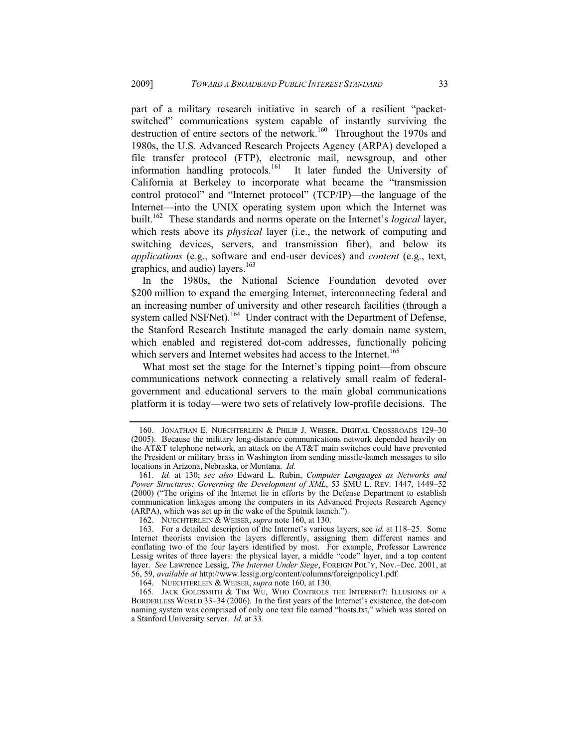part of a military research initiative in search of a resilient "packetswitched" communications system capable of instantly surviving the destruction of entire sectors of the network.<sup>160</sup> Throughout the 1970s and 1980s, the U.S. Advanced Research Projects Agency (ARPA) developed a file transfer protocol (FTP), electronic mail, newsgroup, and other information handling protocols.<sup>161</sup> It later funded the University of California at Berkeley to incorporate what became the "transmission control protocol" and "Internet protocol" (TCP/IP)—the language of the Internet—into the UNIX operating system upon which the Internet was built.162 These standards and norms operate on the Internet's *logical* layer, which rests above its *physical* layer (i.e., the network of computing and switching devices, servers, and transmission fiber), and below its *applications* (e.g., software and end-user devices) and *content* (e.g., text, graphics, and audio) layers. $163$ 

In the 1980s, the National Science Foundation devoted over \$200 million to expand the emerging Internet, interconnecting federal and an increasing number of university and other research facilities (through a system called NSFNet).<sup>164</sup> Under contract with the Department of Defense, the Stanford Research Institute managed the early domain name system, which enabled and registered dot-com addresses, functionally policing which servers and Internet websites had access to the Internet.<sup>165</sup>

What most set the stage for the Internet's tipping point—from obscure communications network connecting a relatively small realm of federalgovernment and educational servers to the main global communications platform it is today—were two sets of relatively low-profile decisions. The

 <sup>160.</sup> JONATHAN E. NUECHTERLEIN & PHILIP J. WEISER, DIGITAL CROSSROADS 129–30 (2005). Because the military long-distance communications network depended heavily on the AT&T telephone network, an attack on the AT&T main switches could have prevented the President or military brass in Washington from sending missile-launch messages to silo locations in Arizona, Nebraska, or Montana. *Id.*

<sup>161</sup>*. Id.* at 130; *see also* Edward L. Rubin, *Computer Languages as Networks and Power Structures: Governing the Development of XML*, 53 SMU L. REV. 1447, 1449–52 (2000) ("The origins of the Internet lie in efforts by the Defense Department to establish communication linkages among the computers in its Advanced Projects Research Agency (ARPA), which was set up in the wake of the Sputnik launch.").

 <sup>162.</sup> NUECHTERLEIN & WEISER, *supra* note 160, at 130.

 <sup>163.</sup> For a detailed description of the Internet's various layers, see *id.* at 118–25. Some Internet theorists envision the layers differently, assigning them different names and conflating two of the four layers identified by most. For example, Professor Lawrence Lessig writes of three layers: the physical layer, a middle "code" layer, and a top content layer. *See* Lawrence Lessig, *The Internet Under Siege*, FOREIGN POL'Y, Nov.–Dec. 2001, at 56, 59, *available at* http://www.lessig.org/content/columns/foreignpolicy1.pdf.

 <sup>164.</sup> NUECHTERLEIN & WEISER, *supra* note 160, at 130.

 <sup>165.</sup> JACK GOLDSMITH & TIM WU, WHO CONTROLS THE INTERNET?: ILLUSIONS OF A BORDERLESS WORLD 33–34 (2006). In the first years of the Internet's existence, the dot-com naming system was comprised of only one text file named "hosts.txt," which was stored on a Stanford University server. *Id.* at 33.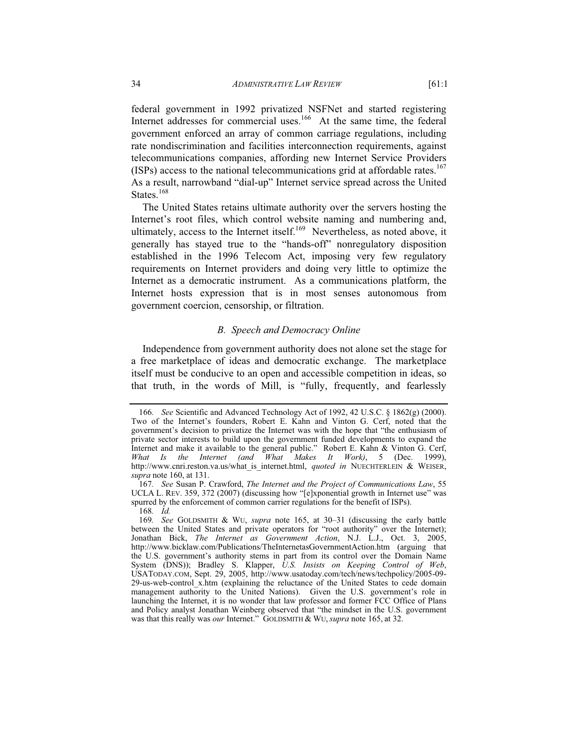federal government in 1992 privatized NSFNet and started registering Internet addresses for commercial uses.<sup>166</sup> At the same time, the federal government enforced an array of common carriage regulations, including rate nondiscrimination and facilities interconnection requirements, against telecommunications companies, affording new Internet Service Providers

(ISPs) access to the national telecommunications grid at affordable rates.<sup>167</sup> As a result, narrowband "dial-up" Internet service spread across the United States.<sup>168</sup>

The United States retains ultimate authority over the servers hosting the Internet's root files, which control website naming and numbering and, ultimately, access to the Internet itself.<sup>169</sup> Nevertheless, as noted above, it generally has stayed true to the "hands-off" nonregulatory disposition established in the 1996 Telecom Act, imposing very few regulatory requirements on Internet providers and doing very little to optimize the Internet as a democratic instrument. As a communications platform, the Internet hosts expression that is in most senses autonomous from government coercion, censorship, or filtration.

#### *B. Speech and Democracy Online*

Independence from government authority does not alone set the stage for a free marketplace of ideas and democratic exchange. The marketplace itself must be conducive to an open and accessible competition in ideas, so that truth, in the words of Mill, is "fully, frequently, and fearlessly

<sup>166</sup>*. See* Scientific and Advanced Technology Act of 1992, 42 U.S.C. § 1862(g) (2000). Two of the Internet's founders, Robert E. Kahn and Vinton G. Cerf, noted that the government's decision to privatize the Internet was with the hope that "the enthusiasm of private sector interests to build upon the government funded developments to expand the Internet and make it available to the general public." Robert E. Kahn & Vinton G. Cerf, *What Is the Internet (and What Makes It Work)*, 5 (Dec. 1999), http://www.cnri.reston.va.us/what is internet.html, *quoted in* NUECHTERLEIN & WEISER, *supra* note 160, at 131.

<sup>167</sup>*. See* Susan P. Crawford, *The Internet and the Project of Communications Law*, 55 UCLA L. REV. 359, 372 (2007) (discussing how "[e]xponential growth in Internet use" was spurred by the enforcement of common carrier regulations for the benefit of ISPs).

<sup>168</sup>*. Id.*

<sup>169</sup>*. See* GOLDSMITH & WU, *supra* note 165, at 30–31 (discussing the early battle between the United States and private operators for "root authority" over the Internet); Jonathan Bick, *The Internet as Government Action*, N.J. L.J., Oct. 3, 2005, http://www.bicklaw.com/Publications/TheInternetasGovernmentAction.htm (arguing that the U.S. government's authority stems in part from its control over the Domain Name System (DNS)); Bradley S. Klapper, *U.S. Insists on Keeping Control of Web*, USATODAY.COM, Sept. 29, 2005, http://www.usatoday.com/tech/news/techpolicy/2005-09- 29-us-web-control\_x.htm (explaining the reluctance of the United States to cede domain management authority to the United Nations). Given the U.S. government's role in launching the Internet, it is no wonder that law professor and former FCC Office of Plans and Policy analyst Jonathan Weinberg observed that "the mindset in the U.S. government was that this really was *our* Internet." GOLDSMITH & WU, *supra* note 165, at 32.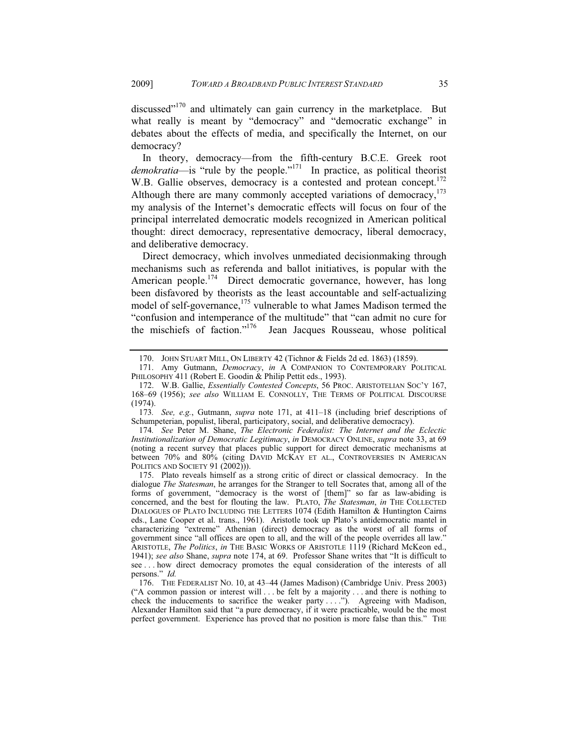discussed"<sup>170</sup> and ultimately can gain currency in the marketplace. But what really is meant by "democracy" and "democratic exchange" in debates about the effects of media, and specifically the Internet, on our democracy?

In theory, democracy—from the fifth-century B.C.E. Greek root *demokratia*—is "rule by the people."<sup>171</sup> In practice, as political theorist W.B. Gallie observes, democracy is a contested and protean concept.<sup>172</sup> Although there are many commonly accepted variations of democracy, $^{173}$ my analysis of the Internet's democratic effects will focus on four of the principal interrelated democratic models recognized in American political thought: direct democracy, representative democracy, liberal democracy, and deliberative democracy.

Direct democracy, which involves unmediated decisionmaking through mechanisms such as referenda and ballot initiatives, is popular with the American people.<sup>174</sup> Direct democratic governance, however, has long been disfavored by theorists as the least accountable and self-actualizing model of self-governance,<sup>175</sup> vulnerable to what James Madison termed the "confusion and intemperance of the multitude" that "can admit no cure for the mischiefs of faction."<sup>176</sup> Jean Jacques Rousseau, whose political Jean Jacques Rousseau, whose political

174*. See* Peter M. Shane, *The Electronic Federalist: The Internet and the Eclectic Institutionalization of Democratic Legitimacy*, *in* DEMOCRACY ONLINE, *supra* note 33, at 69 (noting a recent survey that places public support for direct democratic mechanisms at between 70% and 80% (citing DAVID MCKAY ET AL., CONTROVERSIES IN AMERICAN POLITICS AND SOCIETY 91 (2002))).

 175. Plato reveals himself as a strong critic of direct or classical democracy. In the dialogue *The Statesman*, he arranges for the Stranger to tell Socrates that, among all of the forms of government, "democracy is the worst of [them]" so far as law-abiding is concerned, and the best for flouting the law. PLATO, *The Statesman*, *in* THE COLLECTED DIALOGUES OF PLATO INCLUDING THE LETTERS 1074 (Edith Hamilton & Huntington Cairns eds., Lane Cooper et al. trans., 1961). Aristotle took up Plato's antidemocratic mantel in characterizing "extreme" Athenian (direct) democracy as the worst of all forms of government since "all offices are open to all, and the will of the people overrides all law." ARISTOTLE, *The Politics*, *in* THE BASIC WORKS OF ARISTOTLE 1119 (Richard McKeon ed., 1941); *see also* Shane, *supra* note 174, at 69. Professor Shane writes that "It is difficult to see . . . how direct democracy promotes the equal consideration of the interests of all persons." *Id.*

 <sup>170.</sup> JOHN STUART MILL, ON LIBERTY 42 (Tichnor & Fields 2d ed. 1863) (1859).

<sup>171.</sup> Amy Gutmann, *Democracy*, *in* A COMPANION TO CONTEMPORARY POLITICAL PHILOSOPHY 411 (Robert E. Goodin & Philip Pettit eds., 1993).

 <sup>172.</sup> W.B. Gallie, *Essentially Contested Concepts*, 56 PROC. ARISTOTELIAN SOC'Y 167, 168–69 (1956); *see also* WILLIAM E. CONNOLLY, THE TERMS OF POLITICAL DISCOURSE (1974).

<sup>173</sup>*. See, e.g.*, Gutmann, *supra* note 171, at 411–18 (including brief descriptions of Schumpeterian, populist, liberal, participatory, social, and deliberative democracy).

 <sup>176.</sup> THE FEDERALIST NO. 10, at 43–44 (James Madison) (Cambridge Univ. Press 2003) ("A common passion or interest will . . . be felt by a majority . . . and there is nothing to check the inducements to sacrifice the weaker party . . . ."). Agreeing with Madison, Alexander Hamilton said that "a pure democracy, if it were practicable, would be the most perfect government. Experience has proved that no position is more false than this." THE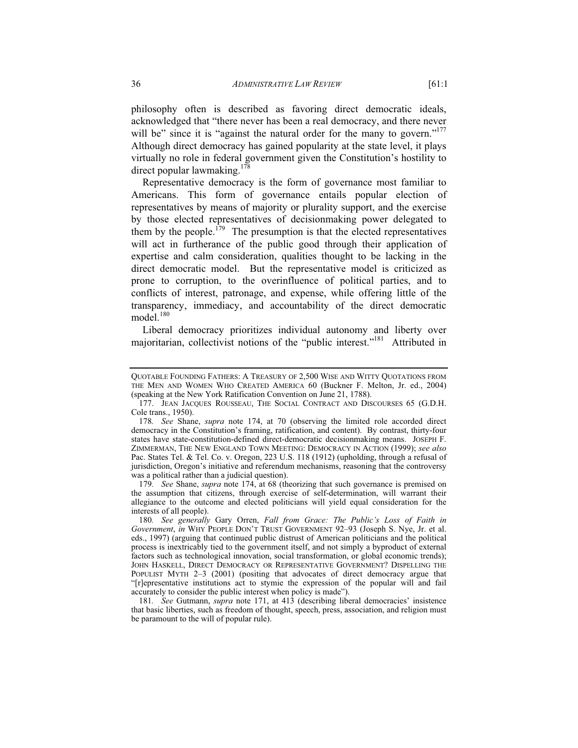philosophy often is described as favoring direct democratic ideals, acknowledged that "there never has been a real democracy, and there never will be" since it is "against the natural order for the many to govern."<sup>177</sup> Although direct democracy has gained popularity at the state level, it plays virtually no role in federal government given the Constitution's hostility to direct popular lawmaking.<sup>178</sup>

Representative democracy is the form of governance most familiar to Americans. This form of governance entails popular election of representatives by means of majority or plurality support, and the exercise by those elected representatives of decisionmaking power delegated to them by the people.<sup> $179$ </sup> The presumption is that the elected representatives will act in furtherance of the public good through their application of expertise and calm consideration, qualities thought to be lacking in the direct democratic model. But the representative model is criticized as prone to corruption, to the overinfluence of political parties, and to conflicts of interest, patronage, and expense, while offering little of the transparency, immediacy, and accountability of the direct democratic model.<sup>180</sup>

Liberal democracy prioritizes individual autonomy and liberty over majoritarian, collectivist notions of the "public interest."<sup>181</sup> Attributed in

179*. See* Shane, *supra* note 174, at 68 (theorizing that such governance is premised on the assumption that citizens, through exercise of self-determination, will warrant their allegiance to the outcome and elected politicians will yield equal consideration for the interests of all people).

181*. See* Gutmann, *supra* note 171, at 413 (describing liberal democracies' insistence that basic liberties, such as freedom of thought, speech, press, association, and religion must be paramount to the will of popular rule).

QUOTABLE FOUNDING FATHERS: A TREASURY OF 2,500 WISE AND WITTY QUOTATIONS FROM THE MEN AND WOMEN WHO CREATED AMERICA 60 (Buckner F. Melton, Jr. ed., 2004) (speaking at the New York Ratification Convention on June 21, 1788).

 <sup>177.</sup> JEAN JACQUES ROUSSEAU, THE SOCIAL CONTRACT AND DISCOURSES 65 (G.D.H. Cole trans., 1950).

<sup>178</sup>*. See* Shane, *supra* note 174, at 70 (observing the limited role accorded direct democracy in the Constitution's framing, ratification, and content). By contrast, thirty-four states have state-constitution-defined direct-democratic decisionmaking means. JOSEPH F. ZIMMERMAN, THE NEW ENGLAND TOWN MEETING: DEMOCRACY IN ACTION (1999); *see also*  Pac. States Tel. & Tel. Co. v. Oregon, 223 U.S. 118 (1912) (upholding, through a refusal of jurisdiction, Oregon's initiative and referendum mechanisms, reasoning that the controversy was a political rather than a judicial question).

<sup>180</sup>*. See generally* Gary Orren, *Fall from Grace: The Public's Loss of Faith in Government*, *in* WHY PEOPLE DON'T TRUST GOVERNMENT 92–93 (Joseph S. Nye, Jr. et al. eds., 1997) (arguing that continued public distrust of American politicians and the political process is inextricably tied to the government itself, and not simply a byproduct of external factors such as technological innovation, social transformation, or global economic trends); JOHN HASKELL, DIRECT DEMOCRACY OR REPRESENTATIVE GOVERNMENT? DISPELLING THE POPULIST MYTH 2–3 (2001) (positing that advocates of direct democracy argue that "[r]epresentative institutions act to stymie the expression of the popular will and fail accurately to consider the public interest when policy is made").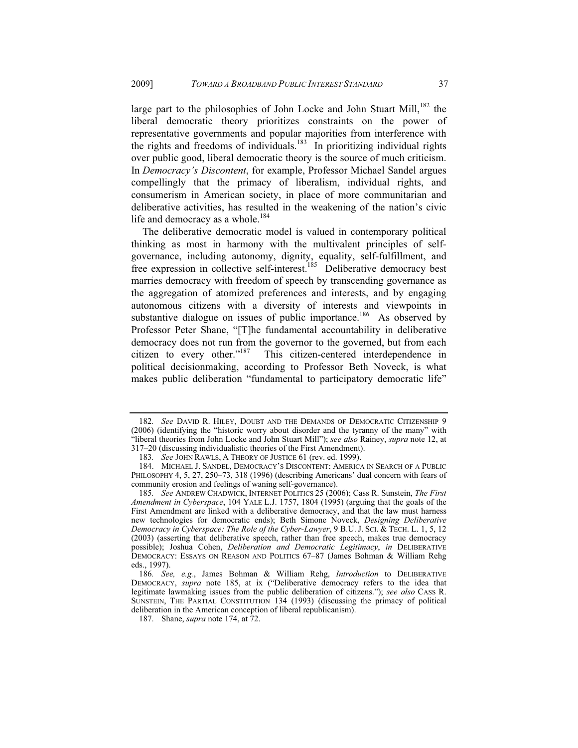large part to the philosophies of John Locke and John Stuart Mill,<sup>182</sup> the liberal democratic theory prioritizes constraints on the power of representative governments and popular majorities from interference with the rights and freedoms of individuals.183 In prioritizing individual rights over public good, liberal democratic theory is the source of much criticism. In *Democracy's Discontent*, for example, Professor Michael Sandel argues compellingly that the primacy of liberalism, individual rights, and consumerism in American society, in place of more communitarian and deliberative activities, has resulted in the weakening of the nation's civic life and democracy as a whole.<sup>184</sup>

The deliberative democratic model is valued in contemporary political thinking as most in harmony with the multivalent principles of selfgovernance, including autonomy, dignity, equality, self-fulfillment, and free expression in collective self-interest.<sup>185</sup> Deliberative democracy best marries democracy with freedom of speech by transcending governance as the aggregation of atomized preferences and interests, and by engaging autonomous citizens with a diversity of interests and viewpoints in substantive dialogue on issues of public importance.<sup>186</sup> As observed by Professor Peter Shane, "[T]he fundamental accountability in deliberative democracy does not run from the governor to the governed, but from each citizen to every other."<sup>187</sup> This citizen-centered interdependence in This citizen-centered interdependence in political decisionmaking, according to Professor Beth Noveck, is what makes public deliberation "fundamental to participatory democratic life"

<sup>182</sup>*. See* DAVID R. HILEY, DOUBT AND THE DEMANDS OF DEMOCRATIC CITIZENSHIP 9 (2006) (identifying the "historic worry about disorder and the tyranny of the many" with "liberal theories from John Locke and John Stuart Mill"); *see also* Rainey, *supra* note 12, at 317–20 (discussing individualistic theories of the First Amendment).

<sup>183</sup>*. See* JOHN RAWLS,ATHEORY OF JUSTICE 61 (rev. ed. 1999).

 <sup>184.</sup> MICHAEL J. SANDEL, DEMOCRACY'S DISCONTENT: AMERICA IN SEARCH OF A PUBLIC PHILOSOPHY 4, 5, 27, 250-73, 318 (1996) (describing Americans' dual concern with fears of community erosion and feelings of waning self-governance).

<sup>185</sup>*. See* ANDREW CHADWICK, INTERNET POLITICS 25 (2006); Cass R. Sunstein, *The First Amendment in Cyberspace*, 104 YALE L.J. 1757, 1804 (1995) (arguing that the goals of the First Amendment are linked with a deliberative democracy, and that the law must harness new technologies for democratic ends); Beth Simone Noveck, *Designing Deliberative Democracy in Cyberspace: The Role of the Cyber-Lawyer*, 9 B.U. J. SCI.&TECH. L. 1, 5, 12 (2003) (asserting that deliberative speech, rather than free speech, makes true democracy possible); Joshua Cohen, *Deliberation and Democratic Legitimacy*, *in* DELIBERATIVE DEMOCRACY: ESSAYS ON REASON AND POLITICS 67–87 (James Bohman & William Rehg eds., 1997).

<sup>186</sup>*. See, e.g.*, James Bohman & William Rehg, *Introduction* to DELIBERATIVE DEMOCRACY, *supra* note 185, at ix ("Deliberative democracy refers to the idea that legitimate lawmaking issues from the public deliberation of citizens."); *see also* CASS R. SUNSTEIN, THE PARTIAL CONSTITUTION 134 (1993) (discussing the primacy of political deliberation in the American conception of liberal republicanism).

 <sup>187.</sup> Shane, *supra* note 174, at 72.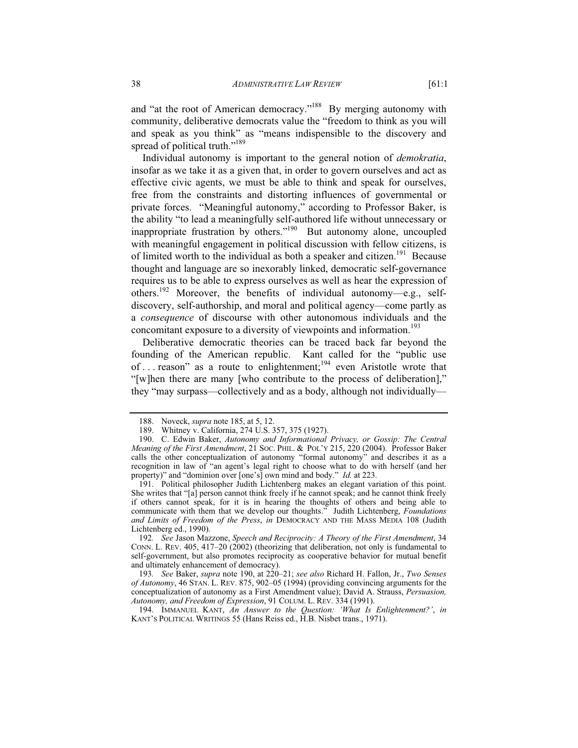and "at the root of American democracy."<sup>188</sup> By merging autonomy with community, deliberative democrats value the "freedom to think as you will and speak as you think" as "means indispensible to the discovery and spread of political truth."<sup>189</sup>

Individual autonomy is important to the general notion of *demokratia*, insofar as we take it as a given that, in order to govern ourselves and act as effective civic agents, we must be able to think and speak for ourselves, free from the constraints and distorting influences of governmental or private forces. "Meaningful autonomy," according to Professor Baker, is the ability "to lead a meaningfully self-authored life without unnecessary or inappropriate frustration by others."<sup>190</sup> But autonomy alone, uncoupled with meaningful engagement in political discussion with fellow citizens, is of limited worth to the individual as both a speaker and citizen.<sup>191</sup> Because thought and language are so inexorably linked, democratic self-governance requires us to be able to express ourselves as well as hear the expression of others.<sup>192</sup> Moreover, the benefits of individual autonomy—e.g., selfdiscovery, self-authorship, and moral and political agency—come partly as a *consequence* of discourse with other autonomous individuals and the concomitant exposure to a diversity of viewpoints and information.<sup>193</sup>

Deliberative democratic theories can be traced back far beyond the founding of the American republic. Kant called for the "public use of . . . reason" as a route to enlightenment;194 even Aristotle wrote that "[w]hen there are many [who contribute to the process of deliberation]," they "may surpass—collectively and as a body, although not individually—

 <sup>188.</sup> Noveck, *supra* note 185, at 5, 12.

 <sup>189.</sup> Whitney v. California, 274 U.S. 357, 375 (1927).

 <sup>190.</sup> C. Edwin Baker, *Autonomy and Informational Privacy, or Gossip: The Central Meaning of the First Amendment*, 21 SOC. PHIL.& POL'Y 215, 220 (2004). Professor Baker calls the other conceptualization of autonomy "formal autonomy" and describes it as a recognition in law of "an agent's legal right to choose what to do with herself (and her property)" and "dominion over [one's] own mind and body." *Id.* at 223.

 <sup>191.</sup> Political philosopher Judith Lichtenberg makes an elegant variation of this point. She writes that "[a] person cannot think freely if he cannot speak; and he cannot think freely if others cannot speak, for it is in hearing the thoughts of others and being able to communicate with them that we develop our thoughts." Judith Lichtenberg, *Foundations and Limits of Freedom of the Press*, *in* DEMOCRACY AND THE MASS MEDIA 108 (Judith Lichtenberg ed., 1990).

<sup>192</sup>*. See* Jason Mazzone, *Speech and Reciprocity: A Theory of the First Amendment*, 34 CONN. L. REV. 405, 417–20 (2002) (theorizing that deliberation, not only is fundamental to self-government, but also promotes reciprocity as cooperative behavior for mutual benefit and ultimately enhancement of democracy).

<sup>193</sup>*. See* Baker, *supra* note 190, at 220–21; *see also* Richard H. Fallon, Jr., *Two Senses of Autonomy*, 46 STAN. L. REV. 875, 902–05 (1994) (providing convincing arguments for the conceptualization of autonomy as a First Amendment value); David A. Strauss, *Persuasion, Autonomy, and Freedom of Expression*, 91 COLUM. L. REV. 334 (1991).

 <sup>194.</sup> IMMANUEL KANT, *An Answer to the Question: 'What Is Enlightenment?'*, *in* KANT'S POLITICAL WRITINGS 55 (Hans Reiss ed., H.B. Nisbet trans., 1971).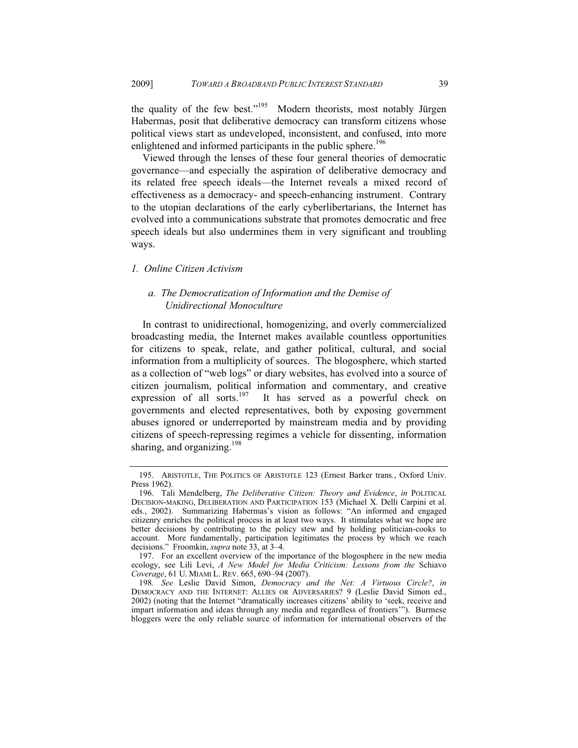the quality of the few best."<sup>195</sup> Modern theorists, most notably Jürgen Habermas, posit that deliberative democracy can transform citizens whose political views start as undeveloped, inconsistent, and confused, into more enlightened and informed participants in the public sphere.<sup>196</sup>

Viewed through the lenses of these four general theories of democratic governance—and especially the aspiration of deliberative democracy and its related free speech ideals—the Internet reveals a mixed record of effectiveness as a democracy- and speech-enhancing instrument. Contrary to the utopian declarations of the early cyberlibertarians, the Internet has evolved into a communications substrate that promotes democratic and free speech ideals but also undermines them in very significant and troubling ways.

#### *1. Online Citizen Activism*

# *a. The Democratization of Information and the Demise of Unidirectional Monoculture*

In contrast to unidirectional, homogenizing, and overly commercialized broadcasting media, the Internet makes available countless opportunities for citizens to speak, relate, and gather political, cultural, and social information from a multiplicity of sources. The blogosphere, which started as a collection of "web logs" or diary websites, has evolved into a source of citizen journalism, political information and commentary, and creative expression of all sorts.<sup>197</sup> It has served as a powerful check on governments and elected representatives, both by exposing government abuses ignored or underreported by mainstream media and by providing citizens of speech-repressing regimes a vehicle for dissenting, information sharing, and organizing. $198$ 

 <sup>195.</sup> ARISTOTLE, THE POLITICS OF ARISTOTLE 123 (Ernest Barker trans*.*, Oxford Univ. Press 1962).

 <sup>196.</sup> Tali Mendelberg, *The Deliberative Citizen: Theory and Evidence*, *in* POLITICAL DECISION-MAKING, DELIBERATION AND PARTICIPATION 153 (Michael X. Delli Carpini et al. eds., 2002). Summarizing Habermas's vision as follows: "An informed and engaged citizenry enriches the political process in at least two ways. It stimulates what we hope are better decisions by contributing to the policy stew and by holding politician-cooks to account. More fundamentally, participation legitimates the process by which we reach decisions." Froomkin, *supra* note 33, at 3–4.

 <sup>197.</sup> For an excellent overview of the importance of the blogosphere in the new media ecology, see Lili Levi, *A New Model for Media Criticism: Lessons from the* Schiavo *Coverage*, 61 U. MIAMI L. REV. 665, 690–94 (2007).

<sup>198</sup>*. See* Leslie David Simon, *Democracy and the Net: A Virtuous Circle?*, *in* DEMOCRACY AND THE INTERNET: ALLIES OR ADVERSARIES? 9 (Leslie David Simon ed., 2002) (noting that the Internet "dramatically increases citizens' ability to 'seek, receive and impart information and ideas through any media and regardless of frontiers'"). Burmese bloggers were the only reliable source of information for international observers of the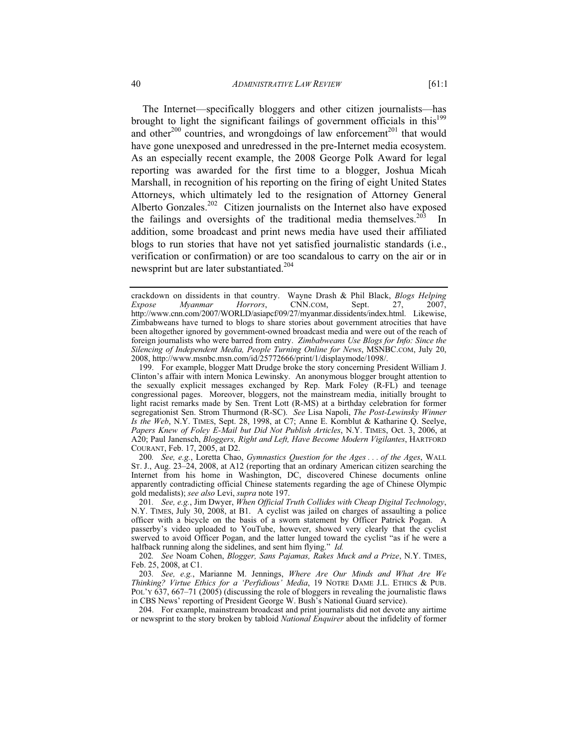brought to light the significant failings of government officials in this<sup>199</sup> and other<sup>200</sup> countries, and wrongdoings of law enforcement<sup>201</sup> that would have gone unexposed and unredressed in the pre-Internet media ecosystem. As an especially recent example, the 2008 George Polk Award for legal reporting was awarded for the first time to a blogger, Joshua Micah Marshall, in recognition of his reporting on the firing of eight United States Attorneys, which ultimately led to the resignation of Attorney General Alberto Gonzales.<sup>202</sup> Citizen journalists on the Internet also have exposed the failings and oversights of the traditional media themselves. $2^{03}$  In addition, some broadcast and print news media have used their affiliated blogs to run stories that have not yet satisfied journalistic standards (i.e., verification or confirmation) or are too scandalous to carry on the air or in newsprint but are later substantiated.<sup>204</sup>

200*. See, e.g.*, Loretta Chao, *Gymnastics Question for the Ages . . . of the Ages*, WALL ST. J., Aug. 23–24, 2008, at A12 (reporting that an ordinary American citizen searching the Internet from his home in Washington, DC, discovered Chinese documents online apparently contradicting official Chinese statements regarding the age of Chinese Olympic gold medalists); *see also* Levi, *supra* note 197.

202*. See* Noam Cohen, *Blogger, Sans Pajamas, Rakes Muck and a Prize*, N.Y. TIMES, Feb. 25, 2008, at C1.

203*. See, e.g.*, Marianne M. Jennings, *Where Are Our Minds and What Are We Thinking? Virtue Ethics for a 'Perfidious' Media*, 19 NOTRE DAME J.L. ETHICS & PUB. POL'Y 637, 667–71 (2005) (discussing the role of bloggers in revealing the journalistic flaws in CBS News' reporting of President George W. Bush's National Guard service).

 204. For example, mainstream broadcast and print journalists did not devote any airtime or newsprint to the story broken by tabloid *National Enquirer* about the infidelity of former

crackdown on dissidents in that country. Wayne Drash & Phil Black, *Blogs Helping*   $CNN.com$ , http://www.cnn.com/2007/WORLD/asiapcf/09/27/myanmar.dissidents/index.html. Likewise, Zimbabweans have turned to blogs to share stories about government atrocities that have been altogether ignored by government-owned broadcast media and were out of the reach of foreign journalists who were barred from entry. *Zimbabweans Use Blogs for Info: Since the Silencing of Independent Media, People Turning Online for News*, MSNBC.COM, July 20, 2008, http://www.msnbc.msn.com/id/25772666/print/1/displaymode/1098/.

 <sup>199.</sup> For example, blogger Matt Drudge broke the story concerning President William J. Clinton's affair with intern Monica Lewinsky. An anonymous blogger brought attention to the sexually explicit messages exchanged by Rep. Mark Foley (R-FL) and teenage congressional pages. Moreover, bloggers, not the mainstream media, initially brought to light racist remarks made by Sen. Trent Lott (R-MS) at a birthday celebration for former segregationist Sen. Strom Thurmond (R-SC). *See* Lisa Napoli, *The Post-Lewinsky Winner Is the Web*, N.Y. TIMES, Sept. 28, 1998, at C7; Anne E. Kornblut & Katharine Q. Seelye, *Papers Knew of Foley E-Mail but Did Not Publish Articles*, N.Y. TIMES, Oct. 3, 2006, at A20; Paul Janensch, *Bloggers, Right and Left, Have Become Modern Vigilantes*, HARTFORD COURANT, Feb. 17, 2005, at D2.

<sup>201</sup>*. See, e.g.*, Jim Dwyer, *When Official Truth Collides with Cheap Digital Technology*, N.Y. TIMES, July 30, 2008, at B1. A cyclist was jailed on charges of assaulting a police officer with a bicycle on the basis of a sworn statement by Officer Patrick Pogan. A passerby's video uploaded to YouTube, however, showed very clearly that the cyclist swerved to avoid Officer Pogan, and the latter lunged toward the cyclist "as if he were a halfback running along the sidelines, and sent him flying." *Id.*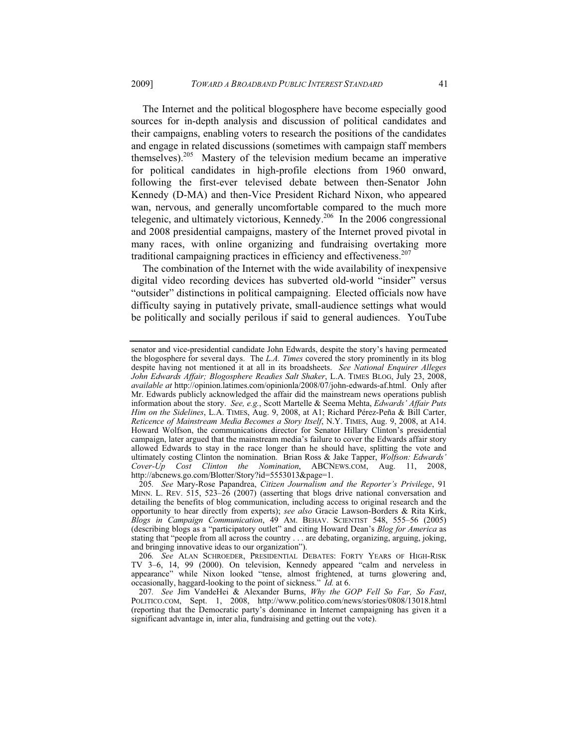The Internet and the political blogosphere have become especially good sources for in-depth analysis and discussion of political candidates and their campaigns, enabling voters to research the positions of the candidates and engage in related discussions (sometimes with campaign staff members themselves). $205$  Mastery of the television medium became an imperative for political candidates in high-profile elections from 1960 onward, following the first-ever televised debate between then-Senator John Kennedy (D-MA) and then-Vice President Richard Nixon, who appeared wan, nervous, and generally uncomfortable compared to the much more telegenic, and ultimately victorious, Kennedy.<sup>206</sup> In the 2006 congressional and 2008 presidential campaigns, mastery of the Internet proved pivotal in many races, with online organizing and fundraising overtaking more traditional campaigning practices in efficiency and effectiveness.<sup>207</sup>

The combination of the Internet with the wide availability of inexpensive digital video recording devices has subverted old-world "insider" versus "outsider" distinctions in political campaigning. Elected officials now have difficulty saying in putatively private, small-audience settings what would be politically and socially perilous if said to general audiences. YouTube

senator and vice-presidential candidate John Edwards, despite the story's having permeated the blogosphere for several days. The *L.A. Times* covered the story prominently in its blog despite having not mentioned it at all in its broadsheets. *See National Enquirer Alleges John Edwards Affair; Blogosphere Readies Salt Shaker*, L.A. TIMES BLOG, July 23, 2008, *available at* http://opinion.latimes.com/opinionla/2008/07/john-edwards-af.html. Only after Mr. Edwards publicly acknowledged the affair did the mainstream news operations publish information about the story. *See, e.g.*, Scott Martelle & Seema Mehta, *Edwards' Affair Puts Him on the Sidelines*, L.A. TIMES, Aug. 9, 2008, at A1; Richard Pérez-Peña & Bill Carter, *Reticence of Mainstream Media Becomes a Story Itself*, N.Y. TIMES, Aug. 9, 2008, at A14. Howard Wolfson, the communications director for Senator Hillary Clinton's presidential campaign, later argued that the mainstream media's failure to cover the Edwards affair story allowed Edwards to stay in the race longer than he should have, splitting the vote and ultimately costing Clinton the nomination. Brian Ross & Jake Tapper, *Wolfson: Edwards' Cover-Up Cost Clinton the Nomination*, ABCNEWS.COM, Aug. http://abcnews.go.com/Blotter/Story?id=5553013&page=1.

<sup>205</sup>*. See* Mary-Rose Papandrea, *Citizen Journalism and the Reporter's Privilege*, 91 MINN. L. REV. 515, 523–26 (2007) (asserting that blogs drive national conversation and detailing the benefits of blog communication, including access to original research and the opportunity to hear directly from experts); *see also* Gracie Lawson-Borders & Rita Kirk, *Blogs in Campaign Communication*, 49 AM. BEHAV. SCIENTIST 548, 555–56 (2005) (describing blogs as a "participatory outlet" and citing Howard Dean's *Blog for America* as stating that "people from all across the country . . . are debating, organizing, arguing, joking, and bringing innovative ideas to our organization").

<sup>206</sup>*. See* ALAN SCHROEDER, PRESIDENTIAL DEBATES: FORTY YEARS OF HIGH-RISK TV 3–6, 14, 99 (2000). On television, Kennedy appeared "calm and nerveless in appearance" while Nixon looked "tense, almost frightened, at turns glowering and, occasionally, haggard-looking to the point of sickness." *Id.* at 6.

<sup>207</sup>*. See* Jim VandeHei & Alexander Burns, *Why the GOP Fell So Far, So Fast*, POLITICO.COM, Sept. 1, 2008, http://www.politico.com/news/stories/0808/13018.html (reporting that the Democratic party's dominance in Internet campaigning has given it a significant advantage in, inter alia, fundraising and getting out the vote).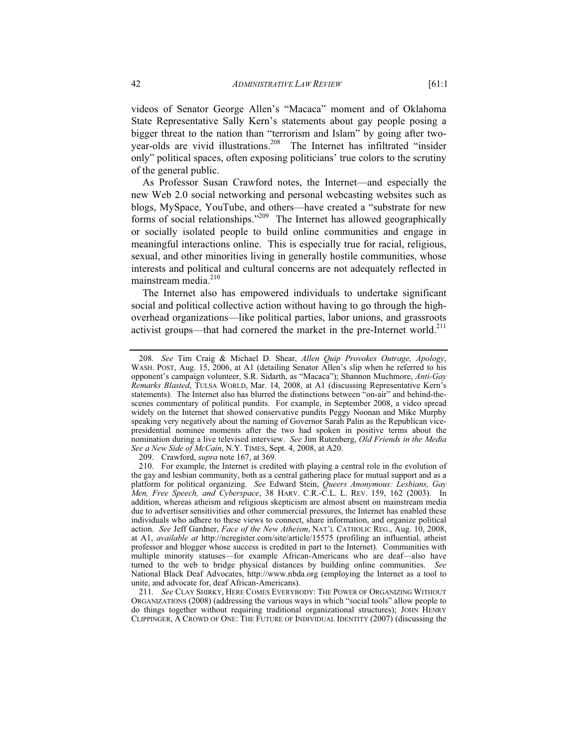videos of Senator George Allen's "Macaca" moment and of Oklahoma State Representative Sally Kern's statements about gay people posing a bigger threat to the nation than "terrorism and Islam" by going after twoyear-olds are vivid illustrations.<sup>208</sup> The Internet has infiltrated "insider" only" political spaces, often exposing politicians' true colors to the scrutiny

of the general public. As Professor Susan Crawford notes, the Internet—and especially the new Web 2.0 social networking and personal webcasting websites such as blogs, MySpace, YouTube, and others—have created a "substrate for new forms of social relationships."<sup>209</sup> The Internet has allowed geographically or socially isolated people to build online communities and engage in meaningful interactions online. This is especially true for racial, religious, sexual, and other minorities living in generally hostile communities, whose interests and political and cultural concerns are not adequately reflected in mainstream media.<sup>210</sup>

The Internet also has empowered individuals to undertake significant social and political collective action without having to go through the highoverhead organizations—like political parties, labor unions, and grassroots activist groups—that had cornered the market in the pre-Internet world.<sup>211</sup>

209. Crawford, *supra* note 167, at 369.

211*. See* CLAY SHIRKY, HERE COMES EVERYBODY: THE POWER OF ORGANIZING WITHOUT ORGANIZATIONS (2008) (addressing the various ways in which "social tools" allow people to do things together without requiring traditional organizational structures); JOHN HENRY CLIPPINGER,ACROWD OF ONE: THE FUTURE OF INDIVIDUAL IDENTITY (2007) (discussing the

<sup>208</sup>*. See* Tim Craig & Michael D. Shear, *Allen Quip Provokes Outrage, Apology*, WASH. POST, Aug. 15, 2006, at A1 (detailing Senator Allen's slip when he referred to his opponent's campaign volunteer, S.R. Sidarth, as "Macaca"); Shannon Muchmore, *Anti-Gay Remarks Blasted*, TULSA WORLD, Mar. 14, 2008, at A1 (discussing Representative Kern's statements). The Internet also has blurred the distinctions between "on-air" and behind-thescenes commentary of political pundits. For example, in September 2008, a video spread widely on the Internet that showed conservative pundits Peggy Noonan and Mike Murphy speaking very negatively about the naming of Governor Sarah Palin as the Republican vicepresidential nominee moments after the two had spoken in positive terms about the nomination during a live televised interview. *See* Jim Rutenberg, *Old Friends in the Media See a New Side of McCain*, N.Y. TIMES, Sept. 4, 2008, at A20.

 <sup>210.</sup> For example, the Internet is credited with playing a central role in the evolution of the gay and lesbian community, both as a central gathering place for mutual support and as a platform for political organizing. *See* Edward Stein, *Queers Anonymous: Lesbians, Gay Men, Free Speech, and Cyberspace*, 38 HARV. C.R.-C.L. L. REV. 159, 162 (2003). In addition, whereas atheism and religious skepticism are almost absent on mainstream media due to advertiser sensitivities and other commercial pressures, the Internet has enabled these individuals who adhere to these views to connect, share information, and organize political action. *See* Jeff Gardner, *Face of the New Atheism*, NAT'L CATHOLIC REG., Aug. 10, 2008, at A1, *available at* http://ncregister.com/site/article/15575 (profiling an influential, atheist professor and blogger whose success is credited in part to the Internet). Communities with multiple minority statuses—for example African-Americans who are deaf—also have turned to the web to bridge physical distances by building online communities. *See*  National Black Deaf Advocates, http://www.nbda.org (employing the Internet as a tool to unite, and advocate for, deaf African-Americans).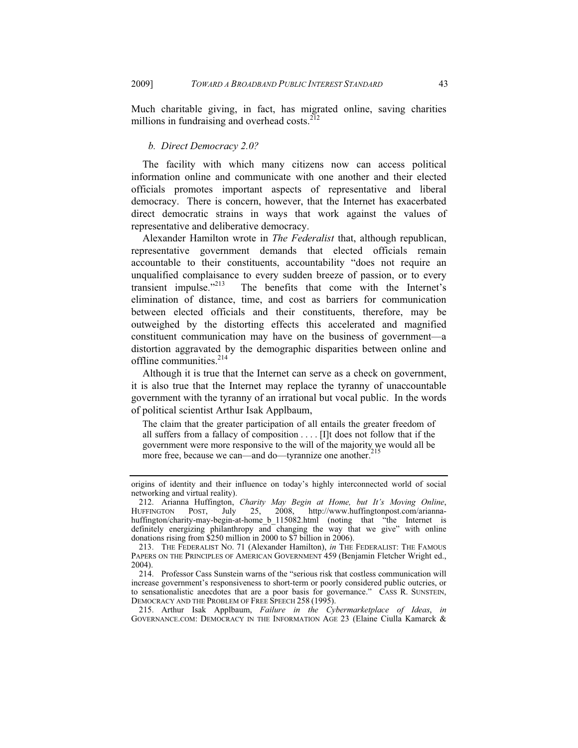Much charitable giving, in fact, has migrated online, saving charities millions in fundraising and overhead costs. $^{212}$ 

# *b. Direct Democracy 2.0?*

The facility with which many citizens now can access political information online and communicate with one another and their elected officials promotes important aspects of representative and liberal democracy. There is concern, however, that the Internet has exacerbated direct democratic strains in ways that work against the values of representative and deliberative democracy.

Alexander Hamilton wrote in *The Federalist* that, although republican, representative government demands that elected officials remain accountable to their constituents, accountability "does not require an unqualified complaisance to every sudden breeze of passion, or to every transient impulse." $2^{13}$  The benefits that come with the Internet's elimination of distance, time, and cost as barriers for communication between elected officials and their constituents, therefore, may be outweighed by the distorting effects this accelerated and magnified constituent communication may have on the business of government—a distortion aggravated by the demographic disparities between online and offline communities.<sup>214</sup>

Although it is true that the Internet can serve as a check on government, it is also true that the Internet may replace the tyranny of unaccountable government with the tyranny of an irrational but vocal public. In the words of political scientist Arthur Isak Applbaum,

The claim that the greater participation of all entails the greater freedom of all suffers from a fallacy of composition . . . . [I]t does not follow that if the government were more responsive to the will of the majority we would all be more free, because we can—and do—tyrannize one another.<sup>2</sup>

 215. Arthur Isak Applbaum, *Failure in the Cybermarketplace of Ideas*, *in* GOVERNANCE.COM: DEMOCRACY IN THE INFORMATION AGE 23 (Elaine Ciulla Kamarck &

origins of identity and their influence on today's highly interconnected world of social networking and virtual reality).

 <sup>212.</sup> Arianna Huffington, *Charity May Begin at Home, but It's Moving Online*, HUFFINGTON POST, July 25, 2008, http://www.huffingtonpost.com/ariannahuffington/charity-may-begin-at-home\_b\_115082.html (noting that "the Internet is definitely energizing philanthropy and changing the way that we give" with online donations rising from \$250 million in 2000 to \$7 billion in 2006).

 <sup>213.</sup> THE FEDERALIST NO. 71 (Alexander Hamilton), *in* THE FEDERALIST: THE FAMOUS PAPERS ON THE PRINCIPLES OF AMERICAN GOVERNMENT 459 (Benjamin Fletcher Wright ed., 2004).

 <sup>214.</sup> Professor Cass Sunstein warns of the "serious risk that costless communication will increase government's responsiveness to short-term or poorly considered public outcries, or to sensationalistic anecdotes that are a poor basis for governance." CASS R. SUNSTEIN, DEMOCRACY AND THE PROBLEM OF FREE SPEECH 258 (1995).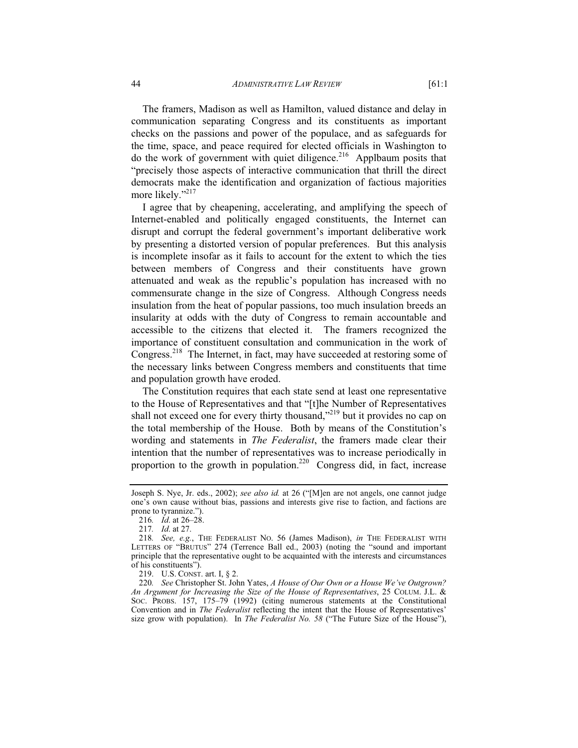The framers, Madison as well as Hamilton, valued distance and delay in communication separating Congress and its constituents as important checks on the passions and power of the populace, and as safeguards for the time, space, and peace required for elected officials in Washington to do the work of government with quiet diligence.<sup>216</sup> Applbaum posits that "precisely those aspects of interactive communication that thrill the direct democrats make the identification and organization of factious majorities more likely."<sup>217</sup>

I agree that by cheapening, accelerating, and amplifying the speech of Internet-enabled and politically engaged constituents, the Internet can disrupt and corrupt the federal government's important deliberative work by presenting a distorted version of popular preferences. But this analysis is incomplete insofar as it fails to account for the extent to which the ties between members of Congress and their constituents have grown attenuated and weak as the republic's population has increased with no commensurate change in the size of Congress. Although Congress needs insulation from the heat of popular passions, too much insulation breeds an insularity at odds with the duty of Congress to remain accountable and accessible to the citizens that elected it. The framers recognized the importance of constituent consultation and communication in the work of Congress.<sup>218</sup> The Internet, in fact, may have succeeded at restoring some of the necessary links between Congress members and constituents that time and population growth have eroded.

The Constitution requires that each state send at least one representative to the House of Representatives and that "[t]he Number of Representatives shall not exceed one for every thirty thousand,"<sup>219</sup> but it provides no cap on the total membership of the House. Both by means of the Constitution's wording and statements in *The Federalist*, the framers made clear their intention that the number of representatives was to increase periodically in proportion to the growth in population.<sup>220</sup> Congress did, in fact, increase

Joseph S. Nye, Jr. eds., 2002); *see also id.* at 26 ("[M]en are not angels, one cannot judge one's own cause without bias, passions and interests give rise to faction, and factions are prone to tyrannize.").

<sup>216</sup>*. Id*. at 26–28.

<sup>217</sup>*. Id*. at 27.

<sup>218</sup>*. See, e.g.*, THE FEDERALIST NO. 56 (James Madison), *in* THE FEDERALIST WITH LETTERS OF "BRUTUS" 274 (Terrence Ball ed., 2003) (noting the "sound and important principle that the representative ought to be acquainted with the interests and circumstances of his constituents").

 <sup>219.</sup> U.S. CONST. art. I, § 2.

<sup>220</sup>*. See* Christopher St. John Yates, *A House of Our Own or a House We've Outgrown? An Argument for Increasing the Size of the House of Representatives*, 25 COLUM. J.L. & SOC. PROBS. 157, 175–79 (1992) (citing numerous statements at the Constitutional Convention and in *The Federalist* reflecting the intent that the House of Representatives' size grow with population). In *The Federalist No. 58* ("The Future Size of the House"),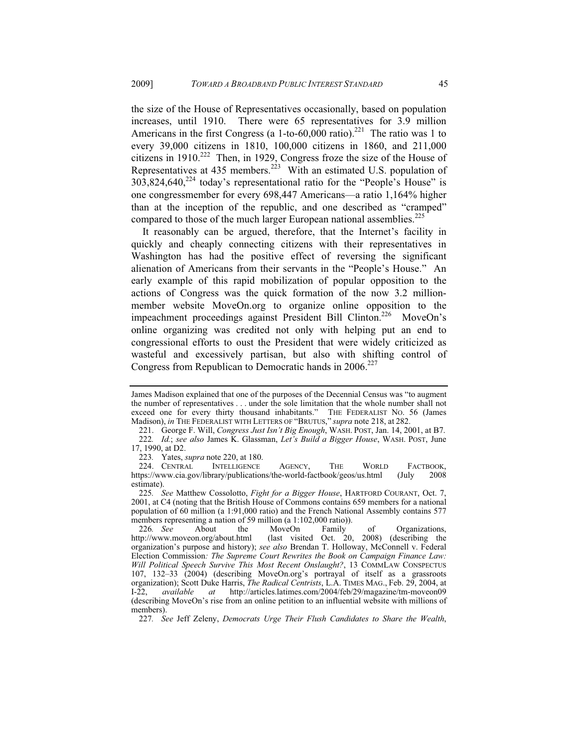the size of the House of Representatives occasionally, based on population increases, until 1910. There were 65 representatives for 3.9 million Americans in the first Congress (a 1-to-60,000 ratio).<sup>221</sup> The ratio was 1 to every 39,000 citizens in 1810, 100,000 citizens in 1860, and 211,000 citizens in 1910.<sup>222</sup> Then, in 1929, Congress froze the size of the House of Representatives at 435 members.<sup>223</sup> With an estimated U.S. population of  $303,824,640$ <sup>224</sup> today's representational ratio for the "People's House" is one congressmember for every 698,447 Americans—a ratio 1,164% higher than at the inception of the republic, and one described as "cramped" compared to those of the much larger European national assemblies.<sup>225</sup>

It reasonably can be argued, therefore, that the Internet's facility in quickly and cheaply connecting citizens with their representatives in Washington has had the positive effect of reversing the significant alienation of Americans from their servants in the "People's House." An early example of this rapid mobilization of popular opposition to the actions of Congress was the quick formation of the now 3.2 millionmember website MoveOn.org to organize online opposition to the impeachment proceedings against President Bill Clinton.<sup>226</sup> MoveOn's online organizing was credited not only with helping put an end to congressional efforts to oust the President that were widely criticized as wasteful and excessively partisan, but also with shifting control of Congress from Republican to Democratic hands in 2006.<sup>227</sup>

James Madison explained that one of the purposes of the Decennial Census was "to augment the number of representatives . . . under the sole limitation that the whole number shall not exceed one for every thirty thousand inhabitants." THE FEDERALIST NO. 56 (James Madison), *in* THE FEDERALIST WITH LETTERS OF "BRUTUS," *supra* note 218, at 282.

 <sup>221.</sup> George F. Will, *Congress Just Isn't Big Enough*, WASH. POST, Jan. 14, 2001, at B7. 222*. Id.*; *see also* James K. Glassman, *Let's Build a Bigger House*, WASH. POST, June 17, 1990, at D2.

<sup>223</sup>*.* Yates, *supra* note 220, at 180.

 <sup>224.</sup> CENTRAL INTELLIGENCE AGENCY, THE WORLD FACTBOOK, https://www.cia.gov/library/publications/the-world-factbook/geos/us.html (July 2008 estimate).

<sup>225</sup>*. See* Matthew Cossolotto, *Fight for a Bigger House*, HARTFORD COURANT, Oct. 7, 2001, at C4 (noting that the British House of Commons contains 659 members for a national population of 60 million (a 1:91,000 ratio) and the French National Assembly contains 577 members representing a nation of 59 million (a 1:102,000 ratio)).<br>226. See About the MoveOn Family

<sup>226</sup>*. See* About the MoveOn Family of Organizations, http://www.moveon.org/about.html (last visited Oct. 20, 2008) (describing the organization's purpose and history); *see also* Brendan T. Holloway, McConnell v. Federal Election Commission*: The Supreme Court Rewrites the Book on Campaign Finance Law: Will Political Speech Survive This Most Recent Onslaught?*, 13 COMMLAW CONSPECTUS 107, 132–33 (2004) (describing MoveOn.org's portrayal of itself as a grassroots organization); Scott Duke Harris, *The Radical Centrists*, L.A. TIMES MAG., Feb. 29, 2004, at I-22, *available at* http://articles.latimes.com/2004/feb/29/magazine/tm-moveon09 (describing MoveOn's rise from an online petition to an influential website with millions of members).

<sup>227</sup>*. See* Jeff Zeleny, *Democrats Urge Their Flush Candidates to Share the Wealth*,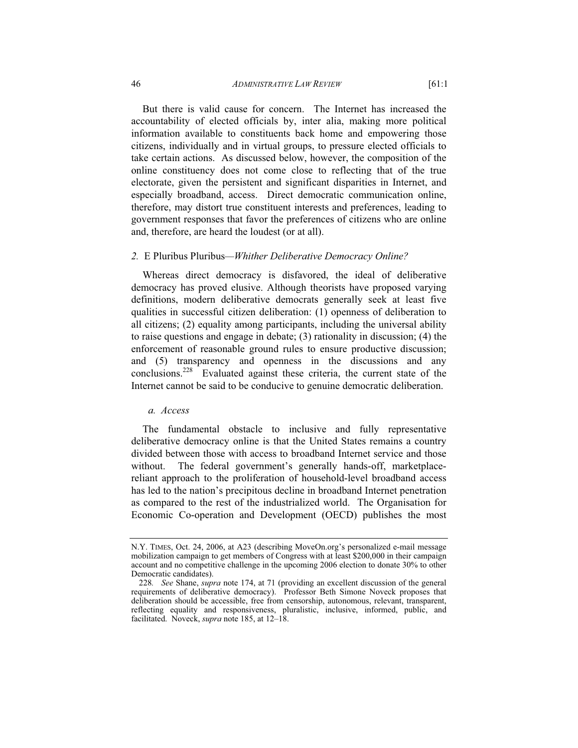46 *ADMINISTRATIVE LAW REVIEW* [61:1

But there is valid cause for concern. The Internet has increased the accountability of elected officials by, inter alia, making more political information available to constituents back home and empowering those citizens, individually and in virtual groups, to pressure elected officials to take certain actions. As discussed below, however, the composition of the online constituency does not come close to reflecting that of the true electorate, given the persistent and significant disparities in Internet, and especially broadband, access. Direct democratic communication online, therefore, may distort true constituent interests and preferences, leading to government responses that favor the preferences of citizens who are online and, therefore, are heard the loudest (or at all).

#### *2.* E Pluribus Pluribus*—Whither Deliberative Democracy Online?*

Whereas direct democracy is disfavored, the ideal of deliberative democracy has proved elusive. Although theorists have proposed varying definitions, modern deliberative democrats generally seek at least five qualities in successful citizen deliberation: (1) openness of deliberation to all citizens; (2) equality among participants, including the universal ability to raise questions and engage in debate; (3) rationality in discussion; (4) the enforcement of reasonable ground rules to ensure productive discussion; and (5) transparency and openness in the discussions and any conclusions.228 Evaluated against these criteria, the current state of the Internet cannot be said to be conducive to genuine democratic deliberation.

# *a. Access*

The fundamental obstacle to inclusive and fully representative deliberative democracy online is that the United States remains a country divided between those with access to broadband Internet service and those without. The federal government's generally hands-off, marketplacereliant approach to the proliferation of household-level broadband access has led to the nation's precipitous decline in broadband Internet penetration as compared to the rest of the industrialized world. The Organisation for Economic Co-operation and Development (OECD) publishes the most

N.Y. TIMES, Oct. 24, 2006, at A23 (describing MoveOn.org's personalized e-mail message mobilization campaign to get members of Congress with at least \$200,000 in their campaign account and no competitive challenge in the upcoming 2006 election to donate 30% to other Democratic candidates).

<sup>228</sup>*. See* Shane, *supra* note 174, at 71 (providing an excellent discussion of the general requirements of deliberative democracy). Professor Beth Simone Noveck proposes that deliberation should be accessible, free from censorship, autonomous, relevant, transparent, reflecting equality and responsiveness, pluralistic, inclusive, informed, public, and facilitated. Noveck, *supra* note 185, at 12–18.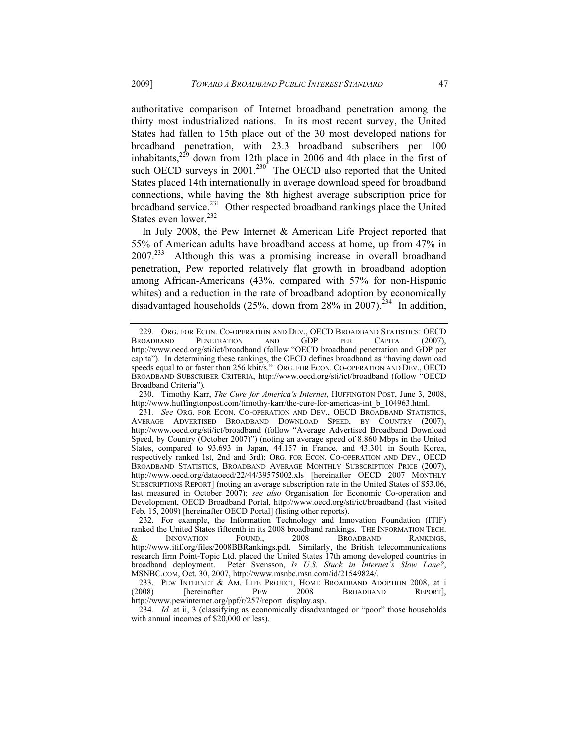authoritative comparison of Internet broadband penetration among the thirty most industrialized nations. In its most recent survey, the United States had fallen to 15th place out of the 30 most developed nations for broadband penetration, with 23.3 broadband subscribers per 100 inhabitants, $2^{25}$  down from 12th place in 2006 and 4th place in the first of such OECD surveys in  $2001$ .<sup>230</sup> The OECD also reported that the United States placed 14th internationally in average download speed for broadband connections, while having the 8th highest average subscription price for broadband service.<sup>231</sup> Other respected broadband rankings place the United States even lower.<sup>232</sup>

In July 2008, the Pew Internet & American Life Project reported that 55% of American adults have broadband access at home, up from 47% in  $2007<sup>233</sup>$  Although this was a promising increase in overall broadband penetration, Pew reported relatively flat growth in broadband adoption among African-Americans (43%, compared with 57% for non-Hispanic whites) and a reduction in the rate of broadband adoption by economically disadvantaged households (25%, down from 28% in 2007).<sup>234</sup> In addition,

 230. Timothy Karr, *The Cure for America's Internet*, HUFFINGTON POST, June 3, 2008, http://www.huffingtonpost.com/timothy-karr/the-cure-for-americas-int\_b\_104963.html.

234*. Id.* at ii, 3 (classifying as economically disadvantaged or "poor" those households with annual incomes of \$20,000 or less).

<sup>229</sup>*.* ORG. FOR ECON. CO-OPERATION AND DEV., OECD BROADBAND STATISTICS: OECD BROADBAND PENETRATION AND GDP PER CAPITA (2007), http://www.oecd.org/sti/ict/broadband (follow "OECD broadband penetration and GDP per capita"). In determining these rankings, the OECD defines broadband as "having download speeds equal to or faster than 256 kbit/s." ORG. FOR ECON. CO-OPERATION AND DEV., OECD BROADBAND SUBSCRIBER CRITERIA, http://www.oecd.org/sti/ict/broadband (follow "OECD Broadband Criteria")*.*

<sup>231</sup>*. See* ORG. FOR ECON. CO-OPERATION AND DEV., OECD BROADBAND STATISTICS, AVERAGE ADVERTISED BROADBAND DOWNLOAD SPEED, BY COUNTRY (2007), http://www.oecd.org/sti/ict/broadband (follow "Average Advertised Broadband Download Speed, by Country (October 2007)") (noting an average speed of 8.860 Mbps in the United States, compared to 93.693 in Japan, 44.157 in France, and 43.301 in South Korea, respectively ranked 1st, 2nd and 3rd); ORG. FOR ECON. CO-OPERATION AND DEV., OECD BROADBAND STATISTICS, BROADBAND AVERAGE MONTHLY SUBSCRIPTION PRICE (2007), http://www.oecd.org/dataoecd/22/44/39575002.xls [hereinafter OECD 2007 MONTHLY SUBSCRIPTIONS REPORT] (noting an average subscription rate in the United States of \$53.06, last measured in October 2007); *see also* Organisation for Economic Co-operation and Development, OECD Broadband Portal, http://www.oecd.org/sti/ict/broadband (last visited Feb. 15, 2009) [hereinafter OECD Portal] (listing other reports).

 <sup>232.</sup> For example, the Information Technology and Innovation Foundation (ITIF) ranked the United States fifteenth in its 2008 broadband rankings. THE INFORMATION TECH. & INNOVATION FOUND., 2008 BROADBAND RANKINGS, http://www.itif.org/files/2008BBRankings.pdf. Similarly, the British telecommunications research firm Point-Topic Ltd. placed the United States 17th among developed countries in broadband deployment. Peter Svensson, *Is U.S. Stuck in Internet's Slow Lane?*, MSNBC.COM, Oct. 30, 2007, http://www.msnbc.msn.com/id/21549824/.

 <sup>233.</sup> PEW INTERNET & AM. LIFE PROJECT, HOME BROADBAND ADOPTION 2008, at i (2008) [hereinafter PEW 2008 BROADBAND REPORT], http://www.pewinternet.org/ppf/r/257/report\_display.asp.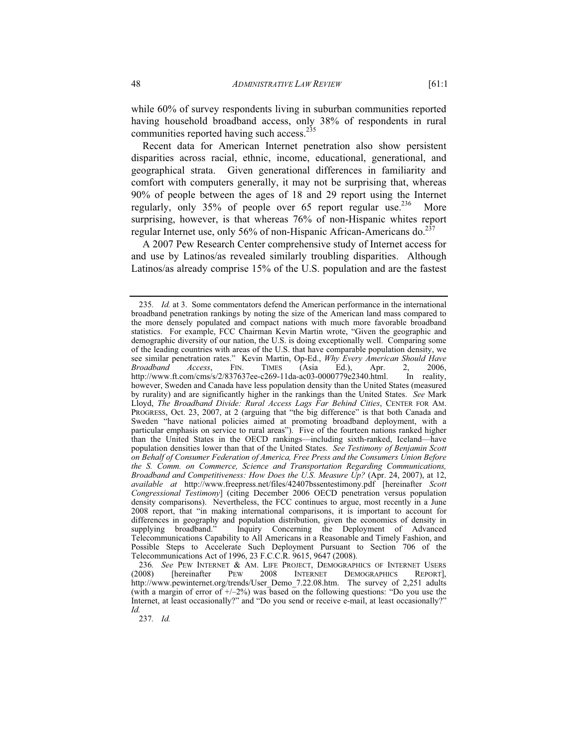while 60% of survey respondents living in suburban communities reported having household broadband access, only 38% of respondents in rural communities reported having such access.<sup>235</sup>

Recent data for American Internet penetration also show persistent disparities across racial, ethnic, income, educational, generational, and geographical strata. Given generational differences in familiarity and comfort with computers generally, it may not be surprising that, whereas 90% of people between the ages of 18 and 29 report using the Internet regularly, only  $35\%$  of people over 65 report regular use.<sup>236</sup> More surprising, however, is that whereas 76% of non-Hispanic whites report regular Internet use, only 56% of non-Hispanic African-Americans do.<sup>237</sup>

A 2007 Pew Research Center comprehensive study of Internet access for and use by Latinos/as revealed similarly troubling disparities. Although Latinos/as already comprise 15% of the U.S. population and are the fastest

<sup>235</sup>*. Id.* at 3. Some commentators defend the American performance in the international broadband penetration rankings by noting the size of the American land mass compared to the more densely populated and compact nations with much more favorable broadband statistics. For example, FCC Chairman Kevin Martin wrote, "Given the geographic and demographic diversity of our nation, the U.S. is doing exceptionally well. Comparing some of the leading countries with areas of the U.S. that have comparable population density, we see similar penetration rates." Kevin Martin, Op-Ed., *Why Every American Should Have Broadband Access*, FIN. TIMES (Asia Ed.), Apr. 2, 2006, http://www.ft.com/cms/s/2/837637ee-c269-11da-ac03-0000779e2340.html. In reality, however, Sweden and Canada have less population density than the United States (measured by rurality) and are significantly higher in the rankings than the United States. *See* Mark Lloyd, *The Broadband Divide: Rural Access Lags Far Behind Cities*, CENTER FOR AM. PROGRESS, Oct. 23, 2007, at 2 (arguing that "the big difference" is that both Canada and Sweden "have national policies aimed at promoting broadband deployment, with a particular emphasis on service to rural areas"). Five of the fourteen nations ranked higher than the United States in the OECD rankings—including sixth-ranked, Iceland—have population densities lower than that of the United States. *See Testimony of Benjamin Scott on Behalf of Consumer Federation of America, Free Press and the Consumers Union Before the S. Comm. on Commerce, Science and Transportation Regarding Communications, Broadband and Competitiveness: How Does the U.S. Measure Up?* (Apr. 24, 2007), at 12, *available at* http://www.freepress.net/files/42407bssentestimony.pdf [hereinafter *Scott Congressional Testimony*] (citing December 2006 OECD penetration versus population density comparisons). Nevertheless, the FCC continues to argue, most recently in a June 2008 report, that "in making international comparisons, it is important to account for differences in geography and population distribution, given the economics of density in supplying broadband." Inquiry Concerning the Deployment of Advanced Inquiry Concerning the Deployment of Advanced Telecommunications Capability to All Americans in a Reasonable and Timely Fashion, and Possible Steps to Accelerate Such Deployment Pursuant to Section 706 of the Telecommunications Act of 1996, 23 F.C.C.R. 9615, 9647 (2008).

<sup>236</sup>*. See* PEW INTERNET & AM. LIFE PROJECT, DEMOGRAPHICS OF INTERNET USERS (2008) [hereinafter PEW 2008 INTERNET DEMOGRAPHICS REPORT], [hereinafter PEW 2008 INTERNET DEMOGRAPHICS http://www.pewinternet.org/trends/User\_Demo\_7.22.08.htm. The survey of 2,251 adults (with a margin of error of  $+/-2\%$ ) was based on the following questions: "Do you use the Internet, at least occasionally?" and "Do you send or receive e-mail, at least occasionally?" *Id.*

<sup>237</sup>*. Id.*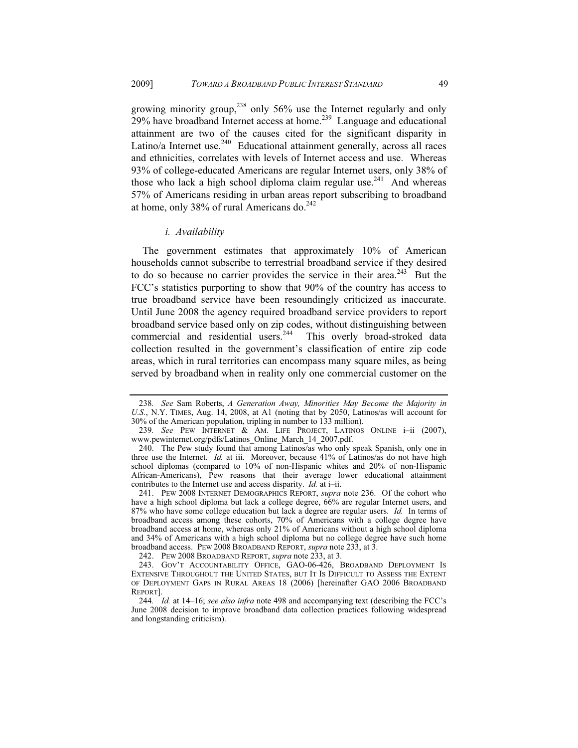growing minority group,<sup>238</sup> only 56% use the Internet regularly and only  $29%$  have broadband Internet access at home.<sup>239</sup> Language and educational attainment are two of the causes cited for the significant disparity in Latino/a Internet use.<sup>240</sup> Educational attainment generally, across all races and ethnicities, correlates with levels of Internet access and use. Whereas 93% of college-educated Americans are regular Internet users, only 38% of those who lack a high school diploma claim regular use.<sup>241</sup> And whereas 57% of Americans residing in urban areas report subscribing to broadband at home, only  $38\%$  of rural Americans do.<sup>242</sup>

#### *i. Availability*

The government estimates that approximately 10% of American households cannot subscribe to terrestrial broadband service if they desired to do so because no carrier provides the service in their area. $243$  But the FCC's statistics purporting to show that 90% of the country has access to true broadband service have been resoundingly criticized as inaccurate. Until June 2008 the agency required broadband service providers to report broadband service based only on zip codes, without distinguishing between commercial and residential users.<sup>244</sup> This overly broad-stroked data collection resulted in the government's classification of entire zip code areas, which in rural territories can encompass many square miles, as being served by broadband when in reality only one commercial customer on the

<sup>238</sup>*. See* Sam Roberts, *A Generation Away, Minorities May Become the Majority in U.S.*, N.Y. TIMES, Aug. 14, 2008, at A1 (noting that by 2050, Latinos/as will account for 30% of the American population, tripling in number to 133 million).

<sup>239</sup>*. See* PEW INTERNET & AM. LIFE PROJECT, LATINOS ONLINE i–ii (2007), www.pewinternet.org/pdfs/Latinos\_Online\_March\_14\_2007.pdf.

 <sup>240.</sup> The Pew study found that among Latinos/as who only speak Spanish, only one in three use the Internet. *Id.* at iii. Moreover, because 41% of Latinos/as do not have high school diplomas (compared to 10% of non-Hispanic whites and 20% of non-Hispanic African-Americans), Pew reasons that their average lower educational attainment contributes to the Internet use and access disparity. *Id.* at i–ii.

 <sup>241.</sup> PEW 2008 INTERNET DEMOGRAPHICS REPORT, *supra* note 236. Of the cohort who have a high school diploma but lack a college degree, 66% are regular Internet users, and 87% who have some college education but lack a degree are regular users. *Id.* In terms of broadband access among these cohorts, 70% of Americans with a college degree have broadband access at home, whereas only 21% of Americans without a high school diploma and 34% of Americans with a high school diploma but no college degree have such home broadband access. PEW 2008 BROADBAND REPORT, *supra* note 233, at 3.

 <sup>242.</sup> PEW 2008 BROADBAND REPORT, *supra* note 233, at 3.

 <sup>243.</sup> GOV'T ACCOUNTABILITY OFFICE, GAO-06-426, BROADBAND DEPLOYMENT IS EXTENSIVE THROUGHOUT THE UNITED STATES, BUT IT IS DIFFICULT TO ASSESS THE EXTENT OF DEPLOYMENT GAPS IN RURAL AREAS 18 (2006) [hereinafter GAO 2006 BROADBAND REPORT].

<sup>244</sup>*. Id.* at 14–16; *see also infra* note 498 and accompanying text (describing the FCC's June 2008 decision to improve broadband data collection practices following widespread and longstanding criticism).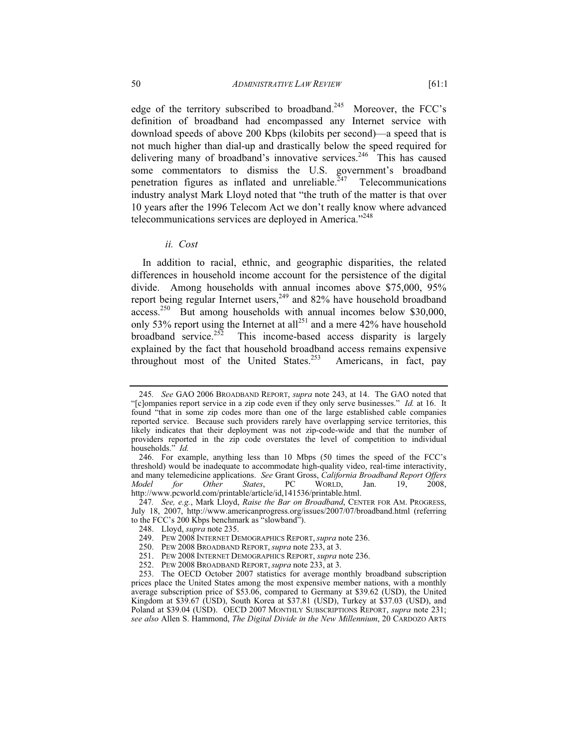edge of the territory subscribed to broadband.<sup>245</sup> Moreover, the FCC's definition of broadband had encompassed any Internet service with download speeds of above 200 Kbps (kilobits per second)—a speed that is not much higher than dial-up and drastically below the speed required for delivering many of broadband's innovative services.<sup>246</sup> This has caused some commentators to dismiss the U.S. government's broadband penetration figures as inflated and unreliable.<sup> $247$ </sup> Telecommunications industry analyst Mark Lloyd noted that "the truth of the matter is that over 10 years after the 1996 Telecom Act we don't really know where advanced telecommunications services are deployed in America."<sup>248</sup>

#### *ii. Cost*

In addition to racial, ethnic, and geographic disparities, the related differences in household income account for the persistence of the digital divide. Among households with annual incomes above \$75,000, 95% report being regular Internet users,<sup>249</sup> and 82% have household broadband  $access.^{250}$  But among households with annual incomes below \$30,000, only 53% report using the Internet at all<sup>251</sup> and a mere 42% have household broadband service.<sup>252</sup> This income-based access disparity is largely explained by the fact that household broadband access remains expensive throughout most of the United States.<sup>253</sup> Americans, in fact, pay

<sup>245</sup>*. See* GAO 2006 BROADBAND REPORT, *supra* note 243, at 14. The GAO noted that "[c]ompanies report service in a zip code even if they only serve businesses." *Id.* at 16. It found "that in some zip codes more than one of the large established cable companies reported service. Because such providers rarely have overlapping service territories, this likely indicates that their deployment was not zip-code-wide and that the number of providers reported in the zip code overstates the level of competition to individual households." *Id.* 

 <sup>246.</sup> For example, anything less than 10 Mbps (50 times the speed of the FCC's threshold) would be inadequate to accommodate high-quality video, real-time interactivity, and many telemedicine applications. *See* Grant Gross, *California Broadband Report Offers Model for Other States*, PC WORLD, Jan. 19, 2008, http://www.pcworld.com/printable/article/id,141536/printable.html.

<sup>247</sup>*. See, e.g.*, Mark Lloyd, *Raise the Bar on Broadband*, CENTER FOR AM. PROGRESS, July 18, 2007, http://www.americanprogress.org/issues/2007/07/broadband.html (referring to the FCC's 200 Kbps benchmark as "slowband").

 <sup>248.</sup> Lloyd, *supra* note 235.

 <sup>249.</sup> PEW 2008 INTERNET DEMOGRAPHICS REPORT, *supra* note 236.

 <sup>250.</sup> PEW 2008 BROADBAND REPORT, *supra* note 233, at 3.

 <sup>251.</sup> PEW 2008 INTERNET DEMOGRAPHICS REPORT, *supra* note 236.

 <sup>252.</sup> PEW 2008 BROADBAND REPORT, *supra* note 233, at 3.

 <sup>253.</sup> The OECD October 2007 statistics for average monthly broadband subscription prices place the United States among the most expensive member nations, with a monthly average subscription price of \$53.06, compared to Germany at \$39.62 (USD), the United Kingdom at \$39.67 (USD), South Korea at \$37.81 (USD), Turkey at \$37.03 (USD), and Poland at \$39.04 (USD). OECD 2007 MONTHLY SUBSCRIPTIONS REPORT, *supra* note 231; *see also* Allen S. Hammond, *The Digital Divide in the New Millennium*, 20 CARDOZO ARTS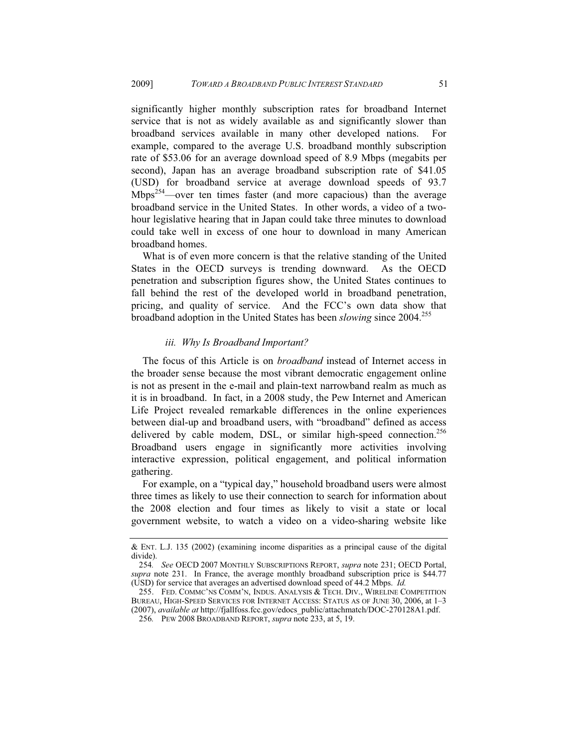significantly higher monthly subscription rates for broadband Internet service that is not as widely available as and significantly slower than broadband services available in many other developed nations. For example, compared to the average U.S. broadband monthly subscription rate of \$53.06 for an average download speed of 8.9 Mbps (megabits per second), Japan has an average broadband subscription rate of \$41.05 (USD) for broadband service at average download speeds of 93.7 Mbps<sup>254</sup>—over ten times faster (and more capacious) than the average broadband service in the United States. In other words, a video of a twohour legislative hearing that in Japan could take three minutes to download could take well in excess of one hour to download in many American broadband homes.

What is of even more concern is that the relative standing of the United States in the OECD surveys is trending downward. As the OECD penetration and subscription figures show, the United States continues to fall behind the rest of the developed world in broadband penetration, pricing, and quality of service. And the FCC's own data show that broadband adoption in the United States has been *slowing* since 2004.255

# *iii. Why Is Broadband Important?*

The focus of this Article is on *broadband* instead of Internet access in the broader sense because the most vibrant democratic engagement online is not as present in the e-mail and plain-text narrowband realm as much as it is in broadband. In fact, in a 2008 study, the Pew Internet and American Life Project revealed remarkable differences in the online experiences between dial-up and broadband users, with "broadband" defined as access delivered by cable modem, DSL, or similar high-speed connection.<sup>256</sup> Broadband users engage in significantly more activities involving interactive expression, political engagement, and political information gathering.

For example, on a "typical day," household broadband users were almost three times as likely to use their connection to search for information about the 2008 election and four times as likely to visit a state or local government website, to watch a video on a video-sharing website like

<sup>&</sup>amp; ENT. L.J. 135 (2002) (examining income disparities as a principal cause of the digital divide).

<sup>254</sup>*. See* OECD 2007 MONTHLY SUBSCRIPTIONS REPORT, *supra* note 231; OECD Portal, *supra* note 231. In France, the average monthly broadband subscription price is \$44.77 (USD) for service that averages an advertised download speed of 44.2 Mbps. *Id.*

 <sup>255.</sup> FED. COMMC'NS COMM'N, INDUS. ANALYSIS & TECH. DIV., WIRELINE COMPETITION BUREAU, HIGH-SPEED SERVICES FOR INTERNET ACCESS: STATUS AS OF JUNE 30, 2006, at 1–3 (2007), *available at* http://fjallfoss.fcc.gov/edocs\_public/attachmatch/DOC-270128A1.pdf.

<sup>256</sup>*.* PEW 2008 BROADBAND REPORT, *supra* note 233, at 5, 19.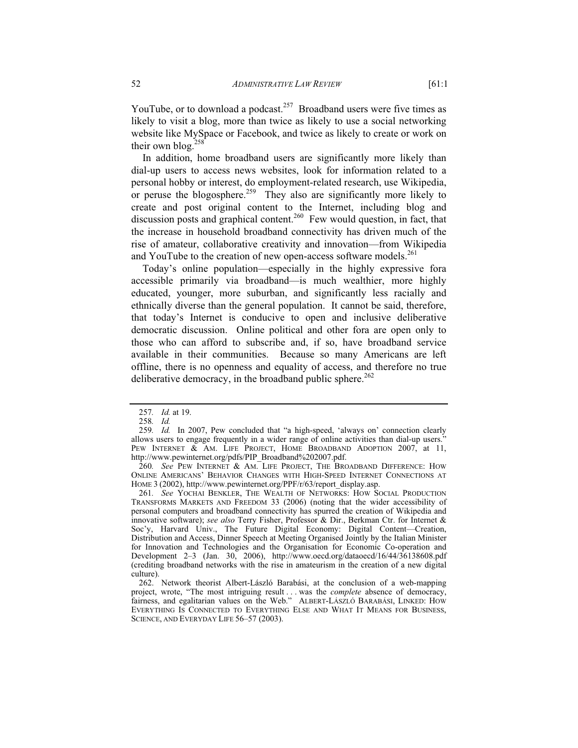YouTube, or to download a podcast.<sup>257</sup> Broadband users were five times as likely to visit a blog, more than twice as likely to use a social networking website like MySpace or Facebook, and twice as likely to create or work on their own blog. $258$ 

In addition, home broadband users are significantly more likely than dial-up users to access news websites, look for information related to a personal hobby or interest, do employment-related research, use Wikipedia, or peruse the blogosphere.<sup>259</sup> They also are significantly more likely to create and post original content to the Internet, including blog and discussion posts and graphical content.<sup>260</sup> Few would question, in fact, that the increase in household broadband connectivity has driven much of the rise of amateur, collaborative creativity and innovation—from Wikipedia and YouTube to the creation of new open-access software models.<sup>261</sup>

Today's online population—especially in the highly expressive fora accessible primarily via broadband—is much wealthier, more highly educated, younger, more suburban, and significantly less racially and ethnically diverse than the general population. It cannot be said, therefore, that today's Internet is conducive to open and inclusive deliberative democratic discussion. Online political and other fora are open only to those who can afford to subscribe and, if so, have broadband service available in their communities. Because so many Americans are left offline, there is no openness and equality of access, and therefore no true deliberative democracy, in the broadband public sphere.<sup>262</sup>

261*. See* YOCHAI BENKLER, THE WEALTH OF NETWORKS: HOW SOCIAL PRODUCTION TRANSFORMS MARKETS AND FREEDOM 33 (2006) (noting that the wider accessibility of personal computers and broadband connectivity has spurred the creation of Wikipedia and innovative software); *see also* Terry Fisher, Professor & Dir., Berkman Ctr. for Internet & Soc'y, Harvard Univ., The Future Digital Economy: Digital Content—Creation, Distribution and Access, Dinner Speech at Meeting Organised Jointly by the Italian Minister for Innovation and Technologies and the Organisation for Economic Co-operation and Development 2–3 (Jan. 30, 2006), http://www.oecd.org/dataoecd/16/44/36138608.pdf (crediting broadband networks with the rise in amateurism in the creation of a new digital culture).

 262. Network theorist Albert-László Barabási, at the conclusion of a web-mapping project, wrote, "The most intriguing result . . . was the *complete* absence of democracy, fairness, and egalitarian values on the Web." ALBERT-LÁSZLÓ BARABÁSI, LINKED: HOW EVERYTHING IS CONNECTED TO EVERYTHING ELSE AND WHAT IT MEANS FOR BUSINESS, SCIENCE, AND EVERYDAY LIFE 56–57 (2003).

<sup>257</sup>*. Id.* at 19.

<sup>258</sup>*. Id.*

<sup>259</sup>*. Id.* In 2007, Pew concluded that "a high-speed, 'always on' connection clearly allows users to engage frequently in a wider range of online activities than dial-up users." PEW INTERNET & AM. LIFE PROJECT, HOME BROADBAND ADOPTION 2007, at 11, http://www.pewinternet.org/pdfs/PIP\_Broadband%202007.pdf.

<sup>260</sup>*. See* PEW INTERNET & AM. LIFE PROJECT, THE BROADBAND DIFFERENCE: HOW ONLINE AMERICANS' BEHAVIOR CHANGES WITH HIGH-SPEED INTERNET CONNECTIONS AT HOME 3 (2002), http://www.pewinternet.org/PPF/r/63/report\_display.asp.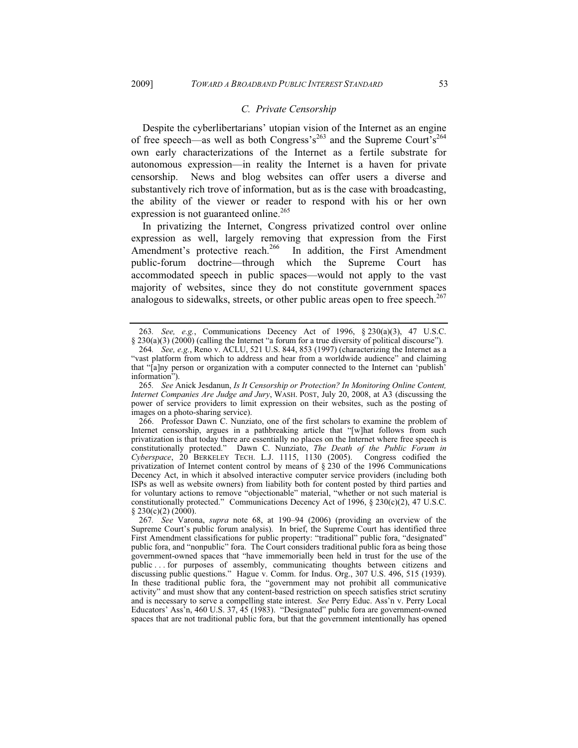### *C. Private Censorship*

Despite the cyberlibertarians' utopian vision of the Internet as an engine of free speech—as well as both Congress's<sup>263</sup> and the Supreme Court's<sup>264</sup> own early characterizations of the Internet as a fertile substrate for autonomous expression—in reality the Internet is a haven for private censorship. News and blog websites can offer users a diverse and substantively rich trove of information, but as is the case with broadcasting, the ability of the viewer or reader to respond with his or her own expression is not guaranteed online.<sup>265</sup>

In privatizing the Internet, Congress privatized control over online expression as well, largely removing that expression from the First Amendment's protective reach.<sup>266</sup> In addition, the First Amendment public-forum doctrine—through which the Supreme Court has accommodated speech in public spaces—would not apply to the vast majority of websites, since they do not constitute government spaces analogous to sidewalks, streets, or other public areas open to free speech. $267$ 

<sup>263</sup>*. See, e.g.*, Communications Decency Act of 1996, § 230(a)(3), 47 U.S.C. § 230(a)(3) (2000) (calling the Internet "a forum for a true diversity of political discourse").

<sup>264</sup>*. See, e.g.*, Reno v. ACLU, 521 U.S. 844, 853 (1997) (characterizing the Internet as a "vast platform from which to address and hear from a worldwide audience" and claiming that "[a]ny person or organization with a computer connected to the Internet can 'publish' information").

<sup>265</sup>*. See* Anick Jesdanun, *Is It Censorship or Protection? In Monitoring Online Content, Internet Companies Are Judge and Jury*, WASH. POST, July 20, 2008, at A3 (discussing the power of service providers to limit expression on their websites, such as the posting of images on a photo-sharing service).

 <sup>266.</sup> Professor Dawn C. Nunziato, one of the first scholars to examine the problem of Internet censorship, argues in a pathbreaking article that "[w]hat follows from such privatization is that today there are essentially no places on the Internet where free speech is constitutionally protected." Dawn C. Nunziato, *The Death of the Public Forum in Cyberspace*, 20 BERKELEY TECH. L.J. 1115, 1130 (2005). Congress codified the privatization of Internet content control by means of  $\S 230$  of the 1996 Communications Decency Act, in which it absolved interactive computer service providers (including both ISPs as well as website owners) from liability both for content posted by third parties and for voluntary actions to remove "objectionable" material, "whether or not such material is constitutionally protected." Communications Decency Act of 1996, § 230(c)(2), 47 U.S.C.  $§ 230(c)(2) (2000).$ 

<sup>267</sup>*. See* Varona, *supra* note 68, at 190–94 (2006) (providing an overview of the Supreme Court's public forum analysis). In brief, the Supreme Court has identified three First Amendment classifications for public property: "traditional" public fora, "designated" public fora, and "nonpublic" fora. The Court considers traditional public fora as being those government-owned spaces that "have immemorially been held in trust for the use of the public . . . for purposes of assembly, communicating thoughts between citizens and discussing public questions." Hague v. Comm. for Indus. Org., 307 U.S. 496, 515 (1939). In these traditional public fora, the "government may not prohibit all communicative activity" and must show that any content-based restriction on speech satisfies strict scrutiny and is necessary to serve a compelling state interest. *See* Perry Educ. Ass'n v. Perry Local Educators' Ass'n, 460 U.S. 37, 45 (1983). "Designated" public fora are government-owned spaces that are not traditional public fora, but that the government intentionally has opened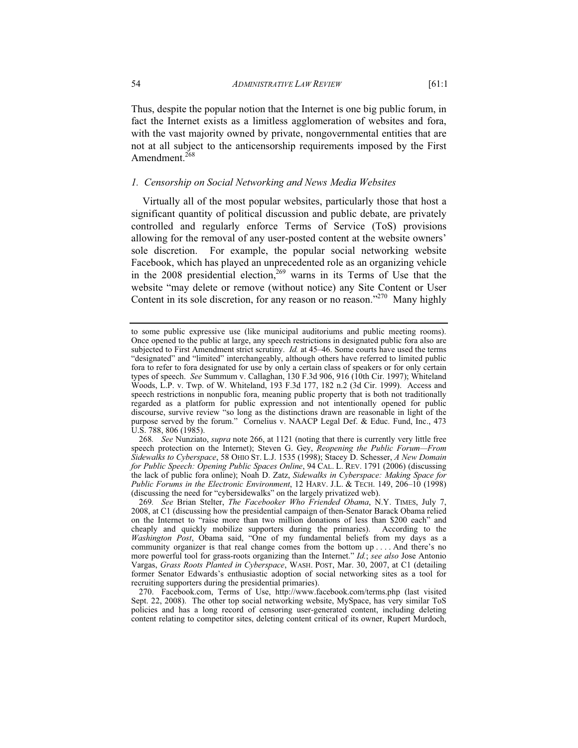Thus, despite the popular notion that the Internet is one big public forum, in fact the Internet exists as a limitless agglomeration of websites and fora, with the vast majority owned by private, nongovernmental entities that are not at all subject to the anticensorship requirements imposed by the First Amendment.<sup>268</sup>

# *1. Censorship on Social Networking and News Media Websites*

Virtually all of the most popular websites, particularly those that host a significant quantity of political discussion and public debate, are privately controlled and regularly enforce Terms of Service (ToS) provisions allowing for the removal of any user-posted content at the website owners' sole discretion. For example, the popular social networking website Facebook, which has played an unprecedented role as an organizing vehicle in the 2008 presidential election,<sup>269</sup> warns in its Terms of Use that the website "may delete or remove (without notice) any Site Content or User Content in its sole discretion, for any reason or no reason."<sup>270</sup> Many highly

268*. See* Nunziato, *supra* note 266, at 1121 (noting that there is currently very little free speech protection on the Internet); Steven G. Gey, *Reopening the Public Forum—From Sidewalks to Cyberspace*, 58 OHIO ST. L.J. 1535 (1998); Stacey D. Schesser, *A New Domain for Public Speech: Opening Public Spaces Online*, 94 CAL. L. REV. 1791 (2006) (discussing the lack of public fora online); Noah D. Zatz, *Sidewalks in Cyberspace: Making Space for Public Forums in the Electronic Environment*, 12 HARV. J.L. & TECH. 149, 206–10 (1998) (discussing the need for "cybersidewalks" on the largely privatized web).

to some public expressive use (like municipal auditoriums and public meeting rooms). Once opened to the public at large, any speech restrictions in designated public fora also are subjected to First Amendment strict scrutiny. *Id.* at 45–46. Some courts have used the terms "designated" and "limited" interchangeably, although others have referred to limited public fora to refer to fora designated for use by only a certain class of speakers or for only certain types of speech. *See* Summum v. Callaghan, 130 F.3d 906, 916 (10th Cir. 1997); Whiteland Woods, L.P. v. Twp. of W. Whiteland, 193 F.3d 177, 182 n.2 (3d Cir. 1999). Access and speech restrictions in nonpublic fora, meaning public property that is both not traditionally regarded as a platform for public expression and not intentionally opened for public discourse, survive review "so long as the distinctions drawn are reasonable in light of the purpose served by the forum." Cornelius v. NAACP Legal Def. & Educ. Fund, Inc., 473 U.S. 788, 806 (1985).

<sup>269</sup>*. See* Brian Stelter, *The Facebooker Who Friended Obama*, N.Y. TIMES, July 7, 2008, at C1 (discussing how the presidential campaign of then-Senator Barack Obama relied on the Internet to "raise more than two million donations of less than \$200 each" and cheaply and quickly mobilize supporters during the primaries). According to the *Washington Post*, Obama said, "One of my fundamental beliefs from my days as a community organizer is that real change comes from the bottom up . . . . And there's no more powerful tool for grass-roots organizing than the Internet." *Id.*; *see also* Jose Antonio Vargas, *Grass Roots Planted in Cyberspace*, WASH. POST, Mar. 30, 2007, at C1 (detailing former Senator Edwards's enthusiastic adoption of social networking sites as a tool for recruiting supporters during the presidential primaries).

 <sup>270.</sup> Facebook.com, Terms of Use, http://www.facebook.com/terms.php (last visited Sept. 22, 2008). The other top social networking website, MySpace, has very similar ToS policies and has a long record of censoring user-generated content, including deleting content relating to competitor sites, deleting content critical of its owner, Rupert Murdoch,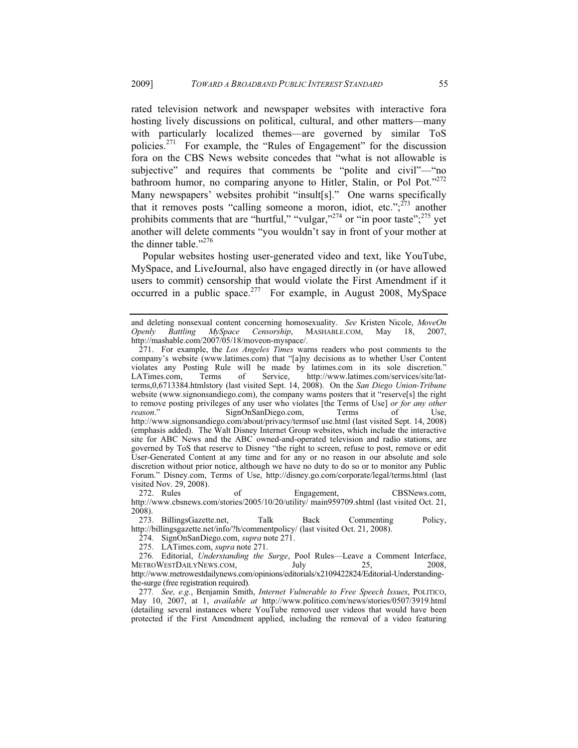rated television network and newspaper websites with interactive fora hosting lively discussions on political, cultural, and other matters—many with particularly localized themes—are governed by similar ToS policies.271 For example, the "Rules of Engagement" for the discussion fora on the CBS News website concedes that "what is not allowable is subjective" and requires that comments be "polite and civil"—"no bathroom humor, no comparing anyone to Hitler, Stalin, or Pol Pot."<sup>272</sup> Many newspapers' websites prohibit "insult[s]." One warns specifically that it removes posts "calling someone a moron, idiot, etc."; $^{273}$  another prohibits comments that are "hurtful," "vulgar,"<sup>274</sup> or "in poor taste";<sup>275</sup> yet another will delete comments "you wouldn't say in front of your mother at the dinner table." $276$ 

Popular websites hosting user-generated video and text, like YouTube, MySpace, and LiveJournal, also have engaged directly in (or have allowed users to commit) censorship that would violate the First Amendment if it occurred in a public space.<sup>277</sup> For example, in August 2008, MySpace

of Engagement, CBSNews.com, http://www.cbsnews.com/stories/2005/10/20/utility/ main959709.shtml (last visited Oct. 21, 2008).

 273. BillingsGazette.net, Talk Back Commenting Policy, http://billingsgazette.net/info/?h/commentpolicy/ (last visited Oct. 21, 2008).

274. SignOnSanDiego.com, *supra* note 271.

275. LATimes.com, *supra* note 271.

and deleting nonsexual content concerning homosexuality. *See* Kristen Nicole, *MoveOn*  $M$ ASHABLE.COM, http://mashable.com/2007/05/18/moveon-myspace/.

 <sup>271.</sup> For example, the *Los Angeles Times* warns readers who post comments to the company's website (www.latimes.com) that "[a]ny decisions as to whether User Content violates any Posting Rule will be made by latimes.com in its sole discretion." LATimes.com, Terms of Service, http://www.latimes.com/services/site/latterms,0,6713384.htmlstory (last visited Sept. 14, 2008). On the *San Diego Union-Tribune* website (www.signonsandiego.com), the company warns posters that it "reserve[s] the right to remove posting privileges of any user who violates [the Terms of Use] *or for any other*  SignOnSanDiego.com, Terms of Use, http://www.signonsandiego.com/about/privacy/termsof use.html (last visited Sept. 14, 2008) (emphasis added). The Walt Disney Internet Group websites, which include the interactive site for ABC News and the ABC owned-and-operated television and radio stations, are governed by ToS that reserve to Disney "the right to screen, refuse to post, remove or edit User-Generated Content at any time and for any or no reason in our absolute and sole discretion without prior notice, although we have no duty to do so or to monitor any Public Forum." Disney.com, Terms of Use, http://disney.go.com/corporate/legal/terms.html (last visited Nov. 29, 2008).<br>272. Rules

<sup>276</sup>*.* Editorial, *Understanding the Surge*, Pool Rules—Leave a Comment Interface, METROWESTDAILYNEWS.COM, July 25, 2008, http://www.metrowestdailynews.com/opinions/editorials/x2109422824/Editorial-Understandingthe-surge (free registration required).

<sup>277</sup>*. See, e.g.*, Benjamin Smith, *Internet Vulnerable to Free Speech Issues*, POLITICO, May 10, 2007, at 1, *available at* http://www.politico.com/news/stories/0507/3919.html (detailing several instances where YouTube removed user videos that would have been protected if the First Amendment applied, including the removal of a video featuring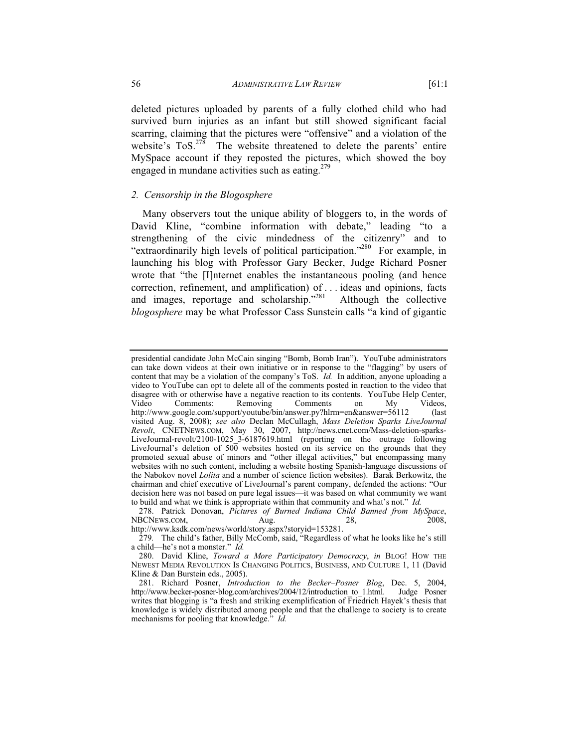deleted pictures uploaded by parents of a fully clothed child who had survived burn injuries as an infant but still showed significant facial scarring, claiming that the pictures were "offensive" and a violation of the website's  $\text{ToS.}^{278}$  The website threatened to delete the parents' entire MySpace account if they reposted the pictures, which showed the boy engaged in mundane activities such as eating.<sup> $279$ </sup>

## *2. Censorship in the Blogosphere*

Many observers tout the unique ability of bloggers to, in the words of David Kline, "combine information with debate," leading "to a strengthening of the civic mindedness of the citizenry" and to "extraordinarily high levels of political participation."<sup>280</sup> For example, in launching his blog with Professor Gary Becker, Judge Richard Posner wrote that "the [I]nternet enables the instantaneous pooling (and hence correction, refinement, and amplification) of . . . ideas and opinions, facts and images, reportage and scholarship."281 Although the collective *blogosphere* may be what Professor Cass Sunstein calls "a kind of gigantic

presidential candidate John McCain singing "Bomb, Bomb Iran"). YouTube administrators can take down videos at their own initiative or in response to the "flagging" by users of content that may be a violation of the company's ToS. *Id.* In addition, anyone uploading a video to YouTube can opt to delete all of the comments posted in reaction to the video that disagree with or otherwise have a negative reaction to its contents. YouTube Help Center,<br>Video Comments: Removing Comments on My Videos, Video Comments: Removing Comments on My Videos, http://www.google.com/support/youtube/bin/answer.py?hlrm=en&answer=56112 (last visited Aug. 8, 2008); *see also* Declan McCullagh, *Mass Deletion Sparks LiveJournal Revolt*, CNETNEWS.COM, May 30, 2007, http://news.cnet.com/Mass-deletion-sparks-LiveJournal-revolt/2100-1025\_3-6187619.html (reporting on the outrage following LiveJournal's deletion of 500 websites hosted on its service on the grounds that they promoted sexual abuse of minors and "other illegal activities," but encompassing many websites with no such content, including a website hosting Spanish-language discussions of the Nabokov novel *Lolita* and a number of science fiction websites). Barak Berkowitz, the chairman and chief executive of LiveJournal's parent company, defended the actions: "Our decision here was not based on pure legal issues—it was based on what community we want to build and what we think is appropriate within that community and what's not." *Id.*

 <sup>278.</sup> Patrick Donovan, *Pictures of Burned Indiana Child Banned from MySpace*, NBCNEWS.COM, Aug. 28, 2008, http://www.ksdk.com/news/world/story.aspx?storyid=153281.

<sup>279</sup>*.* The child's father, Billy McComb, said, "Regardless of what he looks like he's still a child—he's not a monster." *Id.*

 <sup>280.</sup> David Kline, *Toward a More Participatory Democracy*, *in* BLOG! HOW THE NEWEST MEDIA REVOLUTION IS CHANGING POLITICS, BUSINESS, AND CULTURE 1, 11 (David Kline & Dan Burstein eds., 2005).

 <sup>281.</sup> Richard Posner, *Introduction to the Becker–Posner Blog*, Dec. 5, 2004, http://www.becker-posner-blog.com/archives/2004/12/introduction\_to\_1.html. writes that blogging is "a fresh and striking exemplification of Friedrich Hayek's thesis that knowledge is widely distributed among people and that the challenge to society is to create mechanisms for pooling that knowledge." *Id.*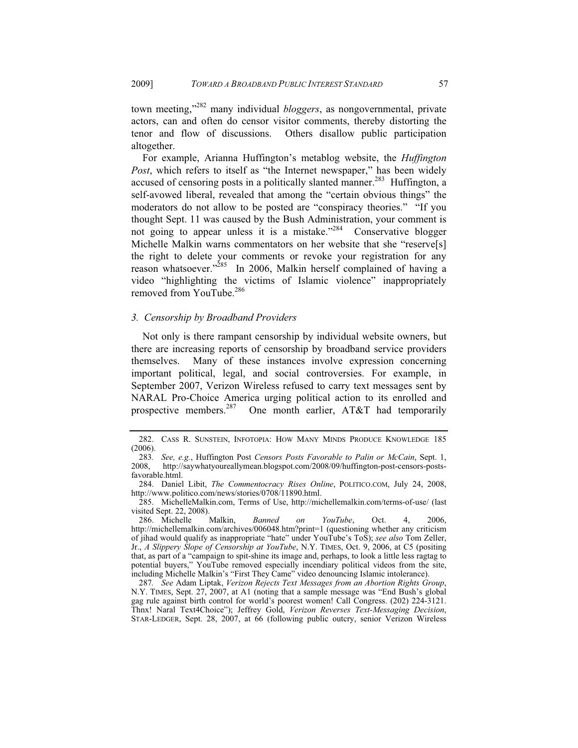town meeting,"282 many individual *bloggers*, as nongovernmental, private actors, can and often do censor visitor comments, thereby distorting the tenor and flow of discussions. Others disallow public participation altogether.

For example, Arianna Huffington's metablog website, the *Huffington Post*, which refers to itself as "the Internet newspaper," has been widely accused of censoring posts in a politically slanted manner.<sup>283</sup> Huffington, a self-avowed liberal, revealed that among the "certain obvious things" the moderators do not allow to be posted are "conspiracy theories." "If you thought Sept. 11 was caused by the Bush Administration, your comment is not going to appear unless it is a mistake."<sup>284</sup> Conservative blogger Michelle Malkin warns commentators on her website that she "reserve[s] the right to delete your comments or revoke your registration for any reason whatsoever."<sup>285</sup> In 2006, Malkin herself complained of having a video "highlighting the victims of Islamic violence" inappropriately removed from YouTube.<sup>286</sup>

# *3. Censorship by Broadband Providers*

Not only is there rampant censorship by individual website owners, but there are increasing reports of censorship by broadband service providers themselves. Many of these instances involve expression concerning important political, legal, and social controversies. For example, in September 2007, Verizon Wireless refused to carry text messages sent by NARAL Pro-Choice America urging political action to its enrolled and prospective members.<sup>287</sup> One month earlier, AT&T had temporarily

287*. See* Adam Liptak, *Verizon Rejects Text Messages from an Abortion Rights Group*, N.Y. TIMES, Sept. 27, 2007, at A1 (noting that a sample message was "End Bush's global gag rule against birth control for world's poorest women! Call Congress. (202) 224-3121. Thnx! Naral Text4Choice"); Jeffrey Gold, *Verizon Reverses Text-Messaging Decision*, STAR-LEDGER, Sept. 28, 2007, at 66 (following public outcry, senior Verizon Wireless

 <sup>282.</sup> CASS R. SUNSTEIN, INFOTOPIA: HOW MANY MINDS PRODUCE KNOWLEDGE 185 (2006).

<sup>283</sup>*. See, e.g.*, Huffington Post *Censors Posts Favorable to Palin or McCain*, Sept. 1, 2008, http://saywhatyoureallymean.blogspot.com/2008/09/huffington-post-censors-postsfavorable.html.

 <sup>284.</sup> Daniel Libit, *The Commentocracy Rises Online*, POLITICO.COM, July 24, 2008, http://www.politico.com/news/stories/0708/11890.html.

 <sup>285.</sup> MichelleMalkin.com, Terms of Use, http://michellemalkin.com/terms-of-use/ (last visited Sept. 22, 2008).<br>286. Michelle Malkin,

 <sup>286.</sup> Michelle Malkin, *Banned on YouTube*, Oct. 4, 2006, http://michellemalkin.com/archives/006048.htm?print=1 (questioning whether any criticism of jihad would qualify as inappropriate "hate" under YouTube's ToS); *see also* Tom Zeller, Jr., *A Slippery Slope of Censorship at YouTube*, N.Y. TIMES, Oct. 9, 2006, at C5 (positing that, as part of a "campaign to spit-shine its image and, perhaps, to look a little less ragtag to potential buyers," YouTube removed especially incendiary political videos from the site, including Michelle Malkin's "First They Came" video denouncing Islamic intolerance).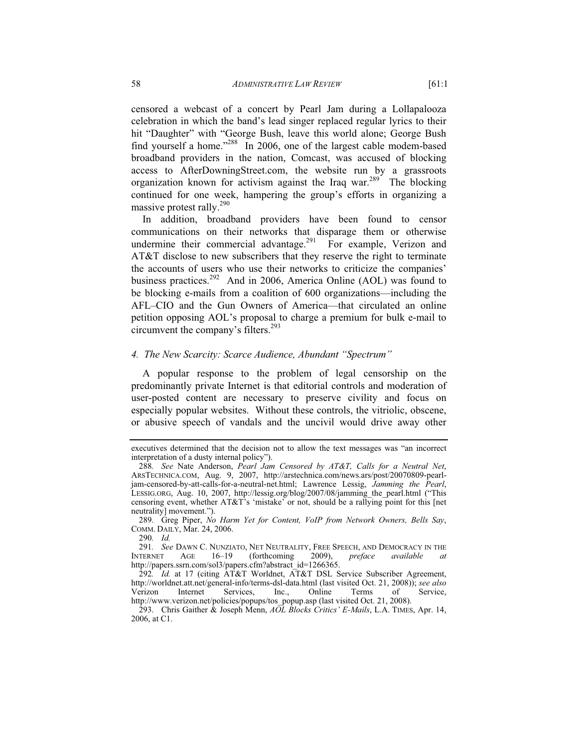censored a webcast of a concert by Pearl Jam during a Lollapalooza celebration in which the band's lead singer replaced regular lyrics to their hit "Daughter" with "George Bush, leave this world alone; George Bush find yourself a home."288 In 2006, one of the largest cable modem-based broadband providers in the nation, Comcast, was accused of blocking access to AfterDowningStreet.com, the website run by a grassroots organization known for activism against the Iraq war.<sup>289</sup> The blocking continued for one week, hampering the group's efforts in organizing a massive protest rally. $290$ 

In addition, broadband providers have been found to censor communications on their networks that disparage them or otherwise undermine their commercial advantage.<sup>291</sup> For example, Verizon and AT&T disclose to new subscribers that they reserve the right to terminate the accounts of users who use their networks to criticize the companies' business practices.<sup>292</sup> And in 2006, America Online (AOL) was found to be blocking e-mails from a coalition of 600 organizations—including the AFL–CIO and the Gun Owners of America—that circulated an online petition opposing AOL's proposal to charge a premium for bulk e-mail to circumvent the company's filters.<sup>293</sup>

### *4. The New Scarcity: Scarce Audience, Abundant "Spectrum"*

A popular response to the problem of legal censorship on the predominantly private Internet is that editorial controls and moderation of user-posted content are necessary to preserve civility and focus on especially popular websites. Without these controls, the vitriolic, obscene, or abusive speech of vandals and the uncivil would drive away other

executives determined that the decision not to allow the text messages was "an incorrect interpretation of a dusty internal policy").

<sup>288</sup>*. See* Nate Anderson, *Pearl Jam Censored by AT&T, Calls for a Neutral Net*, ARSTECHNICA.COM, Aug. 9, 2007, http://arstechnica.com/news.ars/post/20070809-pearljam-censored-by-att-calls-for-a-neutral-net.html; Lawrence Lessig, *Jamming the Pearl*, LESSIG.ORG, Aug. 10, 2007, http://lessig.org/blog/2007/08/jamming the pearl.html ("This censoring event, whether AT&T's 'mistake' or not, should be a rallying point for this [net neutrality] movement.").

 <sup>289.</sup> Greg Piper, *No Harm Yet for Content, VoIP from Network Owners, Bells Say*, COMM. DAILY, Mar. 24, 2006.

<sup>290</sup>*. Id.*

<sup>291</sup>*.* See DAWN C. NUNZIATO, NET NEUTRALITY, FREE SPEECH, AND DEMOCRACY IN THE TERNET AGE 16–19 (forthcoming 2009), *preface available at* INTERNET AGE 16–19 (forthcoming 2009), *preface available at*  http://papers.ssrn.com/sol3/papers.cfm?abstract\_id=1266365.

<sup>292</sup>*. Id.* at 17 (citing AT&T Worldnet, AT&T DSL Service Subscriber Agreement, http://worldnet.att.net/general-info/terms-dsl-data.html (last visited Oct. 21, 2008)); *see also*  Verizon Internet Services, Inc., Online Terms of Service, http://www.verizon.net/policies/popups/tos\_popup.asp (last visited Oct. 21, 2008).

 <sup>293.</sup> Chris Gaither & Joseph Menn, *AOL Blocks Critics' E-Mails*, L.A. TIMES, Apr. 14, 2006, at C1.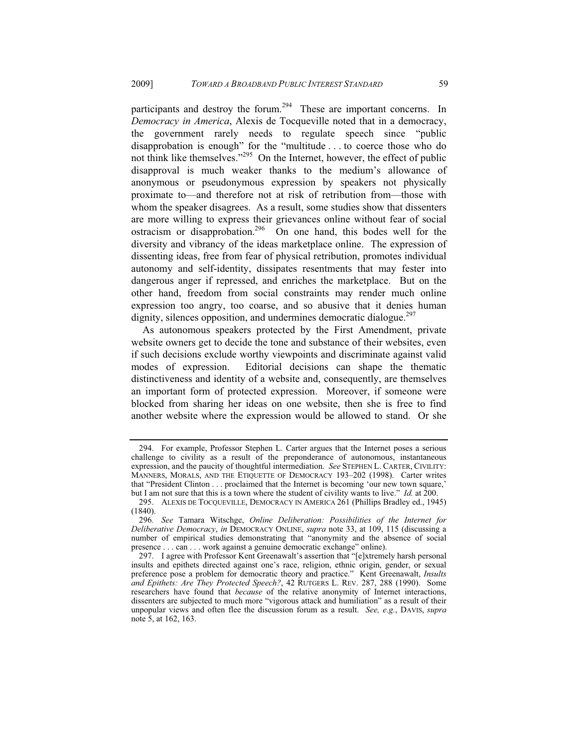participants and destroy the forum.<sup>294</sup> These are important concerns. In *Democracy in America*, Alexis de Tocqueville noted that in a democracy, the government rarely needs to regulate speech since "public disapprobation is enough" for the "multitude . . . to coerce those who do not think like themselves."<sup>295</sup> On the Internet, however, the effect of public disapproval is much weaker thanks to the medium's allowance of anonymous or pseudonymous expression by speakers not physically proximate to—and therefore not at risk of retribution from—those with whom the speaker disagrees. As a result, some studies show that dissenters are more willing to express their grievances online without fear of social ostracism or disapprobation.<sup>296</sup> On one hand, this bodes well for the diversity and vibrancy of the ideas marketplace online. The expression of dissenting ideas, free from fear of physical retribution, promotes individual autonomy and self-identity, dissipates resentments that may fester into dangerous anger if repressed, and enriches the marketplace. But on the other hand, freedom from social constraints may render much online expression too angry, too coarse, and so abusive that it denies human dignity, silences opposition, and undermines democratic dialogue.<sup>297</sup>

As autonomous speakers protected by the First Amendment, private website owners get to decide the tone and substance of their websites, even if such decisions exclude worthy viewpoints and discriminate against valid modes of expression. Editorial decisions can shape the thematic distinctiveness and identity of a website and, consequently, are themselves an important form of protected expression. Moreover, if someone were blocked from sharing her ideas on one website, then she is free to find another website where the expression would be allowed to stand. Or she

 <sup>294.</sup> For example, Professor Stephen L. Carter argues that the Internet poses a serious challenge to civility as a result of the preponderance of autonomous, instantaneous expression, and the paucity of thoughtful intermediation. *See* STEPHEN L. CARTER, CIVILITY: MANNERS, MORALS, AND THE ETIQUETTE OF DEMOCRACY 193–202 (1998). Carter writes that "President Clinton . . . proclaimed that the Internet is becoming 'our new town square,' but I am not sure that this is a town where the student of civility wants to live." *Id.* at 200.

 <sup>295.</sup> ALEXIS DE TOCQUEVILLE, DEMOCRACY IN AMERICA 261 (Phillips Bradley ed., 1945) (1840).

<sup>296</sup>*. See* Tamara Witschge, *Online Deliberation: Possibilities of the Internet for Deliberative Democracy*, *in* DEMOCRACY ONLINE, *supra* note 33, at 109, 115 (discussing a number of empirical studies demonstrating that "anonymity and the absence of social presence . . . can . . . work against a genuine democratic exchange" online).

 <sup>297.</sup> I agree with Professor Kent Greenawalt's assertion that "[e]xtremely harsh personal insults and epithets directed against one's race, religion, ethnic origin, gender, or sexual preference pose a problem for democratic theory and practice." Kent Greenawalt, *Insults and Epithets: Are They Protected Speech?*, 42 RUTGERS L. REV. 287, 288 (1990). Some researchers have found that *because* of the relative anonymity of Internet interactions, dissenters are subjected to much more "vigorous attack and humiliation" as a result of their unpopular views and often flee the discussion forum as a result. *See, e.g.*, DAVIS, *supra* note 5, at 162, 163.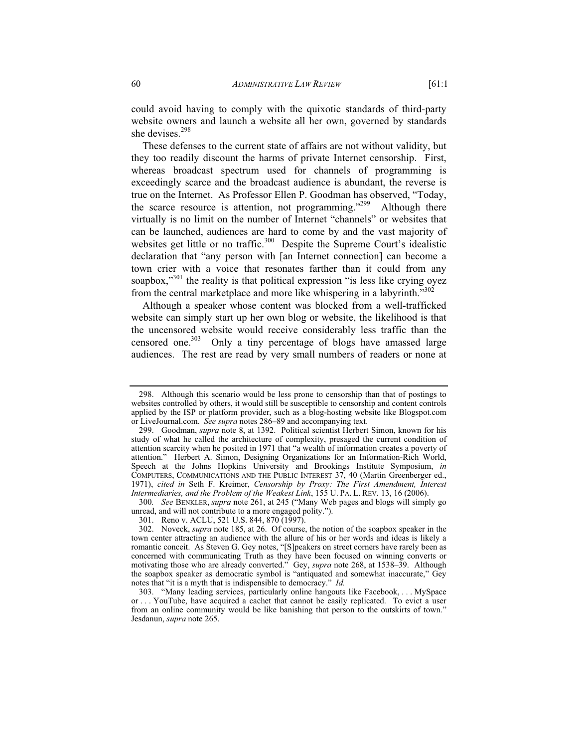could avoid having to comply with the quixotic standards of third-party website owners and launch a website all her own, governed by standards she devises.<sup>298</sup>

These defenses to the current state of affairs are not without validity, but they too readily discount the harms of private Internet censorship. First, whereas broadcast spectrum used for channels of programming is exceedingly scarce and the broadcast audience is abundant, the reverse is true on the Internet. As Professor Ellen P. Goodman has observed, "Today, the scarce resource is attention, not programming.<sup> $299$ </sup> Although there virtually is no limit on the number of Internet "channels" or websites that can be launched, audiences are hard to come by and the vast majority of websites get little or no traffic.<sup>300</sup> Despite the Supreme Court's idealistic declaration that "any person with [an Internet connection] can become a town crier with a voice that resonates farther than it could from any soapbox,"<sup>301</sup> the reality is that political expression "is less like crying oyez from the central marketplace and more like whispering in a labyrinth."<sup>302</sup>

Although a speaker whose content was blocked from a well-trafficked website can simply start up her own blog or website, the likelihood is that the uncensored website would receive considerably less traffic than the censored one.<sup>303</sup> Only a tiny percentage of blogs have amassed large audiences. The rest are read by very small numbers of readers or none at

 <sup>298.</sup> Although this scenario would be less prone to censorship than that of postings to websites controlled by others, it would still be susceptible to censorship and content controls applied by the ISP or platform provider, such as a blog-hosting website like Blogspot.com or LiveJournal.com. *See supra* notes 286–89 and accompanying text.

 <sup>299.</sup> Goodman, *supra* note 8, at 1392. Political scientist Herbert Simon, known for his study of what he called the architecture of complexity, presaged the current condition of attention scarcity when he posited in 1971 that "a wealth of information creates a poverty of attention." Herbert A. Simon, Designing Organizations for an Information-Rich World, Speech at the Johns Hopkins University and Brookings Institute Symposium, *in* COMPUTERS, COMMUNICATIONS AND THE PUBLIC INTEREST 37, 40 (Martin Greenberger ed., 1971), *cited in* Seth F. Kreimer, *Censorship by Proxy: The First Amendment, Interest Intermediaries, and the Problem of the Weakest Link*, 155 U. PA. L. REV. 13, 16 (2006).

<sup>300</sup>*. See* BENKLER, *supra* note 261, at 245 ("Many Web pages and blogs will simply go unread, and will not contribute to a more engaged polity.").

 <sup>301.</sup> Reno v. ACLU, 521 U.S. 844, 870 (1997).

 <sup>302.</sup> Noveck, *supra* note 185, at 26. Of course, the notion of the soapbox speaker in the town center attracting an audience with the allure of his or her words and ideas is likely a romantic conceit. As Steven G. Gey notes, "[S]peakers on street corners have rarely been as concerned with communicating Truth as they have been focused on winning converts or motivating those who are already converted." Gey, *supra* note 268, at 1538–39. Although the soapbox speaker as democratic symbol is "antiquated and somewhat inaccurate," Gey notes that "it is a myth that is indispensible to democracy." *Id.* 

 <sup>303. &</sup>quot;Many leading services, particularly online hangouts like Facebook, . . . MySpace or . . . YouTube, have acquired a cachet that cannot be easily replicated. To evict a user from an online community would be like banishing that person to the outskirts of town." Jesdanun, *supra* note 265.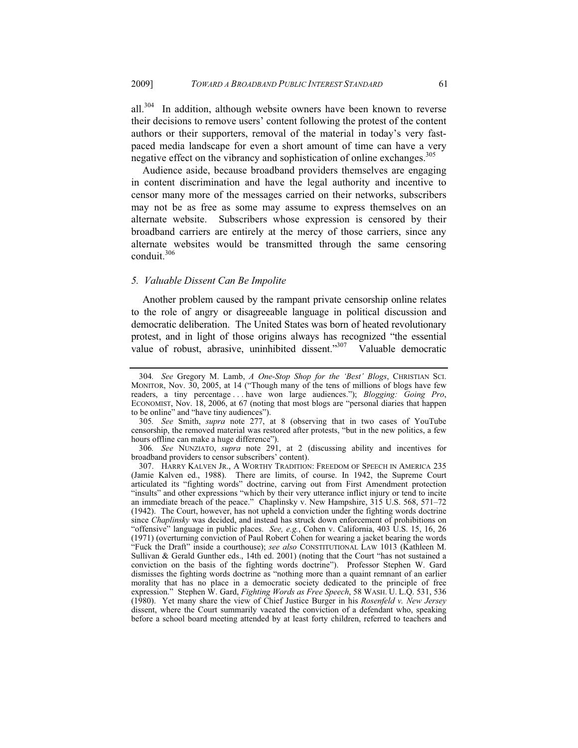$all.^{304}$  In addition, although website owners have been known to reverse their decisions to remove users' content following the protest of the content authors or their supporters, removal of the material in today's very fastpaced media landscape for even a short amount of time can have a very negative effect on the vibrancy and sophistication of online exchanges.<sup>305</sup>

Audience aside, because broadband providers themselves are engaging in content discrimination and have the legal authority and incentive to censor many more of the messages carried on their networks, subscribers may not be as free as some may assume to express themselves on an alternate website. Subscribers whose expression is censored by their broadband carriers are entirely at the mercy of those carriers, since any alternate websites would be transmitted through the same censoring conduit.<sup>306</sup>

## *5. Valuable Dissent Can Be Impolite*

Another problem caused by the rampant private censorship online relates to the role of angry or disagreeable language in political discussion and democratic deliberation. The United States was born of heated revolutionary protest, and in light of those origins always has recognized "the essential value of robust, abrasive, uninhibited dissent."<sup>307</sup> Valuable democratic

<sup>304</sup>*. See* Gregory M. Lamb, *A One-Stop Shop for the 'Best' Blogs*, CHRISTIAN SCI. MONITOR, Nov. 30, 2005, at 14 ("Though many of the tens of millions of blogs have few readers, a tiny percentage . . . have won large audiences."); *Blogging: Going Pro*, ECONOMIST, Nov. 18, 2006, at 67 (noting that most blogs are "personal diaries that happen to be online" and "have tiny audiences").

<sup>305</sup>*. See* Smith, *supra* note 277, at 8 (observing that in two cases of YouTube censorship, the removed material was restored after protests, "but in the new politics, a few hours offline can make a huge difference").

<sup>306</sup>*. See* NUNZIATO, *supra* note 291, at 2 (discussing ability and incentives for broadband providers to censor subscribers' content).

 <sup>307.</sup> HARRY KALVEN JR., A WORTHY TRADITION: FREEDOM OF SPEECH IN AMERICA 235 (Jamie Kalven ed., 1988). There are limits, of course. In 1942, the Supreme Court articulated its "fighting words" doctrine, carving out from First Amendment protection "insults" and other expressions "which by their very utterance inflict injury or tend to incite an immediate breach of the peace." Chaplinsky v. New Hampshire, 315 U.S. 568, 571–72 (1942). The Court, however, has not upheld a conviction under the fighting words doctrine since *Chaplinsky* was decided, and instead has struck down enforcement of prohibitions on "offensive" language in public places. *See, e.g.*, Cohen v. California, 403 U.S. 15, 16, 26 (1971) (overturning conviction of Paul Robert Cohen for wearing a jacket bearing the words "Fuck the Draft" inside a courthouse); *see also* CONSTITUTIONAL LAW 1013 (Kathleen M. Sullivan & Gerald Gunther eds., 14th ed. 2001) (noting that the Court "has not sustained a conviction on the basis of the fighting words doctrine"). Professor Stephen W. Gard dismisses the fighting words doctrine as "nothing more than a quaint remnant of an earlier morality that has no place in a democratic society dedicated to the principle of free expression." Stephen W. Gard, *Fighting Words as Free Speech*, 58 WASH. U. L.Q. 531, 536 (1980). Yet many share the view of Chief Justice Burger in his *Rosenfeld v. New Jersey*  dissent, where the Court summarily vacated the conviction of a defendant who, speaking before a school board meeting attended by at least forty children, referred to teachers and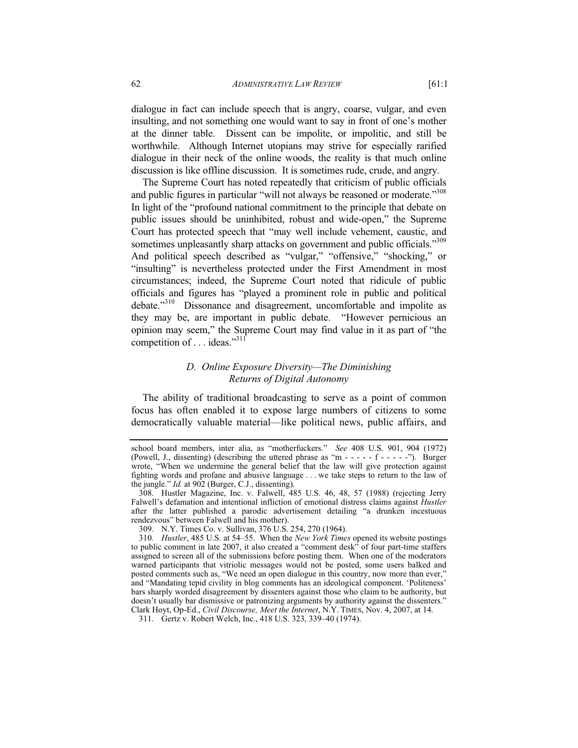62 *ADMINISTRATIVE LAW REVIEW* [61:1

dialogue in fact can include speech that is angry, coarse, vulgar, and even insulting, and not something one would want to say in front of one's mother at the dinner table. Dissent can be impolite, or impolitic, and still be worthwhile. Although Internet utopians may strive for especially rarified dialogue in their neck of the online woods, the reality is that much online discussion is like offline discussion. It is sometimes rude, crude, and angry.

The Supreme Court has noted repeatedly that criticism of public officials and public figures in particular "will not always be reasoned or moderate."<sup>308</sup> In light of the "profound national commitment to the principle that debate on public issues should be uninhibited, robust and wide-open," the Supreme Court has protected speech that "may well include vehement, caustic, and sometimes unpleasantly sharp attacks on government and public officials."<sup>309</sup> And political speech described as "vulgar," "offensive," "shocking," or "insulting" is nevertheless protected under the First Amendment in most circumstances; indeed, the Supreme Court noted that ridicule of public officials and figures has "played a prominent role in public and political debate."310 Dissonance and disagreement, uncomfortable and impolite as they may be, are important in public debate. "However pernicious an opinion may seem," the Supreme Court may find value in it as part of "the competition of . . . ideas."<sup>311</sup>

# *D. Online Exposure Diversity—The Diminishing Returns of Digital Autonomy*

The ability of traditional broadcasting to serve as a point of common focus has often enabled it to expose large numbers of citizens to some democratically valuable material—like political news, public affairs, and

school board members, inter alia, as "motherfuckers." *See* 408 U.S. 901, 904 (1972) (Powell, J., dissenting) (describing the uttered phrase as "m - - - - - f - - - - -"). Burger wrote, "When we undermine the general belief that the law will give protection against fighting words and profane and abusive language . . . we take steps to return to the law of the jungle." *Id.* at 902 (Burger, C.J., dissenting).

 <sup>308.</sup> Hustler Magazine, Inc. v. Falwell, 485 U.S. 46, 48, 57 (1988) (rejecting Jerry Falwell's defamation and intentional infliction of emotional distress claims against *Hustler* after the latter published a parodic advertisement detailing "a drunken incestuous rendezvous" between Falwell and his mother).

 <sup>309.</sup> N.Y. Times Co. v. Sullivan, 376 U.S. 254, 270 (1964).

<sup>310</sup>*. Hustler*, 485 U.S. at 54–55. When the *New York Times* opened its website postings to public comment in late 2007, it also created a "comment desk" of four part-time staffers assigned to screen all of the submissions before posting them. When one of the moderators warned participants that vitriolic messages would not be posted, some users balked and posted comments such as, "We need an open dialogue in this country, now more than ever," and "Mandating tepid civility in blog comments has an ideological component. 'Politeness' bars sharply worded disagreement by dissenters against those who claim to be authority, but doesn't usually bar dismissive or patronizing arguments by authority against the dissenters." Clark Hoyt, Op-Ed., *Civil Discourse, Meet the Internet*, N.Y. TIMES, Nov. 4, 2007, at 14.

 <sup>311.</sup> Gertz v. Robert Welch, Inc., 418 U.S. 323, 339–40 (1974).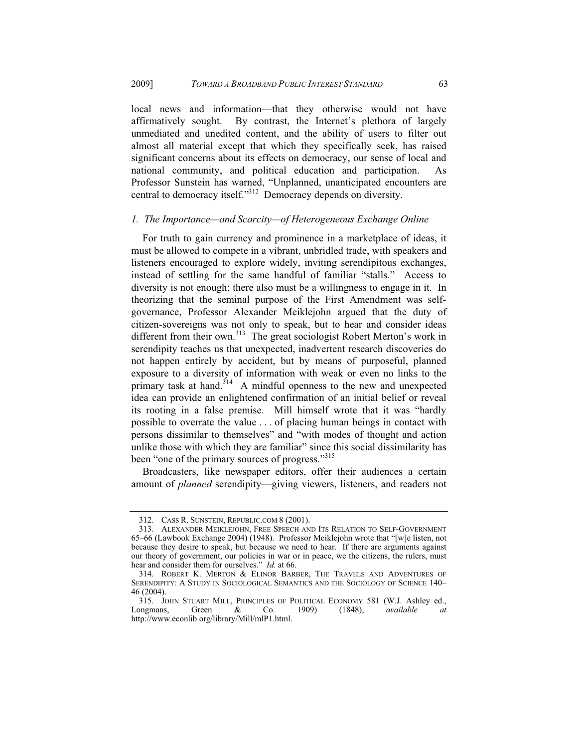local news and information—that they otherwise would not have affirmatively sought. By contrast, the Internet's plethora of largely unmediated and unedited content, and the ability of users to filter out almost all material except that which they specifically seek, has raised significant concerns about its effects on democracy, our sense of local and national community, and political education and participation. As Professor Sunstein has warned, "Unplanned, unanticipated encounters are central to democracy itself."312 Democracy depends on diversity.

# *1. The Importance—and Scarcity—of Heterogeneous Exchange Online*

For truth to gain currency and prominence in a marketplace of ideas, it must be allowed to compete in a vibrant, unbridled trade, with speakers and listeners encouraged to explore widely, inviting serendipitous exchanges, instead of settling for the same handful of familiar "stalls." Access to diversity is not enough; there also must be a willingness to engage in it. In theorizing that the seminal purpose of the First Amendment was selfgovernance, Professor Alexander Meiklejohn argued that the duty of citizen-sovereigns was not only to speak, but to hear and consider ideas different from their own.<sup>313</sup> The great sociologist Robert Merton's work in serendipity teaches us that unexpected, inadvertent research discoveries do not happen entirely by accident, but by means of purposeful, planned exposure to a diversity of information with weak or even no links to the primary task at hand.<sup>314</sup> A mindful openness to the new and unexpected idea can provide an enlightened confirmation of an initial belief or reveal its rooting in a false premise. Mill himself wrote that it was "hardly possible to overrate the value . . . of placing human beings in contact with persons dissimilar to themselves" and "with modes of thought and action unlike those with which they are familiar" since this social dissimilarity has been "one of the primary sources of progress."<sup>315</sup>

Broadcasters, like newspaper editors, offer their audiences a certain amount of *planned* serendipity—giving viewers, listeners, and readers not

 <sup>312.</sup> CASS R. SUNSTEIN, REPUBLIC.COM 8 (2001).

 <sup>313.</sup> ALEXANDER MEIKLEJOHN, FREE SPEECH AND ITS RELATION TO SELF-GOVERNMENT 65–66 (Lawbook Exchange 2004) (1948). Professor Meiklejohn wrote that "[w]e listen, not because they desire to speak, but because we need to hear. If there are arguments against our theory of government, our policies in war or in peace, we the citizens, the rulers, must hear and consider them for ourselves." *Id.* at 66.

 <sup>314.</sup> ROBERT K. MERTON & ELINOR BARBER, THE TRAVELS AND ADVENTURES OF SERENDIPITY: A STUDY IN SOCIOLOGICAL SEMANTICS AND THE SOCIOLOGY OF SCIENCE 140– 46 (2004).

 <sup>315.</sup> JOHN STUART MILL, PRINCIPLES OF POLITICAL ECONOMY 581 (W.J. Ashley ed., Longmans, Green & Co. 1909) (1848), *available at*  http://www.econlib.org/library/Mill/mlP1.html.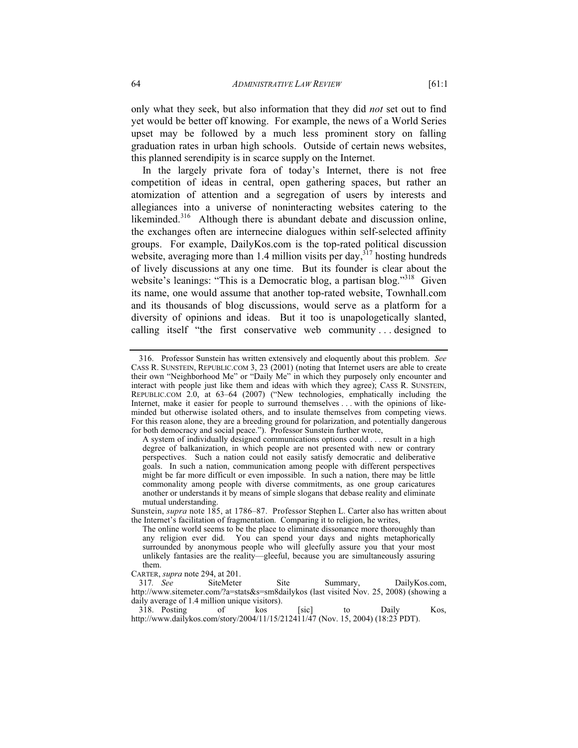only what they seek, but also information that they did *not* set out to find yet would be better off knowing. For example, the news of a World Series upset may be followed by a much less prominent story on falling graduation rates in urban high schools. Outside of certain news websites, this planned serendipity is in scarce supply on the Internet.

In the largely private fora of today's Internet, there is not free competition of ideas in central, open gathering spaces, but rather an atomization of attention and a segregation of users by interests and allegiances into a universe of noninteracting websites catering to the likeminded.<sup>316</sup> Although there is abundant debate and discussion online, the exchanges often are internecine dialogues within self-selected affinity groups. For example, DailyKos.com is the top-rated political discussion website, averaging more than 1.4 million visits per day,  $3^{37}$  hosting hundreds of lively discussions at any one time. But its founder is clear about the website's leanings: "This is a Democratic blog, a partisan blog."<sup>318</sup> Given its name, one would assume that another top-rated website, Townhall.com and its thousands of blog discussions, would serve as a platform for a diversity of opinions and ideas. But it too is unapologetically slanted, calling itself "the first conservative web community . . . designed to

A system of individually designed communications options could . . . result in a high degree of balkanization, in which people are not presented with new or contrary perspectives. Such a nation could not easily satisfy democratic and deliberative goals. In such a nation, communication among people with different perspectives might be far more difficult or even impossible. In such a nation, there may be little commonality among people with diverse commitments, as one group caricatures another or understands it by means of simple slogans that debase reality and eliminate mutual understanding.

Sunstein, *supra* note 185, at 1786–87. Professor Stephen L. Carter also has written about the Internet's facilitation of fragmentation. Comparing it to religion, he writes,

 <sup>316.</sup> Professor Sunstein has written extensively and eloquently about this problem. *See* CASS R. SUNSTEIN, REPUBLIC.COM 3, 23 (2001) (noting that Internet users are able to create their own "Neighborhood Me" or "Daily Me" in which they purposely only encounter and interact with people just like them and ideas with which they agree); CASS R. SUNSTEIN, REPUBLIC.COM 2.0, at 63–64 (2007) ("New technologies, emphatically including the Internet, make it easier for people to surround themselves . . . with the opinions of likeminded but otherwise isolated others, and to insulate themselves from competing views. For this reason alone, they are a breeding ground for polarization, and potentially dangerous for both democracy and social peace."). Professor Sunstein further wrote,

The online world seems to be the place to eliminate dissonance more thoroughly than any religion ever did. You can spend your days and nights metaphorically surrounded by anonymous people who will gleefully assure you that your most unlikely fantasies are the reality—gleeful, because you are simultaneously assuring them.

CARTER, *supra* note 294, at 201.

<sup>317</sup>*. See* SiteMeter Site Summary, DailyKos.com, http://www.sitemeter.com/?a=stats&s=sm8dailykos (last visited Nov. 25, 2008) (showing a daily average of 1.4 million unique visitors).

 <sup>318.</sup> Posting of kos [sic] to Daily Kos, http://www.dailykos.com/story/2004/11/15/212411/47 (Nov. 15, 2004) (18:23 PDT).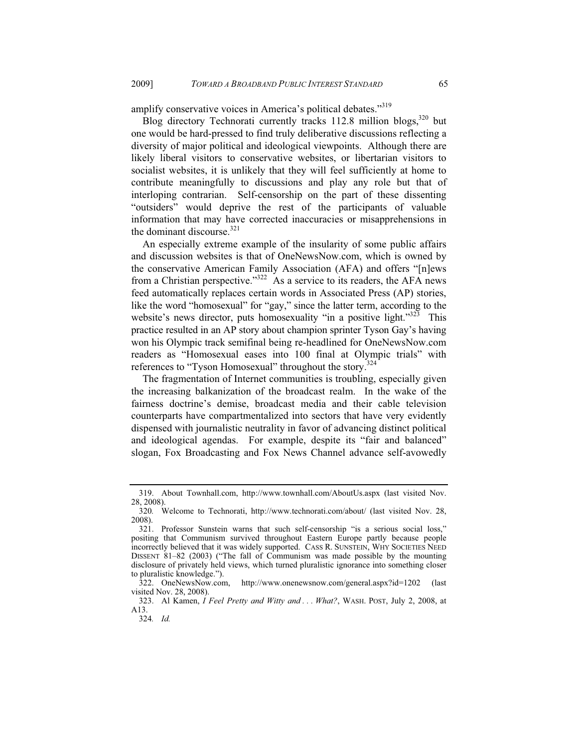amplify conservative voices in America's political debates."<sup>319</sup>

Blog directory Technorati currently tracks  $112.8$  million blogs,  $320$  but one would be hard-pressed to find truly deliberative discussions reflecting a diversity of major political and ideological viewpoints. Although there are likely liberal visitors to conservative websites, or libertarian visitors to socialist websites, it is unlikely that they will feel sufficiently at home to contribute meaningfully to discussions and play any role but that of interloping contrarian. Self-censorship on the part of these dissenting "outsiders" would deprive the rest of the participants of valuable information that may have corrected inaccuracies or misapprehensions in the dominant discourse. $321$ 

An especially extreme example of the insularity of some public affairs and discussion websites is that of OneNewsNow.com, which is owned by the conservative American Family Association (AFA) and offers "[n]ews from a Christian perspective."<sup>322</sup> As a service to its readers, the AFA news feed automatically replaces certain words in Associated Press (AP) stories, like the word "homosexual" for "gay," since the latter term, according to the website's news director, puts homosexuality "in a positive light."<sup>323</sup> This practice resulted in an AP story about champion sprinter Tyson Gay's having won his Olympic track semifinal being re-headlined for OneNewsNow.com readers as "Homosexual eases into 100 final at Olympic trials" with references to "Tyson Homosexual" throughout the story.<sup>324</sup>

The fragmentation of Internet communities is troubling, especially given the increasing balkanization of the broadcast realm. In the wake of the fairness doctrine's demise, broadcast media and their cable television counterparts have compartmentalized into sectors that have very evidently dispensed with journalistic neutrality in favor of advancing distinct political and ideological agendas. For example, despite its "fair and balanced" slogan, Fox Broadcasting and Fox News Channel advance self-avowedly

 <sup>319.</sup> About Townhall.com, http://www.townhall.com/AboutUs.aspx (last visited Nov. 28, 2008).

<sup>320</sup>*.* Welcome to Technorati, http://www.technorati.com/about/ (last visited Nov. 28, 2008).

 <sup>321.</sup> Professor Sunstein warns that such self-censorship "is a serious social loss," positing that Communism survived throughout Eastern Europe partly because people incorrectly believed that it was widely supported. CASS R. SUNSTEIN, WHY SOCIETIES NEED DISSENT 81–82 (2003) ("The fall of Communism was made possible by the mounting disclosure of privately held views, which turned pluralistic ignorance into something closer to pluralistic knowledge.").

 <sup>322.</sup> OneNewsNow.com, http://www.onenewsnow.com/general.aspx?id=1202 (last visited Nov. 28, 2008).

 <sup>323.</sup> Al Kamen, *I Feel Pretty and Witty and . . . What?*, WASH. POST, July 2, 2008, at A13.

<sup>324</sup>*. Id.*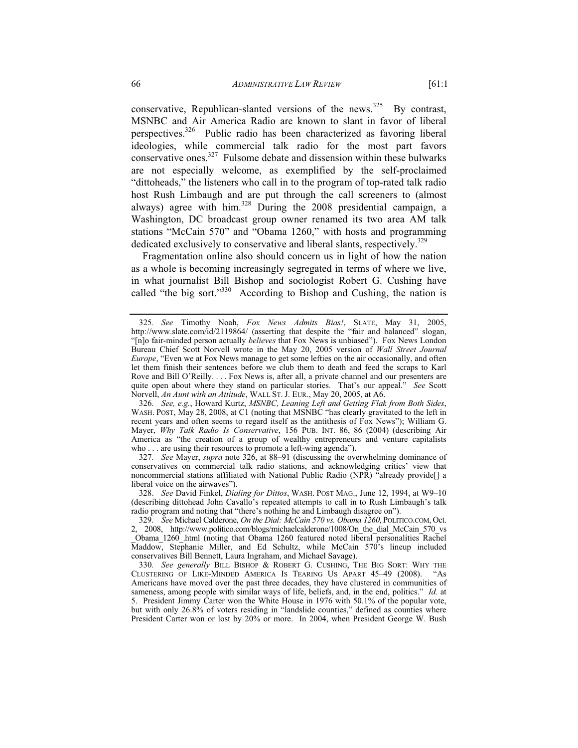conservative, Republican-slanted versions of the news.<sup>325</sup> By contrast, MSNBC and Air America Radio are known to slant in favor of liberal perspectives.326 Public radio has been characterized as favoring liberal ideologies, while commercial talk radio for the most part favors conservative ones.<sup>327</sup> Fulsome debate and dissension within these bulwarks are not especially welcome, as exemplified by the self-proclaimed "dittoheads," the listeners who call in to the program of top-rated talk radio host Rush Limbaugh and are put through the call screeners to (almost always) agree with him.<sup>328</sup> During the 2008 presidential campaign, a Washington, DC broadcast group owner renamed its two area AM talk stations "McCain 570" and "Obama 1260," with hosts and programming dedicated exclusively to conservative and liberal slants, respectively.<sup>329</sup>

Fragmentation online also should concern us in light of how the nation as a whole is becoming increasingly segregated in terms of where we live, in what journalist Bill Bishop and sociologist Robert G. Cushing have called "the big sort."<sup>330</sup> According to Bishop and Cushing, the nation is

326*. See, e.g.*, Howard Kurtz, *MSNBC, Leaning Left and Getting Flak from Both Sides*, WASH. POST, May 28, 2008, at C1 (noting that MSNBC "has clearly gravitated to the left in recent years and often seems to regard itself as the antithesis of Fox News"); William G. Mayer, *Why Talk Radio Is Conservative*, 156 PUB. INT. 86, 86 (2004) (describing Air America as "the creation of a group of wealthy entrepreneurs and venture capitalists who . . . are using their resources to promote a left-wing agenda").

327*. See* Mayer, *supra* note 326, at 88–91 (discussing the overwhelming dominance of conservatives on commercial talk radio stations, and acknowledging critics' view that noncommercial stations affiliated with National Public Radio (NPR) "already provide[] a liberal voice on the airwaves").

 328. *See* David Finkel, *Dialing for Dittos*, WASH. POST MAG., June 12, 1994, at W9–10 (describing dittohead John Cavallo's repeated attempts to call in to Rush Limbaugh's talk radio program and noting that "there's nothing he and Limbaugh disagree on").

 329. *See* Michael Calderone, *On the Dial: McCain 570 vs. Obama 1260*, POLITICO.COM, Oct. 2, 2008, http://www.politico.com/blogs/michaelcalderone/1008/On the dial McCain 570 vs \_Obama\_1260\_.html (noting that Obama 1260 featured noted liberal personalities Rachel Maddow, Stephanie Miller, and Ed Schultz, while McCain 570's lineup included conservatives Bill Bennett, Laura Ingraham, and Michael Savage).

330*. See generally* BILL BISHOP & ROBERT G. CUSHING, THE BIG SORT: WHY THE CLUSTERING OF LIKE-MINDED AMERICA IS TEARING US APART 45–49 (2008). "As Americans have moved over the past three decades, they have clustered in communities of sameness, among people with similar ways of life, beliefs, and, in the end, politics." *Id.* at 5. President Jimmy Carter won the White House in 1976 with 50.1% of the popular vote, but with only 26.8% of voters residing in "landslide counties," defined as counties where President Carter won or lost by 20% or more. In 2004, when President George W. Bush

<sup>325</sup>*. See* Timothy Noah, *Fox News Admits Bias!*, SLATE, May 31, 2005, http://www.slate.com/id/2119864/ (asserting that despite the "fair and balanced" slogan, "[n]o fair-minded person actually *believes* that Fox News is unbiased"). Fox News London Bureau Chief Scott Norvell wrote in the May 20, 2005 version of *Wall Street Journal Europe*, "Even we at Fox News manage to get some lefties on the air occasionally, and often let them finish their sentences before we club them to death and feed the scraps to Karl Rove and Bill O'Reilly. . . . Fox News is, after all, a private channel and our presenters are quite open about where they stand on particular stories. That's our appeal." *See* Scott Norvell, *An Aunt with an Attitude*, WALL ST. J. EUR., May 20, 2005, at A6.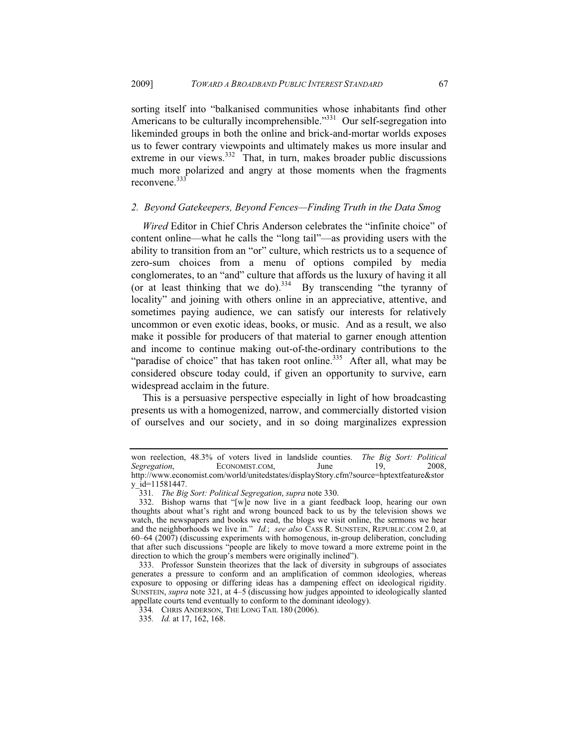sorting itself into "balkanised communities whose inhabitants find other Americans to be culturally incomprehensible."<sup>331</sup> Our self-segregation into likeminded groups in both the online and brick-and-mortar worlds exposes us to fewer contrary viewpoints and ultimately makes us more insular and extreme in our views.<sup>332</sup> That, in turn, makes broader public discussions much more polarized and angry at those moments when the fragments reconvene.<sup>333</sup>

#### *2. Beyond Gatekeepers, Beyond Fences—Finding Truth in the Data Smog*

*Wired* Editor in Chief Chris Anderson celebrates the "infinite choice" of content online—what he calls the "long tail"—as providing users with the ability to transition from an "or" culture, which restricts us to a sequence of zero-sum choices from a menu of options compiled by media conglomerates, to an "and" culture that affords us the luxury of having it all (or at least thinking that we do).<sup>334</sup> By transcending "the tyranny of locality" and joining with others online in an appreciative, attentive, and sometimes paying audience, we can satisfy our interests for relatively uncommon or even exotic ideas, books, or music. And as a result, we also make it possible for producers of that material to garner enough attention and income to continue making out-of-the-ordinary contributions to the "paradise of choice" that has taken root online.<sup>335</sup> After all, what may be considered obscure today could, if given an opportunity to survive, earn widespread acclaim in the future.

This is a persuasive perspective especially in light of how broadcasting presents us with a homogenized, narrow, and commercially distorted vision of ourselves and our society, and in so doing marginalizes expression

won reelection, 48.3% of voters lived in landslide counties. *The Big Sort: Political Segregation*, ECONOMIST.COM, June 19, 2008, ECONOMIST.COM, http://www.economist.com/world/unitedstates/displayStory.cfm?source=hptextfeature&stor y\_id=11581447.

<sup>331</sup>*. The Big Sort: Political Segregation*, *supra* note 330.

 <sup>332.</sup> Bishop warns that "[w]e now live in a giant feedback loop, hearing our own thoughts about what's right and wrong bounced back to us by the television shows we watch, the newspapers and books we read, the blogs we visit online, the sermons we hear and the neighborhoods we live in." *Id.*; *see also* CASS R. SUNSTEIN, REPUBLIC.COM 2.0, at 60–64 (2007) (discussing experiments with homogenous, in-group deliberation, concluding that after such discussions "people are likely to move toward a more extreme point in the direction to which the group's members were originally inclined").

 <sup>333.</sup> Professor Sunstein theorizes that the lack of diversity in subgroups of associates generates a pressure to conform and an amplification of common ideologies, whereas exposure to opposing or differing ideas has a dampening effect on ideological rigidity. SUNSTEIN, *supra* note 321, at 4–5 (discussing how judges appointed to ideologically slanted appellate courts tend eventually to conform to the dominant ideology).

<sup>334</sup>*.* CHRIS ANDERSON, THE LONG TAIL 180 (2006).

<sup>335</sup>*. Id.* at 17, 162, 168.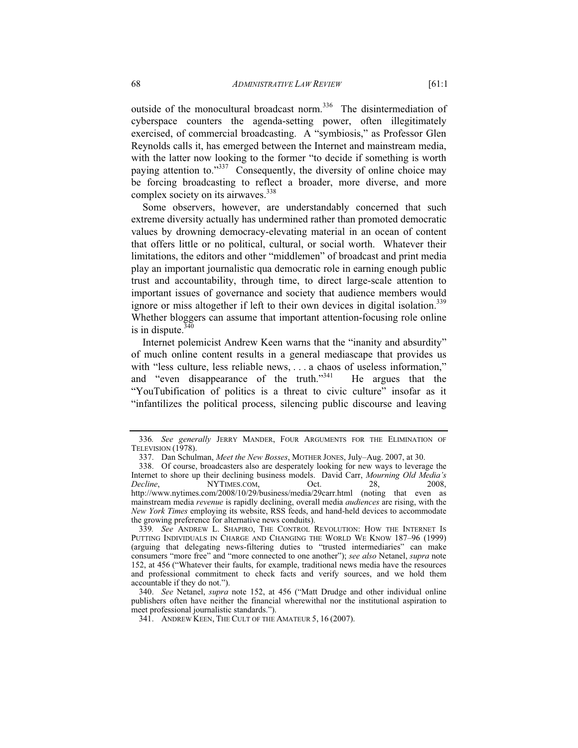outside of the monocultural broadcast norm.<sup>336</sup> The disintermediation of cyberspace counters the agenda-setting power, often illegitimately exercised, of commercial broadcasting. A "symbiosis," as Professor Glen Reynolds calls it, has emerged between the Internet and mainstream media, with the latter now looking to the former "to decide if something is worth paying attention to."<sup>337</sup> Consequently, the diversity of online choice may be forcing broadcasting to reflect a broader, more diverse, and more complex society on its airwaves.<sup>338</sup>

Some observers, however, are understandably concerned that such extreme diversity actually has undermined rather than promoted democratic values by drowning democracy-elevating material in an ocean of content that offers little or no political, cultural, or social worth. Whatever their limitations, the editors and other "middlemen" of broadcast and print media play an important journalistic qua democratic role in earning enough public trust and accountability, through time, to direct large-scale attention to important issues of governance and society that audience members would ignore or miss altogether if left to their own devices in digital isolation.<sup>339</sup> Whether bloggers can assume that important attention-focusing role online is in dispute. $340$ 

Internet polemicist Andrew Keen warns that the "inanity and absurdity" of much online content results in a general mediascape that provides us with "less culture, less reliable news, . . . a chaos of useless information," and "even disappearance of the truth."<sup>341</sup> He argues that the "YouTubification of politics is a threat to civic culture" insofar as it "infantilizes the political process, silencing public discourse and leaving

<sup>336</sup>*. See generally* JERRY MANDER, FOUR ARGUMENTS FOR THE ELIMINATION OF TELEVISION (1978).

 <sup>337.</sup> Dan Schulman, *Meet the New Bosses*, MOTHER JONES, July–Aug. 2007, at 30.

 <sup>338.</sup> Of course, broadcasters also are desperately looking for new ways to leverage the Internet to shore up their declining business models. David Carr, *Mourning Old Media's Decline*, **NYTIMES.COM, Oct.** 28, 2008, http://www.nytimes.com/2008/10/29/business/media/29carr.html (noting that even as mainstream media *revenue* is rapidly declining, overall media *audiences* are rising, with the *New York Times* employing its website, RSS feeds, and hand-held devices to accommodate the growing preference for alternative news conduits).

<sup>339</sup>*. See* ANDREW L. SHAPIRO, THE CONTROL REVOLUTION: HOW THE INTERNET IS PUTTING INDIVIDUALS IN CHARGE AND CHANGING THE WORLD WE KNOW 187–96 (1999) (arguing that delegating news-filtering duties to "trusted intermediaries" can make consumers "more free" and "more connected to one another"); *see also* Netanel, *supra* note 152, at 456 ("Whatever their faults, for example, traditional news media have the resources and professional commitment to check facts and verify sources, and we hold them accountable if they do not.").

 <sup>340.</sup> *See* Netanel, *supra* note 152, at 456 ("Matt Drudge and other individual online publishers often have neither the financial wherewithal nor the institutional aspiration to meet professional journalistic standards.").

 <sup>341.</sup> ANDREW KEEN, THE CULT OF THE AMATEUR 5, 16 (2007).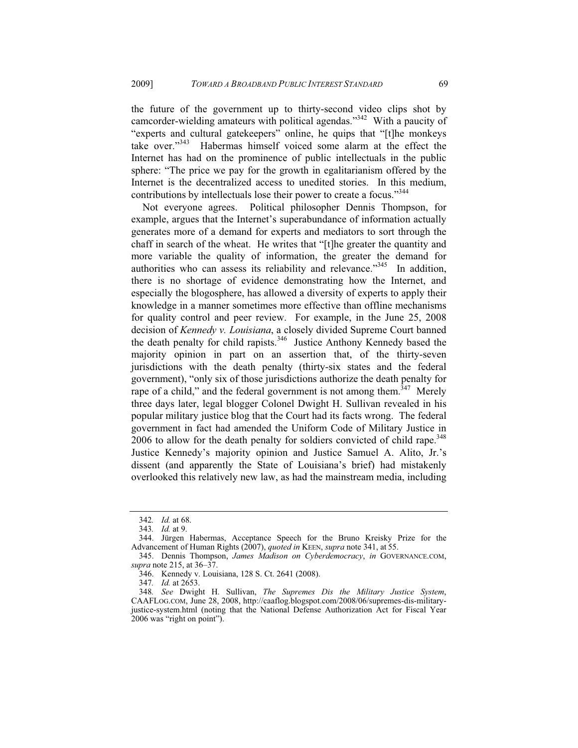the future of the government up to thirty-second video clips shot by camcorder-wielding amateurs with political agendas."<sup>342</sup> With a paucity of "experts and cultural gatekeepers" online, he quips that "[t]he monkeys take over."343 Habermas himself voiced some alarm at the effect the Internet has had on the prominence of public intellectuals in the public sphere: "The price we pay for the growth in egalitarianism offered by the Internet is the decentralized access to unedited stories. In this medium, contributions by intellectuals lose their power to create a focus."<sup>344</sup>

Not everyone agrees. Political philosopher Dennis Thompson, for example, argues that the Internet's superabundance of information actually generates more of a demand for experts and mediators to sort through the chaff in search of the wheat. He writes that "[t]he greater the quantity and more variable the quality of information, the greater the demand for authorities who can assess its reliability and relevance."<sup>345</sup> In addition, there is no shortage of evidence demonstrating how the Internet, and especially the blogosphere, has allowed a diversity of experts to apply their knowledge in a manner sometimes more effective than offline mechanisms for quality control and peer review. For example, in the June 25, 2008 decision of *Kennedy v. Louisiana*, a closely divided Supreme Court banned the death penalty for child rapists.<sup>346</sup> Justice Anthony Kennedy based the majority opinion in part on an assertion that, of the thirty-seven jurisdictions with the death penalty (thirty-six states and the federal government), "only six of those jurisdictions authorize the death penalty for rape of a child," and the federal government is not among them.<sup> $347$ </sup> Merely three days later, legal blogger Colonel Dwight H. Sullivan revealed in his popular military justice blog that the Court had its facts wrong. The federal government in fact had amended the Uniform Code of Military Justice in 2006 to allow for the death penalty for soldiers convicted of child rape.<sup>348</sup> Justice Kennedy's majority opinion and Justice Samuel A. Alito, Jr.'s dissent (and apparently the State of Louisiana's brief) had mistakenly overlooked this relatively new law, as had the mainstream media, including

<sup>342</sup>*. Id.* at 68.

<sup>343</sup>*. Id.* at 9.

 <sup>344.</sup> Jürgen Habermas, Acceptance Speech for the Bruno Kreisky Prize for the Advancement of Human Rights (2007), *quoted in* KEEN, *supra* note 341, at 55.

 <sup>345.</sup> Dennis Thompson, *James Madison on Cyberdemocracy*, *in* GOVERNANCE.COM, *supra* note 215, at 36–37.

 <sup>346.</sup> Kennedy v. Louisiana, 128 S. Ct. 2641 (2008).

<sup>347</sup>*. Id.* at 2653.

<sup>348</sup>*. See* Dwight H. Sullivan, *The Supremes Dis the Military Justice System*, CAAFLOG.COM, June 28, 2008, http://caaflog.blogspot.com/2008/06/supremes-dis-militaryjustice-system.html (noting that the National Defense Authorization Act for Fiscal Year 2006 was "right on point").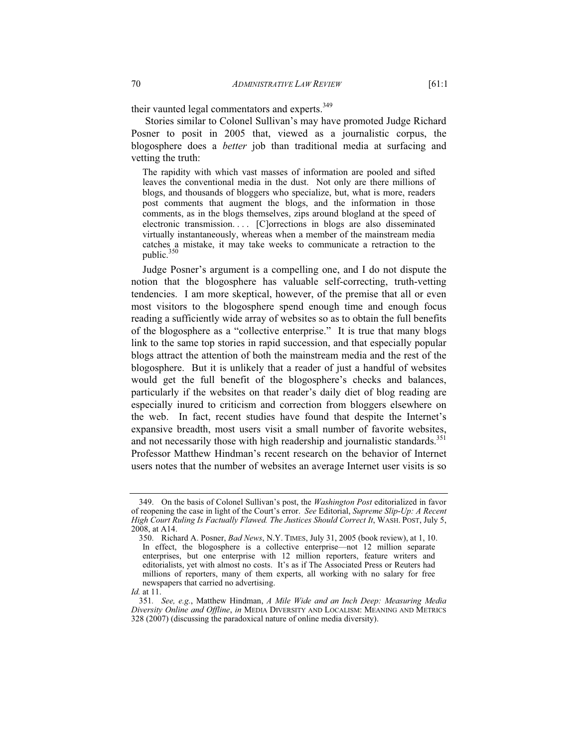Stories similar to Colonel Sullivan's may have promoted Judge Richard Posner to posit in 2005 that, viewed as a journalistic corpus, the blogosphere does a *better* job than traditional media at surfacing and vetting the truth:

The rapidity with which vast masses of information are pooled and sifted leaves the conventional media in the dust. Not only are there millions of blogs, and thousands of bloggers who specialize, but, what is more, readers post comments that augment the blogs, and the information in those comments, as in the blogs themselves, zips around blogland at the speed of electronic transmission.... [C]orrections in blogs are also disseminated virtually instantaneously, whereas when a member of the mainstream media catches a mistake, it may take weeks to communicate a retraction to the public.<sup>350</sup>

Judge Posner's argument is a compelling one, and I do not dispute the notion that the blogosphere has valuable self-correcting, truth-vetting tendencies. I am more skeptical, however, of the premise that all or even most visitors to the blogosphere spend enough time and enough focus reading a sufficiently wide array of websites so as to obtain the full benefits of the blogosphere as a "collective enterprise." It is true that many blogs link to the same top stories in rapid succession, and that especially popular blogs attract the attention of both the mainstream media and the rest of the blogosphere. But it is unlikely that a reader of just a handful of websites would get the full benefit of the blogosphere's checks and balances, particularly if the websites on that reader's daily diet of blog reading are especially inured to criticism and correction from bloggers elsewhere on the web. In fact, recent studies have found that despite the Internet's expansive breadth, most users visit a small number of favorite websites, and not necessarily those with high readership and journalistic standards.<sup>351</sup> Professor Matthew Hindman's recent research on the behavior of Internet users notes that the number of websites an average Internet user visits is so

*Id.* at 11.

 <sup>349.</sup> On the basis of Colonel Sullivan's post, the *Washington Post* editorialized in favor of reopening the case in light of the Court's error. *See* Editorial, *Supreme Slip*-*Up: A Recent High Court Ruling Is Factually Flawed. The Justices Should Correct It*, WASH. POST, July 5, 2008, at A14.

 <sup>350.</sup> Richard A. Posner, *Bad News*, N.Y. TIMES, July 31, 2005 (book review), at 1, 10. In effect, the blogosphere is a collective enterprise—not 12 million separate enterprises, but one enterprise with 12 million reporters, feature writers and editorialists, yet with almost no costs. It's as if The Associated Press or Reuters had millions of reporters, many of them experts, all working with no salary for free newspapers that carried no advertising.

<sup>351</sup>*. See, e.g.*, Matthew Hindman, *A Mile Wide and an Inch Deep: Measuring Media Diversity Online and Offline*, *in* MEDIA DIVERSITY AND LOCALISM: MEANING AND METRICS 328 (2007) (discussing the paradoxical nature of online media diversity).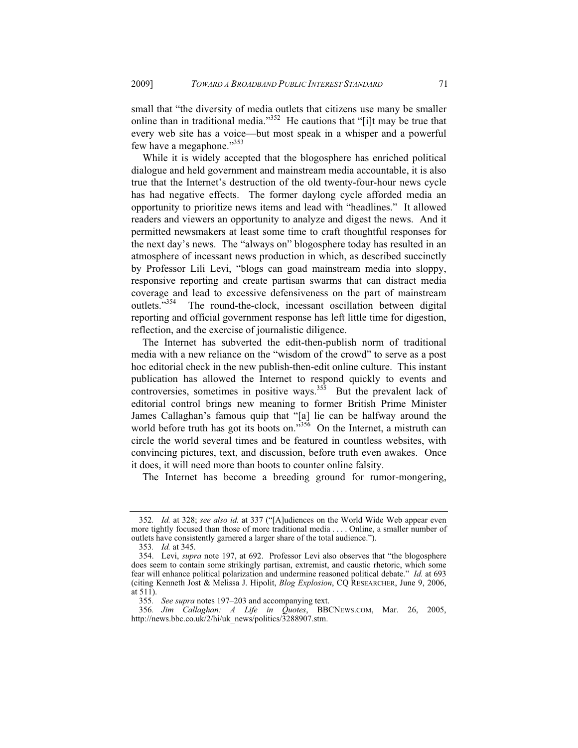small that "the diversity of media outlets that citizens use many be smaller online than in traditional media."<sup>352</sup> He cautions that "[i]t may be true that every web site has a voice—but most speak in a whisper and a powerful few have a megaphone."<sup>353</sup>

While it is widely accepted that the blogosphere has enriched political dialogue and held government and mainstream media accountable, it is also true that the Internet's destruction of the old twenty-four-hour news cycle has had negative effects. The former daylong cycle afforded media an opportunity to prioritize news items and lead with "headlines." It allowed readers and viewers an opportunity to analyze and digest the news. And it permitted newsmakers at least some time to craft thoughtful responses for the next day's news. The "always on" blogosphere today has resulted in an atmosphere of incessant news production in which, as described succinctly by Professor Lili Levi, "blogs can goad mainstream media into sloppy, responsive reporting and create partisan swarms that can distract media coverage and lead to excessive defensiveness on the part of mainstream<br>outlets.<sup>3354</sup> The round-the-clock, incessant oscillation between digital The round-the-clock, incessant oscillation between digital reporting and official government response has left little time for digestion, reflection, and the exercise of journalistic diligence.

The Internet has subverted the edit-then-publish norm of traditional media with a new reliance on the "wisdom of the crowd" to serve as a post hoc editorial check in the new publish-then-edit online culture. This instant publication has allowed the Internet to respond quickly to events and controversies, sometimes in positive ways.<sup>355</sup> But the prevalent lack of editorial control brings new meaning to former British Prime Minister James Callaghan's famous quip that "[a] lie can be halfway around the world before truth has got its boots on."<sup>356</sup> On the Internet, a mistruth can circle the world several times and be featured in countless websites, with convincing pictures, text, and discussion, before truth even awakes. Once it does, it will need more than boots to counter online falsity.

The Internet has become a breeding ground for rumor-mongering,

<sup>352</sup>*. Id.* at 328; *see also id.* at 337 ("[A]udiences on the World Wide Web appear even more tightly focused than those of more traditional media . . . . Online, a smaller number of outlets have consistently garnered a larger share of the total audience.").

<sup>353</sup>*. Id.* at 345.

 <sup>354.</sup> Levi, *supra* note 197, at 692. Professor Levi also observes that "the blogosphere does seem to contain some strikingly partisan, extremist, and caustic rhetoric, which some fear will enhance political polarization and undermine reasoned political debate." *Id.* at 693 (citing Kenneth Jost & Melissa J. Hipolit, *Blog Explosion*, CQ RESEARCHER, June 9, 2006, at 511).

<sup>355</sup>*. See supra* notes 197–203 and accompanying text.

<sup>356</sup>*. Jim Callaghan: A Life in Quotes*, BBCNEWS.COM, Mar. 26, 2005, http://news.bbc.co.uk/2/hi/uk\_news/politics/3288907.stm.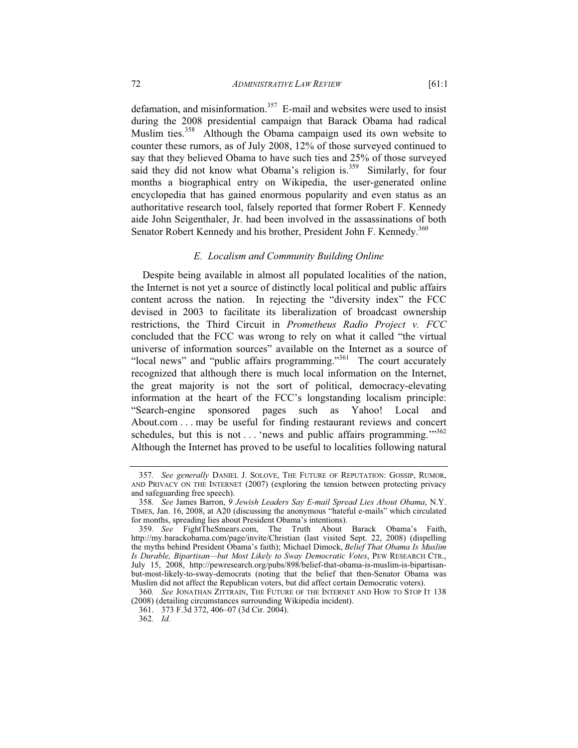defamation, and misinformation.<sup>357</sup> E-mail and websites were used to insist during the 2008 presidential campaign that Barack Obama had radical Muslim ties.<sup>358</sup> Although the Obama campaign used its own website to counter these rumors, as of July 2008, 12% of those surveyed continued to say that they believed Obama to have such ties and 25% of those surveyed said they did not know what Obama's religion is.<sup>359</sup> Similarly, for four months a biographical entry on Wikipedia, the user-generated online encyclopedia that has gained enormous popularity and even status as an authoritative research tool, falsely reported that former Robert F. Kennedy aide John Seigenthaler, Jr. had been involved in the assassinations of both Senator Robert Kennedy and his brother, President John F. Kennedy.<sup>360</sup>

#### *E. Localism and Community Building Online*

Despite being available in almost all populated localities of the nation, the Internet is not yet a source of distinctly local political and public affairs content across the nation. In rejecting the "diversity index" the FCC devised in 2003 to facilitate its liberalization of broadcast ownership restrictions, the Third Circuit in *Prometheus Radio Project v. FCC*  concluded that the FCC was wrong to rely on what it called "the virtual universe of information sources" available on the Internet as a source of "local news" and "public affairs programming."<sup>361</sup> The court accurately recognized that although there is much local information on the Internet, the great majority is not the sort of political, democracy-elevating information at the heart of the FCC's longstanding localism principle: "Search-engine sponsored pages such as Yahoo! Local and About.com . . . may be useful for finding restaurant reviews and concert schedules, but this is not . . . 'news and public affairs programming.'" $362$ Although the Internet has proved to be useful to localities following natural

<sup>357</sup>*. See generally* DANIEL J. SOLOVE, THE FUTURE OF REPUTATION: GOSSIP, RUMOR, AND PRIVACY ON THE INTERNET (2007) (exploring the tension between protecting privacy and safeguarding free speech).

<sup>358</sup>*. See* James Barron, *9 Jewish Leaders Say E-mail Spread Lies About Obama*, N.Y. TIMES, Jan. 16, 2008, at A20 (discussing the anonymous "hateful e-mails" which circulated for months, spreading lies about President Obama's intentions).

<sup>359</sup>*. See* FightTheSmears.com, The Truth About Barack Obama's Faith, http://my.barackobama.com/page/invite/Christian (last visited Sept. 22, 2008) (dispelling the myths behind President Obama's faith); Michael Dimock, *Belief That Obama Is Muslim Is Durable, Bipartisan—but Most Likely to Sway Democratic Votes*, PEW RESEARCH CTR., July 15, 2008, http://pewresearch.org/pubs/898/belief-that-obama-is-muslim-is-bipartisanbut-most-likely-to-sway-democrats (noting that the belief that then-Senator Obama was Muslim did not affect the Republican voters, but did affect certain Democratic voters).

<sup>360</sup>*. See* JONATHAN ZITTRAIN, THE FUTURE OF THE INTERNET AND HOW TO STOP IT 138 (2008) (detailing circumstances surrounding Wikipedia incident).

 <sup>361. 373</sup> F.3d 372, 406–07 (3d Cir. 2004).

<sup>362</sup>*. Id.*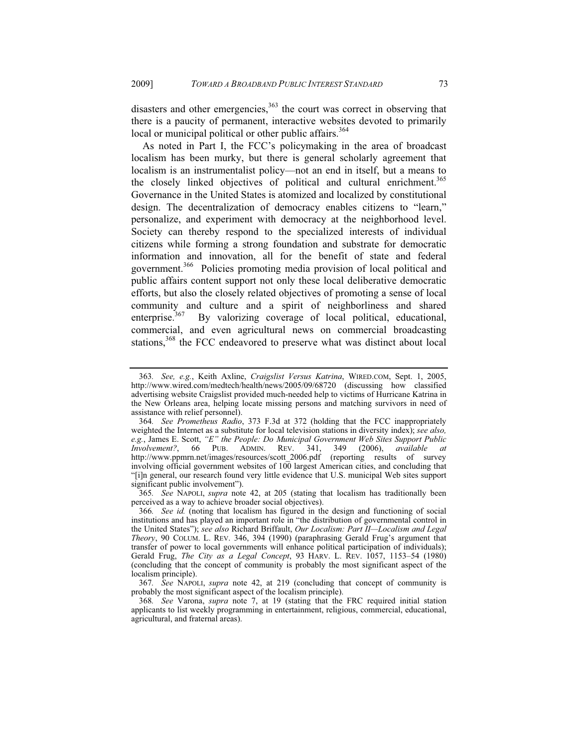disasters and other emergencies, $363$  the court was correct in observing that there is a paucity of permanent, interactive websites devoted to primarily local or municipal political or other public affairs.<sup>364</sup>

As noted in Part I, the FCC's policymaking in the area of broadcast localism has been murky, but there is general scholarly agreement that localism is an instrumentalist policy—not an end in itself, but a means to the closely linked objectives of political and cultural enrichment.<sup>365</sup> Governance in the United States is atomized and localized by constitutional design. The decentralization of democracy enables citizens to "learn," personalize, and experiment with democracy at the neighborhood level. Society can thereby respond to the specialized interests of individual citizens while forming a strong foundation and substrate for democratic information and innovation, all for the benefit of state and federal government.366 Policies promoting media provision of local political and public affairs content support not only these local deliberative democratic efforts, but also the closely related objectives of promoting a sense of local community and culture and a spirit of neighborliness and shared enterprise.<sup>367</sup> By valorizing coverage of local political, educational, commercial, and even agricultural news on commercial broadcasting stations,<sup>368</sup> the FCC endeavored to preserve what was distinct about local

365*. See* NAPOLI, *supra* note 42, at 205 (stating that localism has traditionally been perceived as a way to achieve broader social objectives).

<sup>363</sup>*. See, e.g.*, Keith Axline, *Craigslist Versus Katrina*, WIRED.COM, Sept. 1, 2005, http://www.wired.com/medtech/health/news/2005/09/68720 (discussing how classified advertising website Craigslist provided much-needed help to victims of Hurricane Katrina in the New Orleans area, helping locate missing persons and matching survivors in need of assistance with relief personnel).

<sup>364</sup>*. See Prometheus Radio*, 373 F.3d at 372 (holding that the FCC inappropriately weighted the Internet as a substitute for local television stations in diversity index); *see also, e.g.*, James E. Scott, *"E" the People: Do Municipal Government Web Sites Support Public Involvement?*, 66 PUB. ADMIN. REV. 341, 349 (2006), *available at* http://www.ppmrn.net/images/resources/scott\_2006.pdf (reporting results of survey involving official government websites of  $100$  largest American cities, and concluding that "[i]n general, our research found very little evidence that U.S. municipal Web sites support significant public involvement").

<sup>366</sup>*. See id.* (noting that localism has figured in the design and functioning of social institutions and has played an important role in "the distribution of governmental control in the United States"); *see also* Richard Briffault, *Our Localism: Part II—Localism and Legal Theory*, 90 COLUM. L. REV. 346, 394 (1990) (paraphrasing Gerald Frug's argument that transfer of power to local governments will enhance political participation of individuals); Gerald Frug, *The City as a Legal Concept*, 93 HARV. L. REV. 1057, 1153–54 (1980) (concluding that the concept of community is probably the most significant aspect of the localism principle).

<sup>367</sup>*. See* NAPOLI, *supra* note 42, at 219 (concluding that concept of community is probably the most significant aspect of the localism principle).

<sup>368</sup>*. See* Varona, *supra* note 7, at 19 (stating that the FRC required initial station applicants to list weekly programming in entertainment, religious, commercial, educational, agricultural, and fraternal areas).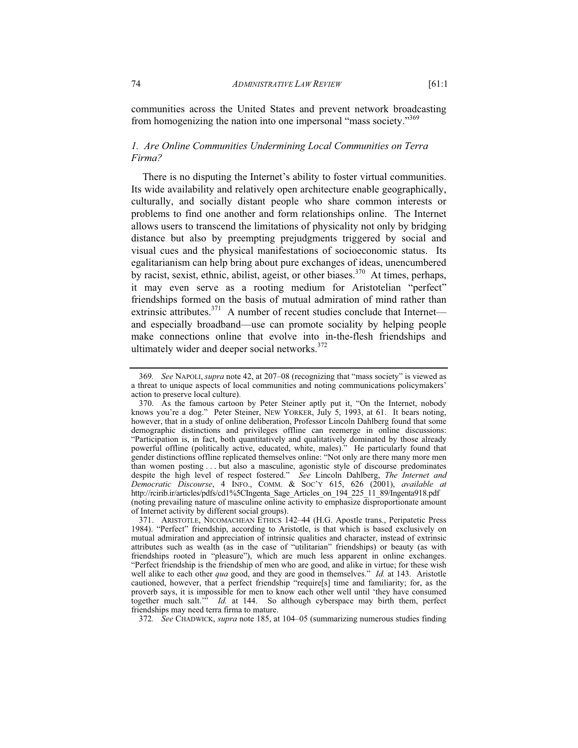communities across the United States and prevent network broadcasting from homogenizing the nation into one impersonal "mass society."<sup>369</sup>

# *1. Are Online Communities Undermining Local Communities on Terra Firma?*

There is no disputing the Internet's ability to foster virtual communities. Its wide availability and relatively open architecture enable geographically, culturally, and socially distant people who share common interests or problems to find one another and form relationships online. The Internet allows users to transcend the limitations of physicality not only by bridging distance but also by preempting prejudgments triggered by social and visual cues and the physical manifestations of socioeconomic status. Its egalitarianism can help bring about pure exchanges of ideas, unencumbered by racist, sexist, ethnic, abilist, ageist, or other biases.<sup>370</sup> At times, perhaps, it may even serve as a rooting medium for Aristotelian "perfect" friendships formed on the basis of mutual admiration of mind rather than extrinsic attributes.<sup>371</sup> A number of recent studies conclude that Internet and especially broadband—use can promote sociality by helping people make connections online that evolve into in-the-flesh friendships and ultimately wider and deeper social networks. $372$ 

372*. See* CHADWICK, *supra* note 185, at 104–05 (summarizing numerous studies finding

<sup>369</sup>*. See* NAPOLI, *supra* note 42, at 207–08 (recognizing that "mass society" is viewed as a threat to unique aspects of local communities and noting communications policymakers' action to preserve local culture).

 <sup>370.</sup> As the famous cartoon by Peter Steiner aptly put it, "On the Internet, nobody knows you're a dog." Peter Steiner, NEW YORKER, July 5, 1993, at 61. It bears noting, however, that in a study of online deliberation, Professor Lincoln Dahlberg found that some demographic distinctions and privileges offline can reemerge in online discussions: "Participation is, in fact, both quantitatively and qualitatively dominated by those already powerful offline (politically active, educated, white, males)." He particularly found that gender distinctions offline replicated themselves online: "Not only are there many more men than women posting . . . but also a masculine, agonistic style of discourse predominates despite the high level of respect fostered." *See* Lincoln Dahlberg, *The Internet and Democratic Discourse*, 4 INFO., COMM.&SOC'Y 615, 626 (2001), *available at*  http://rcirib.ir/articles/pdfs/cd1%5CIngenta\_Sage\_Articles\_on\_194\_225\_11\_89/Ingenta918.pdf (noting prevailing nature of masculine online activity to emphasize disproportionate amount of Internet activity by different social groups).

 <sup>371.</sup> ARISTOTLE, NICOMACHEAN ETHICS 142–44 (H.G. Apostle trans., Peripatetic Press 1984). "Perfect" friendship, according to Aristotle, is that which is based exclusively on mutual admiration and appreciation of intrinsic qualities and character, instead of extrinsic attributes such as wealth (as in the case of "utilitarian" friendships) or beauty (as with friendships rooted in "pleasure"), which are much less apparent in online exchanges. "Perfect friendship is the friendship of men who are good, and alike in virtue; for these wish well alike to each other *qua* good, and they are good in themselves." *Id.* at 143. Aristotle cautioned, however, that a perfect friendship "require[s] time and familiarity; for, as the proverb says, it is impossible for men to know each other well until 'they have consumed together much salt.'" *Id.* at 144. So although cyberspace may birth them, perfect friendships may need terra firma to mature.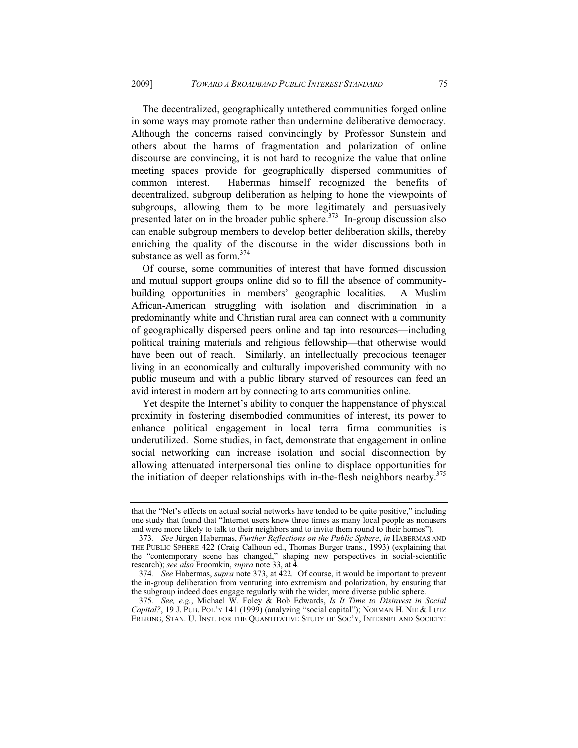The decentralized, geographically untethered communities forged online in some ways may promote rather than undermine deliberative democracy. Although the concerns raised convincingly by Professor Sunstein and others about the harms of fragmentation and polarization of online discourse are convincing, it is not hard to recognize the value that online meeting spaces provide for geographically dispersed communities of common interest. Habermas himself recognized the benefits of decentralized, subgroup deliberation as helping to hone the viewpoints of subgroups, allowing them to be more legitimately and persuasively presented later on in the broader public sphere.<sup>373</sup> In-group discussion also can enable subgroup members to develop better deliberation skills, thereby enriching the quality of the discourse in the wider discussions both in substance as well as form.<sup>374</sup>

Of course, some communities of interest that have formed discussion and mutual support groups online did so to fill the absence of communitybuilding opportunities in members' geographic localities*.* A Muslim African-American struggling with isolation and discrimination in a predominantly white and Christian rural area can connect with a community of geographically dispersed peers online and tap into resources—including political training materials and religious fellowship—that otherwise would have been out of reach. Similarly, an intellectually precocious teenager living in an economically and culturally impoverished community with no public museum and with a public library starved of resources can feed an avid interest in modern art by connecting to arts communities online.

Yet despite the Internet's ability to conquer the happenstance of physical proximity in fostering disembodied communities of interest, its power to enhance political engagement in local terra firma communities is underutilized. Some studies, in fact, demonstrate that engagement in online social networking can increase isolation and social disconnection by allowing attenuated interpersonal ties online to displace opportunities for the initiation of deeper relationships with in-the-flesh neighbors nearby.<sup>375</sup>

that the "Net's effects on actual social networks have tended to be quite positive," including one study that found that "Internet users knew three times as many local people as nonusers and were more likely to talk to their neighbors and to invite them round to their homes").

<sup>373</sup>*. See* Jürgen Habermas, *Further Reflections on the Public Sphere*, *in* HABERMAS AND THE PUBLIC SPHERE 422 (Craig Calhoun ed., Thomas Burger trans., 1993) (explaining that the "contemporary scene has changed," shaping new perspectives in social-scientific research); *see also* Froomkin, *supra* note 33, at 4.

<sup>374</sup>*. See* Habermas, *supra* note 373, at 422*.* Of course, it would be important to prevent the in-group deliberation from venturing into extremism and polarization, by ensuring that the subgroup indeed does engage regularly with the wider, more diverse public sphere.

<sup>375</sup>*. See, e.g.*, Michael W. Foley & Bob Edwards, *Is It Time to Disinvest in Social Capital?*, 19 J. PUB. POL'Y 141 (1999) (analyzing "social capital"); NORMAN H. NIE & LUTZ ERBRING, STAN. U. INST. FOR THE QUANTITATIVE STUDY OF SOC'Y, INTERNET AND SOCIETY: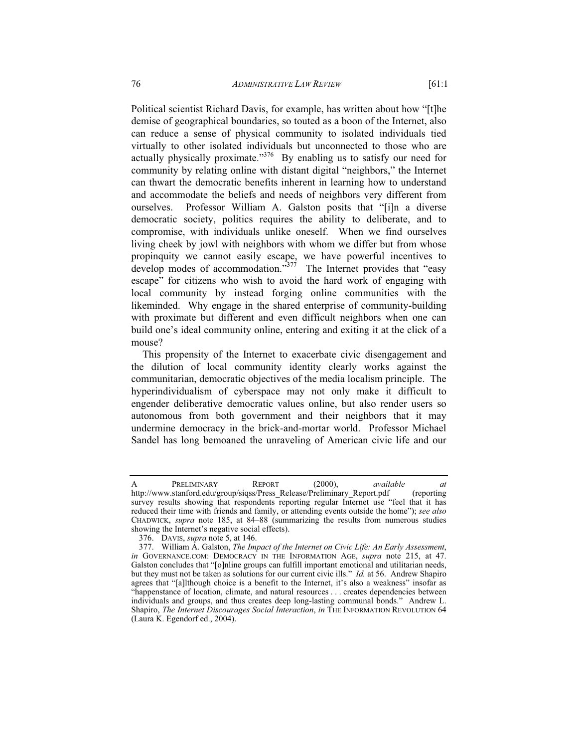can reduce a sense of physical community to isolated individuals tied virtually to other isolated individuals but unconnected to those who are actually physically proximate."<sup>376</sup> By enabling us to satisfy our need for community by relating online with distant digital "neighbors," the Internet can thwart the democratic benefits inherent in learning how to understand and accommodate the beliefs and needs of neighbors very different from ourselves. Professor William A. Galston posits that "[i]n a diverse democratic society, politics requires the ability to deliberate, and to compromise, with individuals unlike oneself. When we find ourselves living cheek by jowl with neighbors with whom we differ but from whose propinquity we cannot easily escape, we have powerful incentives to develop modes of accommodation."<sup>377</sup> The Internet provides that "easy escape" for citizens who wish to avoid the hard work of engaging with local community by instead forging online communities with the likeminded. Why engage in the shared enterprise of community-building with proximate but different and even difficult neighbors when one can build one's ideal community online, entering and exiting it at the click of a mouse?

This propensity of the Internet to exacerbate civic disengagement and the dilution of local community identity clearly works against the communitarian, democratic objectives of the media localism principle. The hyperindividualism of cyberspace may not only make it difficult to engender deliberative democratic values online, but also render users so autonomous from both government and their neighbors that it may undermine democracy in the brick-and-mortar world. Professor Michael Sandel has long bemoaned the unraveling of American civic life and our

A PRELIMINARY REPORT (2000), *available at*  http://www.stanford.edu/group/siqss/Press\_Release/Preliminary\_Report.pdf survey results showing that respondents reporting regular Internet use "feel that it has reduced their time with friends and family, or attending events outside the home"); *see also* CHADWICK, *supra* note 185, at 84–88 (summarizing the results from numerous studies showing the Internet's negative social effects).

 <sup>376.</sup> DAVIS, *supra* note 5, at 146.

 <sup>377.</sup> William A. Galston, *The Impact of the Internet on Civic Life: An Early Assessment*, *in* GOVERNANCE.COM: DEMOCRACY IN THE INFORMATION AGE, *supra* note 215, at 47. Galston concludes that "[o]nline groups can fulfill important emotional and utilitarian needs, but they must not be taken as solutions for our current civic ills." *Id.* at 56. Andrew Shapiro agrees that "[a]lthough choice is a benefit to the Internet, it's also a weakness" insofar as "happenstance of location, climate, and natural resources . . . creates dependencies between individuals and groups, and thus creates deep long-lasting communal bonds." Andrew L. Shapiro, *The Internet Discourages Social Interaction*, *in* THE INFORMATION REVOLUTION 64 (Laura K. Egendorf ed., 2004).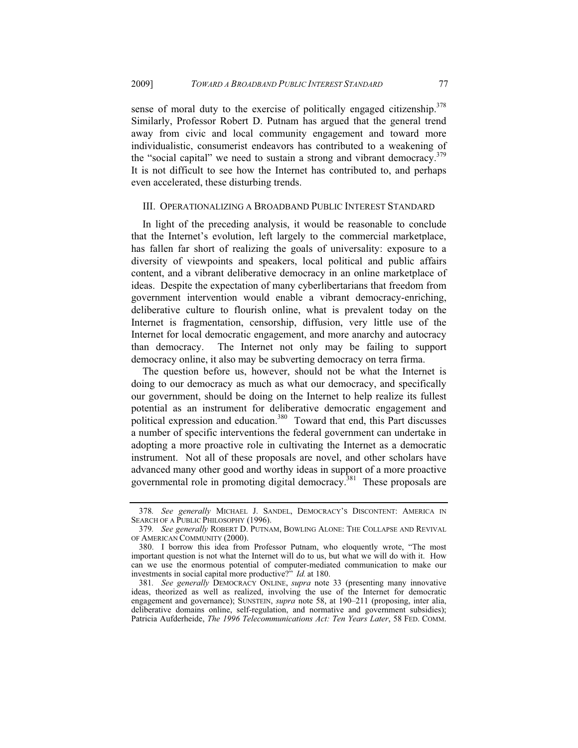sense of moral duty to the exercise of politically engaged citizenship. $378$ Similarly, Professor Robert D. Putnam has argued that the general trend away from civic and local community engagement and toward more individualistic, consumerist endeavors has contributed to a weakening of the "social capital" we need to sustain a strong and vibrant democracy.<sup>379</sup> It is not difficult to see how the Internet has contributed to, and perhaps even accelerated, these disturbing trends.

#### III. OPERATIONALIZING A BROADBAND PUBLIC INTEREST STANDARD

In light of the preceding analysis, it would be reasonable to conclude that the Internet's evolution, left largely to the commercial marketplace, has fallen far short of realizing the goals of universality: exposure to a diversity of viewpoints and speakers, local political and public affairs content, and a vibrant deliberative democracy in an online marketplace of ideas. Despite the expectation of many cyberlibertarians that freedom from government intervention would enable a vibrant democracy-enriching, deliberative culture to flourish online, what is prevalent today on the Internet is fragmentation, censorship, diffusion, very little use of the Internet for local democratic engagement, and more anarchy and autocracy than democracy. The Internet not only may be failing to support democracy online, it also may be subverting democracy on terra firma.

The question before us, however, should not be what the Internet is doing to our democracy as much as what our democracy, and specifically our government, should be doing on the Internet to help realize its fullest potential as an instrument for deliberative democratic engagement and political expression and education.<sup>380</sup> Toward that end, this Part discusses a number of specific interventions the federal government can undertake in adopting a more proactive role in cultivating the Internet as a democratic instrument. Not all of these proposals are novel, and other scholars have advanced many other good and worthy ideas in support of a more proactive governmental role in promoting digital democracy.<sup>381</sup> These proposals are

<sup>378</sup>*. See generally* MICHAEL J. SANDEL, DEMOCRACY'S DISCONTENT: AMERICA IN SEARCH OF A PUBLIC PHILOSOPHY (1996).

<sup>379</sup>*. See generally* ROBERT D. PUTNAM, BOWLING ALONE: THE COLLAPSE AND REVIVAL OF AMERICAN COMMUNITY (2000).

 <sup>380.</sup> I borrow this idea from Professor Putnam, who eloquently wrote, "The most important question is not what the Internet will do to us, but what we will do with it. How can we use the enormous potential of computer-mediated communication to make our investments in social capital more productive?" *Id.* at 180.

<sup>381</sup>*. See generally* DEMOCRACY ONLINE, *supra* note 33 (presenting many innovative ideas, theorized as well as realized, involving the use of the Internet for democratic engagement and governance); SUNSTEIN, *supra* note 58, at 190–211 (proposing, inter alia, deliberative domains online, self-regulation, and normative and government subsidies); Patricia Aufderheide, *The 1996 Telecommunications Act: Ten Years Later*, 58 FED. COMM.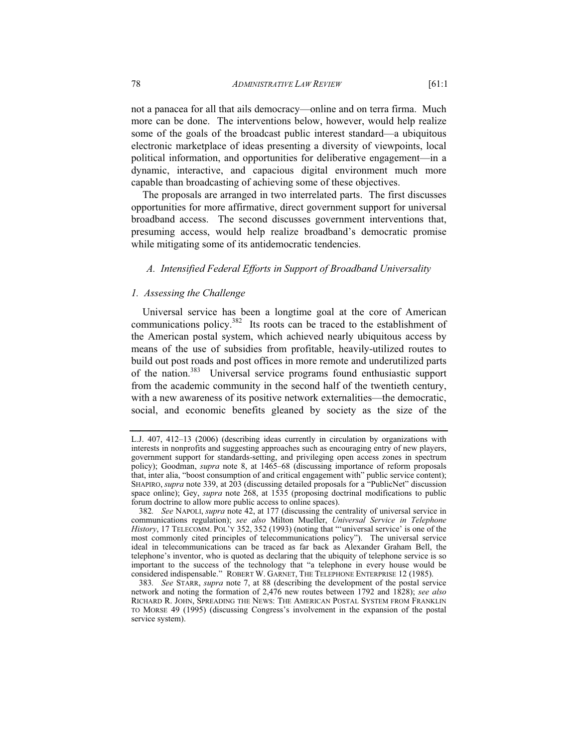not a panacea for all that ails democracy—online and on terra firma. Much more can be done. The interventions below, however, would help realize some of the goals of the broadcast public interest standard—a ubiquitous electronic marketplace of ideas presenting a diversity of viewpoints, local political information, and opportunities for deliberative engagement—in a dynamic, interactive, and capacious digital environment much more capable than broadcasting of achieving some of these objectives.

The proposals are arranged in two interrelated parts. The first discusses opportunities for more affirmative, direct government support for universal broadband access. The second discusses government interventions that, presuming access, would help realize broadband's democratic promise while mitigating some of its antidemocratic tendencies.

### *A. Intensified Federal Efforts in Support of Broadband Universality*

#### *1. Assessing the Challenge*

Universal service has been a longtime goal at the core of American communications policy.<sup>382</sup> Its roots can be traced to the establishment of the American postal system, which achieved nearly ubiquitous access by means of the use of subsidies from profitable, heavily-utilized routes to build out post roads and post offices in more remote and underutilized parts of the nation.383 Universal service programs found enthusiastic support from the academic community in the second half of the twentieth century, with a new awareness of its positive network externalities—the democratic, social, and economic benefits gleaned by society as the size of the

L.J. 407, 412–13 (2006) (describing ideas currently in circulation by organizations with interests in nonprofits and suggesting approaches such as encouraging entry of new players, government support for standards-setting, and privileging open access zones in spectrum policy); Goodman, *supra* note 8, at 1465–68 (discussing importance of reform proposals that, inter alia, "boost consumption of and critical engagement with" public service content); SHAPIRO, *supra* note 339, at 203 (discussing detailed proposals for a "PublicNet" discussion space online); Gey, *supra* note 268, at 1535 (proposing doctrinal modifications to public forum doctrine to allow more public access to online spaces).

<sup>382</sup>*. See* NAPOLI, *supra* note 42, at 177 (discussing the centrality of universal service in communications regulation); *see also* Milton Mueller, *Universal Service in Telephone History*, 17 TELECOMM. POL'Y 352, 352 (1993) (noting that "'universal service' is one of the most commonly cited principles of telecommunications policy"). The universal service ideal in telecommunications can be traced as far back as Alexander Graham Bell, the telephone's inventor, who is quoted as declaring that the ubiquity of telephone service is so important to the success of the technology that "a telephone in every house would be considered indispensable." ROBERT W. GARNET, THE TELEPHONE ENTERPRISE 12 (1985).

<sup>383</sup>*. See* STARR, *supra* note 7, at 88 (describing the development of the postal service network and noting the formation of 2,476 new routes between 1792 and 1828); *see also*  RICHARD R. JOHN, SPREADING THE NEWS: THE AMERICAN POSTAL SYSTEM FROM FRANKLIN TO MORSE 49 (1995) (discussing Congress's involvement in the expansion of the postal service system).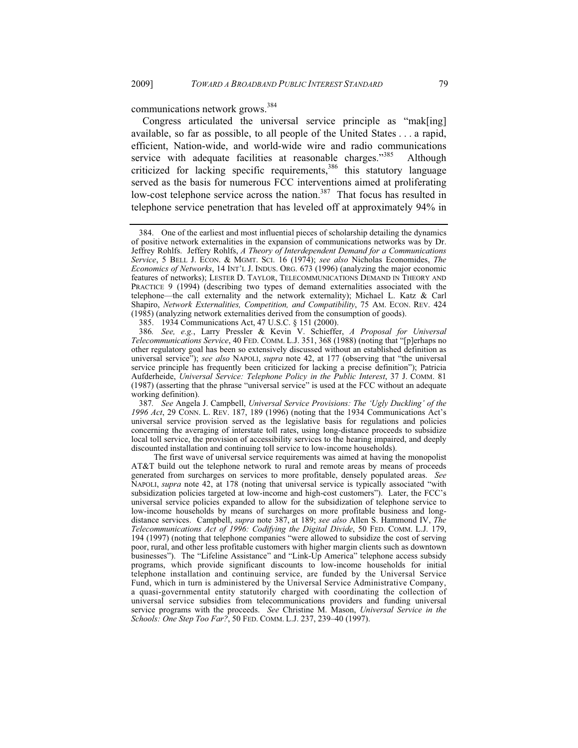communications network grows.<sup>384</sup>

Congress articulated the universal service principle as "mak[ing] available, so far as possible, to all people of the United States . . . a rapid, efficient, Nation-wide, and world-wide wire and radio communications service with adequate facilities at reasonable charges."<sup>385</sup> Although criticized for lacking specific requirements,<sup>386</sup> this statutory language served as the basis for numerous FCC interventions aimed at proliferating low-cost telephone service across the nation.<sup>387</sup> That focus has resulted in telephone service penetration that has leveled off at approximately 94% in

385. 1934 Communications Act, 47 U.S.C. § 151 (2000).

 <sup>384.</sup> One of the earliest and most influential pieces of scholarship detailing the dynamics of positive network externalities in the expansion of communications networks was by Dr. Jeffrey Rohlfs. Jeffery Rohlfs, *A Theory of Interdependent Demand for a Communications Service*, 5 BELL J. ECON. & MGMT. SCI. 16 (1974); see also Nicholas Economides, *The Economics of Networks*, 14 INT'L J. INDUS. ORG. 673 (1996) (analyzing the major economic features of networks); LESTER D. TAYLOR, TELECOMMUNICATIONS DEMAND IN THEORY AND PRACTICE 9 (1994) (describing two types of demand externalities associated with the telephone—the call externality and the network externality); Michael L. Katz & Carl Shapiro, *Network Externalities, Competition, and Compatibility*, 75 AM. ECON. REV. 424 (1985) (analyzing network externalities derived from the consumption of goods).

<sup>386</sup>*. See, e.g.*, Larry Pressler & Kevin V. Schieffer, *A Proposal for Universal Telecommunications Service*, 40 FED. COMM. L.J. 351, 368 (1988) (noting that "[p]erhaps no other regulatory goal has been so extensively discussed without an established definition as universal service"); *see also* NAPOLI, *supra* note 42, at 177 (observing that "the universal service principle has frequently been criticized for lacking a precise definition"); Patricia Aufderheide, *Universal Service: Telephone Policy in the Public Interest*, 37 J. COMM. 81 (1987) (asserting that the phrase "universal service" is used at the FCC without an adequate working definition).

<sup>387</sup>*. See* Angela J. Campbell, *Universal Service Provisions: The 'Ugly Duckling' of the 1996 Act*, 29 CONN. L. REV. 187, 189 (1996) (noting that the 1934 Communications Act's universal service provision served as the legislative basis for regulations and policies concerning the averaging of interstate toll rates, using long-distance proceeds to subsidize local toll service, the provision of accessibility services to the hearing impaired, and deeply discounted installation and continuing toll service to low-income households).

The first wave of universal service requirements was aimed at having the monopolist AT&T build out the telephone network to rural and remote areas by means of proceeds generated from surcharges on services to more profitable, densely populated areas. *See*  NAPOLI, *supra* note 42, at 178 (noting that universal service is typically associated "with subsidization policies targeted at low-income and high-cost customers"). Later, the FCC's universal service policies expanded to allow for the subsidization of telephone service to low-income households by means of surcharges on more profitable business and longdistance services. Campbell, *supra* note 387, at 189; *see also* Allen S. Hammond IV, *The Telecommunications Act of 1996: Codifying the Digital Divide*, 50 FED. COMM. L.J. 179, 194 (1997) (noting that telephone companies "were allowed to subsidize the cost of serving poor, rural, and other less profitable customers with higher margin clients such as downtown businesses"). The "Lifeline Assistance" and "Link-Up America" telephone access subsidy programs, which provide significant discounts to low-income households for initial telephone installation and continuing service, are funded by the Universal Service Fund, which in turn is administered by the Universal Service Administrative Company, a quasi-governmental entity statutorily charged with coordinating the collection of universal service subsidies from telecommunications providers and funding universal service programs with the proceeds. *See* Christine M. Mason, *Universal Service in the Schools: One Step Too Far?*, 50 FED. COMM. L.J. 237, 239–40 (1997).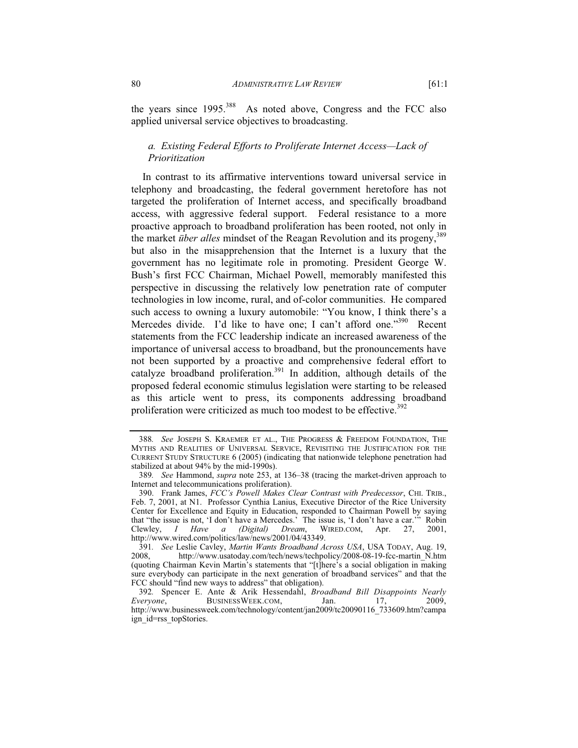the years since 1995.<sup>388</sup> As noted above, Congress and the FCC also applied universal service objectives to broadcasting.

# *a. Existing Federal Efforts to Proliferate Internet Access—Lack of Prioritization*

In contrast to its affirmative interventions toward universal service in telephony and broadcasting, the federal government heretofore has not targeted the proliferation of Internet access, and specifically broadband access, with aggressive federal support. Federal resistance to a more proactive approach to broadband proliferation has been rooted, not only in the market *über alles* mindset of the Reagan Revolution and its progeny,<sup>389</sup> but also in the misapprehension that the Internet is a luxury that the government has no legitimate role in promoting. President George W. Bush's first FCC Chairman, Michael Powell, memorably manifested this perspective in discussing the relatively low penetration rate of computer technologies in low income, rural, and of-color communities. He compared such access to owning a luxury automobile: "You know, I think there's a Mercedes divide. I'd like to have one; I can't afford one."<sup>390</sup> Recent statements from the FCC leadership indicate an increased awareness of the importance of universal access to broadband, but the pronouncements have not been supported by a proactive and comprehensive federal effort to catalyze broadband proliferation.<sup>391</sup> In addition, although details of the proposed federal economic stimulus legislation were starting to be released as this article went to press, its components addressing broadband proliferation were criticized as much too modest to be effective.<sup>392</sup>

<sup>388</sup>*. See* JOSEPH S. KRAEMER ET AL., THE PROGRESS & FREEDOM FOUNDATION, THE MYTHS AND REALITIES OF UNIVERSAL SERVICE, REVISITING THE JUSTIFICATION FOR THE CURRENT STUDY STRUCTURE 6 (2005) (indicating that nationwide telephone penetration had stabilized at about 94% by the mid-1990s).

<sup>389</sup>*. See* Hammond, *supra* note 253, at 136–38 (tracing the market-driven approach to Internet and telecommunications proliferation).

 <sup>390.</sup> Frank James, *FCC's Powell Makes Clear Contrast with Predecessor*, CHI. TRIB., Feb. 7, 2001, at N1. Professor Cynthia Lanius, Executive Director of the Rice University Center for Excellence and Equity in Education, responded to Chairman Powell by saying that "the issue is not, 'I don't have a Mercedes.' The issue is, 'I don't have a car.'" Robin Clewley, *I Have a (Digital) Dream*, WIRED.COM, Apr. 27, 2001, http://www.wired.com/politics/law/news/2001/04/43349.

<sup>391</sup>*. See* Leslie Cavley, *Martin Wants Broadband Across USA*, USA TODAY, Aug. 19, 2008, http://www.usatoday.com/tech/news/techpolicy/2008-08-19-fcc-martin\_N.htm (quoting Chairman Kevin Martin's statements that "[t]here's a social obligation in making sure everybody can participate in the next generation of broadband services" and that the FCC should "find new ways to address" that obligation).

<sup>392</sup>*.* Spencer E. Ante & Arik Hessendahl, *Broadband Bill Disappoints Nearly*  **BUSINESSWEEK.COM,** http://www.businessweek.com/technology/content/jan2009/tc20090116\_733609.htm?campa ign\_id=rss\_topStories.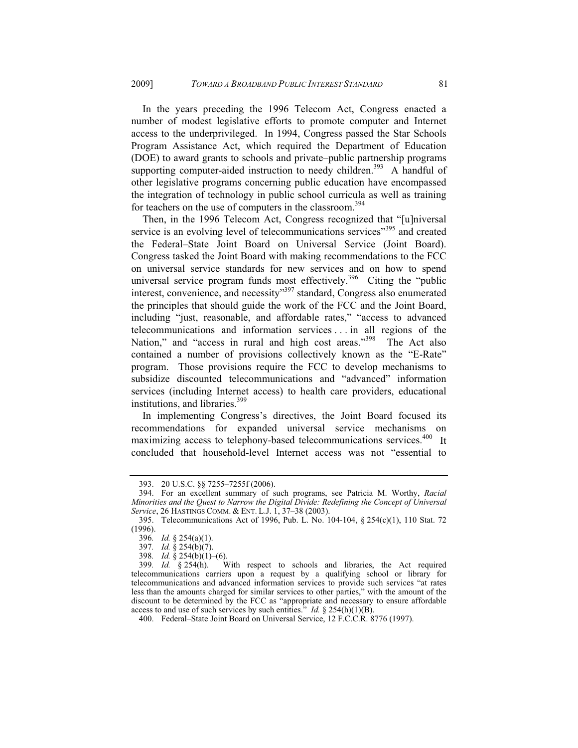In the years preceding the 1996 Telecom Act, Congress enacted a number of modest legislative efforts to promote computer and Internet access to the underprivileged. In 1994, Congress passed the Star Schools Program Assistance Act, which required the Department of Education (DOE) to award grants to schools and private–public partnership programs supporting computer-aided instruction to needy children.<sup>393</sup> A handful of other legislative programs concerning public education have encompassed the integration of technology in public school curricula as well as training for teachers on the use of computers in the classroom.<sup>394</sup>

Then, in the 1996 Telecom Act, Congress recognized that "[u]niversal service is an evolving level of telecommunications services<sup>"395</sup> and created the Federal–State Joint Board on Universal Service (Joint Board). Congress tasked the Joint Board with making recommendations to the FCC on universal service standards for new services and on how to spend universal service program funds most effectively.<sup>396</sup> Citing the "public interest, convenience, and necessity"397 standard, Congress also enumerated the principles that should guide the work of the FCC and the Joint Board, including "just, reasonable, and affordable rates," "access to advanced telecommunications and information services . . . in all regions of the Nation," and "access in rural and high cost areas."<sup>398</sup> The Act also contained a number of provisions collectively known as the "E-Rate" program. Those provisions require the FCC to develop mechanisms to subsidize discounted telecommunications and "advanced" information services (including Internet access) to health care providers, educational institutions, and libraries.<sup>399</sup>

In implementing Congress's directives, the Joint Board focused its recommendations for expanded universal service mechanisms on maximizing access to telephony-based telecommunications services.<sup>400</sup> It concluded that household-level Internet access was not "essential to

 <sup>393. 20</sup> U.S.C. §§ 7255–7255f (2006).

 <sup>394.</sup> For an excellent summary of such programs, see Patricia M. Worthy, *Racial Minorities and the Quest to Narrow the Digital Divide: Redefining the Concept of Universal Service*, 26 HASTINGS COMM.&ENT. L.J. 1, 37–38 (2003).

 <sup>395.</sup> Telecommunications Act of 1996, Pub. L. No. 104-104, § 254(c)(1), 110 Stat. 72 (1996).

<sup>396</sup>*. Id.* § 254(a)(1).

<sup>397</sup>*. Id.* § 254(b)(7).

<sup>398</sup>*. Id.* § 254(b)(1)–(6).

<sup>399</sup>*. Id.* § 254(h). With respect to schools and libraries, the Act required telecommunications carriers upon a request by a qualifying school or library for telecommunications and advanced information services to provide such services "at rates less than the amounts charged for similar services to other parties," with the amount of the discount to be determined by the FCC as "appropriate and necessary to ensure affordable access to and use of such services by such entities." *Id.* § 254(h)(1)(B).

 <sup>400.</sup> Federal–State Joint Board on Universal Service, 12 F.C.C.R. 8776 (1997).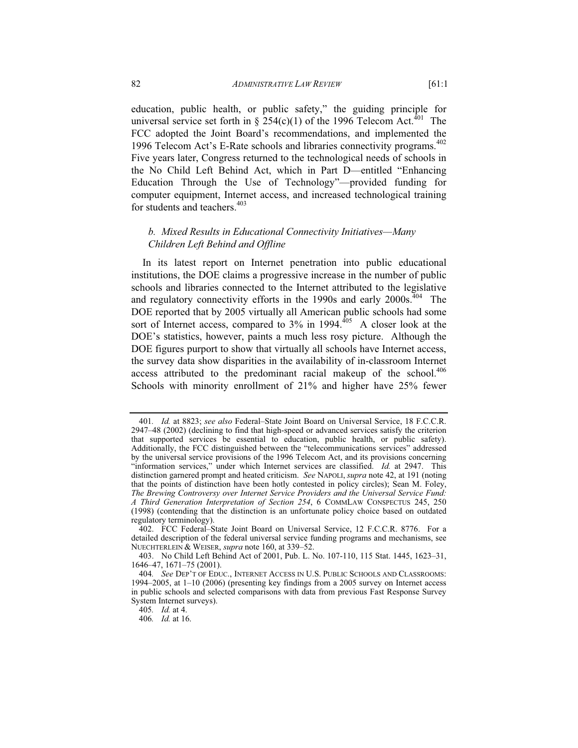education, public health, or public safety," the guiding principle for universal service set forth in § 254(c)(1) of the 1996 Telecom Act.<sup>401</sup> The FCC adopted the Joint Board's recommendations, and implemented the 1996 Telecom Act's E-Rate schools and libraries connectivity programs.<sup>402</sup> Five years later, Congress returned to the technological needs of schools in the No Child Left Behind Act, which in Part D—entitled "Enhancing Education Through the Use of Technology"—provided funding for computer equipment, Internet access, and increased technological training for students and teachers.<sup>403</sup>

## *b. Mixed Results in Educational Connectivity Initiatives—Many Children Left Behind and Offline*

In its latest report on Internet penetration into public educational institutions, the DOE claims a progressive increase in the number of public schools and libraries connected to the Internet attributed to the legislative and regulatory connectivity efforts in the 1990s and early 2000s.<sup>404</sup> The DOE reported that by 2005 virtually all American public schools had some sort of Internet access, compared to  $3\%$  in 1994.<sup>405</sup> A closer look at the DOE's statistics, however, paints a much less rosy picture. Although the DOE figures purport to show that virtually all schools have Internet access, the survey data show disparities in the availability of in-classroom Internet access attributed to the predominant racial makeup of the school.<sup>406</sup> Schools with minority enrollment of 21% and higher have 25% fewer

<sup>401</sup>*. Id.* at 8823; *see also* Federal–State Joint Board on Universal Service, 18 F.C.C.R. 2947–48 (2002) (declining to find that high-speed or advanced services satisfy the criterion that supported services be essential to education, public health, or public safety). Additionally, the FCC distinguished between the "telecommunications services" addressed by the universal service provisions of the 1996 Telecom Act, and its provisions concerning "information services," under which Internet services are classified. *Id.* at 2947. This distinction garnered prompt and heated criticism. *See* NAPOLI, *supra* note 42, at 191 (noting that the points of distinction have been hotly contested in policy circles); Sean M. Foley, *The Brewing Controversy over Internet Service Providers and the Universal Service Fund: A Third Generation Interpretation of Section 254*, 6 COMMLAW CONSPECTUS 245, 250 (1998) (contending that the distinction is an unfortunate policy choice based on outdated regulatory terminology).

 <sup>402.</sup> FCC Federal–State Joint Board on Universal Service, 12 F.C.C.R. 8776. For a detailed description of the federal universal service funding programs and mechanisms, see NUECHTERLEIN & WEISER, *supra* note 160, at 339–52.

 <sup>403.</sup> No Child Left Behind Act of 2001, Pub. L. No. 107-110, 115 Stat. 1445, 1623–31, 1646–47, 1671–75 (2001).

<sup>404</sup>*. See* DEP'T OF EDUC., INTERNET ACCESS IN U.S. PUBLIC SCHOOLS AND CLASSROOMS: 1994–2005, at 1–10 (2006) (presenting key findings from a 2005 survey on Internet access in public schools and selected comparisons with data from previous Fast Response Survey System Internet surveys).

<sup>405</sup>*. Id.* at 4.

<sup>406</sup>*. Id.* at 16.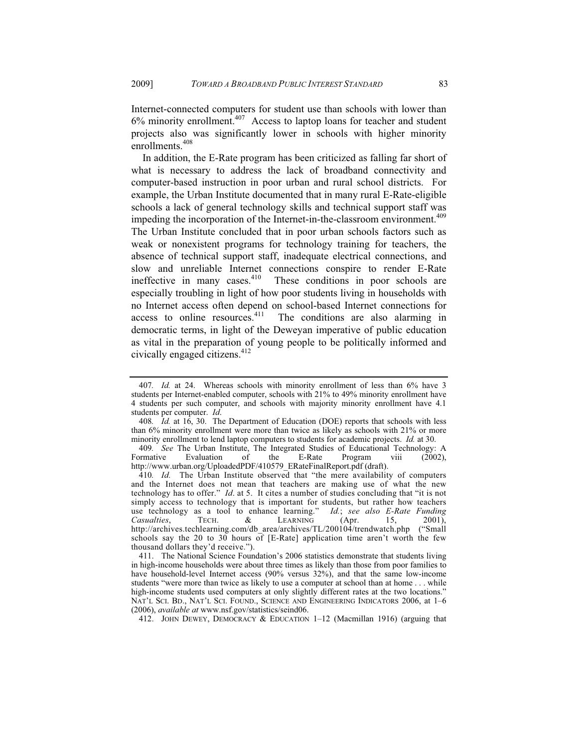Internet-connected computers for student use than schools with lower than  $6\%$  minority enrollment.<sup>407</sup> Access to laptop loans for teacher and student projects also was significantly lower in schools with higher minority enrollments.<sup>408</sup>

In addition, the E-Rate program has been criticized as falling far short of what is necessary to address the lack of broadband connectivity and computer-based instruction in poor urban and rural school districts. For example, the Urban Institute documented that in many rural E-Rate-eligible schools a lack of general technology skills and technical support staff was impeding the incorporation of the Internet-in-the-classroom environment.<sup>409</sup> The Urban Institute concluded that in poor urban schools factors such as

weak or nonexistent programs for technology training for teachers, the absence of technical support staff, inadequate electrical connections, and slow and unreliable Internet connections conspire to render E-Rate ineffective in many cases.<sup>410</sup> These conditions in poor schools are especially troubling in light of how poor students living in households with no Internet access often depend on school-based Internet connections for access to online resources.<sup>411</sup> The conditions are also alarming in The conditions are also alarming in democratic terms, in light of the Deweyan imperative of public education as vital in the preparation of young people to be politically informed and civically engaged citizens.<sup>412</sup>

<sup>407</sup>*. Id.* at 24. Whereas schools with minority enrollment of less than 6% have 3 students per Internet-enabled computer, schools with 21% to 49% minority enrollment have 4 students per such computer, and schools with majority minority enrollment have 4.1 students per computer. *Id*.

<sup>408</sup>*. Id.* at 16, 30. The Department of Education (DOE) reports that schools with less than 6% minority enrollment were more than twice as likely as schools with 21% or more minority enrollment to lend laptop computers to students for academic projects. *Id.* at 30.

<sup>409</sup>*. See* The Urban Institute, The Integrated Studies of Educational Technology: A Formative Evaluation of the E-Rate Program viii (2002), http://www.urban.org/UploadedPDF/410579\_ERateFinalReport.pdf (draft).

<sup>410</sup>*. Id.* The Urban Institute observed that "the mere availability of computers and the Internet does not mean that teachers are making use of what the new technology has to offer." *Id*. at 5. It cites a number of studies concluding that "it is not simply access to technology that is important for students, but rather how teachers use technology as a tool to enhance learning." *Id.*; *see also E-Rate Funding Casualties*, TECH.&LEARNING (Apr. 15, 2001), http://archives.techlearning.com/db\_area/archives/TL/200104/trendwatch.php ("Small schools say the 20 to 30 hours of [E-Rate] application time aren't worth the few thousand dollars they'd receive.").

 <sup>411.</sup> The National Science Foundation's 2006 statistics demonstrate that students living in high-income households were about three times as likely than those from poor families to have household-level Internet access (90% versus 32%), and that the same low-income students "were more than twice as likely to use a computer at school than at home . . . while high-income students used computers at only slightly different rates at the two locations." NAT'L SCI. BD., NAT'L SCI. FOUND., SCIENCE AND ENGINEERING INDICATORS 2006, at 1–6 (2006), *available at* www.nsf.gov/statistics/seind06.

 <sup>412.</sup> JOHN DEWEY, DEMOCRACY & EDUCATION 1–12 (Macmillan 1916) (arguing that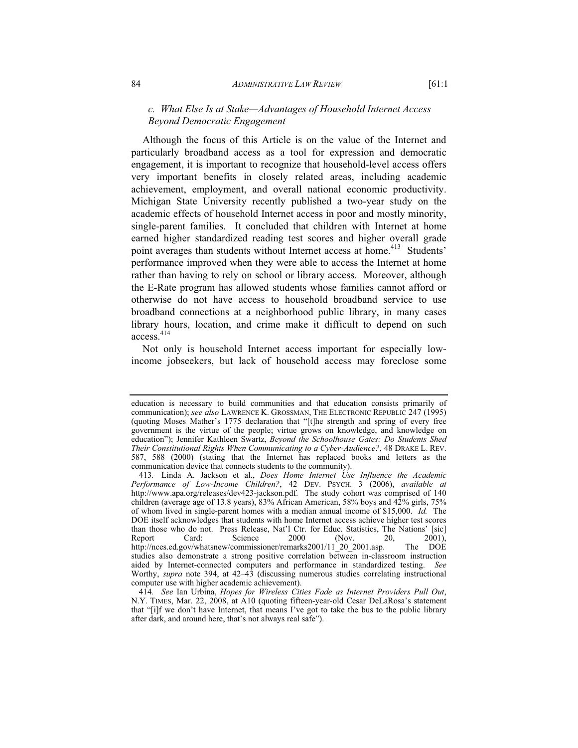## *c. What Else Is at Stake—Advantages of Household Internet Access Beyond Democratic Engagement*

Although the focus of this Article is on the value of the Internet and particularly broadband access as a tool for expression and democratic engagement, it is important to recognize that household-level access offers very important benefits in closely related areas, including academic achievement, employment, and overall national economic productivity. Michigan State University recently published a two-year study on the academic effects of household Internet access in poor and mostly minority, single-parent families. It concluded that children with Internet at home earned higher standardized reading test scores and higher overall grade point averages than students without Internet access at home.<sup>413</sup> Students' performance improved when they were able to access the Internet at home rather than having to rely on school or library access. Moreover, although the E-Rate program has allowed students whose families cannot afford or otherwise do not have access to household broadband service to use broadband connections at a neighborhood public library, in many cases library hours, location, and crime make it difficult to depend on such access.<sup>414</sup>

Not only is household Internet access important for especially lowincome jobseekers, but lack of household access may foreclose some

education is necessary to build communities and that education consists primarily of communication); *see also* LAWRENCE K. GROSSMAN, THE ELECTRONIC REPUBLIC 247 (1995) (quoting Moses Mather's 1775 declaration that "[t]he strength and spring of every free government is the virtue of the people; virtue grows on knowledge, and knowledge on education"); Jennifer Kathleen Swartz, *Beyond the Schoolhouse Gates: Do Students Shed Their Constitutional Rights When Communicating to a Cyber-Audience?*, 48 DRAKE L. REV. 587, 588 (2000) (stating that the Internet has replaced books and letters as the communication device that connects students to the community).

<sup>413</sup>*.* Linda A. Jackson et al., *Does Home Internet Use Influence the Academic Performance of Low-Income Children?*, 42 DEV. PSYCH. 3 (2006), *available at*  http://www.apa.org/releases/dev423-jackson.pdf. The study cohort was comprised of 140 children (average age of 13.8 years), 83% African American, 58% boys and 42% girls, 75% of whom lived in single-parent homes with a median annual income of \$15,000. *Id.* The DOE itself acknowledges that students with home Internet access achieve higher test scores than those who do not. Press Release, Nat'l Ctr. for Educ. Statistics, The Nations' [sic] Report Card: Science 2000 (Nov. 20, 2001), http://nces.ed.gov/whatsnew/commissioner/remarks2001/11\_20\_2001.asp. The DOE studies also demonstrate a strong positive correlation between in-classroom instruction aided by Internet-connected computers and performance in standardized testing. *See* Worthy, *supra* note 394, at 42–43 (discussing numerous studies correlating instructional computer use with higher academic achievement).

<sup>414</sup>*. See* Ian Urbina, *Hopes for Wireless Cities Fade as Internet Providers Pull Out*, N.Y. TIMES, Mar. 22, 2008, at A10 (quoting fifteen-year-old Cesar DeLaRosa's statement that "[i]f we don't have Internet, that means I've got to take the bus to the public library after dark, and around here, that's not always real safe").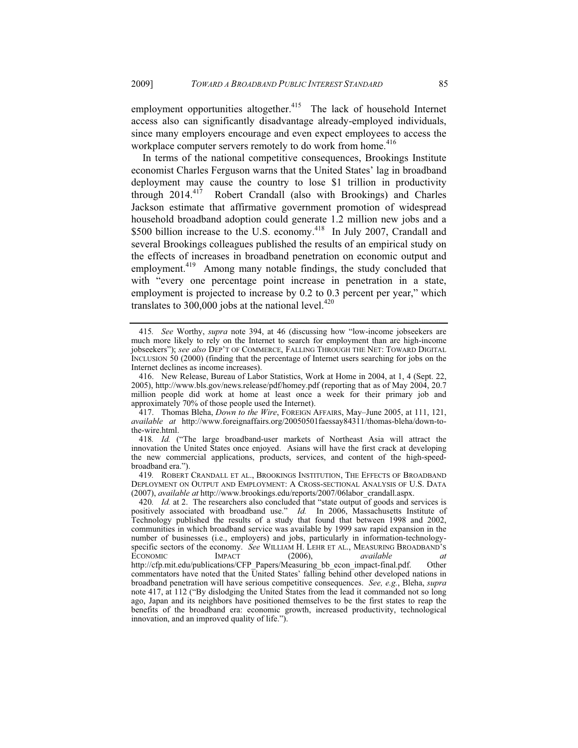employment opportunities altogether.<sup>415</sup> The lack of household Internet access also can significantly disadvantage already-employed individuals, since many employers encourage and even expect employees to access the workplace computer servers remotely to do work from home.<sup>416</sup>

In terms of the national competitive consequences, Brookings Institute economist Charles Ferguson warns that the United States' lag in broadband deployment may cause the country to lose \$1 trillion in productivity through 2014.417 Robert Crandall (also with Brookings) and Charles Jackson estimate that affirmative government promotion of widespread household broadband adoption could generate 1.2 million new jobs and a \$500 billion increase to the U.S. economy.<sup>418</sup> In July 2007, Crandall and several Brookings colleagues published the results of an empirical study on the effects of increases in broadband penetration on economic output and employment.<sup>419</sup> Among many notable findings, the study concluded that with "every one percentage point increase in penetration in a state, employment is projected to increase by 0.2 to 0.3 percent per year," which translates to 300,000 jobs at the national level. $420$ 

418*. Id.* ("The large broadband-user markets of Northeast Asia will attract the innovation the United States once enjoyed. Asians will have the first crack at developing the new commercial applications, products, services, and content of the high-speedbroadband era.").

419*.* ROBERT CRANDALL ET AL., BROOKINGS INSTITUTION, THE EFFECTS OF BROADBAND DEPLOYMENT ON OUTPUT AND EMPLOYMENT: A CROSS-SECTIONAL ANALYSIS OF U.S. DATA (2007), *available at* http://www.brookings.edu/reports/2007/06labor\_crandall.aspx.

420*. Id.* at 2. The researchers also concluded that "state output of goods and services is positively associated with broadband use." *Id.* In 2006, Massachusetts Institute of Technology published the results of a study that found that between 1998 and 2002, communities in which broadband service was available by 1999 saw rapid expansion in the number of businesses (i.e., employers) and jobs, particularly in information-technologyspecific sectors of the economy. *See* WILLIAM H. LEHR ET AL., MEASURING BROADBAND'S<br>ECONOMIC MPACT (2006), *available at* ECONOMIC IMPACT (2006), *available at* http://cfp.mit.edu/publications/CFP\_Papers/Measuring\_bb\_econ\_impact-final.pdf. Other commentators have noted that the United States' falling behind other developed nations in broadband penetration will have serious competitive consequences. *See, e.g.*, Bleha, *supra* note 417, at 112 ("By dislodging the United States from the lead it commanded not so long ago, Japan and its neighbors have positioned themselves to be the first states to reap the benefits of the broadband era: economic growth, increased productivity, technological innovation, and an improved quality of life.").

<sup>415</sup>*. See* Worthy, *supra* note 394, at 46 (discussing how "low-income jobseekers are much more likely to rely on the Internet to search for employment than are high-income jobseekers"); *see also* DEP'T OF COMMERCE, FALLING THROUGH THE NET: TOWARD DIGITAL INCLUSION 50 (2000) (finding that the percentage of Internet users searching for jobs on the Internet declines as income increases).

 <sup>416.</sup> New Release, Bureau of Labor Statistics, Work at Home in 2004, at 1, 4 (Sept. 22, 2005), http://www.bls.gov/news.release/pdf/homey.pdf (reporting that as of May 2004, 20.7 million people did work at home at least once a week for their primary job and approximately 70% of those people used the Internet).

 <sup>417.</sup> Thomas Bleha, *Down to the Wire*, FOREIGN AFFAIRS, May–June 2005, at 111, 121, *available at* http://www.foreignaffairs.org/20050501faessay84311/thomas-bleha/down-tothe-wire.html.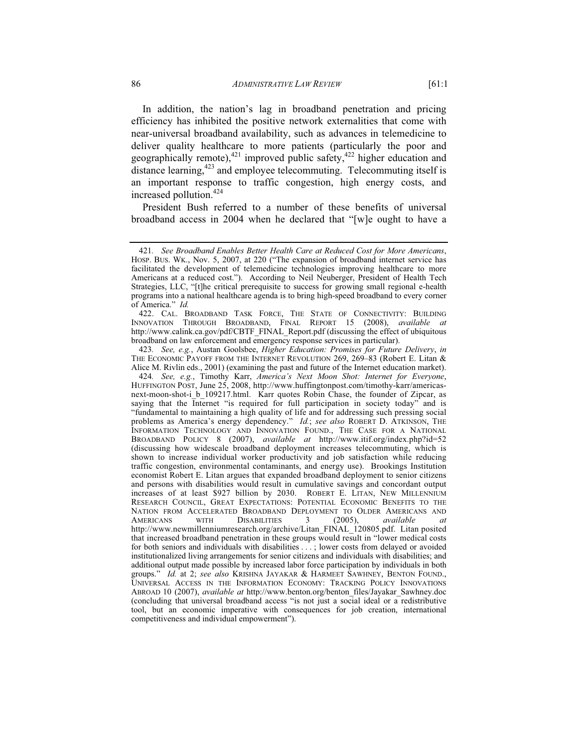In addition, the nation's lag in broadband penetration and pricing efficiency has inhibited the positive network externalities that come with near-universal broadband availability, such as advances in telemedicine to deliver quality healthcare to more patients (particularly the poor and geographically remote), $421$  improved public safety, $422$  higher education and distance learning,<sup>423</sup> and employee telecommuting. Telecommuting itself is an important response to traffic congestion, high energy costs, and increased pollution.<sup>424</sup>

President Bush referred to a number of these benefits of universal broadband access in 2004 when he declared that "[w]e ought to have a

 422. CAL. BROADBAND TASK FORCE, THE STATE OF CONNECTIVITY: BUILDING INNOVATION THROUGH BROADBAND, FINAL REPORT 15 (2008), *available at* http://www.calink.ca.gov/pdf/CBTF\_FINAL\_Report.pdf (discussing the effect of ubiquitous broadband on law enforcement and emergency response services in particular).

423*. See, e.g.*, Austan Goolsbee, *Higher Education: Promises for Future Delivery*, *in* THE ECONOMIC PAYOFF FROM THE INTERNET REVOLUTION 269, 269–83 (Robert E. Litan & Alice M. Rivlin eds., 2001) (examining the past and future of the Internet education market).

424*. See, e.g.*, Timothy Karr, *America's Next Moon Shot: Internet for Everyone*, HUFFINGTON POST, June 25, 2008, http://www.huffingtonpost.com/timothy-karr/americasnext-moon-shot-i\_b\_109217.html. Karr quotes Robin Chase, the founder of Zipcar, as saying that the Internet "is required for full participation in society today" and is "fundamental to maintaining a high quality of life and for addressing such pressing social problems as America's energy dependency." *Id.*; *see also* ROBERT D. ATKINSON, THE INFORMATION TECHNOLOGY AND INNOVATION FOUND., THE CASE FOR A NATIONAL BROADBAND POLICY 8 (2007), *available at* http://www.itif.org/index.php?id=52 (discussing how widescale broadband deployment increases telecommuting, which is shown to increase individual worker productivity and job satisfaction while reducing traffic congestion, environmental contaminants, and energy use). Brookings Institution economist Robert E. Litan argues that expanded broadband deployment to senior citizens and persons with disabilities would result in cumulative savings and concordant output increases of at least \$927 billion by 2030. ROBERT E. LITAN, NEW MILLENNIUM RESEARCH COUNCIL, GREAT EXPECTATIONS: POTENTIAL ECONOMIC BENEFITS TO THE NATION FROM ACCELERATED BROADBAND DEPLOYMENT TO OLDER AMERICANS AND AMERICANS WITH DISABILITIES 3 (2005), *available at* http://www.newmillenniumresearch.org/archive/Litan\_FINAL\_120805.pdf. Litan posited that increased broadband penetration in these groups would result in "lower medical costs for both seniors and individuals with disabilities . . . ; lower costs from delayed or avoided institutionalized living arrangements for senior citizens and individuals with disabilities; and additional output made possible by increased labor force participation by individuals in both groups." *Id.* at 2; *see also* KRISHNA JAYAKAR & HARMEET SAWHNEY, BENTON FOUND., UNIVERSAL ACCESS IN THE INFORMATION ECONOMY: TRACKING POLICY INNOVATIONS ABROAD 10 (2007), *available at* http://www.benton.org/benton\_files/Jayakar\_Sawhney.doc (concluding that universal broadband access "is not just a social ideal or a redistributive tool, but an economic imperative with consequences for job creation, international competitiveness and individual empowerment").

<sup>421</sup>*. See Broadband Enables Better Health Care at Reduced Cost for More Americans*, HOSP. BUS. WK., Nov. 5, 2007, at 220 ("The expansion of broadband internet service has facilitated the development of telemedicine technologies improving healthcare to more Americans at a reduced cost."). According to Neil Neuberger, President of Health Tech Strategies, LLC, "[t]he critical prerequisite to success for growing small regional e-health programs into a national healthcare agenda is to bring high-speed broadband to every corner of America." *Id.*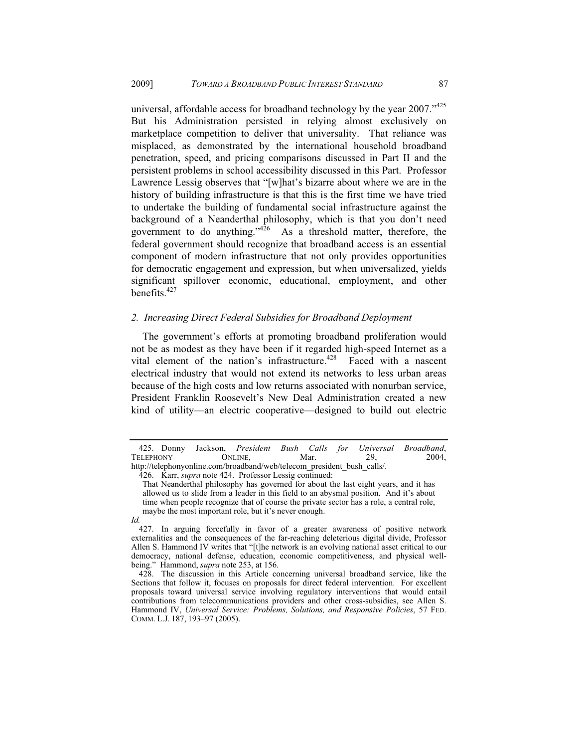universal, affordable access for broadband technology by the year 2007."<sup>425</sup> But his Administration persisted in relying almost exclusively on marketplace competition to deliver that universality. That reliance was misplaced, as demonstrated by the international household broadband penetration, speed, and pricing comparisons discussed in Part II and the persistent problems in school accessibility discussed in this Part. Professor Lawrence Lessig observes that "[w]hat's bizarre about where we are in the history of building infrastructure is that this is the first time we have tried to undertake the building of fundamental social infrastructure against the background of a Neanderthal philosophy, which is that you don't need government to do anything." $426$  As a threshold matter, therefore, the federal government should recognize that broadband access is an essential component of modern infrastructure that not only provides opportunities for democratic engagement and expression, but when universalized, yields significant spillover economic, educational, employment, and other benefits.<sup>427</sup>

## *2. Increasing Direct Federal Subsidies for Broadband Deployment*

The government's efforts at promoting broadband proliferation would not be as modest as they have been if it regarded high-speed Internet as a vital element of the nation's infrastructure.<sup> $428$ </sup> Faced with a nascent electrical industry that would not extend its networks to less urban areas because of the high costs and low returns associated with nonurban service, President Franklin Roosevelt's New Deal Administration created a new kind of utility—an electric cooperative—designed to build out electric

 <sup>425.</sup> Donny Jackson, *President Bush Calls for Universal Broadband*, TELEPHONY ONLINE, Mar. 29, 2004, http://telephonyonline.com/broadband/web/telecom\_president\_bush\_calls/.

 <sup>426.</sup> Karr, *supra* note 424. Professor Lessig continued:

That Neanderthal philosophy has governed for about the last eight years, and it has allowed us to slide from a leader in this field to an abysmal position. And it's about time when people recognize that of course the private sector has a role, a central role, maybe the most important role, but it's never enough.

*Id.*

 <sup>427.</sup> In arguing forcefully in favor of a greater awareness of positive network externalities and the consequences of the far-reaching deleterious digital divide, Professor Allen S. Hammond IV writes that "[t]he network is an evolving national asset critical to our democracy, national defense, education, economic competitiveness, and physical wellbeing." Hammond, *supra* note 253, at 156.

 <sup>428.</sup> The discussion in this Article concerning universal broadband service, like the Sections that follow it, focuses on proposals for direct federal intervention. For excellent proposals toward universal service involving regulatory interventions that would entail contributions from telecommunications providers and other cross-subsidies, see Allen S. Hammond IV, *Universal Service: Problems, Solutions, and Responsive Policies*, 57 FED. COMM. L.J. 187, 193–97 (2005).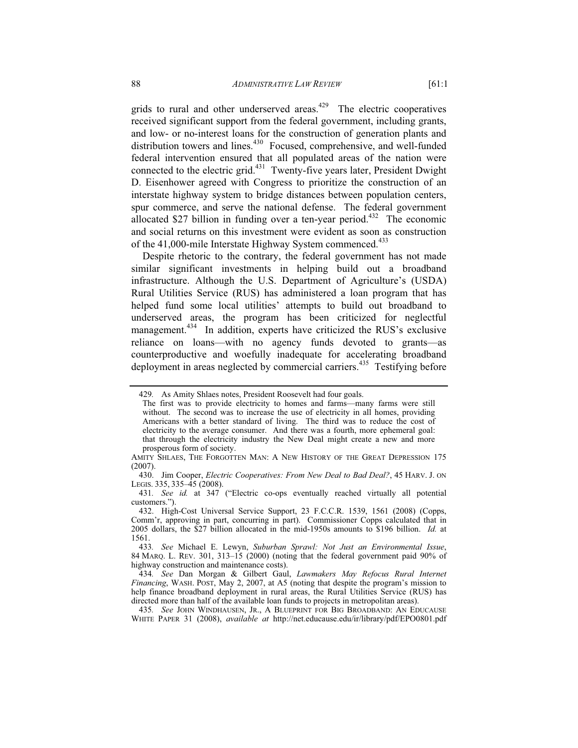grids to rural and other underserved areas.<sup>429</sup> The electric cooperatives received significant support from the federal government, including grants, and low- or no-interest loans for the construction of generation plants and distribution towers and lines.<sup>430</sup> Focused, comprehensive, and well-funded federal intervention ensured that all populated areas of the nation were connected to the electric grid.<sup>431</sup> Twenty-five years later, President Dwight D. Eisenhower agreed with Congress to prioritize the construction of an interstate highway system to bridge distances between population centers, spur commerce, and serve the national defense. The federal government allocated \$27 billion in funding over a ten-year period.<sup>432</sup> The economic and social returns on this investment were evident as soon as construction of the 41,000-mile Interstate Highway System commenced.<sup>433</sup>

Despite rhetoric to the contrary, the federal government has not made similar significant investments in helping build out a broadband infrastructure. Although the U.S. Department of Agriculture's (USDA) Rural Utilities Service (RUS) has administered a loan program that has helped fund some local utilities' attempts to build out broadband to underserved areas, the program has been criticized for neglectful management.<sup>434</sup> In addition, experts have criticized the RUS's exclusive reliance on loans—with no agency funds devoted to grants—as counterproductive and woefully inadequate for accelerating broadband deployment in areas neglected by commercial carriers.<sup>435</sup> Testifying before

<sup>429</sup>*.* As Amity Shlaes notes, President Roosevelt had four goals.

The first was to provide electricity to homes and farms—many farms were still without. The second was to increase the use of electricity in all homes, providing Americans with a better standard of living. The third was to reduce the cost of electricity to the average consumer. And there was a fourth, more ephemeral goal: that through the electricity industry the New Deal might create a new and more prosperous form of society.

AMITY SHLAES, THE FORGOTTEN MAN: A NEW HISTORY OF THE GREAT DEPRESSION 175 (2007).

 <sup>430.</sup> Jim Cooper, *Electric Cooperatives: From New Deal to Bad Deal?*, 45 HARV. J. ON LEGIS. 335, 335–45 (2008).

<sup>431</sup>*. See id.* at 347 ("Electric co-ops eventually reached virtually all potential customers.").

 <sup>432.</sup> High-Cost Universal Service Support, 23 F.C.C.R. 1539, 1561 (2008) (Copps, Comm'r, approving in part, concurring in part). Commissioner Copps calculated that in 2005 dollars, the \$27 billion allocated in the mid-1950s amounts to \$196 billion. *Id.* at 1561.

<sup>433</sup>*. See* Michael E. Lewyn, *Suburban Sprawl: Not Just an Environmental Issue*, 84 MARQ. L. REV. 301, 313–15 (2000) (noting that the federal government paid 90% of highway construction and maintenance costs).

<sup>434</sup>*. See* Dan Morgan & Gilbert Gaul, *Lawmakers May Refocus Rural Internet Financing*, WASH. POST, May 2, 2007, at A5 (noting that despite the program's mission to help finance broadband deployment in rural areas, the Rural Utilities Service (RUS) has directed more than half of the available loan funds to projects in metropolitan areas).

<sup>435</sup>*. See* JOHN WINDHAUSEN, JR., A BLUEPRINT FOR BIG BROADBAND: AN EDUCAUSE WHITE PAPER 31 (2008), *available at* http://net.educause.edu/ir/library/pdf/EPO0801.pdf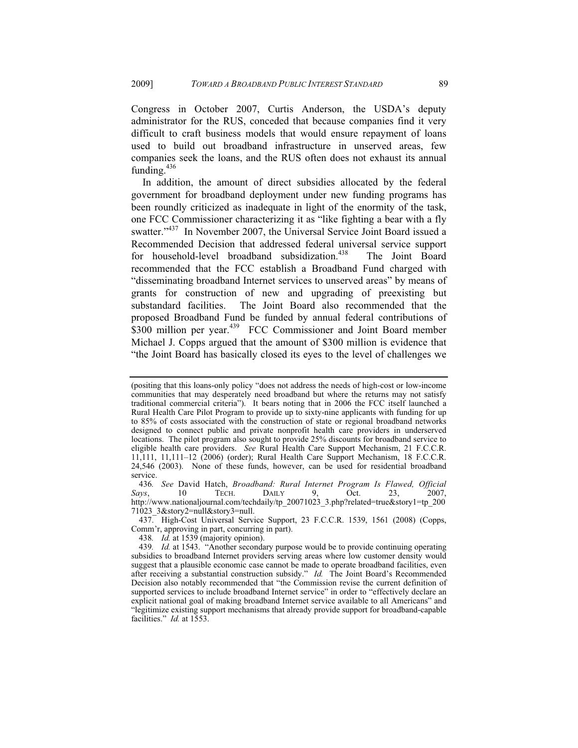Congress in October 2007, Curtis Anderson, the USDA's deputy administrator for the RUS, conceded that because companies find it very difficult to craft business models that would ensure repayment of loans used to build out broadband infrastructure in unserved areas, few companies seek the loans, and the RUS often does not exhaust its annual funding. $436$ 

In addition, the amount of direct subsidies allocated by the federal government for broadband deployment under new funding programs has been roundly criticized as inadequate in light of the enormity of the task, one FCC Commissioner characterizing it as "like fighting a bear with a fly swatter."<sup>437</sup> In November 2007, the Universal Service Joint Board issued a Recommended Decision that addressed federal universal service support for household-level broadband subsidization.<sup>438</sup> The Joint Board recommended that the FCC establish a Broadband Fund charged with "disseminating broadband Internet services to unserved areas" by means of grants for construction of new and upgrading of preexisting but substandard facilities. The Joint Board also recommended that the proposed Broadband Fund be funded by annual federal contributions of \$300 million per year.<sup>439</sup> FCC Commissioner and Joint Board member Michael J. Copps argued that the amount of \$300 million is evidence that "the Joint Board has basically closed its eyes to the level of challenges we

438*. Id.* at 1539 (majority opinion).

<sup>(</sup>positing that this loans-only policy "does not address the needs of high-cost or low-income communities that may desperately need broadband but where the returns may not satisfy traditional commercial criteria"). It bears noting that in 2006 the FCC itself launched a Rural Health Care Pilot Program to provide up to sixty-nine applicants with funding for up to 85% of costs associated with the construction of state or regional broadband networks designed to connect public and private nonprofit health care providers in underserved locations. The pilot program also sought to provide 25% discounts for broadband service to eligible health care providers. *See* Rural Health Care Support Mechanism, 21 F.C.C.R. 11,111, 11,111–12 (2006) (order); Rural Health Care Support Mechanism, 18 F.C.C.R. 24,546 (2003). None of these funds, however, can be used for residential broadband service.

<sup>436</sup>*. See* David Hatch, *Broadband: Rural Internet Program Is Flawed, Official Says*, 10 TECH. DAILY 9, Oct. 23, 2007, http://www.nationaljournal.com/techdaily/tp\_20071023\_3.php?related=true&story1=tp\_200 71023\_3&story2=null&story3=null.

 <sup>437.</sup> High-Cost Universal Service Support, 23 F.C.C.R. 1539, 1561 (2008) (Copps, Comm'r, approving in part, concurring in part).

<sup>439</sup>*. Id.* at 1543. "Another secondary purpose would be to provide continuing operating subsidies to broadband Internet providers serving areas where low customer density would suggest that a plausible economic case cannot be made to operate broadband facilities, even after receiving a substantial construction subsidy." *Id.* The Joint Board's Recommended Decision also notably recommended that "the Commission revise the current definition of supported services to include broadband Internet service" in order to "effectively declare an explicit national goal of making broadband Internet service available to all Americans" and "legitimize existing support mechanisms that already provide support for broadband-capable facilities." *Id.* at 1553.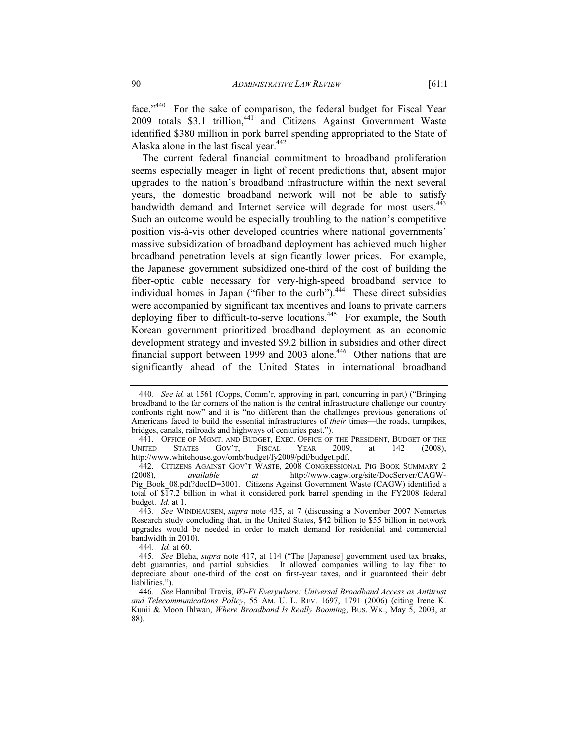face."440 For the sake of comparison, the federal budget for Fiscal Year  $2009$  totals \$3.1 trillion, $441$  and Citizens Against Government Waste identified \$380 million in pork barrel spending appropriated to the State of Alaska alone in the last fiscal year.<sup>442</sup>

The current federal financial commitment to broadband proliferation seems especially meager in light of recent predictions that, absent major upgrades to the nation's broadband infrastructure within the next several years, the domestic broadband network will not be able to satisfy bandwidth demand and Internet service will degrade for most users.<sup>443</sup> Such an outcome would be especially troubling to the nation's competitive position vis-à-vis other developed countries where national governments' massive subsidization of broadband deployment has achieved much higher broadband penetration levels at significantly lower prices. For example, the Japanese government subsidized one-third of the cost of building the fiber-optic cable necessary for very-high-speed broadband service to individual homes in Japan ("fiber to the curb").<sup>444</sup> These direct subsidies were accompanied by significant tax incentives and loans to private carriers deploying fiber to difficult-to-serve locations.<sup>445</sup> For example, the South Korean government prioritized broadband deployment as an economic development strategy and invested \$9.2 billion in subsidies and other direct financial support between 1999 and 2003 alone.<sup>446</sup> Other nations that are significantly ahead of the United States in international broadband

444*. Id.* at 60.

<sup>440</sup>*. See id.* at 1561 (Copps, Comm'r, approving in part, concurring in part) ("Bringing broadband to the far corners of the nation is the central infrastructure challenge our country confronts right now" and it is "no different than the challenges previous generations of Americans faced to build the essential infrastructures of *their* times—the roads, turnpikes, bridges, canals, railroads and highways of centuries past.").

 <sup>441.</sup> OFFICE OF MGMT. AND BUDGET, EXEC. OFFICE OF THE PRESIDENT, BUDGET OF THE UNITED STATES GOV'T, FISCAL YEAR 2009, at 142 (2008), http://www.whitehouse.gov/omb/budget/fy2009/pdf/budget.pdf.

 <sup>442.</sup> CITIZENS AGAINST GOV'T WASTE, 2008 CONGRESSIONAL PIG BOOK SUMMARY 2 (2008), *available at* http://www.cagw.org/site/DocServer/CAGW-Pig\_Book\_08.pdf?docID=3001. Citizens Against Government Waste (CAGW) identified a total of \$17.2 billion in what it considered pork barrel spending in the FY2008 federal budget. *Id.* at 1.

<sup>443</sup>*. See* WINDHAUSEN, *supra* note 435, at 7 (discussing a November 2007 Nemertes Research study concluding that, in the United States, \$42 billion to \$55 billion in network upgrades would be needed in order to match demand for residential and commercial bandwidth in 2010).

<sup>445</sup>*. See* Bleha, *supra* note 417, at 114 ("The [Japanese] government used tax breaks, debt guaranties, and partial subsidies. It allowed companies willing to lay fiber to depreciate about one-third of the cost on first-year taxes, and it guaranteed their debt liabilities.").

<sup>446</sup>*. See* Hannibal Travis, *Wi-Fi Everywhere: Universal Broadband Access as Antitrust and Telecommunications Policy*, 55 AM. U. L. REV. 1697, 1791 (2006) (citing Irene K. Kunii & Moon Ihlwan, *Where Broadband Is Really Booming*, BUS. WK., May 5, 2003, at 88).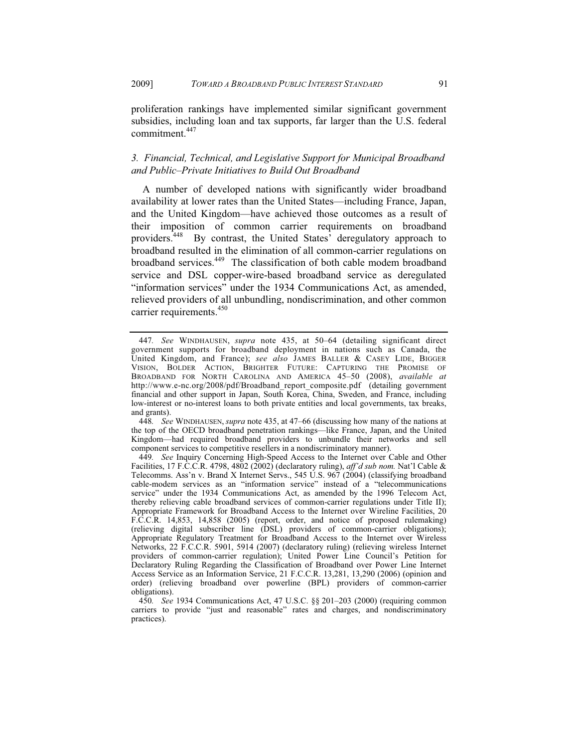proliferation rankings have implemented similar significant government subsidies, including loan and tax supports, far larger than the U.S. federal commitment.<sup>447</sup>

# *3. Financial, Technical, and Legislative Support for Municipal Broadband and Public–Private Initiatives to Build Out Broadband*

A number of developed nations with significantly wider broadband availability at lower rates than the United States—including France, Japan, and the United Kingdom—have achieved those outcomes as a result of their imposition of common carrier requirements on broadband providers.<sup>448</sup> By contrast, the United States' deregulatory approach to broadband resulted in the elimination of all common-carrier regulations on broadband services.<sup>449</sup> The classification of both cable modem broadband service and DSL copper-wire-based broadband service as deregulated "information services" under the 1934 Communications Act, as amended, relieved providers of all unbundling, nondiscrimination, and other common carrier requirements.<sup>450</sup>

448*. See* WINDHAUSEN, *supra* note 435, at 47–66 (discussing how many of the nations at the top of the OECD broadband penetration rankings—like France, Japan, and the United Kingdom—had required broadband providers to unbundle their networks and sell component services to competitive resellers in a nondiscriminatory manner).

<sup>447</sup>*. See* WINDHAUSEN, *supra* note 435, at 50–64 (detailing significant direct government supports for broadband deployment in nations such as Canada, the United Kingdom, and France); *see also* JAMES BALLER & CASEY LIDE, BIGGER VISION, BOLDER ACTION, BRIGHTER FUTURE: CAPTURING THE PROMISE OF BROADBAND FOR NORTH CAROLINA AND AMERICA 45–50 (2008), *available at* http://www.e-nc.org/2008/pdf/Broadband\_report\_composite.pdf (detailing government financial and other support in Japan, South Korea, China, Sweden, and France, including low-interest or no-interest loans to both private entities and local governments, tax breaks, and grants).

<sup>449</sup>*. See* Inquiry Concerning High-Speed Access to the Internet over Cable and Other Facilities, 17 F.C.C.R. 4798, 4802 (2002) (declaratory ruling), *aff'd sub nom.* Nat'l Cable & Telecomms. Ass'n v. Brand X Internet Servs., 545 U.S. 967 (2004) (classifying broadband cable-modem services as an "information service" instead of a "telecommunications service" under the 1934 Communications Act, as amended by the 1996 Telecom Act, thereby relieving cable broadband services of common-carrier regulations under Title II); Appropriate Framework for Broadband Access to the Internet over Wireline Facilities, 20 F.C.C.R. 14,853, 14,858 (2005) (report, order, and notice of proposed rulemaking) (relieving digital subscriber line (DSL) providers of common-carrier obligations); Appropriate Regulatory Treatment for Broadband Access to the Internet over Wireless Networks, 22 F.C.C.R. 5901, 5914 (2007) (declaratory ruling) (relieving wireless Internet providers of common-carrier regulation); United Power Line Council's Petition for Declaratory Ruling Regarding the Classification of Broadband over Power Line Internet Access Service as an Information Service, 21 F.C.C.R. 13,281, 13,290 (2006) (opinion and order) (relieving broadband over powerline (BPL) providers of common-carrier obligations).

<sup>450</sup>*. See* 1934 Communications Act, 47 U.S.C. §§ 201–203 (2000) (requiring common carriers to provide "just and reasonable" rates and charges, and nondiscriminatory practices).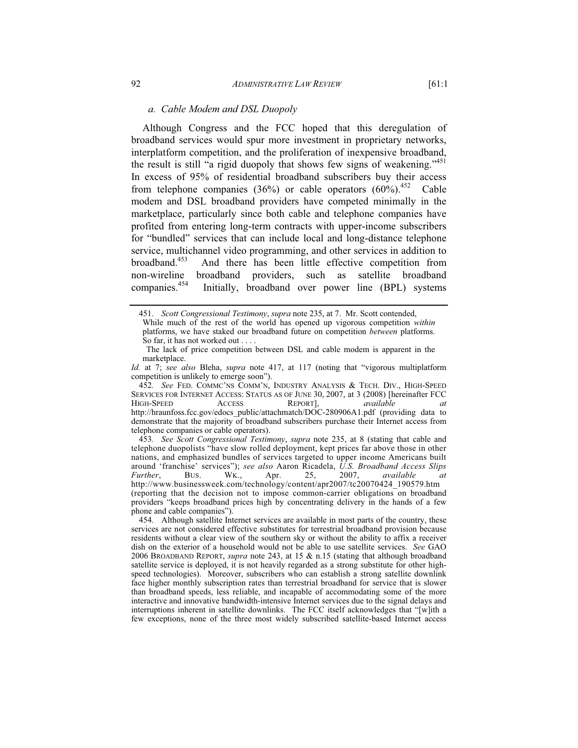#### *a. Cable Modem and DSL Duopoly*

Although Congress and the FCC hoped that this deregulation of broadband services would spur more investment in proprietary networks, interplatform competition, and the proliferation of inexpensive broadband, the result is still "a rigid duopoly that shows few signs of weakening."<sup>451</sup> In excess of 95% of residential broadband subscribers buy their access from telephone companies (36%) or cable operators (60%).<sup>452</sup> Cable modem and DSL broadband providers have competed minimally in the marketplace, particularly since both cable and telephone companies have profited from entering long-term contracts with upper-income subscribers for "bundled" services that can include local and long-distance telephone service, multichannel video programming, and other services in addition to broadband.<sup>453</sup> And there has been little effective competition from non-wireline broadband providers, such as satellite broadband companies.<sup>454</sup> Initially, broadband over power line (BPL) systems Initially, broadband over power line (BPL) systems

 <sup>451.</sup> *Scott Congressional Testimony*, *supra* note 235, at 7. Mr. Scott contended, While much of the rest of the world has opened up vigorous competition *within*  platforms, we have staked our broadband future on competition *between* platforms. So far, it has not worked out . . . .

The lack of price competition between DSL and cable modem is apparent in the marketplace.

*Id.* at 7; *see also* Bleha, *supra* note 417, at 117 (noting that "vigorous multiplatform competition is unlikely to emerge soon").

<sup>452</sup>*. See* FED. COMMC'NS COMM'N, INDUSTRY ANALYSIS & TECH. DIV., HIGH-SPEED SERVICES FOR INTERNET ACCESS: STATUS AS OF JUNE 30, 2007, at 3 (2008) [hereinafter FCC<br>HIGH-SPEED ACCESS REPORT], *available at* HIGH-SPEED ACCESS REPORT], *available at*  http://hraunfoss.fcc.gov/edocs\_public/attachmatch/DOC-280906A1.pdf (providing data to demonstrate that the majority of broadband subscribers purchase their Internet access from telephone companies or cable operators).

<sup>453</sup>*. See Scott Congressional Testimony*, *supra* note 235, at 8 (stating that cable and telephone duopolists "have slow rolled deployment, kept prices far above those in other nations, and emphasized bundles of services targeted to upper income Americans built around 'franchise' services"); *see also* Aaron Ricadela, *U.S. Broadband Access Slips Further*, BUS. WK., Apr. 25, 2007, *available at* http://www.businessweek.com/technology/content/apr2007/tc20070424\_190579.htm (reporting that the decision not to impose common-carrier obligations on broadband providers "keeps broadband prices high by concentrating delivery in the hands of a few phone and cable companies").

 <sup>454.</sup> Although satellite Internet services are available in most parts of the country, these services are not considered effective substitutes for terrestrial broadband provision because residents without a clear view of the southern sky or without the ability to affix a receiver dish on the exterior of a household would not be able to use satellite services. *See* GAO 2006 BROADBAND REPORT, *supra* note 243, at 15 & n.15 (stating that although broadband satellite service is deployed, it is not heavily regarded as a strong substitute for other highspeed technologies). Moreover, subscribers who can establish a strong satellite downlink face higher monthly subscription rates than terrestrial broadband for service that is slower than broadband speeds, less reliable, and incapable of accommodating some of the more interactive and innovative bandwidth-intensive Internet services due to the signal delays and interruptions inherent in satellite downlinks. The FCC itself acknowledges that "[w]ith a few exceptions, none of the three most widely subscribed satellite-based Internet access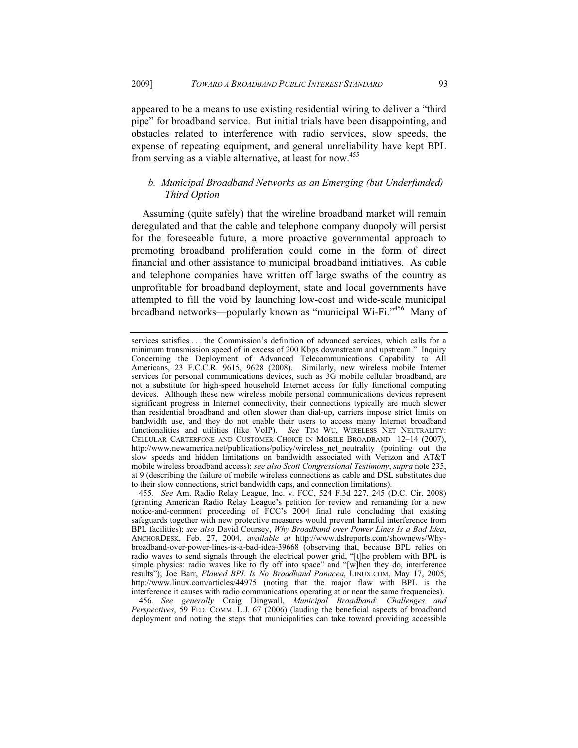appeared to be a means to use existing residential wiring to deliver a "third pipe" for broadband service. But initial trials have been disappointing, and obstacles related to interference with radio services, slow speeds, the expense of repeating equipment, and general unreliability have kept BPL from serving as a viable alternative, at least for now.<sup>455</sup>

## *b. Municipal Broadband Networks as an Emerging (but Underfunded) Third Option*

Assuming (quite safely) that the wireline broadband market will remain deregulated and that the cable and telephone company duopoly will persist for the foreseeable future, a more proactive governmental approach to promoting broadband proliferation could come in the form of direct financial and other assistance to municipal broadband initiatives. As cable and telephone companies have written off large swaths of the country as unprofitable for broadband deployment, state and local governments have attempted to fill the void by launching low-cost and wide-scale municipal broadband networks—popularly known as "municipal Wi-Fi."456 Many of

456*. See generally* Craig Dingwall, *Municipal Broadband: Challenges and Perspectives*, 59 FED. COMM. L.J. 67 (2006) (lauding the beneficial aspects of broadband deployment and noting the steps that municipalities can take toward providing accessible

services satisfies . . . the Commission's definition of advanced services, which calls for a minimum transmission speed of in excess of 200 Kbps downstream and upstream." Inquiry Concerning the Deployment of Advanced Telecommunications Capability to All Americans, 23 F.C.C.R. 9615, 9628 (2008). Similarly, new wireless mobile Internet services for personal communications devices, such as 3G mobile cellular broadband, are not a substitute for high-speed household Internet access for fully functional computing devices. Although these new wireless mobile personal communications devices represent significant progress in Internet connectivity, their connections typically are much slower than residential broadband and often slower than dial-up, carriers impose strict limits on bandwidth use, and they do not enable their users to access many Internet broadband functionalities and utilities (like VoIP). *See* TIM WU, WIRELESS NET NEUTRALITY: CELLULAR CARTERFONE AND CUSTOMER CHOICE IN MOBILE BROADBAND 12–14 (2007), http://www.newamerica.net/publications/policy/wireless\_net\_neutrality (pointing out the slow speeds and hidden limitations on bandwidth associated with Verizon and AT&T mobile wireless broadband access); *see also Scott Congressional Testimony*, *supra* note 235, at 9 (describing the failure of mobile wireless connections as cable and DSL substitutes due to their slow connections, strict bandwidth caps, and connection limitations).

<sup>455</sup>*. See* Am. Radio Relay League, Inc. v. FCC, 524 F.3d 227, 245 (D.C. Cir. 2008) (granting American Radio Relay League's petition for review and remanding for a new notice-and-comment proceeding of FCC's 2004 final rule concluding that existing safeguards together with new protective measures would prevent harmful interference from BPL facilities); *see also* David Coursey, *Why Broadband over Power Lines Is a Bad Idea*, ANCHORDESK, Feb. 27, 2004, *available at* http://www.dslreports.com/shownews/Whybroadband-over-power-lines-is-a-bad-idea-39668 (observing that, because BPL relies on radio waves to send signals through the electrical power grid, "[t]he problem with BPL is simple physics: radio waves like to fly off into space" and "[w]hen they do, interference results"); Joe Barr, *Flawed BPL Is No Broadband Panacea*, LINUX.COM, May 17, 2005, http://www.linux.com/articles/44975 (noting that the major flaw with BPL is the interference it causes with radio communications operating at or near the same frequencies).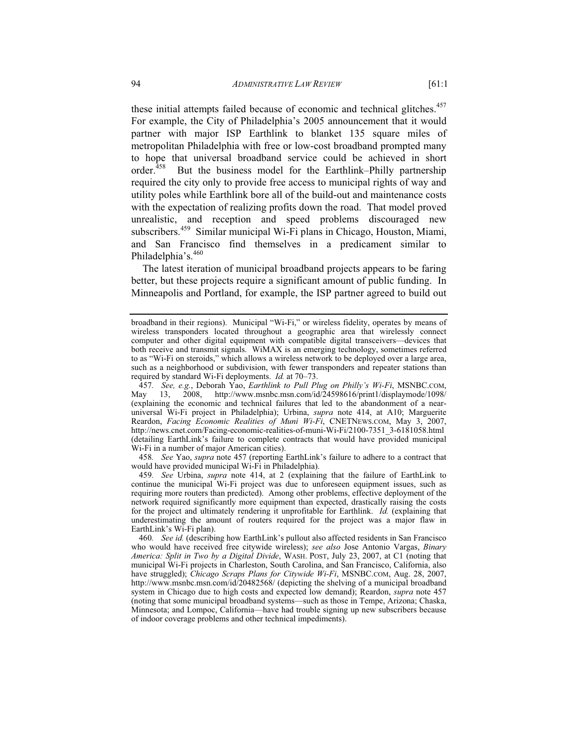these initial attempts failed because of economic and technical glitches.<sup>457</sup> For example, the City of Philadelphia's 2005 announcement that it would partner with major ISP Earthlink to blanket 135 square miles of metropolitan Philadelphia with free or low-cost broadband prompted many to hope that universal broadband service could be achieved in short order.<sup>458</sup> But the business model for the Earthlink–Philly partnership required the city only to provide free access to municipal rights of way and utility poles while Earthlink bore all of the build-out and maintenance costs with the expectation of realizing profits down the road. That model proved unrealistic, and reception and speed problems discouraged new subscribers.<sup>459</sup> Similar municipal Wi-Fi plans in Chicago, Houston, Miami, and San Francisco find themselves in a predicament similar to Philadelphia's.<sup>460</sup>

The latest iteration of municipal broadband projects appears to be faring better, but these projects require a significant amount of public funding. In Minneapolis and Portland, for example, the ISP partner agreed to build out

458*. See* Yao, *supra* note 457 (reporting EarthLink's failure to adhere to a contract that would have provided municipal Wi-Fi in Philadelphia).

459*. See* Urbina, *supra* note 414, at 2 (explaining that the failure of EarthLink to continue the municipal Wi-Fi project was due to unforeseen equipment issues, such as requiring more routers than predicted). Among other problems, effective deployment of the network required significantly more equipment than expected, drastically raising the costs for the project and ultimately rendering it unprofitable for Earthlink. *Id.* (explaining that underestimating the amount of routers required for the project was a major flaw in EarthLink's Wi-Fi plan).

broadband in their regions). Municipal "Wi-Fi," or wireless fidelity, operates by means of wireless transponders located throughout a geographic area that wirelessly connect computer and other digital equipment with compatible digital transceivers—devices that both receive and transmit signals. WiMAX is an emerging technology, sometimes referred to as "Wi-Fi on steroids," which allows a wireless network to be deployed over a large area, such as a neighborhood or subdivision, with fewer transponders and repeater stations than required by standard Wi-Fi deployments. *Id.* at 70–73.

<sup>457</sup>*. See, e.g.*, Deborah Yao, *Earthlink to Pull Plug on Philly's Wi-Fi*, MSNBC.COM, May 13, 2008, http://www.msnbc.msn.com/id/24598616/print1/displaymode/1098/ (explaining the economic and technical failures that led to the abandonment of a nearuniversal Wi-Fi project in Philadelphia); Urbina, *supra* note 414, at A10; Marguerite Reardon, *Facing Economic Realities of Muni Wi-Fi*, CNETNEWS.COM, May 3, 2007, http://news.cnet.com/Facing-economic-realities-of-muni-Wi-Fi/2100-7351\_3-6181058.html (detailing EarthLink's failure to complete contracts that would have provided municipal Wi-Fi in a number of major American cities).

<sup>460</sup>*. See id.* (describing how EarthLink's pullout also affected residents in San Francisco who would have received free citywide wireless); *see also* Jose Antonio Vargas, *Binary America: Split in Two by a Digital Divide*, WASH. POST, July 23, 2007, at C1 (noting that municipal Wi-Fi projects in Charleston, South Carolina, and San Francisco, California, also have struggled); *Chicago Scraps Plans for Citywide Wi-Fi*, MSNBC.COM, Aug. 28, 2007, http://www.msnbc.msn.com/id/20482568/ (depicting the shelving of a municipal broadband system in Chicago due to high costs and expected low demand); Reardon, *supra* note 457 (noting that some municipal broadband systems—such as those in Tempe, Arizona; Chaska, Minnesota; and Lompoc, California—have had trouble signing up new subscribers because of indoor coverage problems and other technical impediments).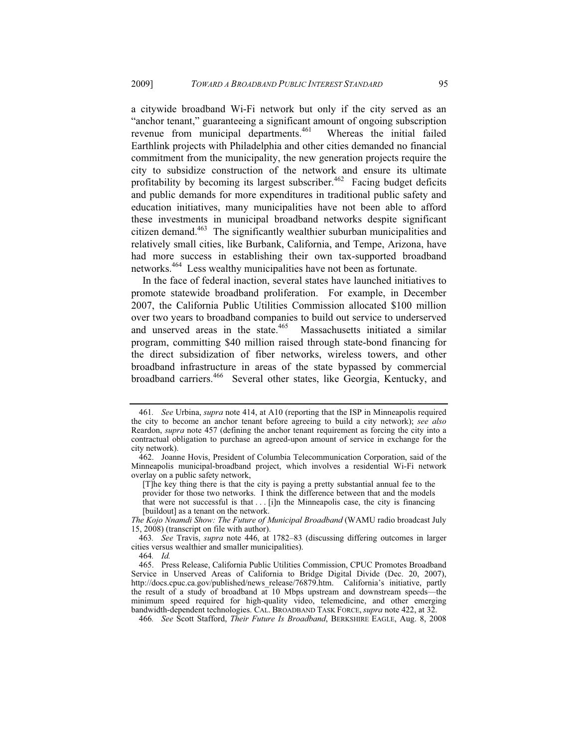a citywide broadband Wi-Fi network but only if the city served as an "anchor tenant," guaranteeing a significant amount of ongoing subscription revenue from municipal departments.<sup>461</sup> Whereas the initial failed Earthlink projects with Philadelphia and other cities demanded no financial commitment from the municipality, the new generation projects require the city to subsidize construction of the network and ensure its ultimate profitability by becoming its largest subscriber.<sup>462</sup> Facing budget deficits and public demands for more expenditures in traditional public safety and education initiatives, many municipalities have not been able to afford these investments in municipal broadband networks despite significant citizen demand.<sup>463</sup> The significantly wealthier suburban municipalities and relatively small cities, like Burbank, California, and Tempe, Arizona, have had more success in establishing their own tax-supported broadband networks.464 Less wealthy municipalities have not been as fortunate.

In the face of federal inaction, several states have launched initiatives to promote statewide broadband proliferation. For example, in December 2007, the California Public Utilities Commission allocated \$100 million over two years to broadband companies to build out service to underserved and unserved areas in the state.<sup>465</sup> Massachusetts initiated a similar program, committing \$40 million raised through state-bond financing for the direct subsidization of fiber networks, wireless towers, and other broadband infrastructure in areas of the state bypassed by commercial broadband carriers.466 Several other states, like Georgia, Kentucky, and

<sup>461</sup>*. See* Urbina, *supra* note 414, at A10 (reporting that the ISP in Minneapolis required the city to become an anchor tenant before agreeing to build a city network); *see also* Reardon, *supra* note 457 (defining the anchor tenant requirement as forcing the city into a contractual obligation to purchase an agreed-upon amount of service in exchange for the city network).

 <sup>462.</sup> Joanne Hovis, President of Columbia Telecommunication Corporation, said of the Minneapolis municipal-broadband project, which involves a residential Wi-Fi network overlay on a public safety network,

<sup>[</sup>T]he key thing there is that the city is paying a pretty substantial annual fee to the provider for those two networks. I think the difference between that and the models that were not successful is that . . . [i]n the Minneapolis case, the city is financing [buildout] as a tenant on the network.

*The Kojo Nnamdi Show: The Future of Municipal Broadband* (WAMU radio broadcast July 15, 2008) (transcript on file with author).

<sup>463</sup>*. See* Travis, *supra* note 446, at 1782–83 (discussing differing outcomes in larger cities versus wealthier and smaller municipalities).

<sup>464</sup>*. Id.*

 <sup>465.</sup> Press Release, California Public Utilities Commission, CPUC Promotes Broadband Service in Unserved Areas of California to Bridge Digital Divide (Dec. 20, 2007), http://docs.cpuc.ca.gov/published/news\_release/76879.htm. California's initiative, partly the result of a study of broadband at 10 Mbps upstream and downstream speeds—the minimum speed required for high-quality video, telemedicine, and other emerging bandwidth-dependent technologies. CAL. BROADBAND TASK FORCE, *supra* note 422, at 32.

<sup>466</sup>*. See* Scott Stafford, *Their Future Is Broadband*, BERKSHIRE EAGLE, Aug. 8, 2008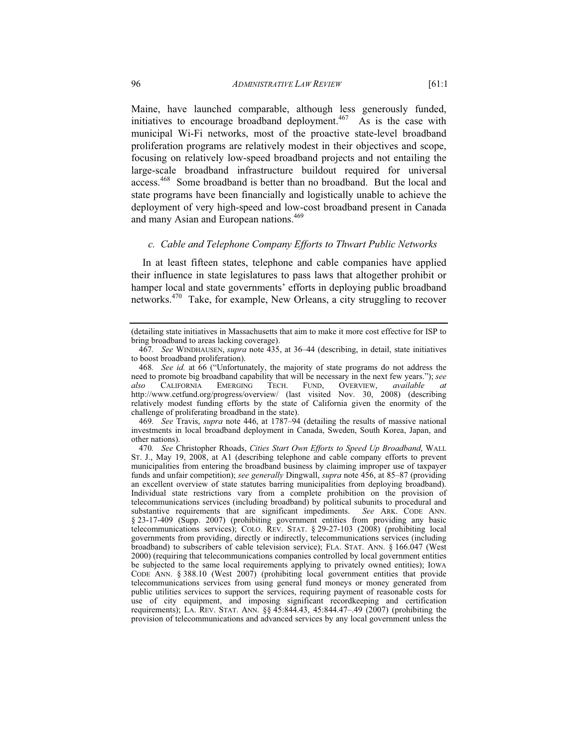Maine, have launched comparable, although less generously funded, initiatives to encourage broadband deployment.<sup>467</sup> As is the case with municipal Wi-Fi networks, most of the proactive state-level broadband proliferation programs are relatively modest in their objectives and scope, focusing on relatively low-speed broadband projects and not entailing the large-scale broadband infrastructure buildout required for universal access.<sup>468</sup> Some broadband is better than no broadband. But the local and state programs have been financially and logistically unable to achieve the deployment of very high-speed and low-cost broadband present in Canada and many Asian and European nations.<sup>469</sup>

## *c. Cable and Telephone Company Efforts to Thwart Public Networks*

In at least fifteen states, telephone and cable companies have applied their influence in state legislatures to pass laws that altogether prohibit or hamper local and state governments' efforts in deploying public broadband networks.<sup>470</sup> Take, for example, New Orleans, a city struggling to recover

<sup>(</sup>detailing state initiatives in Massachusetts that aim to make it more cost effective for ISP to bring broadband to areas lacking coverage).

<sup>467</sup>*. See* WINDHAUSEN, *supra* note 435, at 36–44 (describing, in detail, state initiatives to boost broadband proliferation).

<sup>468</sup>*. See id.* at 66 ("Unfortunately, the majority of state programs do not address the need to promote big broadband capability that will be necessary in the next few years."); *see also* CALIFORNIA EMERGING TECH. FUND, OVERVIEW, *available at also* CALIFORNIA EMERGING TECH. FUND, OVERVIEW, *available at*  http://www.cetfund.org/progress/overview/ (last visited Nov. 30, 2008) (describing relatively modest funding efforts by the state of California given the enormity of the challenge of proliferating broadband in the state).

<sup>469</sup>*. See* Travis, *supra* note 446, at 1787–94 (detailing the results of massive national investments in local broadband deployment in Canada, Sweden, South Korea, Japan, and other nations).

<sup>470</sup>*. See* Christopher Rhoads, *Cities Start Own Efforts to Speed Up Broadband*, WALL ST. J., May 19, 2008, at A1 (describing telephone and cable company efforts to prevent municipalities from entering the broadband business by claiming improper use of taxpayer funds and unfair competition); *see generally* Dingwall, *supra* note 456, at 85–87 (providing an excellent overview of state statutes barring municipalities from deploying broadband). Individual state restrictions vary from a complete prohibition on the provision of telecommunications services (including broadband) by political subunits to procedural and substantive requirements that are significant impediments. *See* ARK. CODE ANN. § 23-17-409 (Supp. 2007) (prohibiting government entities from providing any basic telecommunications services); COLO. REV. STAT. § 29-27-103 (2008) (prohibiting local governments from providing, directly or indirectly, telecommunications services (including broadband) to subscribers of cable television service); FLA. STAT. ANN. § 166.047 (West 2000) (requiring that telecommunications companies controlled by local government entities be subjected to the same local requirements applying to privately owned entities); IOWA CODE ANN. § 388.10 (West 2007) (prohibiting local government entities that provide telecommunications services from using general fund moneys or money generated from public utilities services to support the services, requiring payment of reasonable costs for use of city equipment, and imposing significant recordkeeping and certification requirements); LA. REV. STAT. ANN. §§ 45:844.43, 45:844.47–.49 (2007) (prohibiting the provision of telecommunications and advanced services by any local government unless the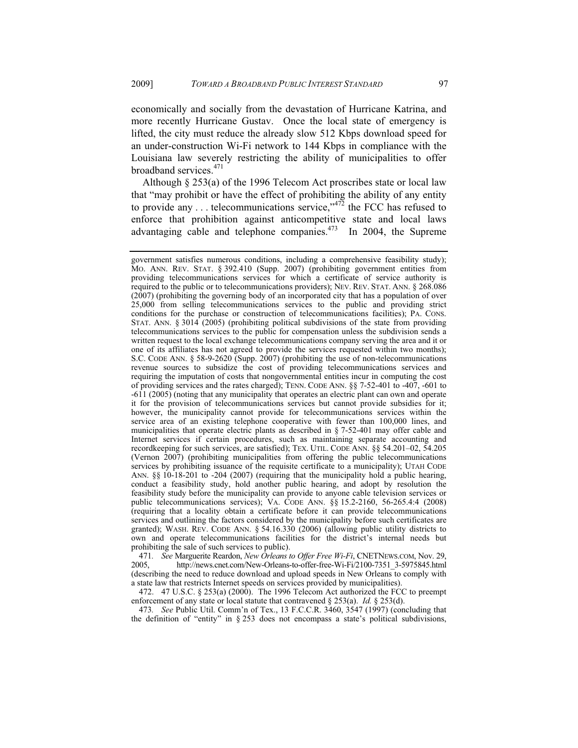economically and socially from the devastation of Hurricane Katrina, and more recently Hurricane Gustav. Once the local state of emergency is lifted, the city must reduce the already slow 512 Kbps download speed for an under-construction Wi-Fi network to 144 Kbps in compliance with the Louisiana law severely restricting the ability of municipalities to offer broadband services.<sup>471</sup>

Although § 253(a) of the 1996 Telecom Act proscribes state or local law that "may prohibit or have the effect of prohibiting the ability of any entity to provide any  $\dots$  telecommunications service,"<sup> $47\overline{2}$ </sup> the FCC has refused to enforce that prohibition against anticompetitive state and local laws advantaging cable and telephone companies. $473$  In 2004, the Supreme

471. See Marguerite Reardon, *New Orleans to Offer Free Wi-Fi*, CNETNEWS.COM, Nov. 29, 2005, http://news.cnet.com/New-Orleans-to-offer-free-Wi-Fi/2100-7351 3-5975845.html http://news.cnet.com/New-Orleans-to-offer-free-Wi-Fi/2100-7351\_3-5975845.html (describing the need to reduce download and upload speeds in New Orleans to comply with a state law that restricts Internet speeds on services provided by municipalities).

 472. 47 U.S.C. § 253(a) (2000). The 1996 Telecom Act authorized the FCC to preempt enforcement of any state or local statute that contravened § 253(a). *Id.* § 253(d).

473*. See* Public Util. Comm'n of Tex., 13 F.C.C.R. 3460, 3547 (1997) (concluding that the definition of "entity" in  $\S 253$  does not encompass a state's political subdivisions,

government satisfies numerous conditions, including a comprehensive feasibility study); MO. ANN. REV. STAT. § 392.410 (Supp. 2007) (prohibiting government entities from providing telecommunications services for which a certificate of service authority is required to the public or to telecommunications providers); NEV. REV. STAT. ANN. § 268.086 (2007) (prohibiting the governing body of an incorporated city that has a population of over 25,000 from selling telecommunications services to the public and providing strict conditions for the purchase or construction of telecommunications facilities); PA. CONS. STAT. ANN. § 3014 (2005) (prohibiting political subdivisions of the state from providing telecommunications services to the public for compensation unless the subdivision sends a written request to the local exchange telecommunications company serving the area and it or one of its affiliates has not agreed to provide the services requested within two months); S.C. CODE ANN. § 58-9-2620 (Supp. 2007) (prohibiting the use of non-telecommunications revenue sources to subsidize the cost of providing telecommunications services and requiring the imputation of costs that nongovernmental entities incur in computing the cost of providing services and the rates charged); TENN. CODE ANN. §§ 7-52-401 to -407, -601 to -611 (2005) (noting that any municipality that operates an electric plant can own and operate it for the provision of telecommunications services but cannot provide subsidies for it; however, the municipality cannot provide for telecommunications services within the service area of an existing telephone cooperative with fewer than 100,000 lines, and municipalities that operate electric plants as described in § 7-52-401 may offer cable and Internet services if certain procedures, such as maintaining separate accounting and recordkeeping for such services, are satisfied); TEX. UTIL. CODE ANN. §§ 54.201–02, 54.205 (Vernon 2007) (prohibiting municipalities from offering the public telecommunications services by prohibiting issuance of the requisite certificate to a municipality); UTAH CODE ANN. §§ 10-18-201 to -204 (2007) (requiring that the municipality hold a public hearing, conduct a feasibility study, hold another public hearing, and adopt by resolution the feasibility study before the municipality can provide to anyone cable television services or public telecommunications services); VA. CODE ANN. §§ 15.2-2160, 56-265.4:4 (2008) (requiring that a locality obtain a certificate before it can provide telecommunications services and outlining the factors considered by the municipality before such certificates are granted); WASH. REV. CODE ANN. § 54.16.330 (2006) (allowing public utility districts to own and operate telecommunications facilities for the district's internal needs but prohibiting the sale of such services to public).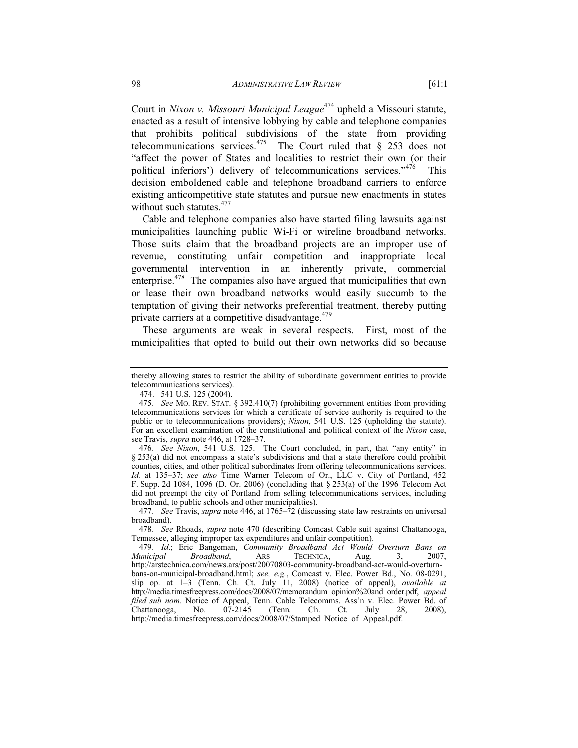enacted as a result of intensive lobbying by cable and telephone companies that prohibits political subdivisions of the state from providing telecommunications services.<sup>475</sup> The Court ruled that  $\S$  253 does not "affect the power of States and localities to restrict their own (or their political inferiors') delivery of telecommunications services."<sup>476</sup> This decision emboldened cable and telephone broadband carriers to enforce existing anticompetitive state statutes and pursue new enactments in states without such statutes.<sup>477</sup>

Cable and telephone companies also have started filing lawsuits against municipalities launching public Wi-Fi or wireline broadband networks. Those suits claim that the broadband projects are an improper use of revenue, constituting unfair competition and inappropriate local governmental intervention in an inherently private, commercial enterprise.<sup>478</sup> The companies also have argued that municipalities that own or lease their own broadband networks would easily succumb to the temptation of giving their networks preferential treatment, thereby putting private carriers at a competitive disadvantage.<sup>479</sup>

These arguments are weak in several respects. First, most of the municipalities that opted to build out their own networks did so because

476*. See Nixon*, 541 U.S. 125. The Court concluded, in part, that "any entity" in § 253(a) did not encompass a state's subdivisions and that a state therefore could prohibit counties, cities, and other political subordinates from offering telecommunications services. *Id.* at 135–37; *see also* Time Warner Telecom of Or., LLC v. City of Portland, 452 F. Supp. 2d 1084, 1096 (D. Or. 2006) (concluding that § 253(a) of the 1996 Telecom Act did not preempt the city of Portland from selling telecommunications services, including broadband, to public schools and other municipalities).

477*. See* Travis, *supra* note 446, at 1765–72 (discussing state law restraints on universal broadband).

478*. See* Rhoads, *supra* note 470 (describing Comcast Cable suit against Chattanooga, Tennessee, alleging improper tax expenditures and unfair competition).

479*. Id*.; Eric Bangeman, *Community Broadband Act Would Overturn Bans on Municipal Broadband*, ARS TECHNICA, Aug. 3, 2007, http://arstechnica.com/news.ars/post/20070803-community-broadband-act-would-overturnbans-on-municipal-broadband.html; *see, e.g.*, Comcast v. Elec. Power Bd., No. 08-0291, slip op. at 1–3 (Tenn. Ch. Ct. July 11, 2008) (notice of appeal), *available at*  http://media.timesfreepress.com/docs/2008/07/memorandum\_opinion%20and\_order.pdf, *appeal filed sub nom.* Notice of Appeal, Tenn. Cable Telecomms. Ass'n v. Elec. Power Bd. of Chattanooga, No. 07-2145 (Tenn. Ch. Ct. July 28, 2008), http://media.timesfreepress.com/docs/2008/07/Stamped\_Notice\_of\_Appeal.pdf.

thereby allowing states to restrict the ability of subordinate government entities to provide telecommunications services).

<sup>474. 541</sup> U.S. 125 (2004).

<sup>475</sup>*. See* MO. REV. STAT. § 392.410(7) (prohibiting government entities from providing telecommunications services for which a certificate of service authority is required to the public or to telecommunications providers); *Nixon*, 541 U.S. 125 (upholding the statute). For an excellent examination of the constitutional and political context of the *Nixon* case, see Travis, *supra* note 446, at 1728–37.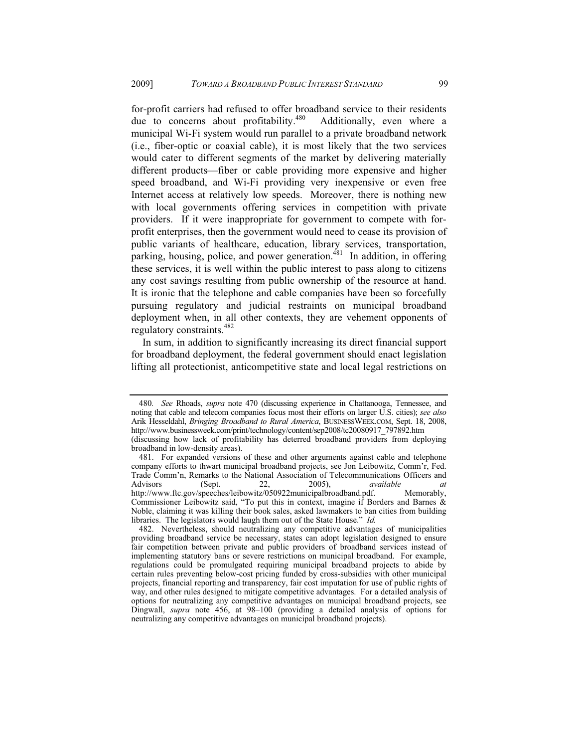for-profit carriers had refused to offer broadband service to their residents due to concerns about profitability.<sup>480</sup> Additionally, even where a municipal Wi-Fi system would run parallel to a private broadband network (i.e., fiber-optic or coaxial cable), it is most likely that the two services would cater to different segments of the market by delivering materially different products—fiber or cable providing more expensive and higher speed broadband, and Wi-Fi providing very inexpensive or even free Internet access at relatively low speeds. Moreover, there is nothing new with local governments offering services in competition with private providers. If it were inappropriate for government to compete with forprofit enterprises, then the government would need to cease its provision of public variants of healthcare, education, library services, transportation, parking, housing, police, and power generation.<sup> $481$ </sup> In addition, in offering these services, it is well within the public interest to pass along to citizens any cost savings resulting from public ownership of the resource at hand. It is ironic that the telephone and cable companies have been so forcefully pursuing regulatory and judicial restraints on municipal broadband deployment when, in all other contexts, they are vehement opponents of regulatory constraints.<sup>482</sup>

In sum, in addition to significantly increasing its direct financial support for broadband deployment, the federal government should enact legislation lifting all protectionist, anticompetitive state and local legal restrictions on

<sup>480</sup>*. See* Rhoads, *supra* note 470 (discussing experience in Chattanooga, Tennessee, and noting that cable and telecom companies focus most their efforts on larger U.S. cities); *see also*  Arik Hesseldahl, *Bringing Broadband to Rural America*, BUSINESSWEEK.COM, Sept. 18, 2008, http://www.businessweek.com/print/technology/content/sep2008/tc20080917\_797892.htm (discussing how lack of profitability has deterred broadband providers from deploying broadband in low-density areas).

 <sup>481.</sup> For expanded versions of these and other arguments against cable and telephone company efforts to thwart municipal broadband projects, see Jon Leibowitz, Comm'r, Fed. Trade Comm'n, Remarks to the National Association of Telecommunications Officers and Advisors (Sept. 22, 2005), *available at* Advisors (Sept. 22, 2005), *available at*  http://www.ftc.gov/speeches/leibowitz/050922municipalbroadband.pdf. Memorably, Commissioner Leibowitz said, "To put this in context, imagine if Borders and Barnes & Noble, claiming it was killing their book sales, asked lawmakers to ban cities from building libraries. The legislators would laugh them out of the State House." *Id.* 

 <sup>482.</sup> Nevertheless, should neutralizing any competitive advantages of municipalities providing broadband service be necessary, states can adopt legislation designed to ensure fair competition between private and public providers of broadband services instead of implementing statutory bans or severe restrictions on municipal broadband. For example, regulations could be promulgated requiring municipal broadband projects to abide by certain rules preventing below-cost pricing funded by cross-subsidies with other municipal projects, financial reporting and transparency, fair cost imputation for use of public rights of way, and other rules designed to mitigate competitive advantages. For a detailed analysis of options for neutralizing any competitive advantages on municipal broadband projects, see Dingwall, *supra* note 456, at 98–100 (providing a detailed analysis of options for neutralizing any competitive advantages on municipal broadband projects).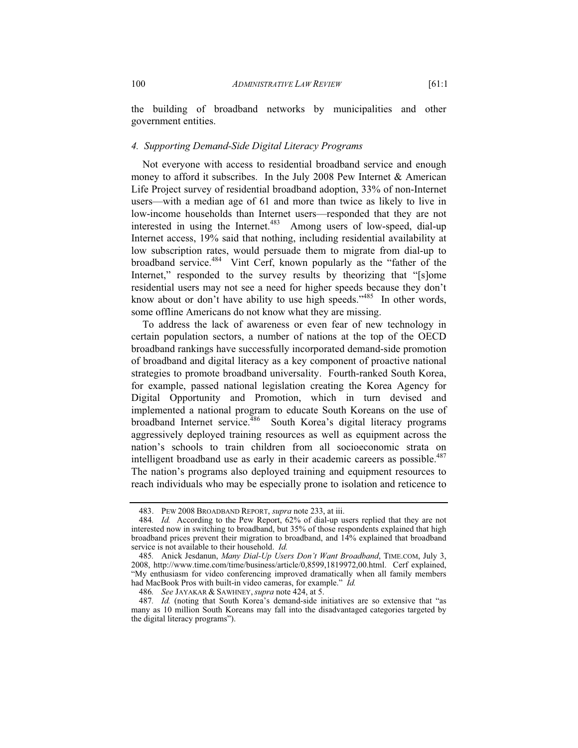the building of broadband networks by municipalities and other government entities.

### *4. Supporting Demand-Side Digital Literacy Programs*

Not everyone with access to residential broadband service and enough money to afford it subscribes. In the July 2008 Pew Internet & American Life Project survey of residential broadband adoption, 33% of non-Internet users—with a median age of 61 and more than twice as likely to live in low-income households than Internet users—responded that they are not interested in using the Internet.<sup>483</sup> Among users of low-speed, dial-up Internet access, 19% said that nothing, including residential availability at low subscription rates, would persuade them to migrate from dial-up to broadband service.<sup>484</sup> Vint Cerf, known popularly as the "father of the Internet," responded to the survey results by theorizing that "[s]ome residential users may not see a need for higher speeds because they don't know about or don't have ability to use high speeds."<sup>485</sup> In other words, some offline Americans do not know what they are missing.

To address the lack of awareness or even fear of new technology in certain population sectors, a number of nations at the top of the OECD broadband rankings have successfully incorporated demand-side promotion of broadband and digital literacy as a key component of proactive national strategies to promote broadband universality. Fourth-ranked South Korea, for example, passed national legislation creating the Korea Agency for Digital Opportunity and Promotion, which in turn devised and implemented a national program to educate South Koreans on the use of broadband Internet service.<sup>486</sup> South Korea's digital literacy programs aggressively deployed training resources as well as equipment across the nation's schools to train children from all socioeconomic strata on intelligent broadband use as early in their academic careers as possible.<sup>487</sup> The nation's programs also deployed training and equipment resources to reach individuals who may be especially prone to isolation and reticence to

 <sup>483.</sup> PEW 2008 BROADBAND REPORT, *supra* note 233, at iii.

<sup>484</sup>*. Id.* According to the Pew Report, 62% of dial-up users replied that they are not interested now in switching to broadband, but 35% of those respondents explained that high broadband prices prevent their migration to broadband, and 14% explained that broadband service is not available to their household. *Id.*

<sup>485</sup>*.* Anick Jesdanun, *Many Dial-Up Users Don't Want Broadband*, TIME.COM, July 3, 2008, http://www.time.com/time/business/article/0,8599,1819972,00.html. Cerf explained, "My enthusiasm for video conferencing improved dramatically when all family members had MacBook Pros with built-in video cameras, for example." *Id.*

<sup>486</sup>*. See* JAYAKAR & SAWHNEY, *supra* note 424, at 5.

<sup>487</sup>*. Id.* (noting that South Korea's demand-side initiatives are so extensive that "as many as 10 million South Koreans may fall into the disadvantaged categories targeted by the digital literacy programs").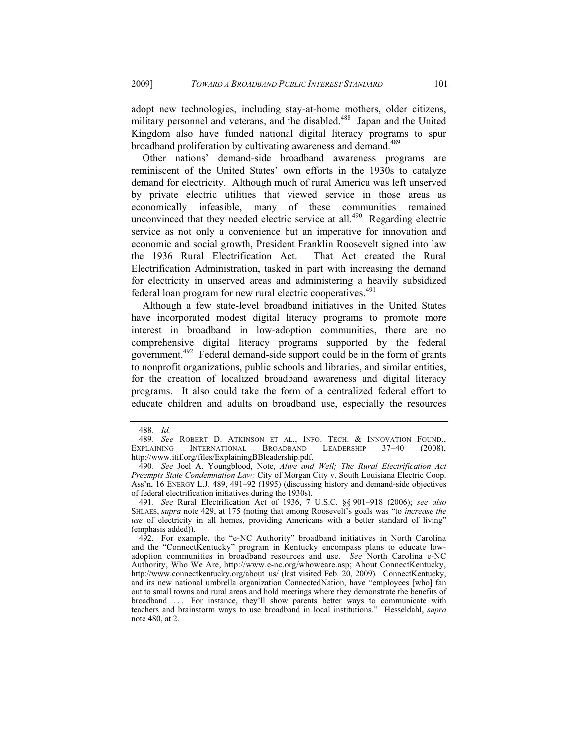adopt new technologies, including stay-at-home mothers, older citizens, military personnel and veterans, and the disabled.<sup>488</sup> Japan and the United Kingdom also have funded national digital literacy programs to spur broadband proliferation by cultivating awareness and demand.<sup>489</sup>

Other nations' demand-side broadband awareness programs are reminiscent of the United States' own efforts in the 1930s to catalyze demand for electricity. Although much of rural America was left unserved by private electric utilities that viewed service in those areas as economically infeasible, many of these communities remained unconvinced that they needed electric service at all.<sup>490</sup> Regarding electric service as not only a convenience but an imperative for innovation and economic and social growth, President Franklin Roosevelt signed into law the 1936 Rural Electrification Act. That Act created the Rural Electrification Administration, tasked in part with increasing the demand for electricity in unserved areas and administering a heavily subsidized federal loan program for new rural electric cooperatives.<sup>491</sup>

Although a few state-level broadband initiatives in the United States have incorporated modest digital literacy programs to promote more interest in broadband in low-adoption communities, there are no comprehensive digital literacy programs supported by the federal government.492 Federal demand-side support could be in the form of grants to nonprofit organizations, public schools and libraries, and similar entities, for the creation of localized broadband awareness and digital literacy programs. It also could take the form of a centralized federal effort to educate children and adults on broadband use, especially the resources

<sup>488</sup>*. Id.*

<sup>489</sup>*. See* ROBERT D. ATKINSON ET AL., INFO. TECH.&INNOVATION FOUND., EXPLAINING INTERNATIONAL BROADBAND LEADERSHIP 37–40 (2008), http://www.itif.org/files/ExplainingBBleadership.pdf.

<sup>490</sup>*. See* Joel A. Youngblood, Note, *Alive and Well; The Rural Electrification Act Preempts State Condemnation Law:* City of Morgan City v. South Louisiana Electric Coop. Ass'n, 16 ENERGY L.J. 489, 491–92 (1995) (discussing history and demand-side objectives of federal electrification initiatives during the 1930s).

<sup>491</sup>*. See* Rural Electrification Act of 1936, 7 U.S.C. §§ 901–918 (2006); *see also*  SHLAES, *supra* note 429, at 175 (noting that among Roosevelt's goals was "to *increase the use* of electricity in all homes, providing Americans with a better standard of living" (emphasis added)).

 <sup>492.</sup> For example, the "e-NC Authority" broadband initiatives in North Carolina and the "ConnectKentucky" program in Kentucky encompass plans to educate lowadoption communities in broadband resources and use. *See* North Carolina e-NC Authority, Who We Are, http://www.e-nc.org/whoweare.asp; About ConnectKentucky, http://www.connectkentucky.org/about\_us/ (last visited Feb. 20, 2009). ConnectKentucky, and its new national umbrella organization ConnectedNation, have "employees [who] fan out to small towns and rural areas and hold meetings where they demonstrate the benefits of broadband . . . . For instance, they'll show parents better ways to communicate with teachers and brainstorm ways to use broadband in local institutions." Hesseldahl, *supra* note 480, at 2.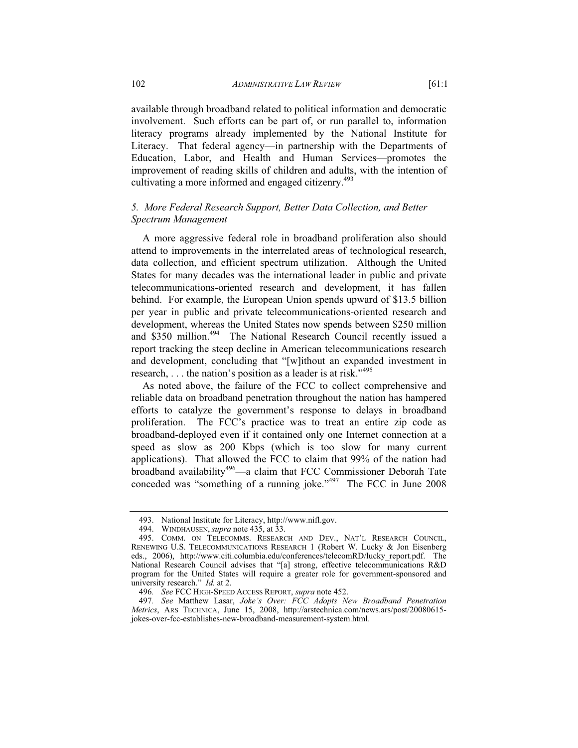available through broadband related to political information and democratic involvement. Such efforts can be part of, or run parallel to, information literacy programs already implemented by the National Institute for

Literacy. That federal agency—in partnership with the Departments of Education, Labor, and Health and Human Services—promotes the improvement of reading skills of children and adults, with the intention of cultivating a more informed and engaged citizenry.<sup>493</sup>

# *5. More Federal Research Support, Better Data Collection, and Better Spectrum Management*

A more aggressive federal role in broadband proliferation also should attend to improvements in the interrelated areas of technological research, data collection, and efficient spectrum utilization. Although the United States for many decades was the international leader in public and private telecommunications-oriented research and development, it has fallen behind. For example, the European Union spends upward of \$13.5 billion per year in public and private telecommunications-oriented research and development, whereas the United States now spends between \$250 million and \$350 million.<sup>494</sup> The National Research Council recently issued a report tracking the steep decline in American telecommunications research and development, concluding that "[w]ithout an expanded investment in research, ... the nation's position as a leader is at risk." $495$ 

As noted above, the failure of the FCC to collect comprehensive and reliable data on broadband penetration throughout the nation has hampered efforts to catalyze the government's response to delays in broadband proliferation. The FCC's practice was to treat an entire zip code as broadband-deployed even if it contained only one Internet connection at a speed as slow as 200 Kbps (which is too slow for many current applications). That allowed the FCC to claim that 99% of the nation had broadband availability<sup>496</sup>—a claim that FCC Commissioner Deborah Tate conceded was "something of a running joke."<sup>497</sup> The FCC in June 2008

 <sup>493.</sup> National Institute for Literacy, http://www.nifl.gov.

 <sup>494.</sup> WINDHAUSEN, *supra* note 435, at 33.

 <sup>495.</sup> COMM. ON TELECOMMS. RESEARCH AND DEV., NAT'L RESEARCH COUNCIL, RENEWING U.S. TELECOMMUNICATIONS RESEARCH 1 (Robert W. Lucky & Jon Eisenberg eds., 2006), http://www.citi.columbia.edu/conferences/telecomRD/lucky\_report.pdf. The National Research Council advises that "[a] strong, effective telecommunications R&D program for the United States will require a greater role for government-sponsored and university research." *Id.* at 2.

<sup>496</sup>*. See* FCC HIGH-SPEED ACCESS REPORT, *supra* note 452.

<sup>497</sup>*. See* Matthew Lasar, *Joke's Over: FCC Adopts New Broadband Penetration Metrics*, ARS TECHNICA, June 15, 2008, http://arstechnica.com/news.ars/post/20080615 jokes-over-fcc-establishes-new-broadband-measurement-system.html.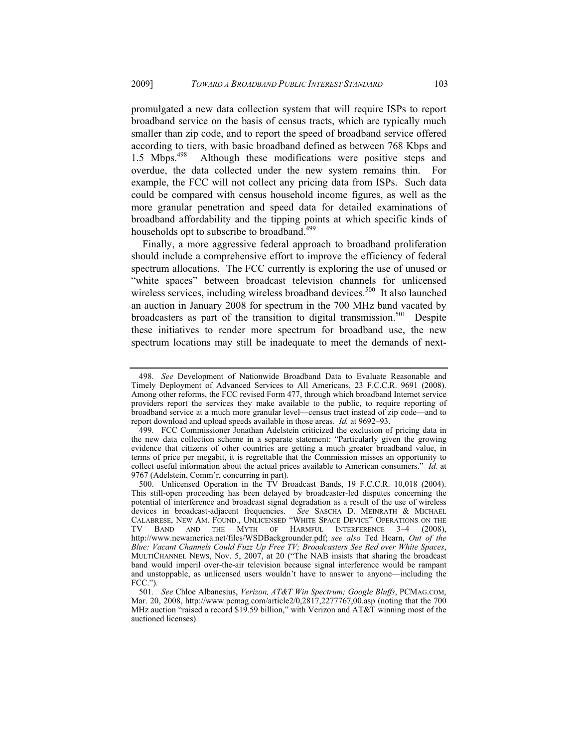promulgated a new data collection system that will require ISPs to report broadband service on the basis of census tracts, which are typically much smaller than zip code, and to report the speed of broadband service offered according to tiers, with basic broadband defined as between 768 Kbps and 1.5 Mbps.<sup>498</sup> Although these modifications were positive steps and overdue, the data collected under the new system remains thin. For example, the FCC will not collect any pricing data from ISPs. Such data could be compared with census household income figures, as well as the more granular penetration and speed data for detailed examinations of broadband affordability and the tipping points at which specific kinds of households opt to subscribe to broadband.<sup>499</sup>

Finally, a more aggressive federal approach to broadband proliferation should include a comprehensive effort to improve the efficiency of federal spectrum allocations. The FCC currently is exploring the use of unused or "white spaces" between broadcast television channels for unlicensed wireless services, including wireless broadband devices.<sup>500</sup> It also launched an auction in January 2008 for spectrum in the 700 MHz band vacated by broadcasters as part of the transition to digital transmission.<sup>501</sup> Despite these initiatives to render more spectrum for broadband use, the new spectrum locations may still be inadequate to meet the demands of next-

<sup>498</sup>*. See* Development of Nationwide Broadband Data to Evaluate Reasonable and Timely Deployment of Advanced Services to All Americans, 23 F.C.C.R. 9691 (2008). Among other reforms, the FCC revised Form 477, through which broadband Internet service providers report the services they make available to the public, to require reporting of broadband service at a much more granular level—census tract instead of zip code—and to report download and upload speeds available in those areas. *Id.* at 9692–93.

 <sup>499.</sup> FCC Commissioner Jonathan Adelstein criticized the exclusion of pricing data in the new data collection scheme in a separate statement: "Particularly given the growing evidence that citizens of other countries are getting a much greater broadband value, in terms of price per megabit, it is regrettable that the Commission misses an opportunity to collect useful information about the actual prices available to American consumers." *Id.* at 9767 (Adelstein, Comm'r, concurring in part).

 <sup>500.</sup> Unlicensed Operation in the TV Broadcast Bands, 19 F.C.C.R. 10,018 (2004). This still-open proceeding has been delayed by broadcaster-led disputes concerning the potential of interference and broadcast signal degradation as a result of the use of wireless devices in broadcast-adjacent frequencies. *See* SASCHA D. MEINRATH & MICHAEL CALABRESE, NEW AM. FOUND., UNLICENSED "WHITE SPACE DEVICE" OPERATIONS ON THE TV BAND AND THE MYTH OF HARMFUL INTERFERENCE 3–4 (2008), http://www.newamerica.net/files/WSDBackgrounder.pdf; *see also* Ted Hearn, *Out of the Blue: Vacant Channels Could Fuzz Up Free TV; Broadcasters See Red over White Spaces*, MULTICHANNEL NEWS, Nov. 5, 2007, at 20 ("The NAB insists that sharing the broadcast band would imperil over-the-air television because signal interference would be rampant and unstoppable, as unlicensed users wouldn't have to answer to anyone—including the FCC.").

<sup>501</sup>*. See* Chloe Albanesius, *Verizon, AT&T Win Spectrum; Google Bluffs*, PCMAG.COM, Mar. 20, 2008, http://www.pcmag.com/article2/0,2817,2277767,00.asp (noting that the 700 MHz auction "raised a record \$19.59 billion," with Verizon and AT&T winning most of the auctioned licenses).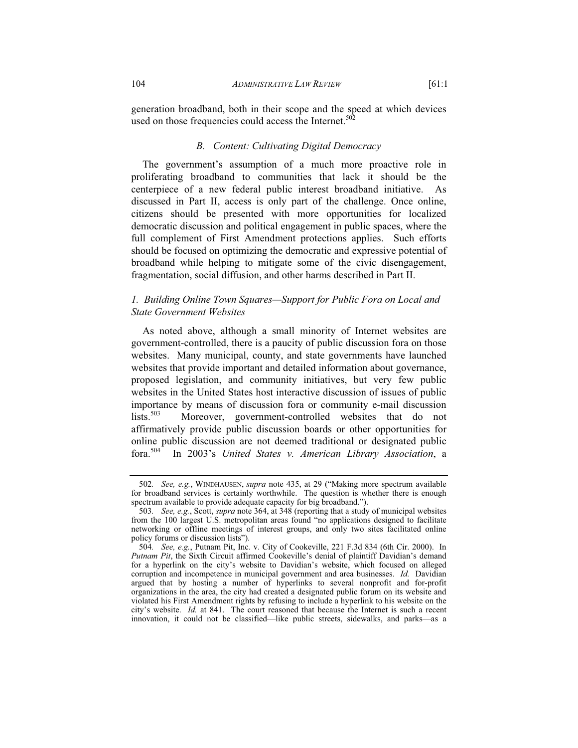generation broadband, both in their scope and the speed at which devices used on those frequencies could access the Internet. $502$ 

## *B. Content: Cultivating Digital Democracy*

The government's assumption of a much more proactive role in proliferating broadband to communities that lack it should be the centerpiece of a new federal public interest broadband initiative. As discussed in Part II, access is only part of the challenge. Once online, citizens should be presented with more opportunities for localized democratic discussion and political engagement in public spaces, where the full complement of First Amendment protections applies. Such efforts should be focused on optimizing the democratic and expressive potential of broadband while helping to mitigate some of the civic disengagement, fragmentation, social diffusion, and other harms described in Part II.

## *1. Building Online Town Squares—Support for Public Fora on Local and State Government Websites*

As noted above, although a small minority of Internet websites are government-controlled, there is a paucity of public discussion fora on those websites. Many municipal, county, and state governments have launched websites that provide important and detailed information about governance, proposed legislation, and community initiatives, but very few public websites in the United States host interactive discussion of issues of public importance by means of discussion fora or community e-mail discussion<br>lists.<sup>503</sup> Moreover, government-controlled websites that do not Moreover, government-controlled websites that do not affirmatively provide public discussion boards or other opportunities for online public discussion are not deemed traditional or designated public<br>fora.<sup>504</sup> In 2003's United States v. American Library Association, a In 2003's *United States v. American Library Association*, a

<sup>502</sup>*. See, e.g.*, WINDHAUSEN, *supra* note 435, at 29 ("Making more spectrum available for broadband services is certainly worthwhile. The question is whether there is enough spectrum available to provide adequate capacity for big broadband.").

<sup>503</sup>*. See, e.g.*, Scott, *supra* note 364, at 348 (reporting that a study of municipal websites from the 100 largest U.S. metropolitan areas found "no applications designed to facilitate networking or offline meetings of interest groups, and only two sites facilitated online policy forums or discussion lists").

<sup>504</sup>*. See, e.g.*, Putnam Pit, Inc. v. City of Cookeville, 221 F.3d 834 (6th Cir. 2000). In *Putnam Pit*, the Sixth Circuit affirmed Cookeville's denial of plaintiff Davidian's demand for a hyperlink on the city's website to Davidian's website, which focused on alleged corruption and incompetence in municipal government and area businesses. *Id.* Davidian argued that by hosting a number of hyperlinks to several nonprofit and for-profit organizations in the area, the city had created a designated public forum on its website and violated his First Amendment rights by refusing to include a hyperlink to his website on the city's website. *Id.* at 841. The court reasoned that because the Internet is such a recent innovation, it could not be classified—like public streets, sidewalks, and parks—as a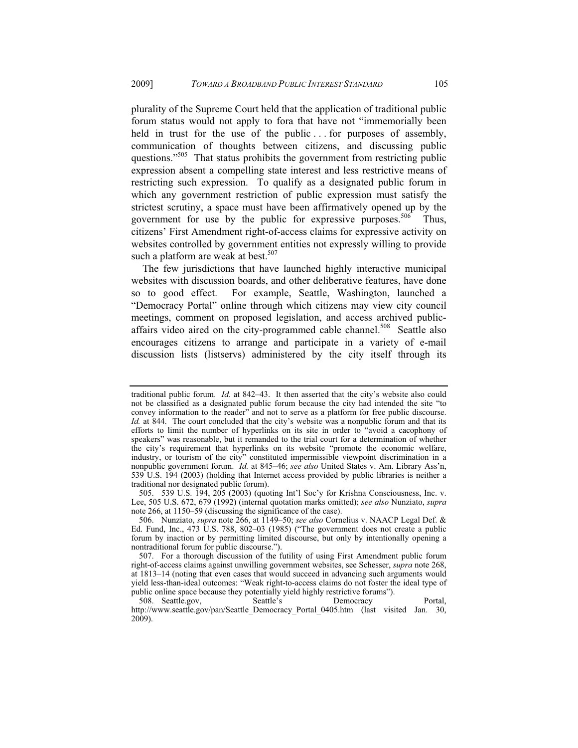plurality of the Supreme Court held that the application of traditional public forum status would not apply to fora that have not "immemorially been held in trust for the use of the public ... for purposes of assembly, communication of thoughts between citizens, and discussing public questions."<sup>505</sup> That status prohibits the government from restricting public expression absent a compelling state interest and less restrictive means of restricting such expression. To qualify as a designated public forum in which any government restriction of public expression must satisfy the strictest scrutiny, a space must have been affirmatively opened up by the government for use by the public for expressive purposes.<sup>506</sup> Thus, citizens' First Amendment right-of-access claims for expressive activity on websites controlled by government entities not expressly willing to provide such a platform are weak at best.<sup>507</sup>

The few jurisdictions that have launched highly interactive municipal websites with discussion boards, and other deliberative features, have done so to good effect. For example, Seattle, Washington, launched a "Democracy Portal" online through which citizens may view city council meetings, comment on proposed legislation, and access archived publicaffairs video aired on the city-programmed cable channel.<sup>508</sup> Seattle also encourages citizens to arrange and participate in a variety of e-mail discussion lists (listservs) administered by the city itself through its

traditional public forum. *Id.* at 842–43. It then asserted that the city's website also could not be classified as a designated public forum because the city had intended the site "to convey information to the reader" and not to serve as a platform for free public discourse. *Id.* at 844. The court concluded that the city's website was a nonpublic forum and that its efforts to limit the number of hyperlinks on its site in order to "avoid a cacophony of speakers" was reasonable, but it remanded to the trial court for a determination of whether the city's requirement that hyperlinks on its website "promote the economic welfare, industry, or tourism of the city" constituted impermissible viewpoint discrimination in a nonpublic government forum. *Id.* at 845–46; *see also* United States v. Am. Library Ass'n, 539 U.S. 194 (2003) (holding that Internet access provided by public libraries is neither a traditional nor designated public forum).

 <sup>505. 539</sup> U.S. 194, 205 (2003) (quoting Int'l Soc'y for Krishna Consciousness, Inc. v. Lee, 505 U.S. 672, 679 (1992) (internal quotation marks omitted); *see also* Nunziato, *supra*  note 266, at 1150–59 (discussing the significance of the case).

 <sup>506.</sup> Nunziato, *supra* note 266, at 1149–50; *see also* Cornelius v. NAACP Legal Def. & Ed. Fund, Inc., 473 U.S. 788, 802–03 (1985) ("The government does not create a public forum by inaction or by permitting limited discourse, but only by intentionally opening a nontraditional forum for public discourse.").

 <sup>507.</sup> For a thorough discussion of the futility of using First Amendment public forum right-of-access claims against unwilling government websites, see Schesser, *supra* note 268, at 1813–14 (noting that even cases that would succeed in advancing such arguments would yield less-than-ideal outcomes: "Weak right-to-access claims do not foster the ideal type of public online space because they potentially yield highly restrictive forums").<br>508. Seattle.gov, Seattle's Democracy

 <sup>508.</sup> Seattle.gov, Seattle's Democracy Portal, http://www.seattle.gov/pan/Seattle\_Democracy\_Portal\_0405.htm (last visited Jan. 30, 2009).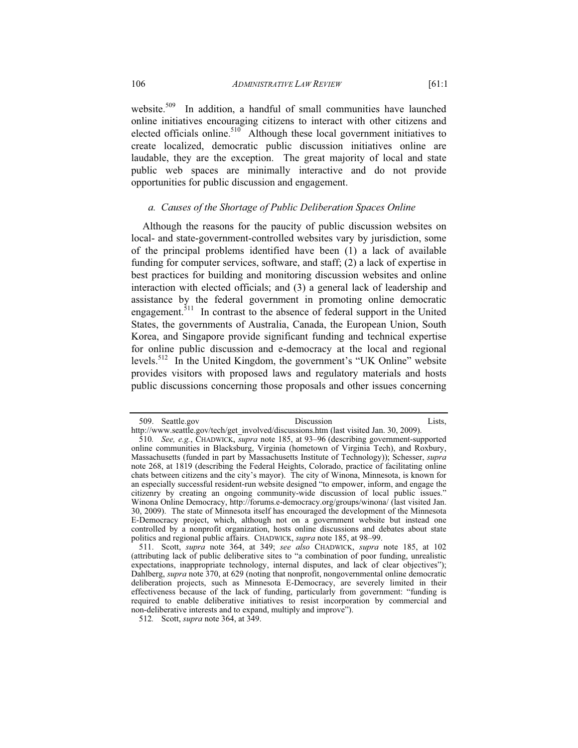website.<sup>509</sup> In addition, a handful of small communities have launched online initiatives encouraging citizens to interact with other citizens and elected officials online.<sup>510</sup> Although these local government initiatives to create localized, democratic public discussion initiatives online are laudable, they are the exception. The great majority of local and state public web spaces are minimally interactive and do not provide opportunities for public discussion and engagement.

### *a. Causes of the Shortage of Public Deliberation Spaces Online*

Although the reasons for the paucity of public discussion websites on local- and state-government-controlled websites vary by jurisdiction, some of the principal problems identified have been (1) a lack of available funding for computer services, software, and staff; (2) a lack of expertise in best practices for building and monitoring discussion websites and online interaction with elected officials; and (3) a general lack of leadership and assistance by the federal government in promoting online democratic engagement.<sup>511</sup> In contrast to the absence of federal support in the United States, the governments of Australia, Canada, the European Union, South Korea, and Singapore provide significant funding and technical expertise for online public discussion and e-democracy at the local and regional levels.512 In the United Kingdom, the government's "UK Online" website provides visitors with proposed laws and regulatory materials and hosts public discussions concerning those proposals and other issues concerning

 <sup>509.</sup> Seattle.gov Discussion Lists, http://www.seattle.gov/tech/get\_involved/discussions.htm (last visited Jan. 30, 2009).

<sup>510</sup>*. See, e.g.*, CHADWICK, *supra* note 185, at 93–96 (describing government-supported online communities in Blacksburg, Virginia (hometown of Virginia Tech), and Roxbury, Massachusetts (funded in part by Massachusetts Institute of Technology)); Schesser, *supra*  note 268, at 1819 (describing the Federal Heights, Colorado, practice of facilitating online chats between citizens and the city's mayor). The city of Winona, Minnesota, is known for an especially successful resident-run website designed "to empower, inform, and engage the citizenry by creating an ongoing community-wide discussion of local public issues." Winona Online Democracy, http://forums.e-democracy.org/groups/winona/ (last visited Jan. 30, 2009). The state of Minnesota itself has encouraged the development of the Minnesota E-Democracy project, which, although not on a government website but instead one controlled by a nonprofit organization, hosts online discussions and debates about state politics and regional public affairs. CHADWICK, *supra* note 185, at 98–99.

 <sup>511.</sup> Scott, *supra* note 364, at 349; *see also* CHADWICK, *supra* note 185, at 102 (attributing lack of public deliberative sites to "a combination of poor funding, unrealistic expectations, inappropriate technology, internal disputes, and lack of clear objectives"); Dahlberg, *supra* note 370, at 629 (noting that nonprofit, nongovernmental online democratic deliberation projects, such as Minnesota E-Democracy, are severely limited in their effectiveness because of the lack of funding, particularly from government: "funding is required to enable deliberative initiatives to resist incorporation by commercial and non-deliberative interests and to expand, multiply and improve").

<sup>512</sup>*.* Scott, *supra* note 364, at 349.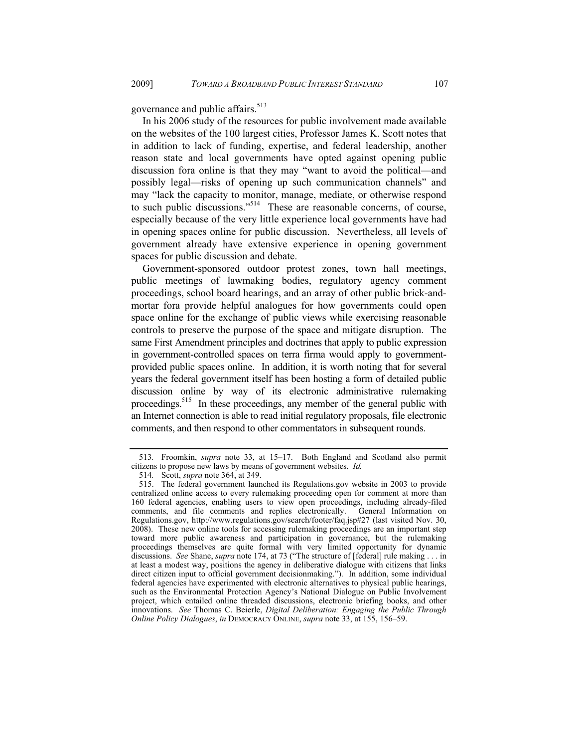governance and public affairs.<sup>513</sup>

In his 2006 study of the resources for public involvement made available on the websites of the 100 largest cities, Professor James K. Scott notes that in addition to lack of funding, expertise, and federal leadership, another reason state and local governments have opted against opening public discussion fora online is that they may "want to avoid the political—and possibly legal—risks of opening up such communication channels" and may "lack the capacity to monitor, manage, mediate, or otherwise respond to such public discussions."<sup>514</sup> These are reasonable concerns, of course, especially because of the very little experience local governments have had in opening spaces online for public discussion. Nevertheless, all levels of government already have extensive experience in opening government spaces for public discussion and debate.

Government-sponsored outdoor protest zones, town hall meetings, public meetings of lawmaking bodies, regulatory agency comment proceedings, school board hearings, and an array of other public brick-andmortar fora provide helpful analogues for how governments could open space online for the exchange of public views while exercising reasonable controls to preserve the purpose of the space and mitigate disruption. The same First Amendment principles and doctrines that apply to public expression in government-controlled spaces on terra firma would apply to governmentprovided public spaces online. In addition, it is worth noting that for several years the federal government itself has been hosting a form of detailed public discussion online by way of its electronic administrative rulemaking proceedings.<sup>515</sup> In these proceedings, any member of the general public with an Internet connection is able to read initial regulatory proposals, file electronic comments, and then respond to other commentators in subsequent rounds.

<sup>513</sup>*.* Froomkin, *supra* note 33, at 15–17. Both England and Scotland also permit citizens to propose new laws by means of government websites. *Id.* 

<sup>514</sup>*.* Scott, *supra* note 364, at 349.

 <sup>515.</sup> The federal government launched its Regulations.gov website in 2003 to provide centralized online access to every rulemaking proceeding open for comment at more than 160 federal agencies, enabling users to view open proceedings, including already-filed comments, and file comments and replies electronically. General Information on Regulations.gov, http://www.regulations.gov/search/footer/faq.jsp#27 (last visited Nov. 30, 2008). These new online tools for accessing rulemaking proceedings are an important step toward more public awareness and participation in governance, but the rulemaking proceedings themselves are quite formal with very limited opportunity for dynamic discussions. *See* Shane, *supra* note 174, at 73 ("The structure of [federal] rule making . . . in at least a modest way, positions the agency in deliberative dialogue with citizens that links direct citizen input to official government decisionmaking."). In addition, some individual federal agencies have experimented with electronic alternatives to physical public hearings, such as the Environmental Protection Agency's National Dialogue on Public Involvement project, which entailed online threaded discussions, electronic briefing books, and other innovations. *See* Thomas C. Beierle, *Digital Deliberation: Engaging the Public Through Online Policy Dialogues*, *in* DEMOCRACY ONLINE, *supra* note 33, at 155, 156–59.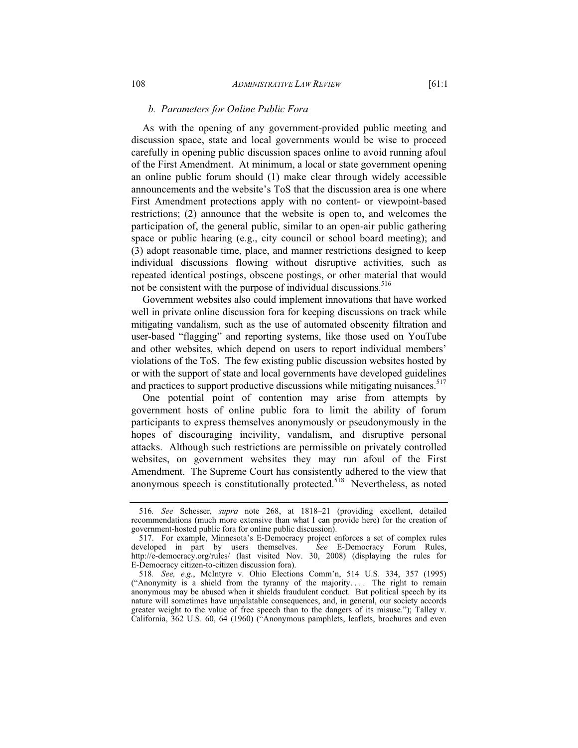As with the opening of any government-provided public meeting and discussion space, state and local governments would be wise to proceed carefully in opening public discussion spaces online to avoid running afoul of the First Amendment. At minimum, a local or state government opening an online public forum should (1) make clear through widely accessible announcements and the website's ToS that the discussion area is one where First Amendment protections apply with no content- or viewpoint-based restrictions; (2) announce that the website is open to, and welcomes the participation of, the general public, similar to an open-air public gathering space or public hearing (e.g., city council or school board meeting); and (3) adopt reasonable time, place, and manner restrictions designed to keep individual discussions flowing without disruptive activities, such as repeated identical postings, obscene postings, or other material that would not be consistent with the purpose of individual discussions.<sup>516</sup>

Government websites also could implement innovations that have worked well in private online discussion fora for keeping discussions on track while mitigating vandalism, such as the use of automated obscenity filtration and user-based "flagging" and reporting systems, like those used on YouTube and other websites, which depend on users to report individual members' violations of the ToS. The few existing public discussion websites hosted by or with the support of state and local governments have developed guidelines and practices to support productive discussions while mitigating nuisances.<sup>517</sup>

One potential point of contention may arise from attempts by government hosts of online public fora to limit the ability of forum participants to express themselves anonymously or pseudonymously in the hopes of discouraging incivility, vandalism, and disruptive personal attacks. Although such restrictions are permissible on privately controlled websites, on government websites they may run afoul of the First Amendment. The Supreme Court has consistently adhered to the view that anonymous speech is constitutionally protected.<sup>518</sup> Nevertheless, as noted

<sup>516</sup>*. See* Schesser, *supra* note 268, at 1818–21 (providing excellent, detailed recommendations (much more extensive than what I can provide here) for the creation of government-hosted public fora for online public discussion).

<sup>517.</sup> For example, Minnesota's E-Democracy project enforces a set of complex rules weloped in part by users themselves. See E-Democracy Forum Rules, developed in part by users themselves. http://e-democracy.org/rules/ (last visited Nov. 30, 2008) (displaying the rules for E-Democracy citizen-to-citizen discussion fora).

<sup>518</sup>*. See, e.g.*, McIntyre v. Ohio Elections Comm'n, 514 U.S. 334, 357 (1995) ("Anonymity is a shield from the tyranny of the majority.... The right to remain anonymous may be abused when it shields fraudulent conduct. But political speech by its nature will sometimes have unpalatable consequences, and, in general, our society accords greater weight to the value of free speech than to the dangers of its misuse."); Talley v. California, 362 U.S. 60, 64 (1960) ("Anonymous pamphlets, leaflets, brochures and even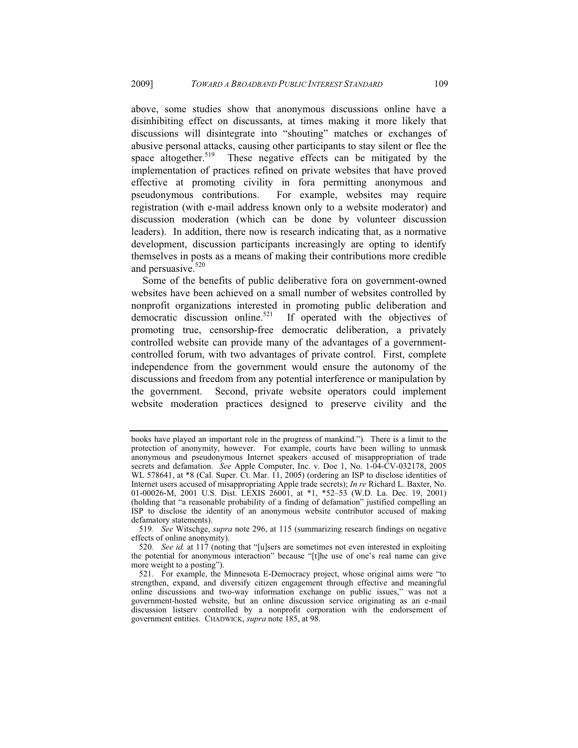above, some studies show that anonymous discussions online have a disinhibiting effect on discussants, at times making it more likely that discussions will disintegrate into "shouting" matches or exchanges of abusive personal attacks, causing other participants to stay silent or flee the space altogether.<sup>519</sup> These negative effects can be mitigated by the implementation of practices refined on private websites that have proved effective at promoting civility in fora permitting anonymous and pseudonymous contributions. For example, websites may require registration (with e-mail address known only to a website moderator) and discussion moderation (which can be done by volunteer discussion leaders). In addition, there now is research indicating that, as a normative development, discussion participants increasingly are opting to identify themselves in posts as a means of making their contributions more credible and persuasive.<sup>520</sup>

Some of the benefits of public deliberative fora on government-owned websites have been achieved on a small number of websites controlled by nonprofit organizations interested in promoting public deliberation and democratic discussion online.<sup>521</sup> If operated with the objectives of If operated with the objectives of promoting true, censorship-free democratic deliberation, a privately controlled website can provide many of the advantages of a governmentcontrolled forum, with two advantages of private control. First, complete independence from the government would ensure the autonomy of the discussions and freedom from any potential interference or manipulation by the government. Second, private website operators could implement website moderation practices designed to preserve civility and the

books have played an important role in the progress of mankind."). There is a limit to the protection of anonymity, however. For example, courts have been willing to unmask anonymous and pseudonymous Internet speakers accused of misappropriation of trade secrets and defamation. *See* Apple Computer, Inc. v. Doe 1, No. 1-04-CV-032178, 2005 WL 578641, at \*8 (Cal. Super. Ct. Mar. 11, 2005) (ordering an ISP to disclose identities of Internet users accused of misappropriating Apple trade secrets); *In re* Richard L. Baxter, No. 01-00026-M, 2001 U.S. Dist. LEXIS 26001, at \*1, \*52–53 (W.D. La. Dec. 19, 2001) (holding that "a reasonable probability of a finding of defamation" justified compelling an ISP to disclose the identity of an anonymous website contributor accused of making defamatory statements).

<sup>519</sup>*. See* Witschge, *supra* note 296, at 115 (summarizing research findings on negative effects of online anonymity).

<sup>520</sup>*. See id.* at 117 (noting that "[u]sers are sometimes not even interested in exploiting the potential for anonymous interaction" because "[t]he use of one's real name can give more weight to a posting").

 <sup>521.</sup> For example, the Minnesota E-Democracy project, whose original aims were "to strengthen, expand, and diversify citizen engagement through effective and meaningful online discussions and two-way information exchange on public issues," was not a government-hosted website, but an online discussion service originating as an e-mail discussion listserv controlled by a nonprofit corporation with the endorsement of government entities. CHADWICK, *supra* note 185, at 98.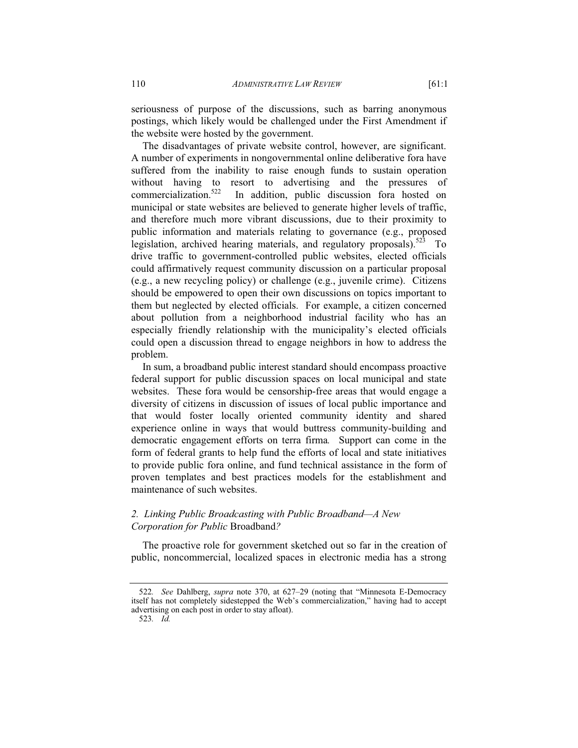the website were hosted by the government. The disadvantages of private website control, however, are significant. A number of experiments in nongovernmental online deliberative fora have suffered from the inability to raise enough funds to sustain operation without having to resort to advertising and the pressures of commercialization.<sup>522</sup> In addition, public discussion for abosted on In addition, public discussion fora hosted on municipal or state websites are believed to generate higher levels of traffic, and therefore much more vibrant discussions, due to their proximity to public information and materials relating to governance (e.g., proposed legislation, archived hearing materials, and regulatory proposals).<sup>523</sup> To drive traffic to government-controlled public websites, elected officials could affirmatively request community discussion on a particular proposal (e.g., a new recycling policy) or challenge (e.g., juvenile crime). Citizens should be empowered to open their own discussions on topics important to them but neglected by elected officials. For example, a citizen concerned about pollution from a neighborhood industrial facility who has an especially friendly relationship with the municipality's elected officials could open a discussion thread to engage neighbors in how to address the problem.

In sum, a broadband public interest standard should encompass proactive federal support for public discussion spaces on local municipal and state websites. These fora would be censorship-free areas that would engage a diversity of citizens in discussion of issues of local public importance and that would foster locally oriented community identity and shared experience online in ways that would buttress community-building and democratic engagement efforts on terra firma*.* Support can come in the form of federal grants to help fund the efforts of local and state initiatives to provide public fora online, and fund technical assistance in the form of proven templates and best practices models for the establishment and maintenance of such websites.

## *2. Linking Public Broadcasting with Public Broadband—A New Corporation for Public* Broadband*?*

The proactive role for government sketched out so far in the creation of public, noncommercial, localized spaces in electronic media has a strong

<sup>522</sup>*. See* Dahlberg, *supra* note 370, at 627–29 (noting that "Minnesota E-Democracy itself has not completely sidestepped the Web's commercialization," having had to accept advertising on each post in order to stay afloat).

<sup>523</sup>*. Id.*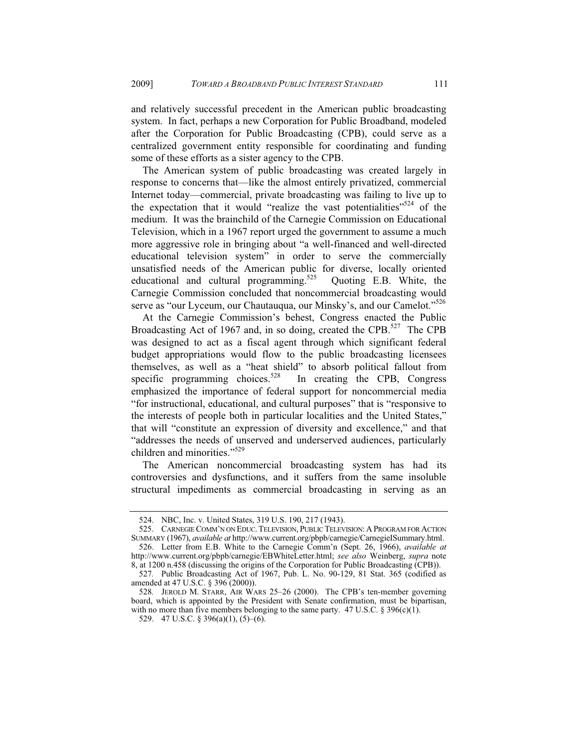and relatively successful precedent in the American public broadcasting system. In fact, perhaps a new Corporation for Public Broadband, modeled after the Corporation for Public Broadcasting (CPB), could serve as a centralized government entity responsible for coordinating and funding some of these efforts as a sister agency to the CPB.

The American system of public broadcasting was created largely in response to concerns that—like the almost entirely privatized, commercial Internet today—commercial, private broadcasting was failing to live up to the expectation that it would "realize the vast potentialities"<sup>524</sup> of the medium. It was the brainchild of the Carnegie Commission on Educational Television, which in a 1967 report urged the government to assume a much more aggressive role in bringing about "a well-financed and well-directed educational television system" in order to serve the commercially unsatisfied needs of the American public for diverse, locally oriented educational and cultural programming.<sup>525</sup> Quoting E.B. White, the Carnegie Commission concluded that noncommercial broadcasting would serve as "our Lyceum, our Chautauqua, our Minsky's, and our Camelot."<sup>526</sup>

At the Carnegie Commission's behest, Congress enacted the Public Broadcasting Act of 1967 and, in so doing, created the CPB.<sup>527</sup> The CPB was designed to act as a fiscal agent through which significant federal budget appropriations would flow to the public broadcasting licensees themselves, as well as a "heat shield" to absorb political fallout from specific programming choices.<sup>528</sup> In creating the CPB, Congress In creating the CPB, Congress emphasized the importance of federal support for noncommercial media "for instructional, educational, and cultural purposes" that is "responsive to the interests of people both in particular localities and the United States," that will "constitute an expression of diversity and excellence," and that "addresses the needs of unserved and underserved audiences, particularly children and minorities."529

The American noncommercial broadcasting system has had its controversies and dysfunctions, and it suffers from the same insoluble structural impediments as commercial broadcasting in serving as an

 <sup>524.</sup> NBC, Inc. v. United States, 319 U.S. 190, 217 (1943).

 <sup>525.</sup> CARNEGIE COMM'N ON EDUC. TELEVISION, PUBLIC TELEVISION:APROGRAM FOR ACTION SUMMARY (1967), *available at* http://www.current.org/pbpb/carnegie/CarnegieISummary.html. 526. Letter from E.B. White to the Carnegie Comm'n (Sept. 26, 1966), *available at*

http://www.current.org/pbpb/carnegie/EBWhiteLetter.html; *see also* Weinberg, *supra* note 8, at 1200 n.458 (discussing the origins of the Corporation for Public Broadcasting (CPB)). 527*.* Public Broadcasting Act of 1967, Pub. L. No. 90-129, 81 Stat. 365 (codified as

amended at 47 U.S.C. § 396 (2000)).

<sup>528</sup>*.* JEROLD M. STARR, AIR WARS 25–26 (2000). The CPB's ten-member governing board, which is appointed by the President with Senate confirmation, must be bipartisan, with no more than five members belonging to the same party. 47 U.S.C.  $\S 396(c)(1)$ .

 <sup>529. 47</sup> U.S.C. § 396(a)(1), (5)–(6).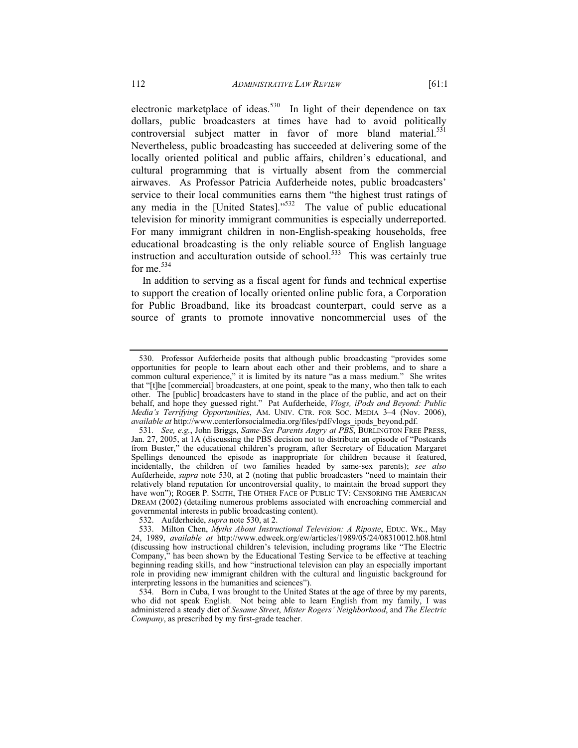electronic marketplace of ideas.<sup>530</sup> In light of their dependence on tax dollars, public broadcasters at times have had to avoid politically controversial subject matter in favor of more bland material.<sup>531</sup> Nevertheless, public broadcasting has succeeded at delivering some of the locally oriented political and public affairs, children's educational, and cultural programming that is virtually absent from the commercial airwaves. As Professor Patricia Aufderheide notes, public broadcasters' service to their local communities earns them "the highest trust ratings of any media in the [United States]."532 The value of public educational television for minority immigrant communities is especially underreported. For many immigrant children in non-English-speaking households, free educational broadcasting is the only reliable source of English language instruction and acculturation outside of school.<sup>533</sup> This was certainly true for me.<sup>534</sup>

In addition to serving as a fiscal agent for funds and technical expertise to support the creation of locally oriented online public fora, a Corporation for Public Broadband, like its broadcast counterpart, could serve as a source of grants to promote innovative noncommercial uses of the

 <sup>530.</sup> Professor Aufderheide posits that although public broadcasting "provides some opportunities for people to learn about each other and their problems, and to share a common cultural experience," it is limited by its nature "as a mass medium." She writes that "[t]he [commercial] broadcasters, at one point, speak to the many, who then talk to each other. The [public] broadcasters have to stand in the place of the public, and act on their behalf, and hope they guessed right." Pat Aufderheide, *Vlogs, iPods and Beyond: Public Media's Terrifying Opportunities*, AM. UNIV. CTR. FOR SOC. MEDIA 3–4 (Nov. 2006), *available at* http://www.centerforsocialmedia.org/files/pdf/vlogs\_ipods\_beyond.pdf.

<sup>531</sup>*. See, e.g.*, John Briggs, *Same-Sex Parents Angry at PBS*, BURLINGTON FREE PRESS, Jan. 27, 2005, at 1A (discussing the PBS decision not to distribute an episode of "Postcards from Buster," the educational children's program, after Secretary of Education Margaret Spellings denounced the episode as inappropriate for children because it featured, incidentally, the children of two families headed by same-sex parents); *see also* Aufderheide, *supra* note 530, at 2 (noting that public broadcasters "need to maintain their relatively bland reputation for uncontroversial quality, to maintain the broad support they have won"); ROGER P. SMITH, THE OTHER FACE OF PUBLIC TV: CENSORING THE AMERICAN DREAM (2002) (detailing numerous problems associated with encroaching commercial and governmental interests in public broadcasting content).

 <sup>532.</sup> Aufderheide, *supra* note 530, at 2.

 <sup>533.</sup> Milton Chen, *Myths About Instructional Television: A Riposte*, EDUC. WK., May 24, 1989, *available at* http://www.edweek.org/ew/articles/1989/05/24/08310012.h08.html (discussing how instructional children's television, including programs like "The Electric Company," has been shown by the Educational Testing Service to be effective at teaching beginning reading skills, and how "instructional television can play an especially important role in providing new immigrant children with the cultural and linguistic background for interpreting lessons in the humanities and sciences").

 <sup>534.</sup> Born in Cuba, I was brought to the United States at the age of three by my parents, who did not speak English. Not being able to learn English from my family, I was administered a steady diet of *Sesame Street*, *Mister Rogers' Neighborhood*, and *The Electric Company*, as prescribed by my first-grade teacher.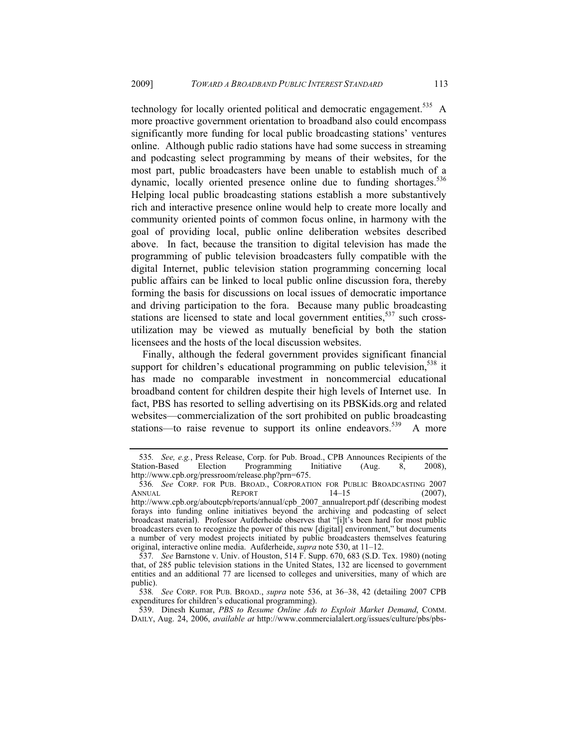technology for locally oriented political and democratic engagement.<sup>535</sup> A more proactive government orientation to broadband also could encompass significantly more funding for local public broadcasting stations' ventures online. Although public radio stations have had some success in streaming and podcasting select programming by means of their websites, for the most part, public broadcasters have been unable to establish much of a dynamic, locally oriented presence online due to funding shortages.<sup>536</sup> Helping local public broadcasting stations establish a more substantively rich and interactive presence online would help to create more locally and community oriented points of common focus online, in harmony with the goal of providing local, public online deliberation websites described above. In fact, because the transition to digital television has made the programming of public television broadcasters fully compatible with the digital Internet, public television station programming concerning local public affairs can be linked to local public online discussion fora, thereby forming the basis for discussions on local issues of democratic importance and driving participation to the fora. Because many public broadcasting stations are licensed to state and local government entities,  $537$  such crossutilization may be viewed as mutually beneficial by both the station licensees and the hosts of the local discussion websites.

Finally, although the federal government provides significant financial support for children's educational programming on public television,<sup>538</sup> it has made no comparable investment in noncommercial educational broadband content for children despite their high levels of Internet use. In fact, PBS has resorted to selling advertising on its PBSKids.org and related websites—commercialization of the sort prohibited on public broadcasting stations—to raise revenue to support its online endeavors.<sup>539</sup> A more

<sup>535</sup>*. See, e.g.*, Press Release, Corp. for Pub. Broad., CPB Announces Recipients of the Programming Initiative (Aug. 8, http://www.cpb.org/pressroom/release.php?prn=675.

<sup>536</sup>*. See* CORP. FOR PUB. BROAD., CORPORATION FOR PUBLIC BROADCASTING 2007 ANNUAL REPORT 14–15 (2007), http://www.cpb.org/aboutcpb/reports/annual/cpb\_2007\_annualreport.pdf (describing modest forays into funding online initiatives beyond the archiving and podcasting of select broadcast material). Professor Aufderheide observes that "[i]t's been hard for most public broadcasters even to recognize the power of this new [digital] environment," but documents a number of very modest projects initiated by public broadcasters themselves featuring original, interactive online media. Aufderheide, *supra* note 530, at 11–12.

<sup>537</sup>*. See* Barnstone v. Univ. of Houston, 514 F. Supp. 670, 683 (S.D. Tex. 1980) (noting that, of 285 public television stations in the United States, 132 are licensed to government entities and an additional 77 are licensed to colleges and universities, many of which are public).

<sup>538</sup>*. See* CORP. FOR PUB. BROAD., *supra* note 536, at 36–38, 42 (detailing 2007 CPB expenditures for children's educational programming).

 <sup>539.</sup> Dinesh Kumar, *PBS to Resume Online Ads to Exploit Market Demand*, COMM. DAILY, Aug. 24, 2006, *available at* http://www.commercialalert.org/issues/culture/pbs/pbs-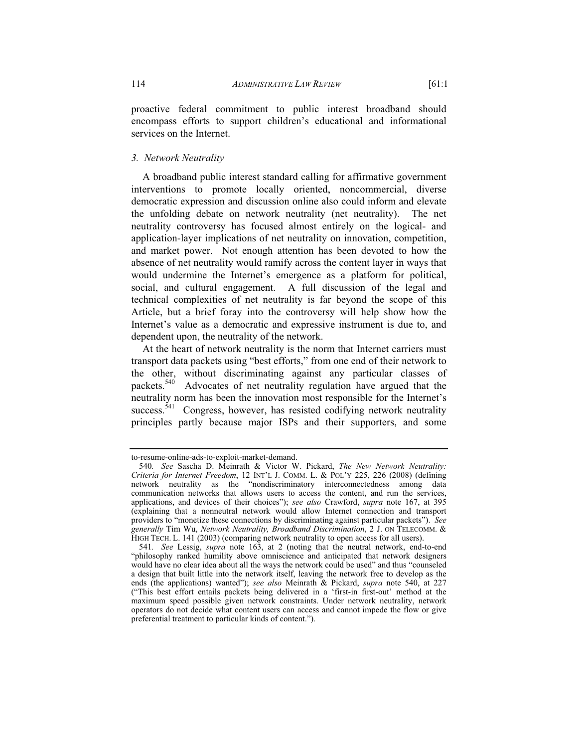proactive federal commitment to public interest broadband should encompass efforts to support children's educational and informational services on the Internet.

## *3. Network Neutrality*

A broadband public interest standard calling for affirmative government interventions to promote locally oriented, noncommercial, diverse democratic expression and discussion online also could inform and elevate the unfolding debate on network neutrality (net neutrality). The net neutrality controversy has focused almost entirely on the logical- and application-layer implications of net neutrality on innovation, competition, and market power. Not enough attention has been devoted to how the absence of net neutrality would ramify across the content layer in ways that would undermine the Internet's emergence as a platform for political, social, and cultural engagement. A full discussion of the legal and technical complexities of net neutrality is far beyond the scope of this Article, but a brief foray into the controversy will help show how the Internet's value as a democratic and expressive instrument is due to, and dependent upon, the neutrality of the network.

At the heart of network neutrality is the norm that Internet carriers must transport data packets using "best efforts," from one end of their network to the other, without discriminating against any particular classes of packets.540 Advocates of net neutrality regulation have argued that the neutrality norm has been the innovation most responsible for the Internet's success.<sup>541</sup> Congress, however, has resisted codifying network neutrality principles partly because major ISPs and their supporters, and some

to-resume-online-ads-to-exploit-market-demand.

<sup>540</sup>*. See* Sascha D. Meinrath & Victor W. Pickard, *The New Network Neutrality: Criteria for Internet Freedom*, 12 INT'L J. COMM. L. & POL'Y 225, 226 (2008) (defining network neutrality as the "nondiscriminatory interconnectedness among data communication networks that allows users to access the content, and run the services, applications, and devices of their choices"); *see also* Crawford, *supra* note 167, at 395 (explaining that a nonneutral network would allow Internet connection and transport providers to "monetize these connections by discriminating against particular packets"). *See generally* Tim Wu, *Network Neutrality, Broadband Discrimination*, 2 J. ON TELECOMM. & HIGH TECH. L. 141 (2003) (comparing network neutrality to open access for all users).

<sup>541</sup>*. See* Lessig, *supra* note 163, at 2 (noting that the neutral network, end-to-end "philosophy ranked humility above omniscience and anticipated that network designers would have no clear idea about all the ways the network could be used" and thus "counseled a design that built little into the network itself, leaving the network free to develop as the ends (the applications) wanted"); *see also* Meinrath & Pickard, *supra* note 540, at 227 ("This best effort entails packets being delivered in a 'first-in first-out' method at the maximum speed possible given network constraints. Under network neutrality, network operators do not decide what content users can access and cannot impede the flow or give preferential treatment to particular kinds of content.").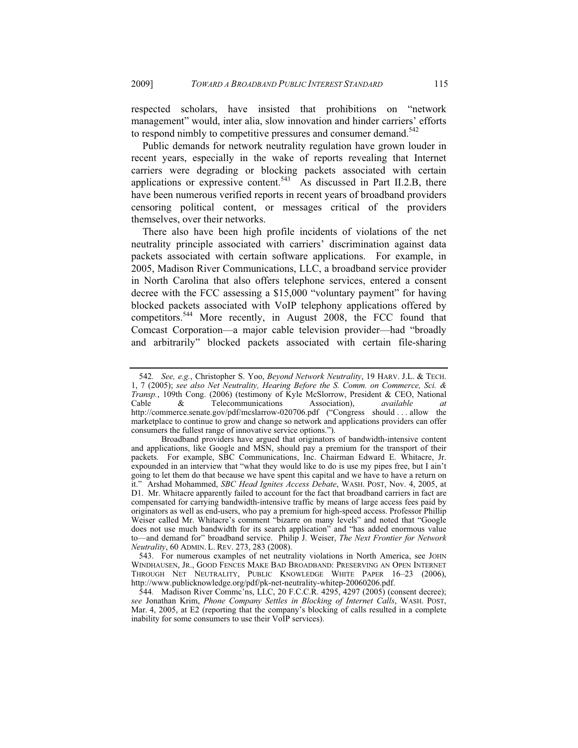respected scholars, have insisted that prohibitions on "network management" would, inter alia, slow innovation and hinder carriers' efforts to respond nimbly to competitive pressures and consumer demand.<sup>542</sup>

Public demands for network neutrality regulation have grown louder in recent years, especially in the wake of reports revealing that Internet carriers were degrading or blocking packets associated with certain applications or expressive content.<sup>543</sup> As discussed in Part II.2.B, there have been numerous verified reports in recent years of broadband providers censoring political content, or messages critical of the providers themselves, over their networks.

There also have been high profile incidents of violations of the net neutrality principle associated with carriers' discrimination against data packets associated with certain software applications. For example, in 2005, Madison River Communications, LLC, a broadband service provider in North Carolina that also offers telephone services, entered a consent decree with the FCC assessing a \$15,000 "voluntary payment" for having blocked packets associated with VoIP telephony applications offered by competitors.<sup>544</sup> More recently, in August 2008, the FCC found that Comcast Corporation—a major cable television provider—had "broadly and arbitrarily" blocked packets associated with certain file-sharing

<sup>542</sup>*. See, e.g.*, Christopher S. Yoo, *Beyond Network Neutrality*, 19 HARV. J.L. & TECH. 1, 7 (2005); *see also Net Neutrality, Hearing Before the S. Comm. on Commerce, Sci. & Transp.*, 109th Cong. (2006) (testimony of Kyle McSlorrow, President & CEO, National Cable  $\alpha$  Telecommunications Association), *available at* Cable & Telecommunications Association), *available at*  http://commerce.senate.gov/pdf/mcslarrow-020706.pdf ("Congress should . . . allow the marketplace to continue to grow and change so network and applications providers can offer consumers the fullest range of innovative service options.").

Broadband providers have argued that originators of bandwidth-intensive content and applications, like Google and MSN, should pay a premium for the transport of their packets. For example, SBC Communications, Inc. Chairman Edward E. Whitacre, Jr. expounded in an interview that "what they would like to do is use my pipes free, but I ain't going to let them do that because we have spent this capital and we have to have a return on it." Arshad Mohammed, *SBC Head Ignites Access Debate*, WASH. POST, Nov. 4, 2005, at D1. Mr. Whitacre apparently failed to account for the fact that broadband carriers in fact are compensated for carrying bandwidth-intensive traffic by means of large access fees paid by originators as well as end-users, who pay a premium for high-speed access. Professor Phillip Weiser called Mr. Whitacre's comment "bizarre on many levels" and noted that "Google does not use much bandwidth for its search application" and "has added enormous value to—and demand for" broadband service. Philip J. Weiser, *The Next Frontier for Network Neutrality*, 60 ADMIN. L. REV. 273, 283 (2008).

 <sup>543.</sup> For numerous examples of net neutrality violations in North America, see JOHN WINDHAUSEN, JR., GOOD FENCES MAKE BAD BROADBAND: PRESERVING AN OPEN INTERNET THROUGH NET NEUTRALITY, PUBLIC KNOWLEDGE WHITE PAPER 16–23 (2006), http://www.publicknowledge.org/pdf/pk-net-neutrality-whitep-20060206.pdf.

<sup>544</sup>*.* Madison River Commc'ns, LLC, 20 F.C.C.R. 4295, 4297 (2005) (consent decree); *see* Jonathan Krim, *Phone Company Settles in Blocking of Internet Calls*, WASH. POST, Mar. 4, 2005, at E2 (reporting that the company's blocking of calls resulted in a complete inability for some consumers to use their VoIP services).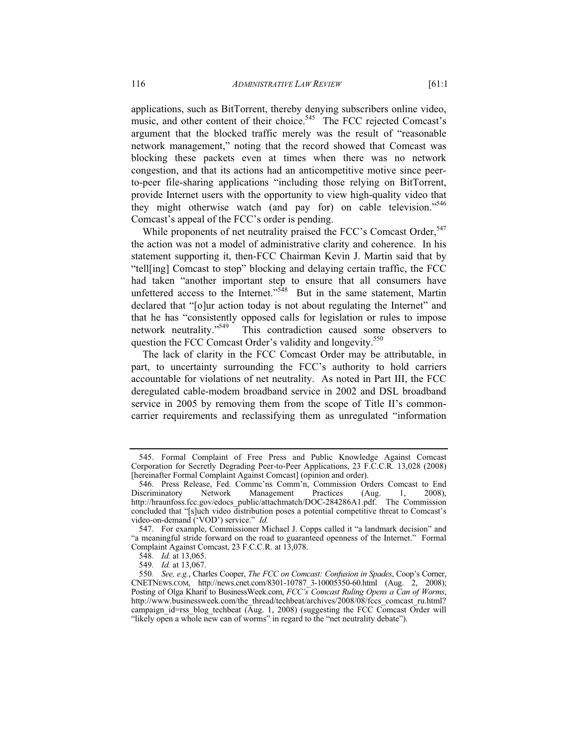applications, such as BitTorrent, thereby denying subscribers online video, music, and other content of their choice.<sup>545</sup> The FCC rejected Comcast's argument that the blocked traffic merely was the result of "reasonable network management," noting that the record showed that Comcast was blocking these packets even at times when there was no network congestion, and that its actions had an anticompetitive motive since peerto-peer file-sharing applications "including those relying on BitTorrent, provide Internet users with the opportunity to view high-quality video that they might otherwise watch (and pay for) on cable television."<sup>546</sup> Comcast's appeal of the FCC's order is pending.

While proponents of net neutrality praised the FCC's Comcast Order.<sup>547</sup> the action was not a model of administrative clarity and coherence. In his statement supporting it, then-FCC Chairman Kevin J. Martin said that by "tell[ing] Comcast to stop" blocking and delaying certain traffic, the FCC had taken "another important step to ensure that all consumers have unfettered access to the Internet." $548$  But in the same statement, Martin declared that "[o]ur action today is not about regulating the Internet" and that he has "consistently opposed calls for legislation or rules to impose network neutrality."549 This contradiction caused some observers to question the FCC Comcast Order's validity and longevity.<sup>550</sup>

The lack of clarity in the FCC Comcast Order may be attributable, in part, to uncertainty surrounding the FCC's authority to hold carriers accountable for violations of net neutrality. As noted in Part III, the FCC deregulated cable-modem broadband service in 2002 and DSL broadband service in 2005 by removing them from the scope of Title II's commoncarrier requirements and reclassifying them as unregulated "information

 <sup>545.</sup> Formal Complaint of Free Press and Public Knowledge Against Comcast Corporation for Secretly Degrading Peer-to-Peer Applications, 23 F.C.C.R. 13,028 (2008) [hereinafter Formal Complaint Against Comcast] (opinion and order).

<sup>546.</sup> Press Release, Fed. Commc'ns Comm'n, Commission Orders Comcast to End<br>
iscriminatory Network Management Practices (Aug. 1, 2008), Discriminatory Network Management Practices (Aug. 1, 2008), http://hraunfoss.fcc.gov/edocs\_public/attachmatch/DOC-284286A1.pdf. The Commission concluded that "[s]uch video distribution poses a potential competitive threat to Comcast's video-on-demand ('VOD') service." *Id.*

 <sup>547.</sup> For example, Commissioner Michael J. Copps called it "a landmark decision" and "a meaningful stride forward on the road to guaranteed openness of the Internet." Formal Complaint Against Comcast, 23 F.C.C.R. at 13,078.

<sup>548</sup>*. Id.* at 13,065.

<sup>549</sup>*. Id.* at 13,067.

<sup>550</sup>*. See, e.g.*, Charles Cooper, *The FCC on Comcast: Confusion in Spades*, Coop's Corner, CNETNEWS.COM, http://news.cnet.com/8301-10787\_3-10005350-60.html (Aug. 2, 2008); Posting of Olga Kharif to BusinessWeek.com, *FCC's Comcast Ruling Opens a Can of Worms*, http://www.businessweek.com/the\_thread/techbeat/archives/2008/08/fccs\_comcast\_ru.html? campaign id=rss blog techbeat (Aug. 1, 2008) (suggesting the FCC Comcast Order will "likely open a whole new can of worms" in regard to the "net neutrality debate").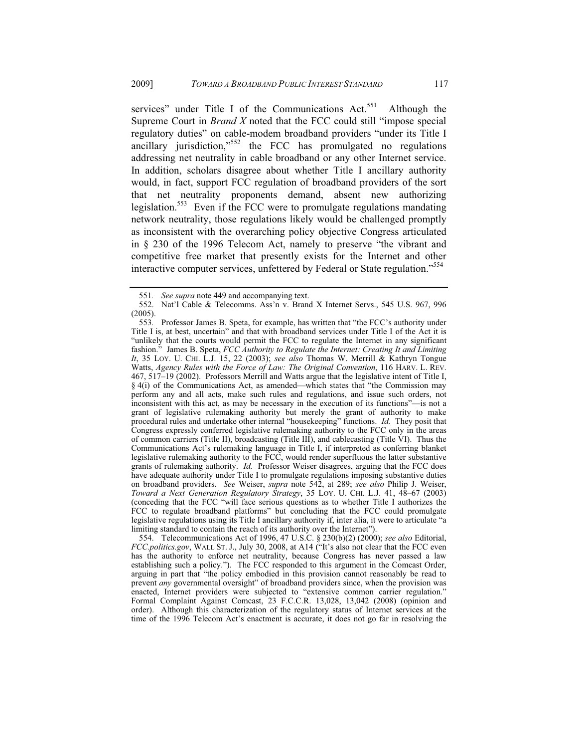services" under Title I of the Communications  $Act.^{551}$  Although the Supreme Court in *Brand X* noted that the FCC could still "impose special regulatory duties" on cable-modem broadband providers "under its Title I ancillary jurisdiction,"552 the FCC has promulgated no regulations addressing net neutrality in cable broadband or any other Internet service. In addition, scholars disagree about whether Title I ancillary authority would, in fact, support FCC regulation of broadband providers of the sort that net neutrality proponents demand, absent new authorizing legislation.553 Even if the FCC were to promulgate regulations mandating network neutrality, those regulations likely would be challenged promptly as inconsistent with the overarching policy objective Congress articulated in § 230 of the 1996 Telecom Act, namely to preserve "the vibrant and competitive free market that presently exists for the Internet and other interactive computer services, unfettered by Federal or State regulation."554

 554. Telecommunications Act of 1996, 47 U.S.C. § 230(b)(2) (2000); *see also* Editorial, *FCC.politics.gov*, WALL ST. J., July 30, 2008, at A14 ("It's also not clear that the FCC even has the authority to enforce net neutrality, because Congress has never passed a law establishing such a policy."). The FCC responded to this argument in the Comcast Order, arguing in part that "the policy embodied in this provision cannot reasonably be read to prevent *any* governmental oversight" of broadband providers since, when the provision was enacted, Internet providers were subjected to "extensive common carrier regulation." Formal Complaint Against Comcast, 23 F.C.C.R. 13,028, 13,042 (2008) (opinion and order). Although this characterization of the regulatory status of Internet services at the time of the 1996 Telecom Act's enactment is accurate, it does not go far in resolving the

<sup>551</sup>*. See supra* note 449 and accompanying text.

 <sup>552.</sup> Nat'l Cable & Telecomms. Ass'n v. Brand X Internet Servs., 545 U.S. 967, 996 (2005).

<sup>553</sup>*.* Professor James B. Speta, for example, has written that "the FCC's authority under Title I is, at best, uncertain" and that with broadband services under Title I of the Act it is "unlikely that the courts would permit the FCC to regulate the Internet in any significant fashion." James B. Speta, *FCC Authority to Regulate the Internet: Creating It and Limiting It*, 35 LOY. U. CHI. L.J. 15, 22 (2003); *see also* Thomas W. Merrill & Kathryn Tongue Watts, *Agency Rules with the Force of Law: The Original Convention*, 116 HARV. L. REV. 467, 517–19 (2002). Professors Merrill and Watts argue that the legislative intent of Title I, § 4(i) of the Communications Act, as amended—which states that "the Commission may perform any and all acts, make such rules and regulations, and issue such orders, not inconsistent with this act, as may be necessary in the execution of its functions"—is not a grant of legislative rulemaking authority but merely the grant of authority to make procedural rules and undertake other internal "housekeeping" functions. *Id.* They posit that Congress expressly conferred legislative rulemaking authority to the FCC only in the areas of common carriers (Title II), broadcasting (Title III), and cablecasting (Title VI). Thus the Communications Act's rulemaking language in Title I, if interpreted as conferring blanket legislative rulemaking authority to the FCC, would render superfluous the latter substantive grants of rulemaking authority. *Id.* Professor Weiser disagrees, arguing that the FCC does have adequate authority under Title I to promulgate regulations imposing substantive duties on broadband providers. *See* Weiser, *supra* note 542, at 289; *see also* Philip J. Weiser, *Toward a Next Generation Regulatory Strategy*, 35 LOY. U. CHI. L.J. 41, 48–67 (2003) (conceding that the FCC "will face serious questions as to whether Title I authorizes the FCC to regulate broadband platforms" but concluding that the FCC could promulgate legislative regulations using its Title I ancillary authority if, inter alia, it were to articulate "a limiting standard to contain the reach of its authority over the Internet").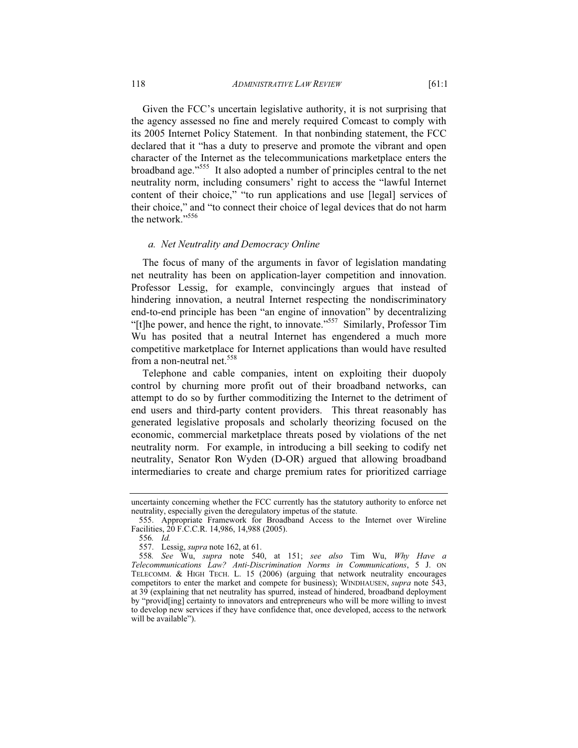Given the FCC's uncertain legislative authority, it is not surprising that the agency assessed no fine and merely required Comcast to comply with its 2005 Internet Policy Statement. In that nonbinding statement, the FCC declared that it "has a duty to preserve and promote the vibrant and open character of the Internet as the telecommunications marketplace enters the broadband age."555 It also adopted a number of principles central to the net neutrality norm, including consumers' right to access the "lawful Internet content of their choice," "to run applications and use [legal] services of their choice," and "to connect their choice of legal devices that do not harm the network."<sup>556</sup>

### *a. Net Neutrality and Democracy Online*

The focus of many of the arguments in favor of legislation mandating net neutrality has been on application-layer competition and innovation. Professor Lessig, for example, convincingly argues that instead of hindering innovation, a neutral Internet respecting the nondiscriminatory end-to-end principle has been "an engine of innovation" by decentralizing "[t]he power, and hence the right, to innovate."557 Similarly, Professor Tim Wu has posited that a neutral Internet has engendered a much more competitive marketplace for Internet applications than would have resulted from a non-neutral net.<sup>558</sup>

Telephone and cable companies, intent on exploiting their duopoly control by churning more profit out of their broadband networks, can attempt to do so by further commoditizing the Internet to the detriment of end users and third-party content providers. This threat reasonably has generated legislative proposals and scholarly theorizing focused on the economic, commercial marketplace threats posed by violations of the net neutrality norm. For example, in introducing a bill seeking to codify net neutrality, Senator Ron Wyden (D-OR) argued that allowing broadband intermediaries to create and charge premium rates for prioritized carriage

uncertainty concerning whether the FCC currently has the statutory authority to enforce net neutrality, especially given the deregulatory impetus of the statute.

 <sup>555.</sup> Appropriate Framework for Broadband Access to the Internet over Wireline Facilities, 20 F.C.C.R. 14,986, 14,988 (2005).

<sup>556</sup>*. Id.*

 <sup>557.</sup> Lessig, *supra* note 162, at 61.

<sup>558</sup>*. See* Wu, *supra* note 540, at 151; *see also* Tim Wu, *Why Have a Telecommunications Law? Anti-Discrimination Norms in Communications*, 5 J. ON TELECOMM. & HIGH TECH. L. 15 (2006) (arguing that network neutrality encourages competitors to enter the market and compete for business); WINDHAUSEN, *supra* note 543, at 39 (explaining that net neutrality has spurred, instead of hindered, broadband deployment by "provid[ing] certainty to innovators and entrepreneurs who will be more willing to invest to develop new services if they have confidence that, once developed, access to the network will be available").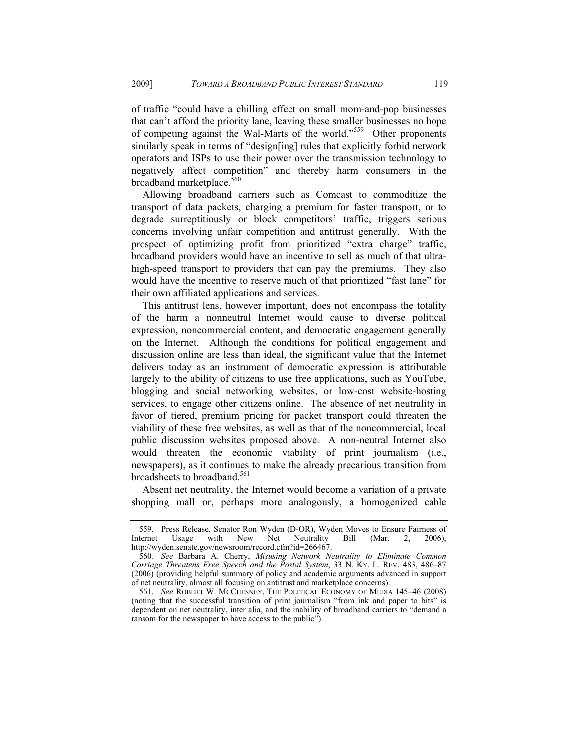of traffic "could have a chilling effect on small mom-and-pop businesses that can't afford the priority lane, leaving these smaller businesses no hope of competing against the Wal-Marts of the world."<sup>559</sup> Other proponents similarly speak in terms of "design[ing] rules that explicitly forbid network operators and ISPs to use their power over the transmission technology to negatively affect competition" and thereby harm consumers in the broadband marketplace.<sup>560</sup>

Allowing broadband carriers such as Comcast to commoditize the transport of data packets, charging a premium for faster transport, or to degrade surreptitiously or block competitors' traffic, triggers serious concerns involving unfair competition and antitrust generally. With the prospect of optimizing profit from prioritized "extra charge" traffic, broadband providers would have an incentive to sell as much of that ultrahigh-speed transport to providers that can pay the premiums. They also would have the incentive to reserve much of that prioritized "fast lane" for their own affiliated applications and services.

This antitrust lens, however important, does not encompass the totality of the harm a nonneutral Internet would cause to diverse political expression, noncommercial content, and democratic engagement generally on the Internet. Although the conditions for political engagement and discussion online are less than ideal, the significant value that the Internet delivers today as an instrument of democratic expression is attributable largely to the ability of citizens to use free applications, such as YouTube, blogging and social networking websites, or low-cost website-hosting services, to engage other citizens online. The absence of net neutrality in favor of tiered, premium pricing for packet transport could threaten the viability of these free websites, as well as that of the noncommercial, local public discussion websites proposed above. A non-neutral Internet also would threaten the economic viability of print journalism (i.e., newspapers), as it continues to make the already precarious transition from broadsheets to broadband.<sup>561</sup>

Absent net neutrality, the Internet would become a variation of a private shopping mall or, perhaps more analogously, a homogenized cable

 <sup>559.</sup> Press Release, Senator Ron Wyden (D-OR), Wyden Moves to Ensure Fairness of Internet Usage with New Net Neutrality Bill (Mar. 2, 2006), http://wyden.senate.gov/newsroom/record.cfm?id=266467.

<sup>560</sup>*. See* Barbara A. Cherry, *Misusing Network Neutrality to Eliminate Common Carriage Threatens Free Speech and the Postal System*, 33 N. KY. L. REV. 483, 486–87 (2006) (providing helpful summary of policy and academic arguments advanced in support of net neutrality, almost all focusing on antitrust and marketplace concerns).

 <sup>561.</sup> *See* ROBERT W. MCCHESNEY, THE POLITICAL ECONOMY OF MEDIA 145–46 (2008) (noting that the successful transition of print journalism "from ink and paper to bits" is dependent on net neutrality, inter alia, and the inability of broadband carriers to "demand a ransom for the newspaper to have access to the public").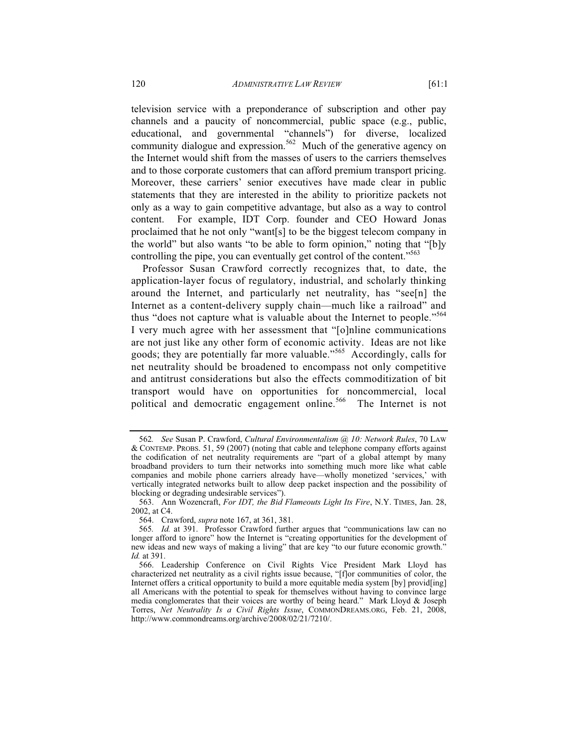television service with a preponderance of subscription and other pay channels and a paucity of noncommercial, public space (e.g., public, educational, and governmental "channels") for diverse, localized community dialogue and expression.<sup>562</sup> Much of the generative agency on the Internet would shift from the masses of users to the carriers themselves and to those corporate customers that can afford premium transport pricing. Moreover, these carriers' senior executives have made clear in public statements that they are interested in the ability to prioritize packets not only as a way to gain competitive advantage, but also as a way to control content. For example, IDT Corp. founder and CEO Howard Jonas proclaimed that he not only "want[s] to be the biggest telecom company in the world" but also wants "to be able to form opinion," noting that "[b]y controlling the pipe, you can eventually get control of the content."<sup>563</sup>

Professor Susan Crawford correctly recognizes that, to date, the application-layer focus of regulatory, industrial, and scholarly thinking around the Internet, and particularly net neutrality, has "see[n] the Internet as a content-delivery supply chain—much like a railroad" and thus "does not capture what is valuable about the Internet to people."<sup>564</sup> I very much agree with her assessment that "[o]nline communications are not just like any other form of economic activity. Ideas are not like goods; they are potentially far more valuable."565 Accordingly, calls for net neutrality should be broadened to encompass not only competitive and antitrust considerations but also the effects commoditization of bit transport would have on opportunities for noncommercial, local political and democratic engagement online.<sup>566</sup> The Internet is not

<sup>562</sup>*. See* Susan P. Crawford, *Cultural Environmentalism @ 10: Network Rules*, 70 LAW & CONTEMP. PROBS. 51, 59 (2007) (noting that cable and telephone company efforts against the codification of net neutrality requirements are "part of a global attempt by many broadband providers to turn their networks into something much more like what cable companies and mobile phone carriers already have—wholly monetized 'services,' with vertically integrated networks built to allow deep packet inspection and the possibility of blocking or degrading undesirable services").

 <sup>563.</sup> Ann Wozencraft, *For IDT, the Bid Flameouts Light Its Fire*, N.Y. TIMES, Jan. 28, 2002, at C4.

 <sup>564.</sup> Crawford, *supra* note 167, at 361, 381.

<sup>565</sup>*. Id.* at 391. Professor Crawford further argues that "communications law can no longer afford to ignore" how the Internet is "creating opportunities for the development of new ideas and new ways of making a living" that are key "to our future economic growth." *Id.* at 391.

 <sup>566.</sup> Leadership Conference on Civil Rights Vice President Mark Lloyd has characterized net neutrality as a civil rights issue because, "[f]or communities of color, the Internet offers a critical opportunity to build a more equitable media system [by] provid[ing] all Americans with the potential to speak for themselves without having to convince large media conglomerates that their voices are worthy of being heard." Mark Lloyd & Joseph Torres, *Net Neutrality Is a Civil Rights Issue*, COMMONDREAMS.ORG, Feb. 21, 2008, http://www.commondreams.org/archive/2008/02/21/7210/.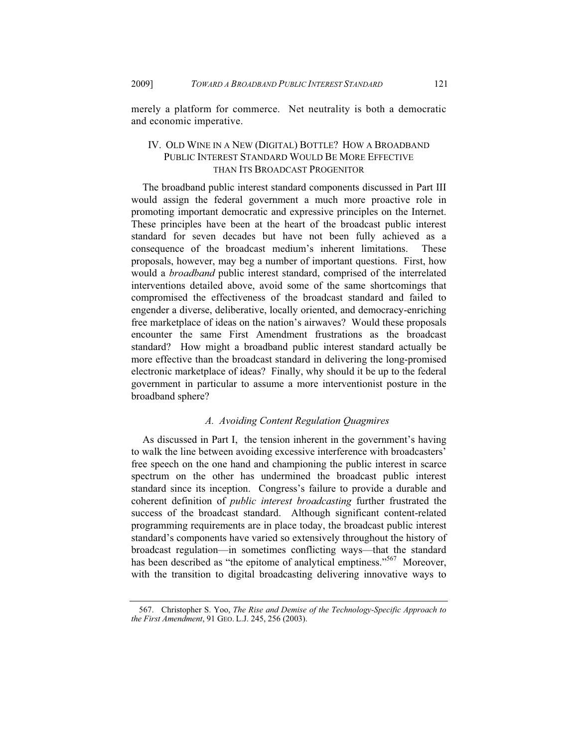merely a platform for commerce. Net neutrality is both a democratic and economic imperative.

# IV. OLD WINE IN A NEW (DIGITAL) BOTTLE? HOW A BROADBAND PUBLIC INTEREST STANDARD WOULD BE MORE EFFECTIVE THAN ITS BROADCAST PROGENITOR

The broadband public interest standard components discussed in Part III would assign the federal government a much more proactive role in promoting important democratic and expressive principles on the Internet. These principles have been at the heart of the broadcast public interest standard for seven decades but have not been fully achieved as a consequence of the broadcast medium's inherent limitations. These proposals, however, may beg a number of important questions. First, how would a *broadband* public interest standard, comprised of the interrelated interventions detailed above, avoid some of the same shortcomings that compromised the effectiveness of the broadcast standard and failed to engender a diverse, deliberative, locally oriented, and democracy-enriching free marketplace of ideas on the nation's airwaves? Would these proposals encounter the same First Amendment frustrations as the broadcast standard? How might a broadband public interest standard actually be more effective than the broadcast standard in delivering the long-promised electronic marketplace of ideas? Finally, why should it be up to the federal government in particular to assume a more interventionist posture in the broadband sphere?

## *A. Avoiding Content Regulation Quagmires*

As discussed in Part I, the tension inherent in the government's having to walk the line between avoiding excessive interference with broadcasters' free speech on the one hand and championing the public interest in scarce spectrum on the other has undermined the broadcast public interest standard since its inception. Congress's failure to provide a durable and coherent definition of *public interest broadcasting* further frustrated the success of the broadcast standard. Although significant content-related programming requirements are in place today, the broadcast public interest standard's components have varied so extensively throughout the history of broadcast regulation—in sometimes conflicting ways—that the standard has been described as "the epitome of analytical emptiness."<sup>567</sup> Moreover, with the transition to digital broadcasting delivering innovative ways to

 <sup>567.</sup> Christopher S. Yoo, *The Rise and Demise of the Technology-Specific Approach to the First Amendment*, 91 GEO. L.J. 245, 256 (2003).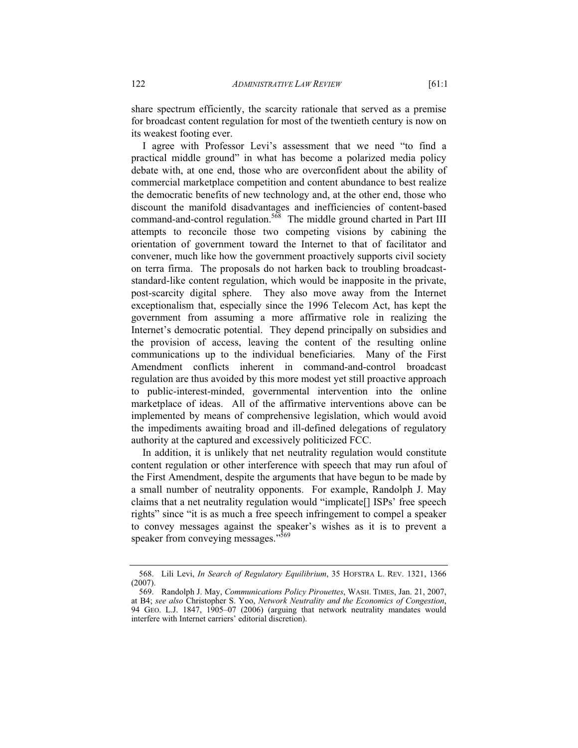share spectrum efficiently, the scarcity rationale that served as a premise for broadcast content regulation for most of the twentieth century is now on its weakest footing ever.

I agree with Professor Levi's assessment that we need "to find a practical middle ground" in what has become a polarized media policy debate with, at one end, those who are overconfident about the ability of commercial marketplace competition and content abundance to best realize the democratic benefits of new technology and, at the other end, those who discount the manifold disadvantages and inefficiencies of content-based command-and-control regulation.<sup>568</sup> The middle ground charted in Part III attempts to reconcile those two competing visions by cabining the orientation of government toward the Internet to that of facilitator and convener, much like how the government proactively supports civil society on terra firma. The proposals do not harken back to troubling broadcaststandard-like content regulation, which would be inapposite in the private, post-scarcity digital sphere. They also move away from the Internet exceptionalism that, especially since the 1996 Telecom Act, has kept the government from assuming a more affirmative role in realizing the Internet's democratic potential. They depend principally on subsidies and the provision of access, leaving the content of the resulting online communications up to the individual beneficiaries. Many of the First Amendment conflicts inherent in command-and-control broadcast regulation are thus avoided by this more modest yet still proactive approach to public-interest-minded, governmental intervention into the online marketplace of ideas. All of the affirmative interventions above can be implemented by means of comprehensive legislation, which would avoid the impediments awaiting broad and ill-defined delegations of regulatory authority at the captured and excessively politicized FCC.

In addition, it is unlikely that net neutrality regulation would constitute content regulation or other interference with speech that may run afoul of the First Amendment, despite the arguments that have begun to be made by a small number of neutrality opponents. For example, Randolph J. May claims that a net neutrality regulation would "implicate[] ISPs' free speech rights" since "it is as much a free speech infringement to compel a speaker to convey messages against the speaker's wishes as it is to prevent a speaker from conveying messages."<sup>569</sup>

 <sup>568.</sup> Lili Levi, *In Search of Regulatory Equilibrium*, 35 HOFSTRA L. REV. 1321, 1366 (2007).

 <sup>569.</sup> Randolph J. May, *Communications Policy Pirouettes*, WASH. TIMES, Jan. 21, 2007, at B4; *see also* Christopher S. Yoo, *Network Neutrality and the Economics of Congestion*, 94 GEO. L.J. 1847, 1905–07 (2006) (arguing that network neutrality mandates would interfere with Internet carriers' editorial discretion).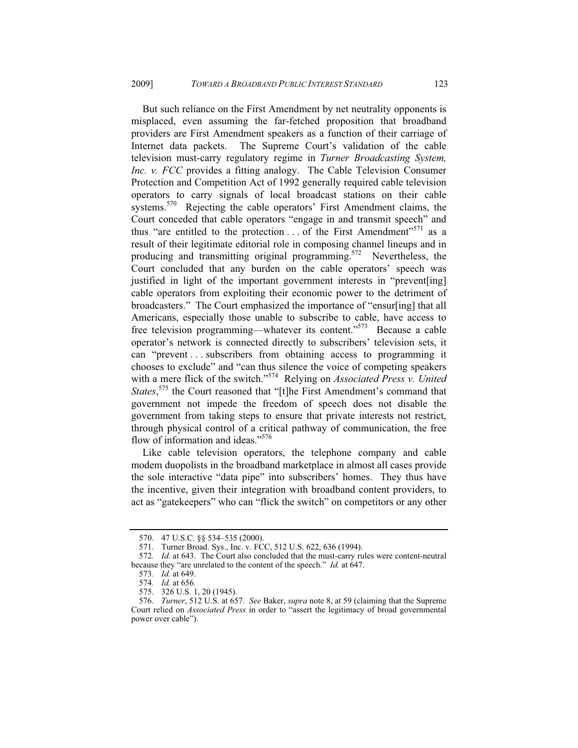But such reliance on the First Amendment by net neutrality opponents is misplaced, even assuming the far-fetched proposition that broadband providers are First Amendment speakers as a function of their carriage of Internet data packets. The Supreme Court's validation of the cable television must-carry regulatory regime in *Turner Broadcasting System, Inc. v. FCC* provides a fitting analogy. The Cable Television Consumer Protection and Competition Act of 1992 generally required cable television operators to carry signals of local broadcast stations on their cable systems.<sup>570</sup> Rejecting the cable operators' First Amendment claims, the Court conceded that cable operators "engage in and transmit speech" and thus "are entitled to the protection ... of the First Amendment"<sup>571</sup> as a result of their legitimate editorial role in composing channel lineups and in producing and transmitting original programming.<sup>572</sup> Nevertheless, the Court concluded that any burden on the cable operators' speech was justified in light of the important government interests in "prevent[ing] cable operators from exploiting their economic power to the detriment of broadcasters." The Court emphasized the importance of "ensur[ing] that all Americans, especially those unable to subscribe to cable, have access to free television programming—whatever its content."573 Because a cable operator's network is connected directly to subscribers' television sets, it can "prevent . . . subscribers from obtaining access to programming it chooses to exclude" and "can thus silence the voice of competing speakers with a mere flick of the switch."<sup>574</sup> Relying on *Associated Press v. United States*, <sup>575</sup> the Court reasoned that "[t]he First Amendment's command that government not impede the freedom of speech does not disable the government from taking steps to ensure that private interests not restrict, through physical control of a critical pathway of communication, the free flow of information and ideas."<sup>576</sup>

Like cable television operators, the telephone company and cable modem duopolists in the broadband marketplace in almost all cases provide the sole interactive "data pipe" into subscribers' homes. They thus have the incentive, given their integration with broadband content providers, to act as "gatekeepers" who can "flick the switch" on competitors or any other

 <sup>570. 47</sup> U.S.C. §§ 534–535 (2000).

 <sup>571.</sup> Turner Broad. Sys., Inc. v. FCC, 512 U.S. 622, 636 (1994).

<sup>572</sup>*. Id.* at 643. The Court also concluded that the must-carry rules were content-neutral because they "are unrelated to the content of the speech." *Id.* at 647.

<sup>573</sup>*. Id.* at 649.

<sup>574</sup>*. Id.* at 656.

 <sup>575. 326</sup> U.S. 1, 20 (1945).

 <sup>576.</sup> *Turner*, 512 U.S. at 657. *See* Baker, *supra* note 8, at 59 (claiming that the Supreme Court relied on *Associated Press* in order to "assert the legitimacy of broad governmental power over cable").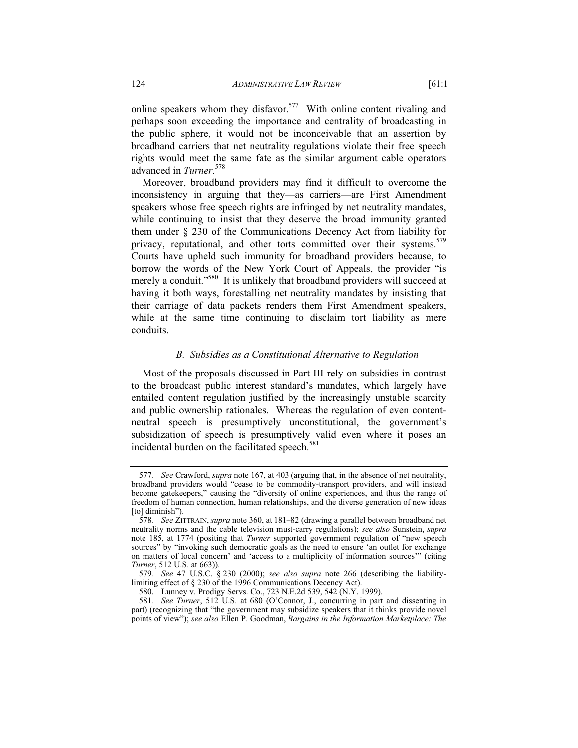online speakers whom they disfavor.<sup>577</sup> With online content rivaling and perhaps soon exceeding the importance and centrality of broadcasting in the public sphere, it would not be inconceivable that an assertion by broadband carriers that net neutrality regulations violate their free speech rights would meet the same fate as the similar argument cable operators advanced in *Turner*. 578

Moreover, broadband providers may find it difficult to overcome the inconsistency in arguing that they—as carriers—are First Amendment speakers whose free speech rights are infringed by net neutrality mandates, while continuing to insist that they deserve the broad immunity granted them under § 230 of the Communications Decency Act from liability for privacy, reputational, and other torts committed over their systems.<sup>579</sup> Courts have upheld such immunity for broadband providers because, to borrow the words of the New York Court of Appeals, the provider "is merely a conduit."<sup>580</sup> It is unlikely that broadband providers will succeed at having it both ways, forestalling net neutrality mandates by insisting that their carriage of data packets renders them First Amendment speakers, while at the same time continuing to disclaim tort liability as mere conduits.

### *B. Subsidies as a Constitutional Alternative to Regulation*

Most of the proposals discussed in Part III rely on subsidies in contrast to the broadcast public interest standard's mandates, which largely have entailed content regulation justified by the increasingly unstable scarcity and public ownership rationales. Whereas the regulation of even contentneutral speech is presumptively unconstitutional, the government's subsidization of speech is presumptively valid even where it poses an incidental burden on the facilitated speech.<sup>581</sup>

<sup>577</sup>*. See* Crawford, *supra* note 167, at 403 (arguing that, in the absence of net neutrality, broadband providers would "cease to be commodity-transport providers, and will instead become gatekeepers," causing the "diversity of online experiences, and thus the range of freedom of human connection, human relationships, and the diverse generation of new ideas [to] diminish").

<sup>578</sup>*. See* ZITTRAIN, *supra* note 360, at 181–82 (drawing a parallel between broadband net neutrality norms and the cable television must-carry regulations); *see also* Sunstein, *supra* note 185, at 1774 (positing that *Turner* supported government regulation of "new speech sources" by "invoking such democratic goals as the need to ensure 'an outlet for exchange on matters of local concern' and 'access to a multiplicity of information sources'" (citing *Turner*, 512 U.S. at 663)).

<sup>579</sup>*. See* 47 U.S.C. § 230 (2000); *see also supra* note 266 (describing the liabilitylimiting effect of § 230 of the 1996 Communications Decency Act).

 <sup>580.</sup> Lunney v. Prodigy Servs. Co., 723 N.E.2d 539, 542 (N.Y. 1999).

<sup>581</sup>*. See Turner*, 512 U.S. at 680 (O'Connor, J., concurring in part and dissenting in part) (recognizing that "the government may subsidize speakers that it thinks provide novel points of view"); *see also* Ellen P. Goodman, *Bargains in the Information Marketplace: The*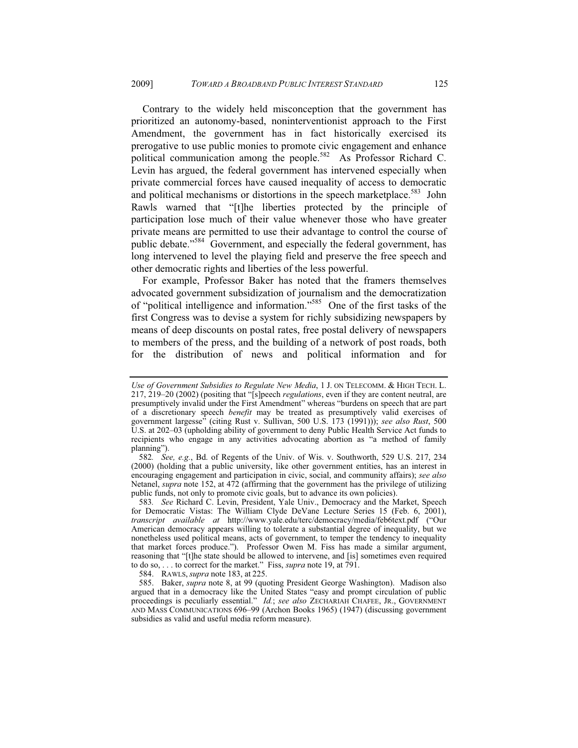Contrary to the widely held misconception that the government has prioritized an autonomy-based, noninterventionist approach to the First Amendment, the government has in fact historically exercised its prerogative to use public monies to promote civic engagement and enhance political communication among the people.<sup>582</sup> As Professor Richard C. Levin has argued, the federal government has intervened especially when private commercial forces have caused inequality of access to democratic and political mechanisms or distortions in the speech marketplace.<sup>583</sup> John Rawls warned that "[t]he liberties protected by the principle of participation lose much of their value whenever those who have greater private means are permitted to use their advantage to control the course of public debate."584 Government, and especially the federal government, has long intervened to level the playing field and preserve the free speech and other democratic rights and liberties of the less powerful.

For example, Professor Baker has noted that the framers themselves advocated government subsidization of journalism and the democratization of "political intelligence and information."585 One of the first tasks of the first Congress was to devise a system for richly subsidizing newspapers by means of deep discounts on postal rates, free postal delivery of newspapers to members of the press, and the building of a network of post roads, both for the distribution of news and political information and for

*Use of Government Subsidies to Regulate New Media*, 1 J. ON TELECOMM.&HIGH TECH. L. 217, 219–20 (2002) (positing that "[s]peech *regulations*, even if they are content neutral, are presumptively invalid under the First Amendment" whereas "burdens on speech that are part of a discretionary speech *benefit* may be treated as presumptively valid exercises of government largesse" (citing Rust v. Sullivan, 500 U.S. 173 (1991))); *see also Rust*, 500 U.S. at 202–03 (upholding ability of government to deny Public Health Service Act funds to recipients who engage in any activities advocating abortion as "a method of family planning").

<sup>582</sup>*. See, e.g.*, Bd. of Regents of the Univ. of Wis. v. Southworth, 529 U.S. 217, 234 (2000) (holding that a public university, like other government entities, has an interest in encouraging engagement and participation in civic, social, and community affairs); *see also*  Netanel, *supra* note 152, at 472 (affirming that the government has the privilege of utilizing public funds, not only to promote civic goals, but to advance its own policies).

<sup>583</sup>*. See* Richard C. Levin, President, Yale Univ., Democracy and the Market, Speech for Democratic Vistas: The William Clyde DeVane Lecture Series 15 (Feb. 6, 2001), *transcript available at* http://www.yale.edu/terc/democracy/media/feb6text.pdf ("Our American democracy appears willing to tolerate a substantial degree of inequality, but we nonetheless used political means, acts of government, to temper the tendency to inequality that market forces produce."). Professor Owen M. Fiss has made a similar argument, reasoning that "[t]he state should be allowed to intervene, and [is] sometimes even required to do so, . . . to correct for the market." Fiss, *supra* note 19, at 791.

 <sup>584.</sup> RAWLS, *supra* note 183, at 225.

 <sup>585.</sup> Baker, *supra* note 8, at 99 (quoting President George Washington). Madison also argued that in a democracy like the United States "easy and prompt circulation of public proceedings is peculiarly essential." *Id.*; *see also* ZECHARIAH CHAFEE, JR., GOVERNMENT AND MASS COMMUNICATIONS 696–99 (Archon Books 1965) (1947) (discussing government subsidies as valid and useful media reform measure).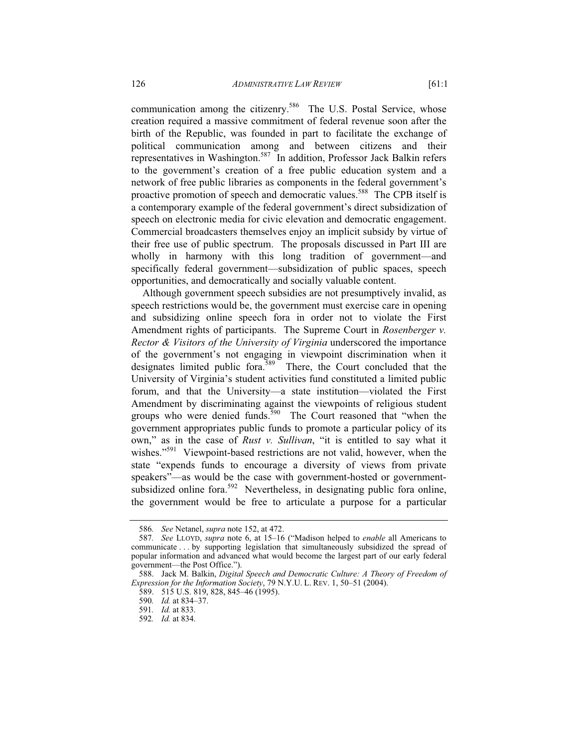communication among the citizenry.<sup>586</sup> The U.S. Postal Service, whose creation required a massive commitment of federal revenue soon after the birth of the Republic, was founded in part to facilitate the exchange of political communication among and between citizens and their representatives in Washington.<sup>587</sup> In addition, Professor Jack Balkin refers to the government's creation of a free public education system and a network of free public libraries as components in the federal government's proactive promotion of speech and democratic values.<sup>588</sup> The CPB itself is a contemporary example of the federal government's direct subsidization of speech on electronic media for civic elevation and democratic engagement. Commercial broadcasters themselves enjoy an implicit subsidy by virtue of their free use of public spectrum. The proposals discussed in Part III are wholly in harmony with this long tradition of government—and specifically federal government—subsidization of public spaces, speech opportunities, and democratically and socially valuable content.

Although government speech subsidies are not presumptively invalid, as speech restrictions would be, the government must exercise care in opening and subsidizing online speech fora in order not to violate the First Amendment rights of participants. The Supreme Court in *Rosenberger v. Rector & Visitors of the University of Virginia* underscored the importance of the government's not engaging in viewpoint discrimination when it designates limited public fora.589 There, the Court concluded that the University of Virginia's student activities fund constituted a limited public forum, and that the University—a state institution—violated the First Amendment by discriminating against the viewpoints of religious student groups who were denied funds.<sup>590</sup> The Court reasoned that "when the government appropriates public funds to promote a particular policy of its own," as in the case of *Rust v. Sullivan*, "it is entitled to say what it wishes."<sup>591</sup> Viewpoint-based restrictions are not valid, however, when the state "expends funds to encourage a diversity of views from private speakers"—as would be the case with government-hosted or governmentsubsidized online fora.<sup>592</sup> Nevertheless, in designating public fora online, the government would be free to articulate a purpose for a particular

<sup>586</sup>*. See* Netanel, *supra* note 152, at 472.

<sup>587</sup>*. See* LLOYD, *supra* note 6, at 15–16 ("Madison helped to *enable* all Americans to communicate . . . by supporting legislation that simultaneously subsidized the spread of popular information and advanced what would become the largest part of our early federal government—the Post Office.").

 <sup>588.</sup> Jack M. Balkin, *Digital Speech and Democratic Culture: A Theory of Freedom of Expression for the Information Society*, 79 N.Y.U. L. REV. 1, 50–51 (2004).

 <sup>589. 515</sup> U.S. 819, 828, 845–46 (1995).

<sup>590</sup>*. Id.* at 834–37.

<sup>591</sup>*. Id.* at 833.

<sup>592</sup>*. Id.* at 834.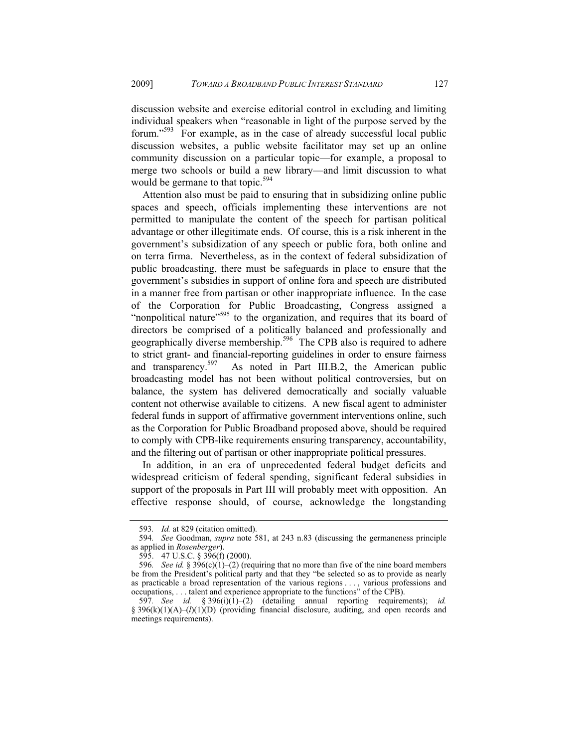discussion website and exercise editorial control in excluding and limiting individual speakers when "reasonable in light of the purpose served by the forum."593 For example, as in the case of already successful local public discussion websites, a public website facilitator may set up an online community discussion on a particular topic—for example, a proposal to merge two schools or build a new library—and limit discussion to what would be germane to that topic.<sup>594</sup>

Attention also must be paid to ensuring that in subsidizing online public spaces and speech, officials implementing these interventions are not permitted to manipulate the content of the speech for partisan political advantage or other illegitimate ends. Of course, this is a risk inherent in the government's subsidization of any speech or public fora, both online and on terra firma. Nevertheless, as in the context of federal subsidization of public broadcasting, there must be safeguards in place to ensure that the government's subsidies in support of online fora and speech are distributed in a manner free from partisan or other inappropriate influence. In the case of the Corporation for Public Broadcasting, Congress assigned a "nonpolitical nature"<sup>595</sup> to the organization, and requires that its board of directors be comprised of a politically balanced and professionally and geographically diverse membership.<sup>596</sup> The CPB also is required to adhere to strict grant- and financial-reporting guidelines in order to ensure fairness and transparency.<sup>597</sup> As noted in Part III.B.2, the American public broadcasting model has not been without political controversies, but on balance, the system has delivered democratically and socially valuable content not otherwise available to citizens. A new fiscal agent to administer federal funds in support of affirmative government interventions online, such as the Corporation for Public Broadband proposed above, should be required to comply with CPB-like requirements ensuring transparency, accountability, and the filtering out of partisan or other inappropriate political pressures.

In addition, in an era of unprecedented federal budget deficits and widespread criticism of federal spending, significant federal subsidies in support of the proposals in Part III will probably meet with opposition. An effective response should, of course, acknowledge the longstanding

<sup>593</sup>*. Id.* at 829 (citation omitted).

<sup>594</sup>*. See* Goodman, *supra* note 581, at 243 n.83 (discussing the germaneness principle as applied in *Rosenberger*).

 <sup>595. 47</sup> U.S.C. § 396(f) (2000).

<sup>596.</sup> See id. §  $396(c)(1)-(2)$  (requiring that no more than five of the nine board members be from the President's political party and that they "be selected so as to provide as nearly as practicable a broad representation of the various regions . . . , various professions and occupations, . . . talent and experience appropriate to the functions" of the CPB).

<sup>597</sup>*. See id.* § 396(i)(1)–(2) (detailing annual reporting requirements); *id.* § 396(k)(1)(A)–(*l*)(1)(D) (providing financial disclosure, auditing, and open records and meetings requirements).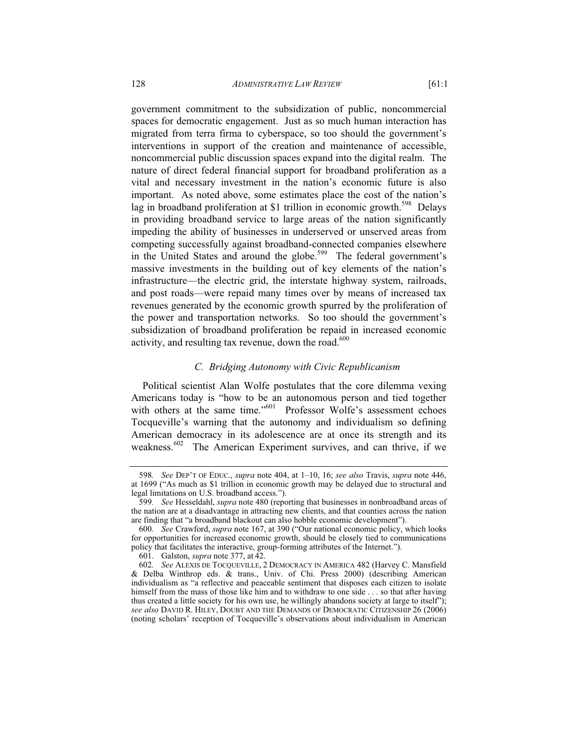government commitment to the subsidization of public, noncommercial spaces for democratic engagement. Just as so much human interaction has migrated from terra firma to cyberspace, so too should the government's interventions in support of the creation and maintenance of accessible, noncommercial public discussion spaces expand into the digital realm. The nature of direct federal financial support for broadband proliferation as a vital and necessary investment in the nation's economic future is also important. As noted above, some estimates place the cost of the nation's lag in broadband proliferation at \$1 trillion in economic growth.<sup>598</sup> Delays in providing broadband service to large areas of the nation significantly impeding the ability of businesses in underserved or unserved areas from competing successfully against broadband-connected companies elsewhere in the United States and around the globe.<sup>599</sup> The federal government's massive investments in the building out of key elements of the nation's infrastructure—the electric grid, the interstate highway system, railroads, and post roads—were repaid many times over by means of increased tax revenues generated by the economic growth spurred by the proliferation of the power and transportation networks. So too should the government's subsidization of broadband proliferation be repaid in increased economic

#### *C. Bridging Autonomy with Civic Republicanism*

activity, and resulting tax revenue, down the road.<sup>600</sup>

Political scientist Alan Wolfe postulates that the core dilemma vexing Americans today is "how to be an autonomous person and tied together with others at the same time."<sup>601</sup> Professor Wolfe's assessment echoes Tocqueville's warning that the autonomy and individualism so defining American democracy in its adolescence are at once its strength and its weakness.<sup>602</sup> The American Experiment survives, and can thrive, if we

<sup>598</sup>*. See* DEP'T OF EDUC., *supra* note 404, at 1–10, 16; *see also* Travis, *supra* note 446, at 1699 ("As much as \$1 trillion in economic growth may be delayed due to structural and legal limitations on U.S. broadband access.").

<sup>599</sup>*. See* Hesseldahl, *supra* note 480 (reporting that businesses in nonbroadband areas of the nation are at a disadvantage in attracting new clients, and that counties across the nation are finding that "a broadband blackout can also hobble economic development").

<sup>600</sup>*. See* Crawford, *supra* note 167, at 390 ("Our national economic policy, which looks for opportunities for increased economic growth, should be closely tied to communications policy that facilitates the interactive, group-forming attributes of the Internet.").

 <sup>601.</sup> Galston, *supra* note 377, at 42.

<sup>602</sup>*. See* ALEXIS DE TOCQUEVILLE,2DEMOCRACY IN AMERICA 482 (Harvey C. Mansfield & Delba Winthrop eds. & trans., Univ. of Chi. Press 2000) (describing American individualism as "a reflective and peaceable sentiment that disposes each citizen to isolate himself from the mass of those like him and to withdraw to one side . . . so that after having thus created a little society for his own use, he willingly abandons society at large to itself"); *see also* DAVID R. HILEY, DOUBT AND THE DEMANDS OF DEMOCRATIC CITIZENSHIP 26 (2006) (noting scholars' reception of Tocqueville's observations about individualism in American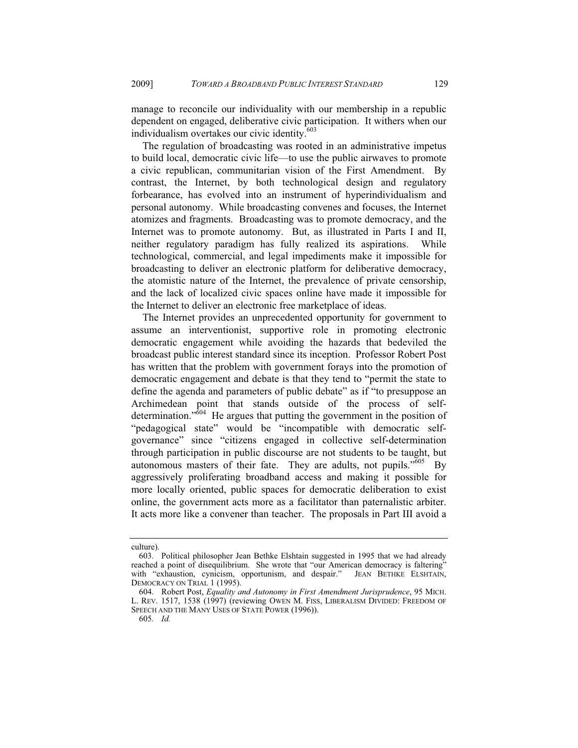manage to reconcile our individuality with our membership in a republic dependent on engaged, deliberative civic participation. It withers when our individualism overtakes our civic identity. $603$ 

The regulation of broadcasting was rooted in an administrative impetus to build local, democratic civic life—to use the public airwaves to promote a civic republican, communitarian vision of the First Amendment. By contrast, the Internet, by both technological design and regulatory forbearance, has evolved into an instrument of hyperindividualism and personal autonomy. While broadcasting convenes and focuses, the Internet atomizes and fragments. Broadcasting was to promote democracy, and the Internet was to promote autonomy. But, as illustrated in Parts I and II, neither regulatory paradigm has fully realized its aspirations. While technological, commercial, and legal impediments make it impossible for broadcasting to deliver an electronic platform for deliberative democracy, the atomistic nature of the Internet, the prevalence of private censorship, and the lack of localized civic spaces online have made it impossible for the Internet to deliver an electronic free marketplace of ideas.

The Internet provides an unprecedented opportunity for government to assume an interventionist, supportive role in promoting electronic democratic engagement while avoiding the hazards that bedeviled the broadcast public interest standard since its inception. Professor Robert Post has written that the problem with government forays into the promotion of democratic engagement and debate is that they tend to "permit the state to define the agenda and parameters of public debate" as if "to presuppose an Archimedean point that stands outside of the process of selfdetermination." $\delta^{04}$  He argues that putting the government in the position of "pedagogical state" would be "incompatible with democratic selfgovernance" since "citizens engaged in collective self-determination through participation in public discourse are not students to be taught, but autonomous masters of their fate. They are adults, not pupils."<sup>605</sup> By aggressively proliferating broadband access and making it possible for more locally oriented, public spaces for democratic deliberation to exist online, the government acts more as a facilitator than paternalistic arbiter. It acts more like a convener than teacher. The proposals in Part III avoid a

culture).

 <sup>603.</sup> Political philosopher Jean Bethke Elshtain suggested in 1995 that we had already reached a point of disequilibrium. She wrote that "our American democracy is faltering" with "exhaustion, cynicism, opportunism, and despair." JEAN BETHKE ELSHTAIN, with "exhaustion, cynicism, opportunism, and despair." DEMOCRACY ON TRIAL 1 (1995).

 <sup>604.</sup> Robert Post, *Equality and Autonomy in First Amendment Jurisprudence*, 95 MICH. L. REV. 1517, 1538 (1997) (reviewing OWEN M. FISS, LIBERALISM DIVIDED: FREEDOM OF SPEECH AND THE MANY USES OF STATE POWER (1996)).

<sup>605</sup>*. Id.*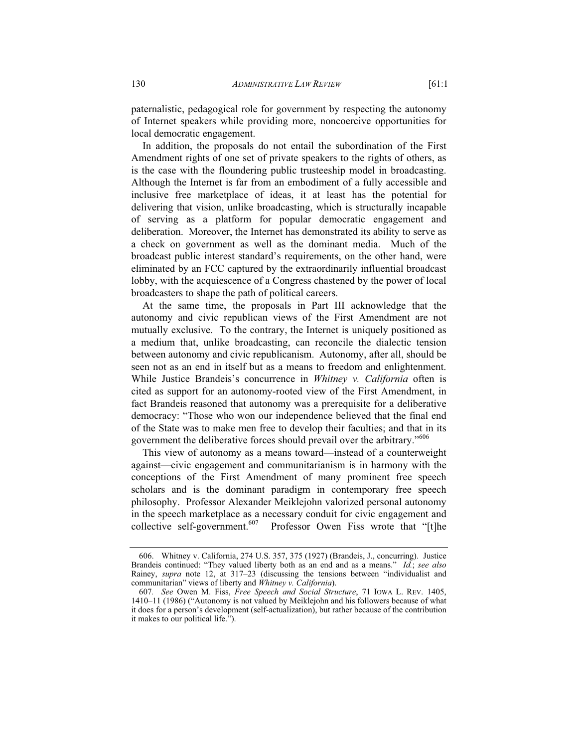paternalistic, pedagogical role for government by respecting the autonomy of Internet speakers while providing more, noncoercive opportunities for local democratic engagement.

In addition, the proposals do not entail the subordination of the First Amendment rights of one set of private speakers to the rights of others, as is the case with the floundering public trusteeship model in broadcasting. Although the Internet is far from an embodiment of a fully accessible and inclusive free marketplace of ideas, it at least has the potential for delivering that vision, unlike broadcasting, which is structurally incapable of serving as a platform for popular democratic engagement and deliberation. Moreover, the Internet has demonstrated its ability to serve as a check on government as well as the dominant media. Much of the broadcast public interest standard's requirements, on the other hand, were eliminated by an FCC captured by the extraordinarily influential broadcast lobby, with the acquiescence of a Congress chastened by the power of local broadcasters to shape the path of political careers.

At the same time, the proposals in Part III acknowledge that the autonomy and civic republican views of the First Amendment are not mutually exclusive. To the contrary, the Internet is uniquely positioned as a medium that, unlike broadcasting, can reconcile the dialectic tension between autonomy and civic republicanism. Autonomy, after all, should be seen not as an end in itself but as a means to freedom and enlightenment. While Justice Brandeis's concurrence in *Whitney v. California* often is cited as support for an autonomy-rooted view of the First Amendment, in fact Brandeis reasoned that autonomy was a prerequisite for a deliberative democracy: "Those who won our independence believed that the final end of the State was to make men free to develop their faculties; and that in its government the deliberative forces should prevail over the arbitrary."<sup>606</sup>

This view of autonomy as a means toward—instead of a counterweight against—civic engagement and communitarianism is in harmony with the conceptions of the First Amendment of many prominent free speech scholars and is the dominant paradigm in contemporary free speech philosophy. Professor Alexander Meiklejohn valorized personal autonomy in the speech marketplace as a necessary conduit for civic engagement and collective self-government.<sup>607</sup> Professor Owen Fiss wrote that "[t]he

 <sup>606.</sup> Whitney v. California, 274 U.S. 357, 375 (1927) (Brandeis, J., concurring). Justice Brandeis continued: "They valued liberty both as an end and as a means." *Id.*; *see also*  Rainey, *supra* note 12, at 317–23 (discussing the tensions between "individualist and communitarian" views of liberty and *Whitney v. California*).

<sup>607</sup>*. See* Owen M. Fiss, *Free Speech and Social Structure*, 71 IOWA L. REV. 1405, 1410–11 (1986) ("Autonomy is not valued by Meiklejohn and his followers because of what it does for a person's development (self-actualization), but rather because of the contribution it makes to our political life.").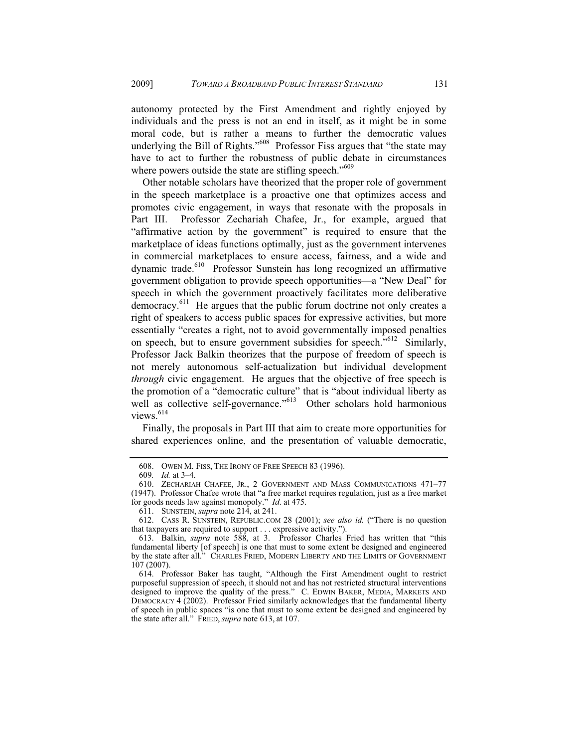autonomy protected by the First Amendment and rightly enjoyed by individuals and the press is not an end in itself, as it might be in some moral code, but is rather a means to further the democratic values underlying the Bill of Rights."<sup>608</sup> Professor Fiss argues that "the state may have to act to further the robustness of public debate in circumstances where powers outside the state are stifling speech."<sup>609</sup>

Other notable scholars have theorized that the proper role of government in the speech marketplace is a proactive one that optimizes access and promotes civic engagement, in ways that resonate with the proposals in Part III. Professor Zechariah Chafee, Jr., for example, argued that "affirmative action by the government" is required to ensure that the marketplace of ideas functions optimally, just as the government intervenes in commercial marketplaces to ensure access, fairness, and a wide and dynamic trade.<sup>610</sup> Professor Sunstein has long recognized an affirmative government obligation to provide speech opportunities—a "New Deal" for speech in which the government proactively facilitates more deliberative democracy.611 He argues that the public forum doctrine not only creates a right of speakers to access public spaces for expressive activities, but more essentially "creates a right, not to avoid governmentally imposed penalties on speech, but to ensure government subsidies for speech."<sup>612</sup> Similarly, Professor Jack Balkin theorizes that the purpose of freedom of speech is not merely autonomous self-actualization but individual development *through* civic engagement. He argues that the objective of free speech is the promotion of a "democratic culture" that is "about individual liberty as well as collective self-governance."<sup>613</sup> Other scholars hold harmonious views.<sup>614</sup>

Finally, the proposals in Part III that aim to create more opportunities for shared experiences online, and the presentation of valuable democratic,

 <sup>608.</sup> OWEN M. FISS, THE IRONY OF FREE SPEECH 83 (1996).

<sup>609</sup>*. Id.* at 3–4.

 <sup>610.</sup> ZECHARIAH CHAFEE, JR., 2 GOVERNMENT AND MASS COMMUNICATIONS 471*–*77 (1947). Professor Chafee wrote that "a free market requires regulation, just as a free market for goods needs law against monopoly." *Id*. at 475.

 <sup>611.</sup> SUNSTEIN, *supra* note 214, at 241.

 <sup>612.</sup> CASS R. SUNSTEIN, REPUBLIC.COM 28 (2001); *see also id.* ("There is no question that taxpayers are required to support . . . expressive activity.").

 <sup>613.</sup> Balkin, *supra* note 588, at 3. Professor Charles Fried has written that "this fundamental liberty [of speech] is one that must to some extent be designed and engineered by the state after all." CHARLES FRIED, MODERN LIBERTY AND THE LIMITS OF GOVERNMENT 107 (2007).

 <sup>614.</sup> Professor Baker has taught, "Although the First Amendment ought to restrict purposeful suppression of speech, it should not and has not restricted structural interventions designed to improve the quality of the press." C. EDWIN BAKER, MEDIA, MARKETS AND DEMOCRACY 4 (2002). Professor Fried similarly acknowledges that the fundamental liberty of speech in public spaces "is one that must to some extent be designed and engineered by the state after all." FRIED, *supra* note 613, at 107.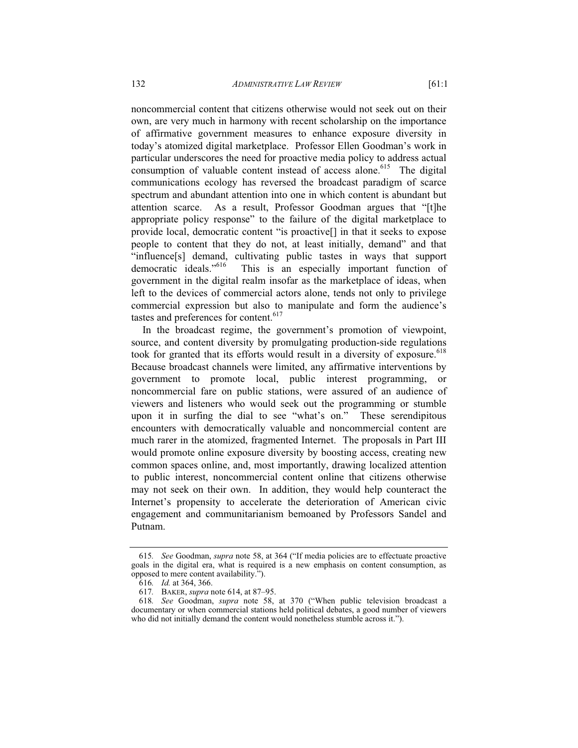noncommercial content that citizens otherwise would not seek out on their own, are very much in harmony with recent scholarship on the importance of affirmative government measures to enhance exposure diversity in today's atomized digital marketplace. Professor Ellen Goodman's work in particular underscores the need for proactive media policy to address actual consumption of valuable content instead of access alone.<sup>615</sup> The digital communications ecology has reversed the broadcast paradigm of scarce spectrum and abundant attention into one in which content is abundant but attention scarce. As a result, Professor Goodman argues that "[t]he appropriate policy response" to the failure of the digital marketplace to provide local, democratic content "is proactive[] in that it seeks to expose people to content that they do not, at least initially, demand" and that "influence[s] demand, cultivating public tastes in ways that support democratic ideals."<sup>616</sup> This is an especially important function of This is an especially important function of government in the digital realm insofar as the marketplace of ideas, when left to the devices of commercial actors alone, tends not only to privilege commercial expression but also to manipulate and form the audience's tastes and preferences for content.<sup>617</sup>

In the broadcast regime, the government's promotion of viewpoint, source, and content diversity by promulgating production-side regulations took for granted that its efforts would result in a diversity of exposure.<sup>618</sup> Because broadcast channels were limited, any affirmative interventions by government to promote local, public interest programming, or noncommercial fare on public stations, were assured of an audience of viewers and listeners who would seek out the programming or stumble upon it in surfing the dial to see "what's on." These serendipitous encounters with democratically valuable and noncommercial content are much rarer in the atomized, fragmented Internet. The proposals in Part III would promote online exposure diversity by boosting access, creating new common spaces online, and, most importantly, drawing localized attention to public interest, noncommercial content online that citizens otherwise may not seek on their own. In addition, they would help counteract the Internet's propensity to accelerate the deterioration of American civic engagement and communitarianism bemoaned by Professors Sandel and Putnam.

<sup>615</sup>*. See* Goodman, *supra* note 58, at 364 ("If media policies are to effectuate proactive goals in the digital era, what is required is a new emphasis on content consumption, as opposed to mere content availability.").

<sup>616</sup>*. Id.* at 364, 366.

<sup>617</sup>*.* BAKER, *supra* note 614, at 87–95.

<sup>618</sup>*. See* Goodman, *supra* note 58, at 370 ("When public television broadcast a documentary or when commercial stations held political debates, a good number of viewers who did not initially demand the content would nonetheless stumble across it.").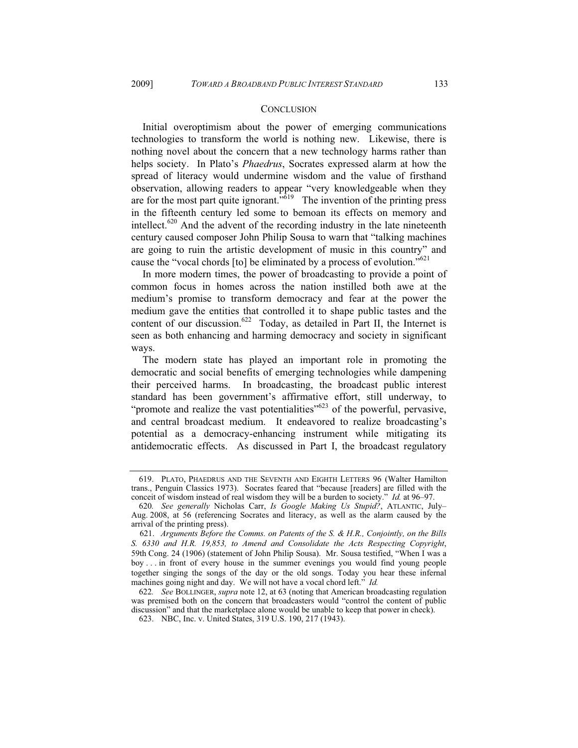#### **CONCLUSION**

Initial overoptimism about the power of emerging communications technologies to transform the world is nothing new. Likewise, there is nothing novel about the concern that a new technology harms rather than helps society. In Plato's *Phaedrus*, Socrates expressed alarm at how the spread of literacy would undermine wisdom and the value of firsthand observation, allowing readers to appear "very knowledgeable when they are for the most part quite ignorant."619 The invention of the printing press in the fifteenth century led some to bemoan its effects on memory and intellect.620 And the advent of the recording industry in the late nineteenth century caused composer John Philip Sousa to warn that "talking machines are going to ruin the artistic development of music in this country" and cause the "vocal chords [to] be eliminated by a process of evolution."<sup>621</sup>

In more modern times, the power of broadcasting to provide a point of common focus in homes across the nation instilled both awe at the medium's promise to transform democracy and fear at the power the medium gave the entities that controlled it to shape public tastes and the content of our discussion.<sup>622</sup> Today, as detailed in Part II, the Internet is seen as both enhancing and harming democracy and society in significant ways.

The modern state has played an important role in promoting the democratic and social benefits of emerging technologies while dampening their perceived harms. In broadcasting, the broadcast public interest standard has been government's affirmative effort, still underway, to "promote and realize the vast potentialities"<sup>623</sup> of the powerful, pervasive, and central broadcast medium. It endeavored to realize broadcasting's potential as a democracy-enhancing instrument while mitigating its antidemocratic effects. As discussed in Part I, the broadcast regulatory

 <sup>619.</sup> PLATO, PHAEDRUS AND THE SEVENTH AND EIGHTH LETTERS 96 (Walter Hamilton trans., Penguin Classics 1973). Socrates feared that "because [readers] are filled with the conceit of wisdom instead of real wisdom they will be a burden to society." *Id.* at 96–97.

<sup>620</sup>*. See generally* Nicholas Carr, *Is Google Making Us Stupid?*, ATLANTIC, July– Aug. 2008, at 56 (referencing Socrates and literacy, as well as the alarm caused by the arrival of the printing press).

<sup>621.</sup> *Arguments Before the Comms. on Patents of the S. & H.R., Conjointly, on the Bills S. 6330 and H.R. 19,853, to Amend and Consolidate the Acts Respecting Copyright*, 59th Cong. 24 (1906) (statement of John Philip Sousa). Mr. Sousa testified, "When I was a boy . . . in front of every house in the summer evenings you would find young people together singing the songs of the day or the old songs. Today you hear these infernal machines going night and day. We will not have a vocal chord left." *Id.*

<sup>622</sup>*. See* BOLLINGER, *supra* note 12, at 63 (noting that American broadcasting regulation was premised both on the concern that broadcasters would "control the content of public discussion" and that the marketplace alone would be unable to keep that power in check).

 <sup>623.</sup> NBC, Inc. v. United States, 319 U.S. 190, 217 (1943).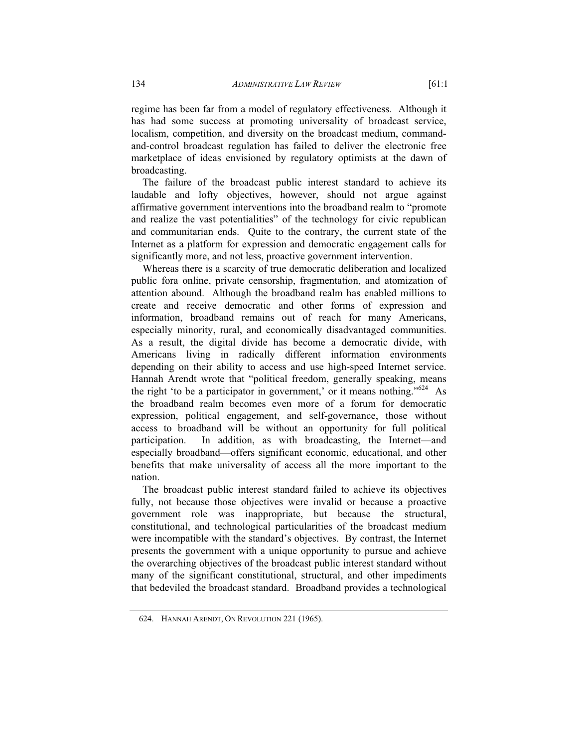has had some success at promoting universality of broadcast service, localism, competition, and diversity on the broadcast medium, commandand-control broadcast regulation has failed to deliver the electronic free marketplace of ideas envisioned by regulatory optimists at the dawn of broadcasting.

The failure of the broadcast public interest standard to achieve its laudable and lofty objectives, however, should not argue against affirmative government interventions into the broadband realm to "promote and realize the vast potentialities" of the technology for civic republican and communitarian ends. Quite to the contrary, the current state of the Internet as a platform for expression and democratic engagement calls for significantly more, and not less, proactive government intervention.

Whereas there is a scarcity of true democratic deliberation and localized public fora online, private censorship, fragmentation, and atomization of attention abound. Although the broadband realm has enabled millions to create and receive democratic and other forms of expression and information, broadband remains out of reach for many Americans, especially minority, rural, and economically disadvantaged communities. As a result, the digital divide has become a democratic divide, with Americans living in radically different information environments depending on their ability to access and use high-speed Internet service. Hannah Arendt wrote that "political freedom, generally speaking, means the right 'to be a participator in government,' or it means nothing."<sup>624</sup> As the broadband realm becomes even more of a forum for democratic expression, political engagement, and self-governance, those without access to broadband will be without an opportunity for full political participation. In addition, as with broadcasting, the Internet—and especially broadband—offers significant economic, educational, and other benefits that make universality of access all the more important to the nation.

The broadcast public interest standard failed to achieve its objectives fully, not because those objectives were invalid or because a proactive government role was inappropriate, but because the structural, constitutional, and technological particularities of the broadcast medium were incompatible with the standard's objectives. By contrast, the Internet presents the government with a unique opportunity to pursue and achieve the overarching objectives of the broadcast public interest standard without many of the significant constitutional, structural, and other impediments that bedeviled the broadcast standard. Broadband provides a technological

 <sup>624.</sup> HANNAH ARENDT, ON REVOLUTION 221 (1965).